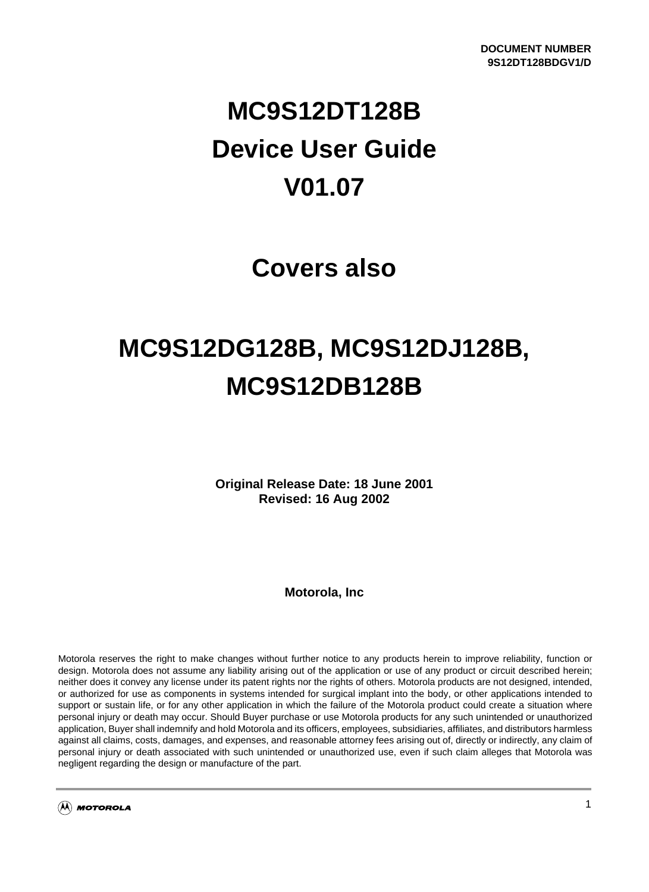# **MC9S12DT128B Device User Guide V01.07**

# **Covers also**

# **MC9S12DG128B, MC9S12DJ128B, MC9S12DB128B**

**Original Release Date: 18 June 2001 Revised: 16 Aug 2002**

**Motorola, Inc**

Motorola reserves the right to make changes without further notice to any products herein to improve reliability, function or design. Motorola does not assume any liability arising out of the application or use of any product or circuit described herein; neither does it convey any license under its patent rights nor the rights of others. Motorola products are not designed, intended, or authorized for use as components in systems intended for surgical implant into the body, or other applications intended to support or sustain life, or for any other application in which the failure of the Motorola product could create a situation where personal injury or death may occur. Should Buyer purchase or use Motorola products for any such unintended or unauthorized application, Buyer shall indemnify and hold Motorola and its officers, employees, subsidiaries, affiliates, and distributors harmless against all claims, costs, damages, and expenses, and reasonable attorney fees arising out of, directly or indirectly, any claim of personal injury or death associated with such unintended or unauthorized use, even if such claim alleges that Motorola was negligent regarding the design or manufacture of the part.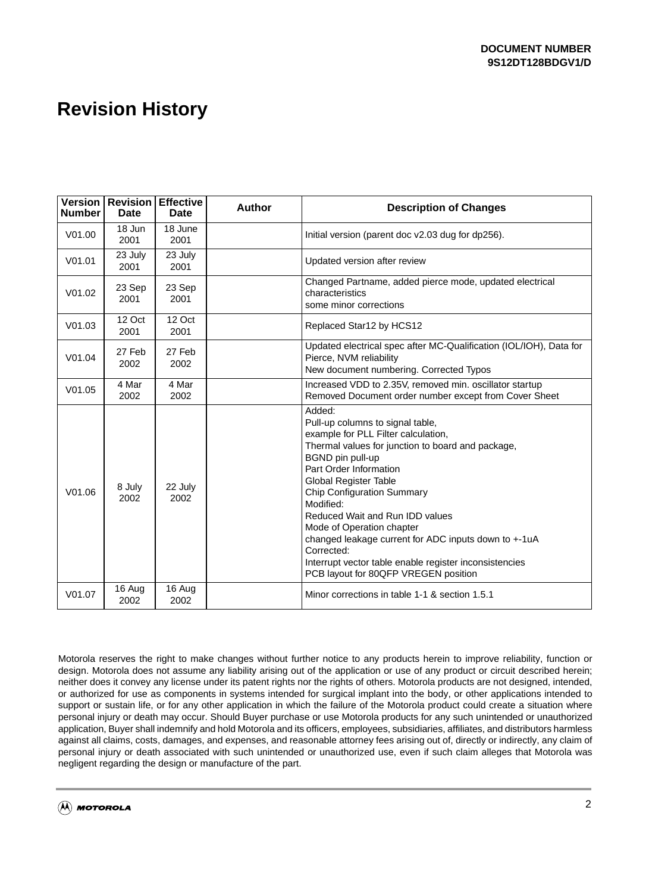# **Revision History**

| <b>Version</b><br><b>Number</b> | <b>Revision</b><br><b>Date</b> | <b>Effective</b><br><b>Date</b> | <b>Author</b>                                                                                                                            | <b>Description of Changes</b>                                                                                                                                                                                                                                                                                                                                                                                                                                                                           |  |
|---------------------------------|--------------------------------|---------------------------------|------------------------------------------------------------------------------------------------------------------------------------------|---------------------------------------------------------------------------------------------------------------------------------------------------------------------------------------------------------------------------------------------------------------------------------------------------------------------------------------------------------------------------------------------------------------------------------------------------------------------------------------------------------|--|
| V01.00                          | 18 Jun<br>2001                 | 18 June<br>2001                 |                                                                                                                                          | Initial version (parent doc v2.03 dug for dp256).                                                                                                                                                                                                                                                                                                                                                                                                                                                       |  |
| V <sub>01.01</sub>              | 23 July<br>2001                | 23 July<br>2001                 |                                                                                                                                          | Updated version after review                                                                                                                                                                                                                                                                                                                                                                                                                                                                            |  |
| V <sub>01.02</sub>              | 23 Sep<br>2001                 | 23 Sep<br>2001                  |                                                                                                                                          | Changed Partname, added pierce mode, updated electrical<br>characteristics<br>some minor corrections                                                                                                                                                                                                                                                                                                                                                                                                    |  |
| V <sub>01.03</sub>              | 12 Oct<br>2001                 | 12 Oct<br>2001                  |                                                                                                                                          | Replaced Star12 by HCS12                                                                                                                                                                                                                                                                                                                                                                                                                                                                                |  |
| V01.04                          | 27 Feb<br>2002                 | 27 Feb<br>2002                  | Updated electrical spec after MC-Qualification (IOL/IOH), Data for<br>Pierce, NVM reliability<br>New document numbering. Corrected Typos |                                                                                                                                                                                                                                                                                                                                                                                                                                                                                                         |  |
| V01.05                          | 4 Mar<br>2002                  | 4 Mar<br>2002                   | Increased VDD to 2.35V, removed min. oscillator startup<br>Removed Document order number except from Cover Sheet                         |                                                                                                                                                                                                                                                                                                                                                                                                                                                                                                         |  |
| V <sub>01.06</sub>              | 8 July<br>2002                 | 22 July<br>2002                 |                                                                                                                                          | Added:<br>Pull-up columns to signal table,<br>example for PLL Filter calculation,<br>Thermal values for junction to board and package,<br>BGND pin pull-up<br>Part Order Information<br>Global Register Table<br><b>Chip Configuration Summary</b><br>Modified:<br>Reduced Wait and Run IDD values<br>Mode of Operation chapter<br>changed leakage current for ADC inputs down to +-1uA<br>Corrected:<br>Interrupt vector table enable register inconsistencies<br>PCB layout for 80QFP VREGEN position |  |
| V01.07                          | 16 Aug<br>2002                 | 16 Aug<br>2002                  |                                                                                                                                          | Minor corrections in table 1-1 & section 1.5.1                                                                                                                                                                                                                                                                                                                                                                                                                                                          |  |

Motorola reserves the right to make changes without further notice to any products herein to improve reliability, function or design. Motorola does not assume any liability arising out of the application or use of any product or circuit described herein; neither does it convey any license under its patent rights nor the rights of others. Motorola products are not designed, intended, or authorized for use as components in systems intended for surgical implant into the body, or other applications intended to support or sustain life, or for any other application in which the failure of the Motorola product could create a situation where personal injury or death may occur. Should Buyer purchase or use Motorola products for any such unintended or unauthorized application, Buyer shall indemnify and hold Motorola and its officers, employees, subsidiaries, affiliates, and distributors harmless against all claims, costs, damages, and expenses, and reasonable attorney fees arising out of, directly or indirectly, any claim of personal injury or death associated with such unintended or unauthorized use, even if such claim alleges that Motorola was negligent regarding the design or manufacture of the part.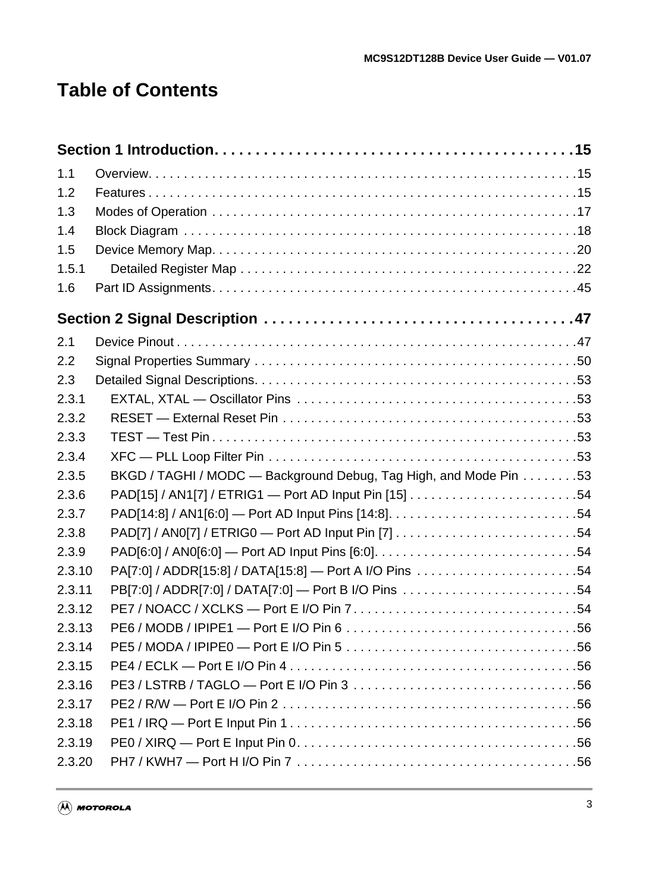# **Table of Contents**

| 1.1    |                                                                   |  |
|--------|-------------------------------------------------------------------|--|
| 1.2    |                                                                   |  |
| 1.3    |                                                                   |  |
| 1.4    |                                                                   |  |
| 1.5    |                                                                   |  |
| 1.5.1  |                                                                   |  |
| 1.6    |                                                                   |  |
|        |                                                                   |  |
| 2.1    |                                                                   |  |
| 2.2    |                                                                   |  |
| 2.3    |                                                                   |  |
| 2.3.1  |                                                                   |  |
| 2.3.2  |                                                                   |  |
| 2.3.3  |                                                                   |  |
| 2.3.4  |                                                                   |  |
| 2.3.5  | BKGD / TAGHI / MODC - Background Debug, Tag High, and Mode Pin 53 |  |
| 2.3.6  |                                                                   |  |
| 2.3.7  |                                                                   |  |
| 2.3.8  |                                                                   |  |
| 2.3.9  |                                                                   |  |
| 2.3.10 |                                                                   |  |
| 2.3.11 | PB[7:0] / ADDR[7:0] / DATA[7:0] — Port B I/O Pins 54              |  |
| 2.3.12 |                                                                   |  |
| 2.3.13 |                                                                   |  |
| 2.3.14 |                                                                   |  |
| 2.3.15 |                                                                   |  |
| 2.3.16 |                                                                   |  |
| 2.3.17 |                                                                   |  |
| 2.3.18 |                                                                   |  |
| 2.3.19 |                                                                   |  |
| 2.3.20 |                                                                   |  |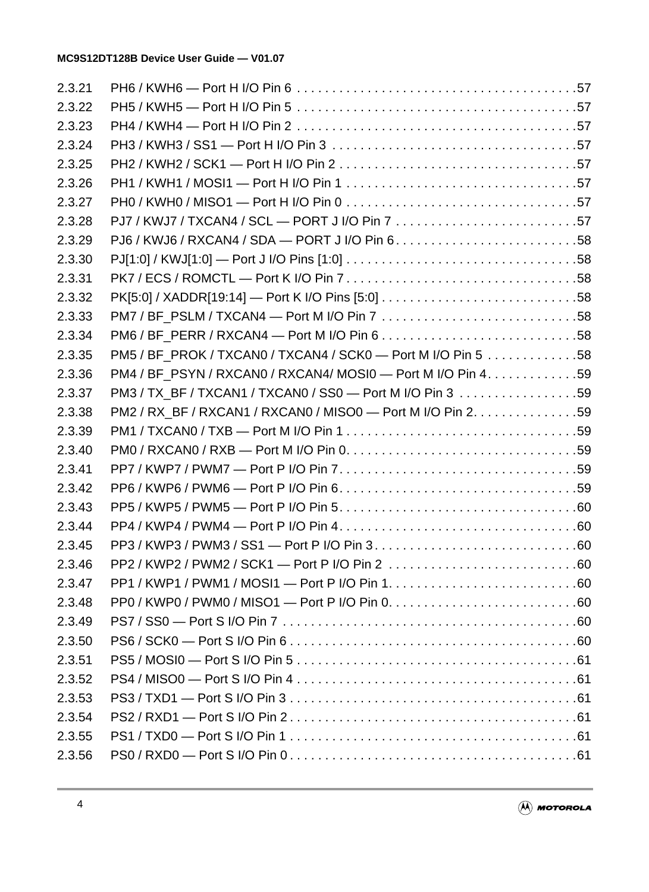| 2.3.21 |                                                               |  |
|--------|---------------------------------------------------------------|--|
| 2.3.22 |                                                               |  |
| 2.3.23 |                                                               |  |
| 2.3.24 |                                                               |  |
| 2.3.25 |                                                               |  |
| 2.3.26 |                                                               |  |
| 2.3.27 |                                                               |  |
| 2.3.28 |                                                               |  |
| 2.3.29 |                                                               |  |
| 2.3.30 |                                                               |  |
| 2.3.31 |                                                               |  |
| 2.3.32 |                                                               |  |
| 2.3.33 |                                                               |  |
| 2.3.34 |                                                               |  |
| 2.3.35 | PM5 / BF PROK / TXCAN0 / TXCAN4 / SCK0 - Port M I/O Pin 5 58  |  |
| 2.3.36 | PM4 / BF PSYN / RXCAN0 / RXCAN4/ MOSI0 - Port M I/O Pin 4. 59 |  |
| 2.3.37 | PM3 / TX_BF / TXCAN1 / TXCAN0 / SS0 - Port M I/O Pin 3 59     |  |
| 2.3.38 | PM2 / RX BF / RXCAN1 / RXCAN0 / MISO0 - Port M I/O Pin 2. 59  |  |
| 2.3.39 |                                                               |  |
| 2.3.40 |                                                               |  |
| 2.3.41 |                                                               |  |
| 2.3.42 |                                                               |  |
| 2.3.43 |                                                               |  |
| 2.3.44 |                                                               |  |
| 2.3.45 |                                                               |  |
| 2.3.46 |                                                               |  |
| 2.3.47 |                                                               |  |
| 2.3.48 |                                                               |  |
| 2.3.49 |                                                               |  |
| 2.3.50 |                                                               |  |
| 2.3.51 |                                                               |  |
| 2.3.52 |                                                               |  |
| 2.3.53 |                                                               |  |
| 2.3.54 |                                                               |  |
| 2.3.55 |                                                               |  |
| 2.3.56 |                                                               |  |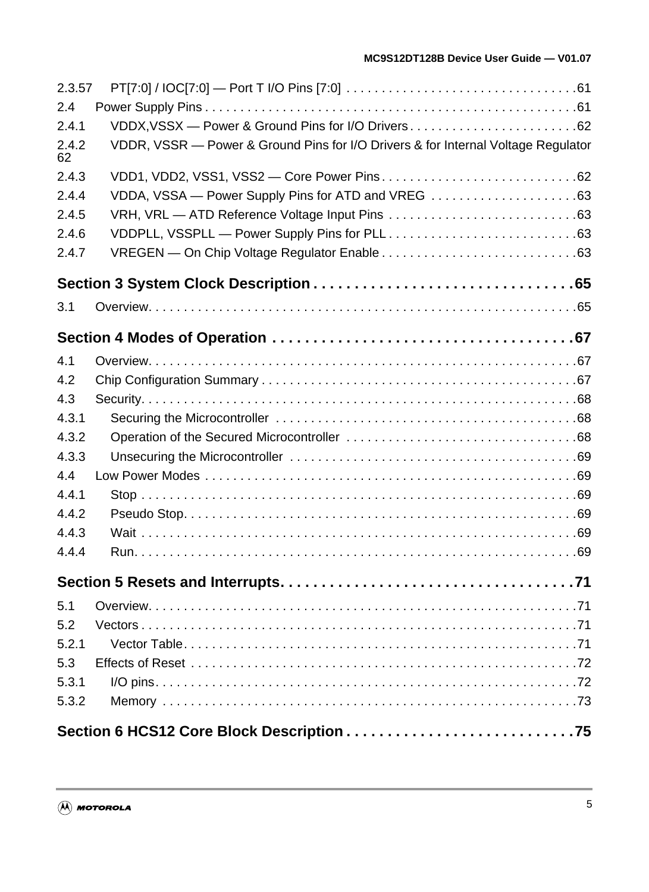| 5.3.2          |                                                                                   |
|----------------|-----------------------------------------------------------------------------------|
| 5.3.1          |                                                                                   |
| 5.3            |                                                                                   |
| 5.2.1          |                                                                                   |
| 5.2            |                                                                                   |
| 5.1            |                                                                                   |
|                |                                                                                   |
|                |                                                                                   |
| 4.4.4          |                                                                                   |
| 4.4.3          |                                                                                   |
| 4.4.2          |                                                                                   |
| 4.4.1          |                                                                                   |
| 4.4            |                                                                                   |
| 4.3.2<br>4.3.3 |                                                                                   |
| 4.3.1          |                                                                                   |
| 4.3            |                                                                                   |
| 4.2            |                                                                                   |
| 4.1            |                                                                                   |
|                |                                                                                   |
|                |                                                                                   |
| 3.1            |                                                                                   |
|                |                                                                                   |
| 2.4.7          |                                                                                   |
| 2.4.6          |                                                                                   |
| 2.4.5          |                                                                                   |
| 2.4.4          | VDDA, VSSA - Power Supply Pins for ATD and VREG 63                                |
| 2.4.3          |                                                                                   |
| 2.4.2<br>62    | VDDR, VSSR - Power & Ground Pins for I/O Drivers & for Internal Voltage Regulator |
| 2.4.1          | VDDX, VSSX - Power & Ground Pins for I/O Drivers62                                |
| 2.4            |                                                                                   |
| 2.3.57         |                                                                                   |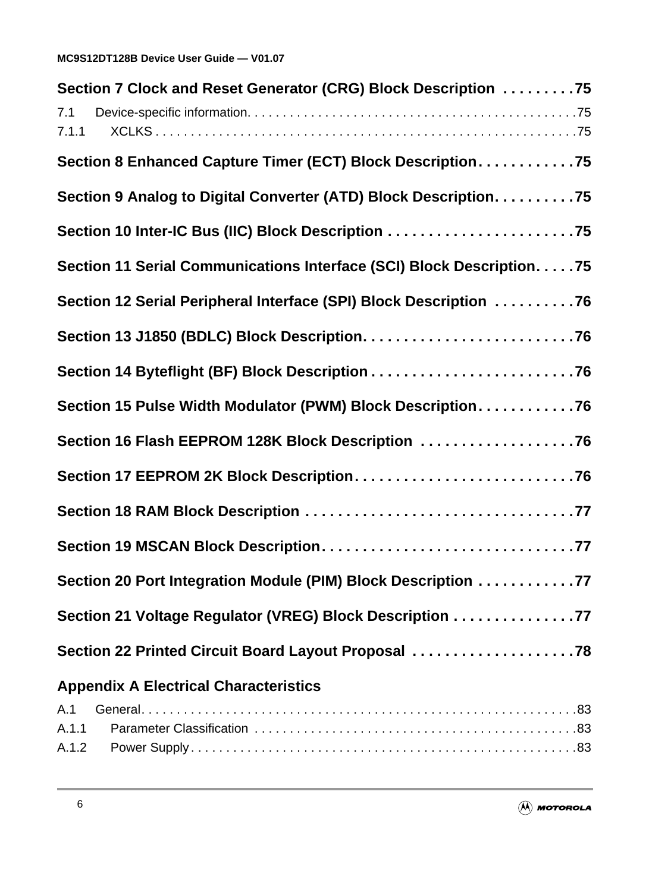| Section 7 Clock and Reset Generator (CRG) Block Description 75         |
|------------------------------------------------------------------------|
| 7.1<br>7.1.1                                                           |
| Section 8 Enhanced Capture Timer (ECT) Block Description75             |
| Section 9 Analog to Digital Converter (ATD) Block Description75        |
| Section 10 Inter-IC Bus (IIC) Block Description 75                     |
| Section 11 Serial Communications Interface (SCI) Block Description. 75 |
| Section 12 Serial Peripheral Interface (SPI) Block Description 76      |
|                                                                        |
|                                                                        |
| Section 15 Pulse Width Modulator (PWM) Block Description76             |
| Section 16 Flash EEPROM 128K Block Description 76                      |
|                                                                        |
|                                                                        |
|                                                                        |
| Section 20 Port Integration Module (PIM) Block Description 77          |
| Section 21 Voltage Regulator (VREG) Block Description 77               |
| Section 22 Printed Circuit Board Layout Proposal 78                    |
| <b>Appendix A Electrical Characteristics</b>                           |
| A.1                                                                    |
| A.1.1                                                                  |
| A.1.2                                                                  |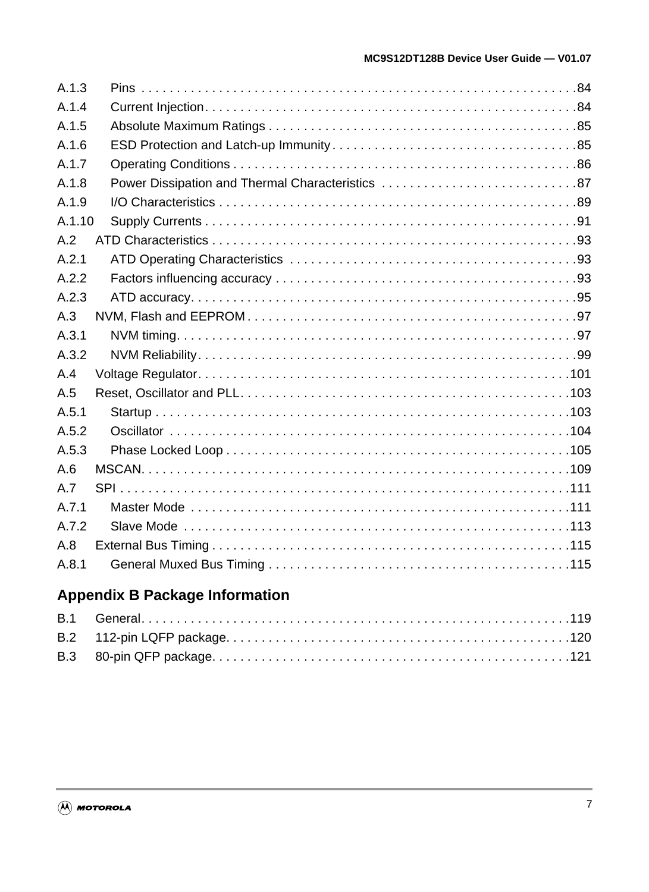| A.1.3  |                                                  |
|--------|--------------------------------------------------|
| A.1.4  |                                                  |
| A.1.5  |                                                  |
| A.1.6  |                                                  |
| A.1.7  |                                                  |
| A.1.8  | Power Dissipation and Thermal Characteristics 87 |
| A.1.9  |                                                  |
| A.1.10 |                                                  |
| A.2    |                                                  |
| A.2.1  |                                                  |
| A.2.2  |                                                  |
| A.2.3  |                                                  |
| A.3    |                                                  |
| A.3.1  |                                                  |
| A.3.2  |                                                  |
| A.4    |                                                  |
| A.5    |                                                  |
| A.5.1  |                                                  |
| A.5.2  |                                                  |
| A.5.3  |                                                  |
| A.6    |                                                  |
| A.7    |                                                  |
| A.7.1  |                                                  |
| A.7.2  |                                                  |
| A.8    |                                                  |
| A.8.1  |                                                  |
|        |                                                  |

# **[Appendix B Package Information](#page-118-0)**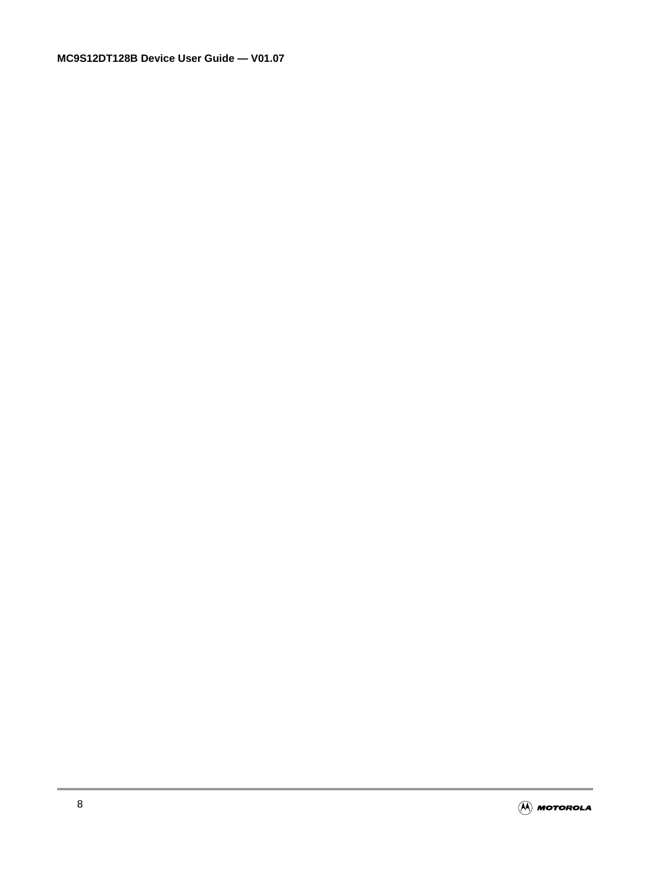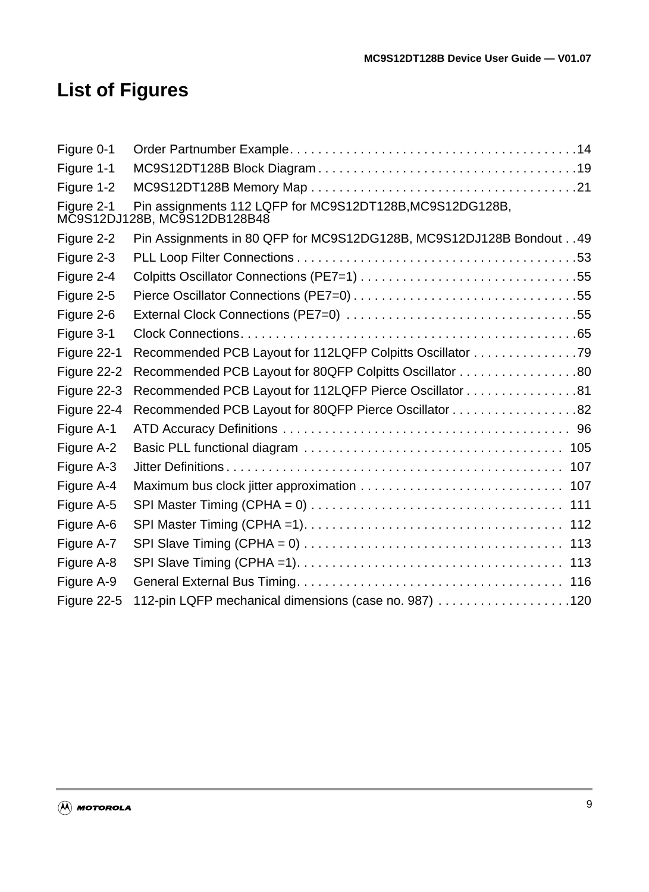# **List of Figures**

| Figure 0-1  |                                                                                          |
|-------------|------------------------------------------------------------------------------------------|
| Figure 1-1  |                                                                                          |
| Figure 1-2  |                                                                                          |
| Figure 2-1  | Pin assignments 112 LQFP for MC9S12DT128B, MC9S12DG128B,<br>MČ9S12DJ128B, MC9S12DB128B48 |
| Figure 2-2  | Pin Assignments in 80 QFP for MC9S12DG128B, MC9S12DJ128B Bondout 49                      |
| Figure 2-3  |                                                                                          |
| Figure 2-4  |                                                                                          |
| Figure 2-5  |                                                                                          |
| Figure 2-6  |                                                                                          |
| Figure 3-1  |                                                                                          |
| Figure 22-1 | Recommended PCB Layout for 112LQFP Colpitts Oscillator 79                                |
| Figure 22-2 | Recommended PCB Layout for 80QFP Colpitts Oscillator 80                                  |
| Figure 22-3 | Recommended PCB Layout for 112LQFP Pierce Oscillator 81                                  |
| Figure 22-4 | Recommended PCB Layout for 80QFP Pierce Oscillator 82                                    |
| Figure A-1  |                                                                                          |
| Figure A-2  |                                                                                          |
| Figure A-3  |                                                                                          |
| Figure A-4  |                                                                                          |
| Figure A-5  |                                                                                          |
| Figure A-6  |                                                                                          |
| Figure A-7  |                                                                                          |
| Figure A-8  |                                                                                          |
| Figure A-9  |                                                                                          |
| Figure 22-5 | 112-pin LQFP mechanical dimensions (case no. 987) 120                                    |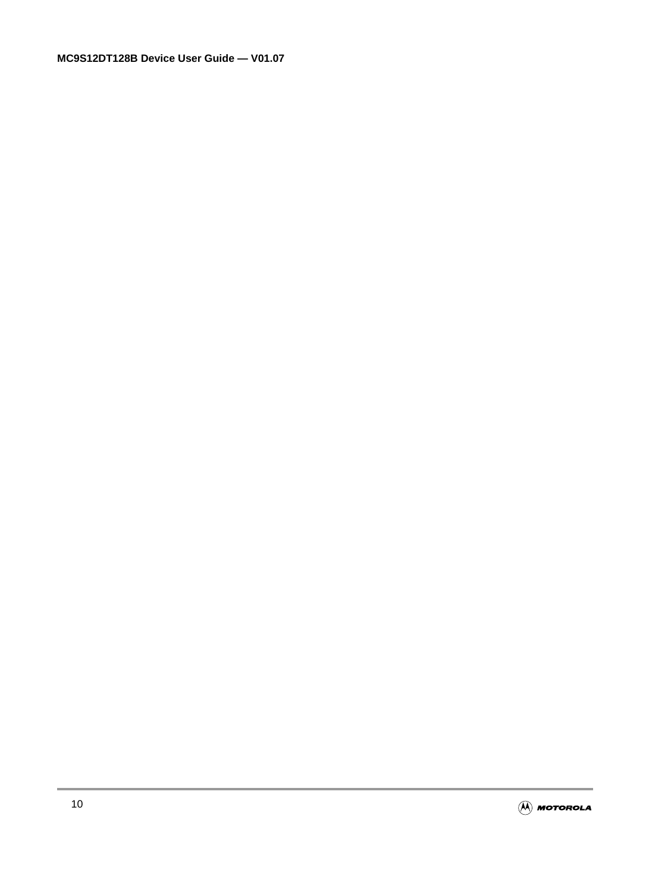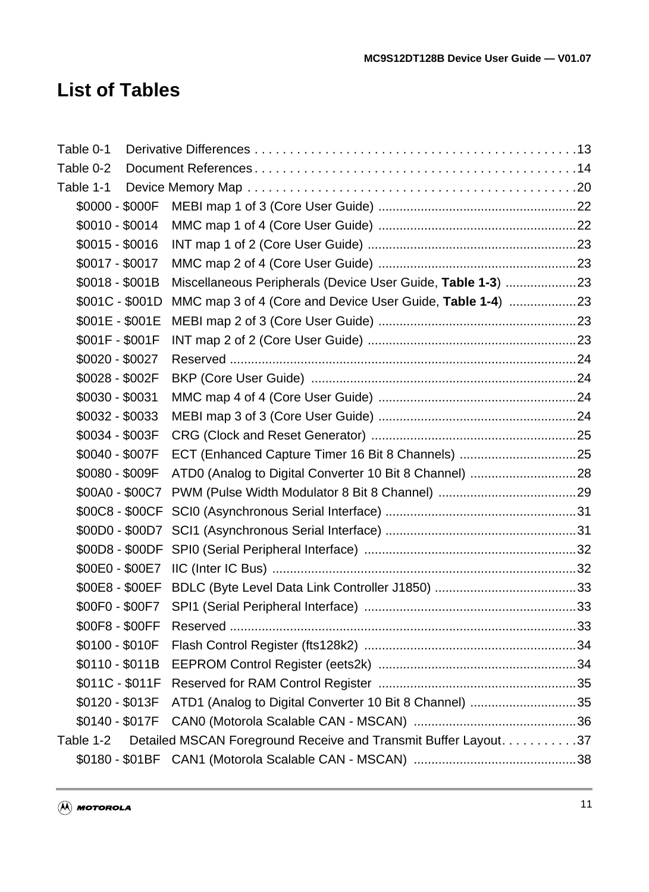# **List of Tables**

| Table 0-1       |                                                                  |  |
|-----------------|------------------------------------------------------------------|--|
| Table 0-2       |                                                                  |  |
| Table 1-1       |                                                                  |  |
| \$0000 - \$000F |                                                                  |  |
| $$0010 - $0014$ |                                                                  |  |
| $$0015 - $0016$ |                                                                  |  |
| $$0017 - $0017$ |                                                                  |  |
| $$0018 - $001B$ | Miscellaneous Peripherals (Device User Guide, Table 1-3) 23      |  |
| $$001C - $001D$ | MMC map 3 of 4 (Core and Device User Guide, Table 1-4) 23        |  |
| \$001E - \$001E |                                                                  |  |
| \$001F - \$001F |                                                                  |  |
| $$0020 - $0027$ |                                                                  |  |
| \$0028 - \$002F |                                                                  |  |
| $$0030 - $0031$ |                                                                  |  |
| $$0032 - $0033$ |                                                                  |  |
| \$0034 - \$003F |                                                                  |  |
| \$0040 - \$007F | ECT (Enhanced Capture Timer 16 Bit 8 Channels) 25                |  |
| \$0080 - \$009F |                                                                  |  |
|                 |                                                                  |  |
|                 |                                                                  |  |
|                 |                                                                  |  |
|                 |                                                                  |  |
|                 |                                                                  |  |
|                 |                                                                  |  |
|                 |                                                                  |  |
| \$00F8 - \$00FF |                                                                  |  |
| \$0100 - \$010F |                                                                  |  |
| $$0110 - $011B$ |                                                                  |  |
| $$011C - $011F$ |                                                                  |  |
| \$0120 - \$013F | ATD1 (Analog to Digital Converter 10 Bit 8 Channel) 35           |  |
| \$0140 - \$017F |                                                                  |  |
| Table 1-2       | Detailed MSCAN Foreground Receive and Transmit Buffer Layout. 37 |  |
|                 |                                                                  |  |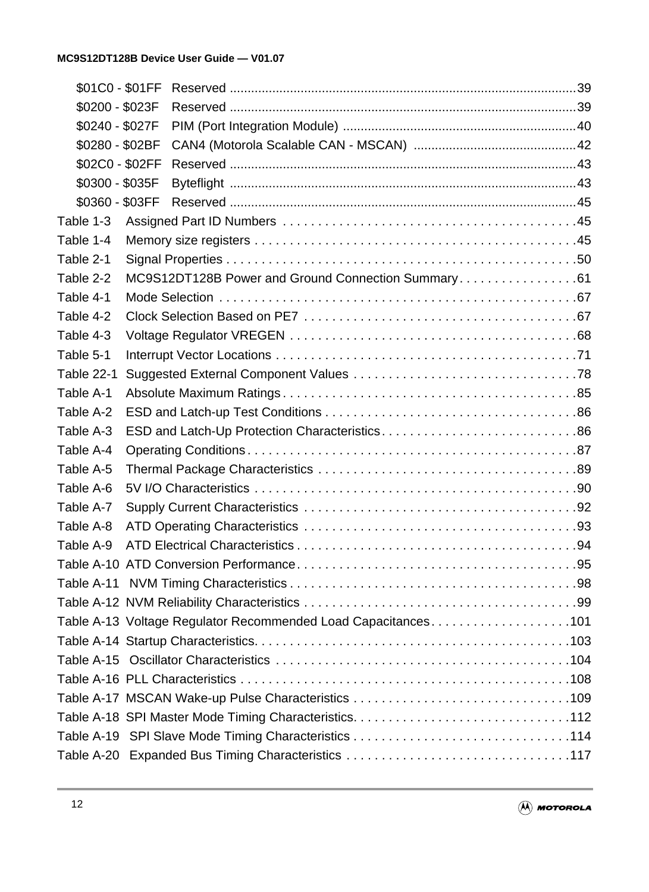| \$01C0 - \$01FF |  |                                                               |  |
|-----------------|--|---------------------------------------------------------------|--|
| \$0200 - \$023F |  |                                                               |  |
| \$0240 - \$027F |  |                                                               |  |
| \$0280 - \$02BF |  |                                                               |  |
| \$02C0 - \$02FF |  |                                                               |  |
| \$0300 - \$035F |  |                                                               |  |
| \$0360 - \$03FF |  |                                                               |  |
| Table 1-3       |  |                                                               |  |
| Table 1-4       |  |                                                               |  |
| Table 2-1       |  |                                                               |  |
| Table 2-2       |  | MC9S12DT128B Power and Ground Connection Summary61            |  |
| Table 4-1       |  |                                                               |  |
| Table 4-2       |  |                                                               |  |
| Table 4-3       |  |                                                               |  |
| Table 5-1       |  |                                                               |  |
| Table 22-1      |  |                                                               |  |
| Table A-1       |  |                                                               |  |
| Table A-2       |  |                                                               |  |
| Table A-3       |  |                                                               |  |
| Table A-4       |  |                                                               |  |
| Table A-5       |  |                                                               |  |
| Table A-6       |  |                                                               |  |
| Table A-7       |  |                                                               |  |
| Table A-8       |  |                                                               |  |
| Table A-9       |  |                                                               |  |
|                 |  |                                                               |  |
|                 |  |                                                               |  |
|                 |  |                                                               |  |
|                 |  | Table A-13 Voltage Regulator Recommended Load Capacitances101 |  |
|                 |  |                                                               |  |
|                 |  |                                                               |  |
|                 |  |                                                               |  |
|                 |  |                                                               |  |
|                 |  |                                                               |  |
|                 |  |                                                               |  |
|                 |  | Table A-20 Expanded Bus Timing Characteristics 117            |  |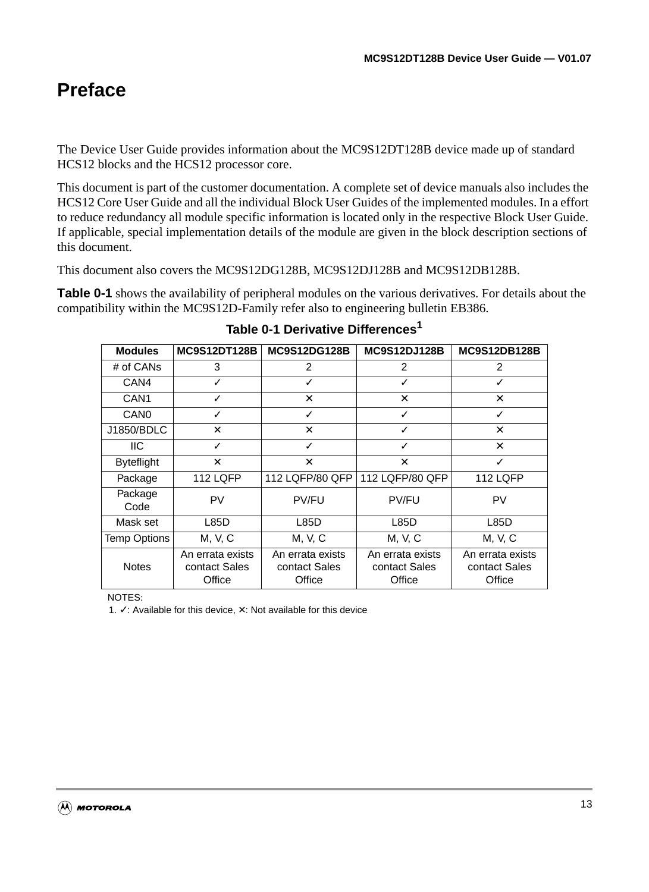# **Preface**

The Device User Guide provides information about the MC9S12DT128B device made up of standard HCS12 blocks and the HCS12 processor core.

This document is part of the customer documentation. A complete set of device manuals also includes the HCS12 Core User Guide and all the individual Block User Guides of the implemented modules. In a effort to reduce redundancy all module specific information is located only in the respective Block User Guide. If applicable, special implementation details of the module are given in the block description sections of this document.

This document also covers the MC9S12DG128B, MC9S12DJ128B and MC9S12DB128B.

<span id="page-12-0"></span>**[Table 0-1](#page-12-0)** shows the availability of peripheral modules on the various derivatives. For details about the compatibility within the MC9S12D-Family refer also to engineering bulletin EB386.

| <b>Modules</b>               | <b>MC9S12DT128B</b>                         | <b>MC9S12DG128B</b>                         | <b>MC9S12DJ128B</b>                         | <b>MC9S12DB128B</b>                         |
|------------------------------|---------------------------------------------|---------------------------------------------|---------------------------------------------|---------------------------------------------|
| # of CANs                    | 3                                           | 2                                           | 2                                           | 2                                           |
| CAN4                         | ✓                                           | ✓                                           | ✓                                           | ✓                                           |
| CAN <sub>1</sub>             |                                             | $\boldsymbol{\mathsf{x}}$                   | X                                           | X                                           |
| CAN <sub>0</sub>             | ✓                                           | ✓                                           | ✓                                           | ✓                                           |
| J1850/BDLC                   | $\boldsymbol{\mathsf{x}}$                   | $\boldsymbol{\times}$                       | ✓                                           | $\boldsymbol{\mathsf{x}}$                   |
| <b>IIC</b>                   | ✓                                           | √                                           |                                             | x                                           |
| <b>Byteflight</b>            | $\times$                                    | $\boldsymbol{\times}$                       | X                                           | ✓                                           |
| Package                      | 112 LQFP                                    | 112 LQFP/80 QFP                             | 112 LQFP/80 QFP                             | <b>112 LQFP</b>                             |
| Package<br><b>PV</b><br>Code |                                             | PV/FU                                       | PV/FU                                       | <b>PV</b>                                   |
| Mask set                     | L85D                                        | L85D                                        | L85D                                        | <b>L85D</b>                                 |
| <b>Temp Options</b>          | M, V, C                                     | M, V, C                                     | M, V, C                                     | M, V, C                                     |
| <b>Notes</b>                 | An errata exists<br>contact Sales<br>Office | An errata exists<br>contact Sales<br>Office | An errata exists<br>contact Sales<br>Office | An errata exists<br>contact Sales<br>Office |

|  | Table 0-1 Derivative Differences <sup>1</sup> |
|--|-----------------------------------------------|
|  |                                               |

NOTES:

1. ✓: Available for this device, ✕: Not available for this device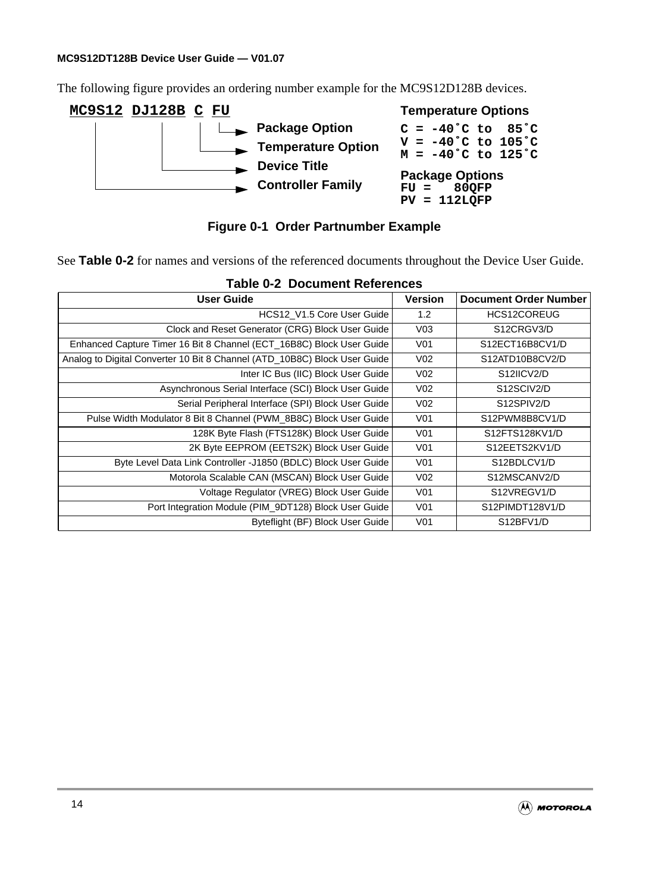The following figure provides an ordering number example for the MC9S12D128B devices.



### **Figure 0-1 Order Partnumber Example**

<span id="page-13-0"></span>See **[Table 0-2](#page-13-1)** for names and versions of the referenced documents throughout the Device User Guide.

<span id="page-13-1"></span>

| User Guide                                                                | <b>Version</b>   | Document Order Number |
|---------------------------------------------------------------------------|------------------|-----------------------|
| HCS12 V1.5 Core User Guide                                                | 1.2              | HCS12COREUG           |
| Clock and Reset Generator (CRG) Block User Guide                          | V <sub>03</sub>  | S12CRGV3/D            |
| Enhanced Capture Timer 16 Bit 8 Channel (ECT_16B8C) Block User Guide      | V <sub>0</sub> 1 | S12ECT16B8CV1/D       |
| Analog to Digital Converter 10 Bit 8 Channel (ATD_10B8C) Block User Guide | V <sub>02</sub>  | S12ATD10B8CV2/D       |
| Inter IC Bus (IIC) Block User Guide                                       | V <sub>02</sub>  | S12IICV2/D            |
| Asynchronous Serial Interface (SCI) Block User Guide                      | V <sub>02</sub>  | S12SCIV2/D            |
| Serial Peripheral Interface (SPI) Block User Guide                        | V <sub>02</sub>  | S12SPIV2/D            |
| Pulse Width Modulator 8 Bit 8 Channel (PWM_8B8C) Block User Guide         | V <sub>0</sub> 1 | S12PWM8B8CV1/D        |
| 128K Byte Flash (FTS128K) Block User Guide                                | V <sub>01</sub>  | S12FTS128KV1/D        |
| 2K Byte EEPROM (EETS2K) Block User Guide                                  | V <sub>01</sub>  | S12EETS2KV1/D         |
| Byte Level Data Link Controller -J1850 (BDLC) Block User Guide            | V <sub>01</sub>  | S12BDLCV1/D           |
| Motorola Scalable CAN (MSCAN) Block User Guide                            | V <sub>02</sub>  | S12MSCANV2/D          |
| Voltage Regulator (VREG) Block User Guide                                 | V <sub>01</sub>  | S12VREGV1/D           |
| Port Integration Module (PIM_9DT128) Block User Guide                     | V <sub>01</sub>  | S12PIMDT128V1/D       |
| Byteflight (BF) Block User Guide                                          | V <sub>0</sub> 1 | S12BFV1/D             |

### **Table 0-2 Document References**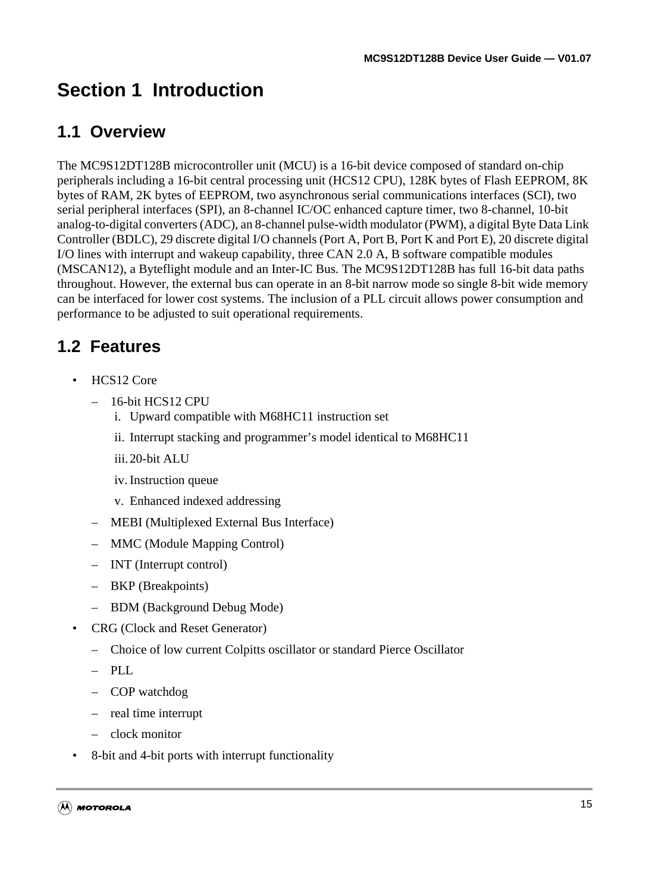# <span id="page-14-0"></span>**Section 1 Introduction**

# <span id="page-14-1"></span>**1.1 Overview**

The MC9S12DT128B microcontroller unit (MCU) is a 16-bit device composed of standard on-chip peripherals including a 16-bit central processing unit (HCS12 CPU), 128K bytes of Flash EEPROM, 8K bytes of RAM, 2K bytes of EEPROM, two asynchronous serial communications interfaces (SCI), two serial peripheral interfaces (SPI), an 8-channel IC/OC enhanced capture timer, two 8-channel, 10-bit analog-to-digital converters (ADC), an 8-channel pulse-width modulator (PWM), a digital Byte Data Link Controller (BDLC), 29 discrete digital I/O channels (Port A, Port B, Port K and Port E), 20 discrete digital I/O lines with interrupt and wakeup capability, three CAN 2.0 A, B software compatible modules (MSCAN12), a Byteflight module and an Inter-IC Bus. The MC9S12DT128B has full 16-bit data paths throughout. However, the external bus can operate in an 8-bit narrow mode so single 8-bit wide memory can be interfaced for lower cost systems. The inclusion of a PLL circuit allows power consumption and performance to be adjusted to suit operational requirements.

# <span id="page-14-2"></span>**1.2 Features**

- HCS12 Core
	- 16-bit HCS12 CPU
		- i. Upward compatible with M68HC11 instruction set
		- ii. Interrupt stacking and programmer's model identical to M68HC11
		- iii.20-bit ALU
		- iv. Instruction queue
		- v. Enhanced indexed addressing
	- MEBI (Multiplexed External Bus Interface)
	- MMC (Module Mapping Control)
	- INT (Interrupt control)
	- BKP (Breakpoints)
	- BDM (Background Debug Mode)
- CRG (Clock and Reset Generator)
	- Choice of low current Colpitts oscillator or standard Pierce Oscillator
	- PLL
	- COP watchdog
	- real time interrupt
	- clock monitor
- 8-bit and 4-bit ports with interrupt functionality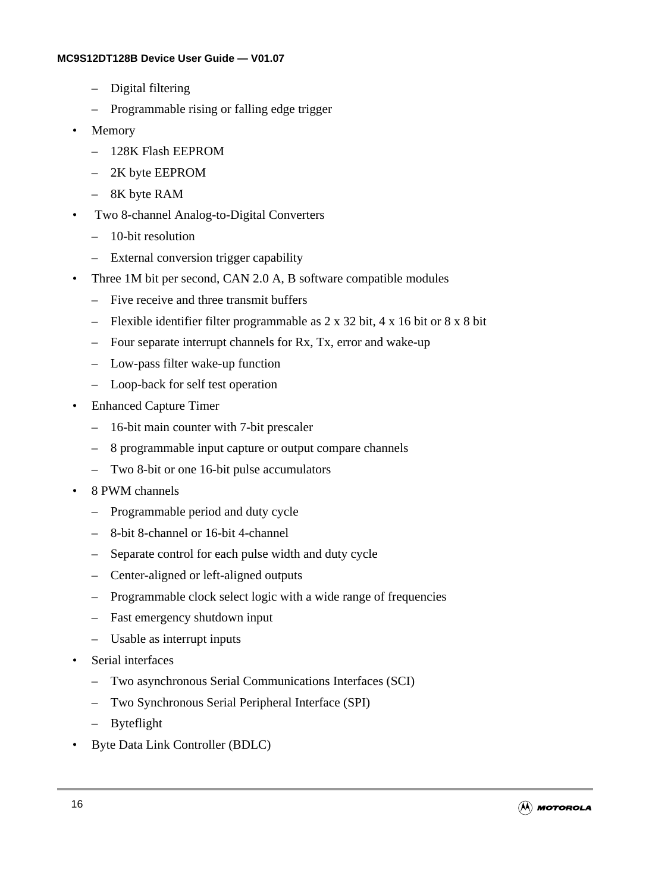### **MC9S12DT128B Device User Guide — V01.07**

- Digital filtering
- Programmable rising or falling edge trigger
- **Memory** 
	- 128K Flash EEPROM
	- 2K byte EEPROM
	- 8K byte RAM
- Two 8-channel Analog-to-Digital Converters
	- 10-bit resolution
	- External conversion trigger capability
- Three 1M bit per second, CAN 2.0 A, B software compatible modules
	- Five receive and three transmit buffers
	- Flexible identifier filter programmable as 2 x 32 bit, 4 x 16 bit or 8 x 8 bit
	- Four separate interrupt channels for Rx, Tx, error and wake-up
	- Low-pass filter wake-up function
	- Loop-back for self test operation
- Enhanced Capture Timer
	- 16-bit main counter with 7-bit prescaler
	- 8 programmable input capture or output compare channels
	- Two 8-bit or one 16-bit pulse accumulators
- 8 PWM channels
	- Programmable period and duty cycle
	- 8-bit 8-channel or 16-bit 4-channel
	- Separate control for each pulse width and duty cycle
	- Center-aligned or left-aligned outputs
	- Programmable clock select logic with a wide range of frequencies
	- Fast emergency shutdown input
	- Usable as interrupt inputs
- Serial interfaces
	- Two asynchronous Serial Communications Interfaces (SCI)
	- Two Synchronous Serial Peripheral Interface (SPI)
	- Byteflight
- Byte Data Link Controller (BDLC)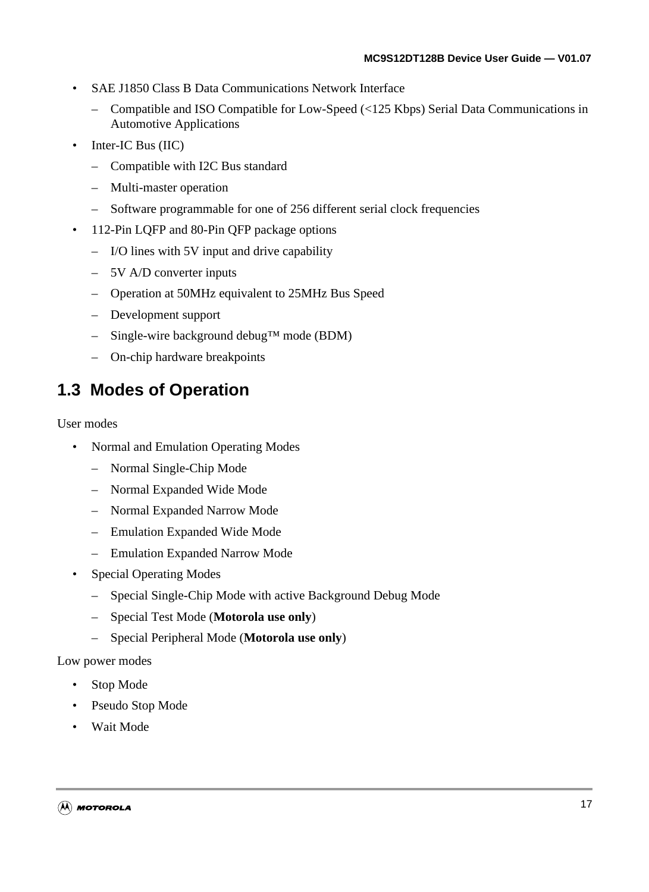- SAE J1850 Class B Data Communications Network Interface
	- Compatible and ISO Compatible for Low-Speed (<125 Kbps) Serial Data Communications in Automotive Applications
- Inter-IC Bus (IIC)
	- Compatible with I2C Bus standard
	- Multi-master operation
	- Software programmable for one of 256 different serial clock frequencies
- 112-Pin LQFP and 80-Pin QFP package options
	- I/O lines with 5V input and drive capability
	- 5V A/D converter inputs
	- Operation at 50MHz equivalent to 25MHz Bus Speed
	- Development support
	- Single-wire background debug<sup>TM</sup> mode (BDM)
	- On-chip hardware breakpoints

# <span id="page-16-0"></span>**1.3 Modes of Operation**

User modes

- Normal and Emulation Operating Modes
	- Normal Single-Chip Mode
	- Normal Expanded Wide Mode
	- Normal Expanded Narrow Mode
	- Emulation Expanded Wide Mode
	- Emulation Expanded Narrow Mode
- Special Operating Modes
	- Special Single-Chip Mode with active Background Debug Mode
	- Special Test Mode (**Motorola use only**)
	- Special Peripheral Mode (**Motorola use only**)

Low power modes

- Stop Mode
- Pseudo Stop Mode
- Wait Mode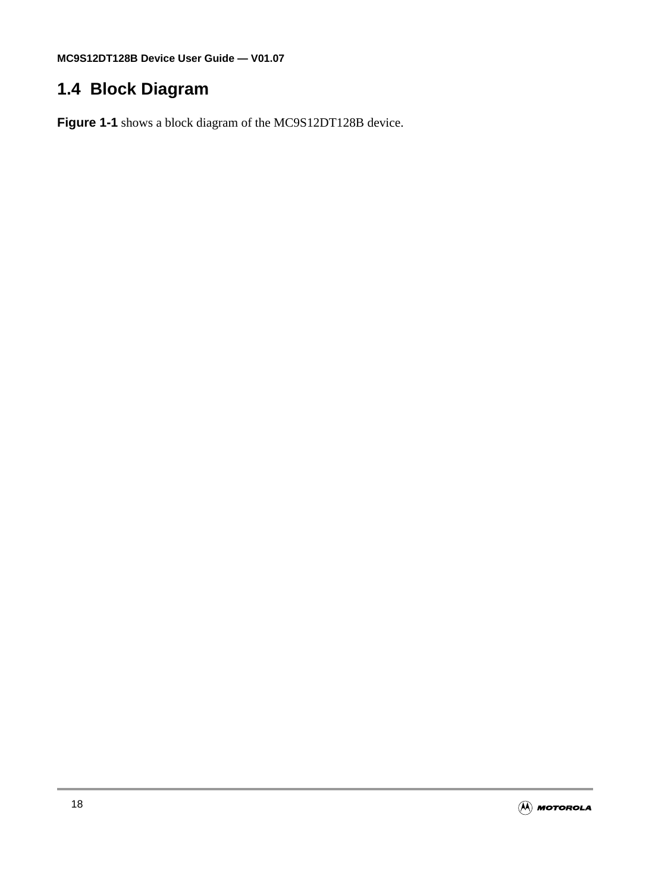**MC9S12DT128B Device User Guide — V01.07**

# <span id="page-17-0"></span>**1.4 Block Diagram**

**[Figure 1-1](#page-18-0)** shows a block diagram of the MC9S12DT128B device.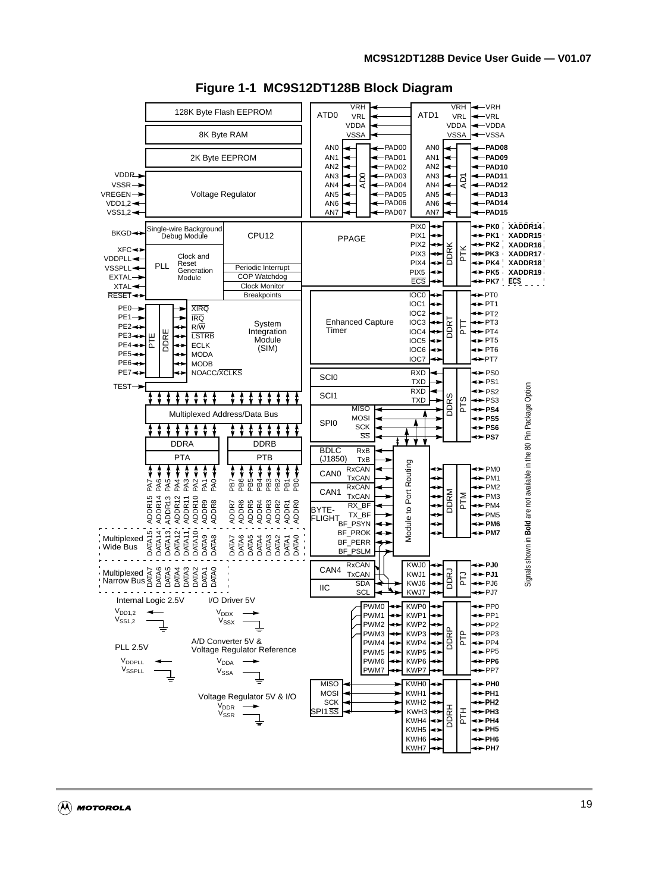<span id="page-18-0"></span>

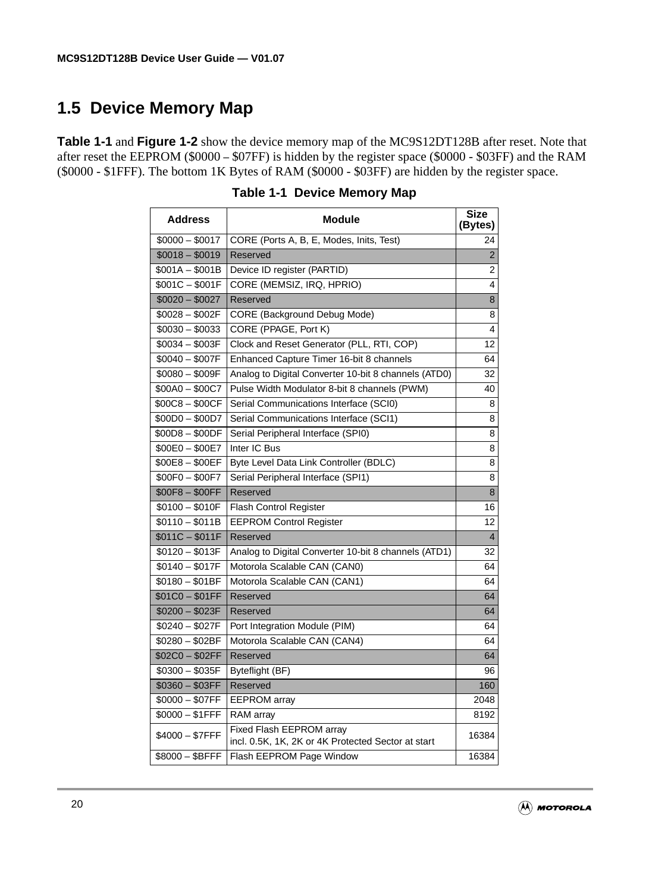# <span id="page-19-0"></span>**1.5 Device Memory Map**

<span id="page-19-1"></span>**[Table 1-1](#page-19-1)** and **[Figure 1-2](#page-20-0)** show the device memory map of the MC9S12DT128B after reset. Note that after reset the EEPROM (\$0000 – \$07FF) is hidden by the register space (\$0000 - \$03FF) and the RAM (\$0000 - \$1FFF). The bottom 1K Bytes of RAM (\$0000 - \$03FF) are hidden by the register space.

| <b>Address</b>   | <b>Module</b>                                                                  | <b>Size</b><br>(Bytes) |
|------------------|--------------------------------------------------------------------------------|------------------------|
| $$0000 - $0017$  | CORE (Ports A, B, E, Modes, Inits, Test)                                       | 24                     |
| $$0018 - $0019$  | Reserved                                                                       | $\overline{2}$         |
| $$001A - $001B$  | Device ID register (PARTID)                                                    | 2                      |
| $$001C - $001F$  | CORE (MEMSIZ, IRQ, HPRIO)                                                      | $\overline{4}$         |
| $$0020 - $0027$  | Reserved                                                                       | 8                      |
| $$0028 - $002F$  | CORE (Background Debug Mode)                                                   | 8                      |
| $$0030 - $0033$  | CORE (PPAGE, Port K)                                                           | $\overline{4}$         |
| $$0034 - $003F$  | Clock and Reset Generator (PLL, RTI, COP)                                      | 12                     |
| $$0040 - $007F$  | Enhanced Capture Timer 16-bit 8 channels                                       | 64                     |
| $$0080 - $009F$  | Analog to Digital Converter 10-bit 8 channels (ATD0)                           | 32                     |
| $$00A0 - $00C7$  | Pulse Width Modulator 8-bit 8 channels (PWM)                                   | 40                     |
| $$00C8 - $00CF$  | Serial Communications Interface (SCI0)                                         | 8                      |
| $$00D0 - $00D7$  | Serial Communications Interface (SCI1)                                         | 8                      |
| $$00D8 - $00DF$  | Serial Peripheral Interface (SPI0)                                             | 8                      |
| $$00E0 - $00E7$  | Inter IC Bus                                                                   | 8                      |
| $$00E8 - $00EF$  | Byte Level Data Link Controller (BDLC)                                         | 8                      |
| $$00F0 - $00F7$  | Serial Peripheral Interface (SPI1)                                             | 8                      |
| $$00F8 - $00FF$  | Reserved                                                                       | 8                      |
| $$0100 - $010F$  | <b>Flash Control Register</b>                                                  | 16                     |
| $$0110 - $011B$  | <b>EEPROM Control Register</b>                                                 | 12                     |
| $$011C - $011F$  | Reserved                                                                       | $\overline{4}$         |
| $$0120 - $013F$  | Analog to Digital Converter 10-bit 8 channels (ATD1)                           | 32                     |
| $$0140 - $017F$  | Motorola Scalable CAN (CAN0)                                                   | 64                     |
| $$0180 - $01BF$  | Motorola Scalable CAN (CAN1)                                                   | 64                     |
| $$01C0 - $01FF$  | Reserved                                                                       | 64                     |
| $$0200 - $023F$  | Reserved                                                                       | 64                     |
| $$0240 - $027F$  | Port Integration Module (PIM)                                                  | 64                     |
| $$0280 - $02BF$  | Motorola Scalable CAN (CAN4)                                                   | 64                     |
| $$02C0 - $02FF$  | Reserved                                                                       | 64                     |
| $$0300 - $035F$  | Byteflight (BF)                                                                | 96                     |
| $$0360 - $03FF$  | Reserved                                                                       | 160                    |
| $$0000 - $07FF$  | <b>EEPROM</b> array                                                            | 2048                   |
| $$0000 - $1$ FFF | RAM array                                                                      | 8192                   |
| $$4000 - $7$ FFF | Fixed Flash EEPROM array<br>incl. 0.5K, 1K, 2K or 4K Protected Sector at start | 16384                  |
| $$8000 - $BFFF$  | Flash EEPROM Page Window                                                       | 16384                  |

**Table 1-1 Device Memory Map**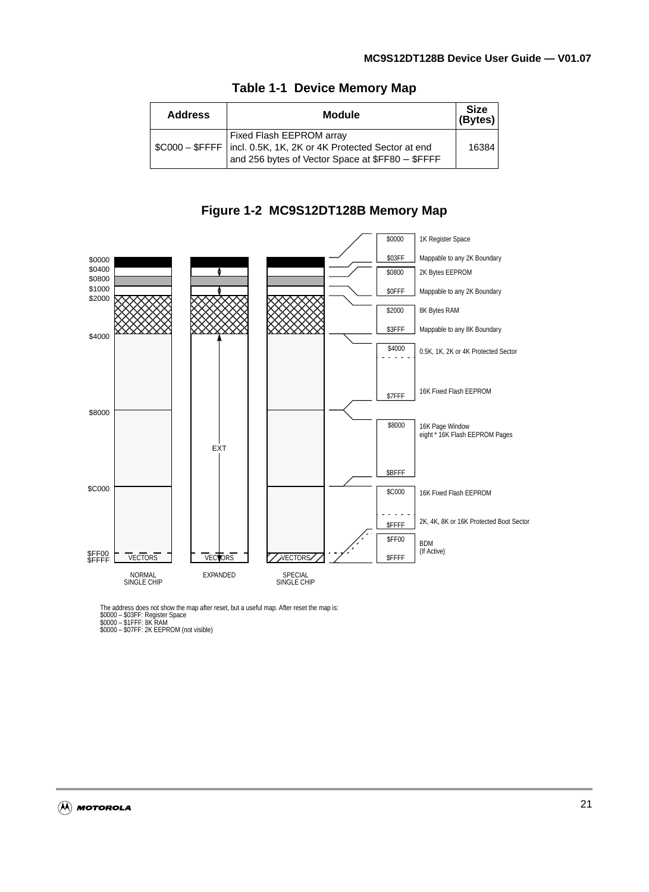| <b>Address</b> | <b>Module</b>                                                                                                                                             | <b>Size</b><br>(Bytes) |
|----------------|-----------------------------------------------------------------------------------------------------------------------------------------------------------|------------------------|
|                | <b>Fixed Flash EEPROM array</b><br>\$C000 - \$FFFF   incl. 0.5K, 1K, 2K or 4K Protected Sector at end<br>and 256 bytes of Vector Space at \$FF80 - \$FFFF | 16384                  |

**Table 1-1 Device Memory Map**



<span id="page-20-0"></span>

The address does not show the map after reset, but a useful map. After reset the map is:<br>\$0000 – \$03FF: Register Space<br>\$0000 – \$1FFF: 8K RAM<br>\$0000 – \$07FF: 2K EEPROM (not visible)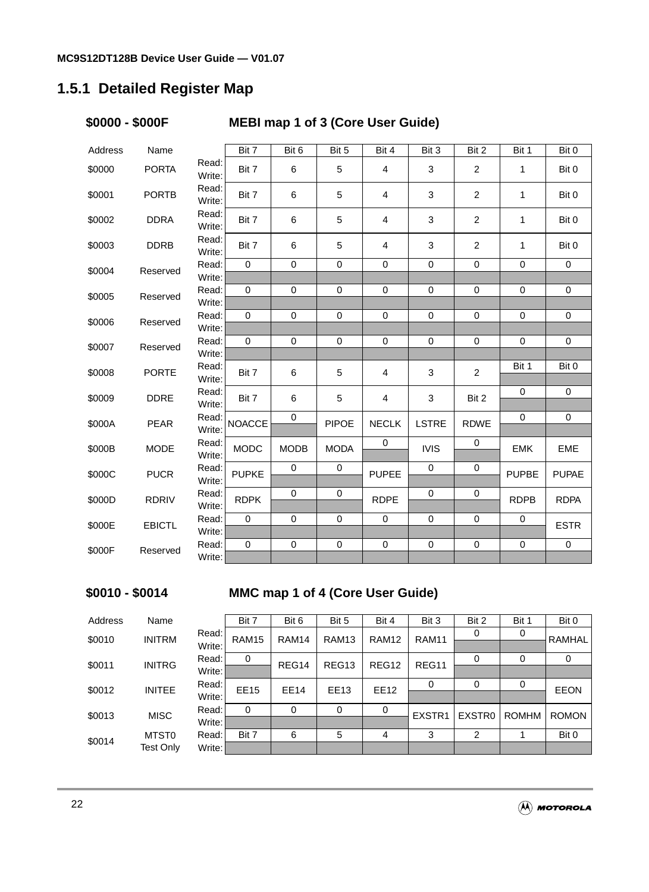# <span id="page-21-0"></span>**1.5.1 Detailed Register Map**

# <span id="page-21-1"></span>**\$0000 - \$000F MEBI map 1 of 3 (Core User Guide)**

| Address | Name          |                 | Bit 7         | Bit 6       | Bit 5        | Bit 4                   | Bit 3        | Bit 2          | Bit 1        | Bit 0        |
|---------|---------------|-----------------|---------------|-------------|--------------|-------------------------|--------------|----------------|--------------|--------------|
|         |               | Read:           |               |             |              |                         |              |                |              |              |
| \$0000  | <b>PORTA</b>  | Write:          | Bit 7         | 6           | 5            | 4                       | 3            | $\overline{2}$ | 1            | Bit 0        |
| \$0001  | <b>PORTB</b>  | Read:<br>Write: | Bit 7         | 6           | $\sqrt{5}$   | $\overline{4}$          | 3            | $\overline{c}$ | 1            | Bit 0        |
| \$0002  | <b>DDRA</b>   | Read:<br>Write: | Bit 7         | 6           | $\sqrt{5}$   | 4                       | 3            | $\overline{c}$ | 1            | Bit 0        |
| \$0003  | <b>DDRB</b>   | Read:<br>Write: | Bit 7         | 6           | 5            | $\overline{\mathbf{4}}$ | 3            | $\overline{2}$ | 1            | Bit 0        |
| \$0004  | Reserved      | Read:           | $\Omega$      | 0           | $\mathbf 0$  | $\mathbf 0$             | $\mathbf 0$  | 0              | $\mathbf 0$  | $\mathbf 0$  |
|         |               | Write:          |               |             |              |                         |              |                |              |              |
| \$0005  | Reserved      | Read:           | $\mathbf 0$   | $\mathbf 0$ | $\mathbf 0$  | $\mathbf 0$             | $\mathbf 0$  | 0              | $\mathbf 0$  | $\mathbf 0$  |
|         |               | Write:          |               |             |              |                         |              |                |              |              |
| \$0006  | Reserved      | Read:           | 0             | 0           | $\mathbf 0$  | 0                       | 0            | 0              | 0            | $\mathbf 0$  |
|         |               | Write:          |               |             |              |                         |              |                |              |              |
| \$0007  | Reserved      | Read:           | $\mathbf 0$   | 0           | $\mathbf 0$  | $\mathbf 0$             | 0            | $\pmb{0}$      | $\mathbf 0$  | $\mathbf 0$  |
|         |               | Write:          |               |             |              |                         |              |                |              |              |
| \$0008  | <b>PORTE</b>  | Read:<br>Write: | Bit 7         | 6           | 5            | $\overline{\mathbf{4}}$ | 3            | $\mathbf{2}$   | Bit 1        | Bit 0        |
| \$0009  | <b>DDRE</b>   | Read:<br>Write: | Bit 7         | 6           | 5            | 4                       | 3            | Bit 2          | $\mathbf 0$  | $\mathbf 0$  |
| \$000A  | <b>PEAR</b>   | Read:<br>Write: | <b>NOACCE</b> | 0           | <b>PIPOE</b> | <b>NECLK</b>            | <b>LSTRE</b> | <b>RDWE</b>    | $\mathbf 0$  | 0            |
| \$000B  | <b>MODE</b>   | Read:<br>Write: | <b>MODC</b>   | <b>MODB</b> | <b>MODA</b>  | 0                       | <b>IVIS</b>  | 0              | <b>EMK</b>   | <b>EME</b>   |
| \$000C  | <b>PUCR</b>   | Read:<br>Write: | <b>PUPKE</b>  | $\pmb{0}$   | $\pmb{0}$    | <b>PUPEE</b>            | $\mathbf 0$  | 0              | <b>PUPBE</b> | <b>PUPAE</b> |
| \$000D  | <b>RDRIV</b>  | Read:<br>Write: | <b>RDPK</b>   | 0           | 0            | <b>RDPE</b>             | 0            | 0              | <b>RDPB</b>  | <b>RDPA</b>  |
|         |               | Read:           | $\mathbf 0$   | 0           | $\mathbf 0$  | $\mathbf 0$             | $\mathbf 0$  | $\mathbf 0$    | $\mathbf 0$  |              |
| \$000E  | <b>EBICTL</b> | Write:          |               |             |              |                         |              |                |              | <b>ESTR</b>  |
|         |               | Read:           | $\mathbf 0$   | 0           | 0            | 0                       | 0            | 0              | 0            | $\mathbf 0$  |
| \$000F  | Reserved      | Write:          |               |             |              |                         |              |                |              |              |

# <span id="page-21-2"></span>**\$0010 - \$0014 MMC map 1 of 4 (Core User Guide)**

| Name      |                                                                | Bit 7 | Bit 6                       | Bit 5                         | Bit 4                                          | Bit 3                      | Bit 2                           | Bit 1  | Bit 0         |
|-----------|----------------------------------------------------------------|-------|-----------------------------|-------------------------------|------------------------------------------------|----------------------------|---------------------------------|--------|---------------|
|           | Read:                                                          |       |                             |                               |                                                |                            | 0                               | 0      | <b>RAMHAL</b> |
|           | Write:                                                         |       |                             |                               |                                                |                            |                                 |        |               |
|           | Read:                                                          | 0     |                             |                               |                                                |                            | 0                               | 0      | 0             |
|           | Write:                                                         |       |                             |                               |                                                |                            |                                 |        |               |
|           | Read:                                                          |       |                             |                               | 0<br><b>EE12</b>                               |                            | 0                               | 0      | <b>EEON</b>   |
|           | Write:                                                         |       |                             |                               |                                                |                            |                                 |        |               |
|           | Read:                                                          | 0     | 0                           | $\Omega$                      | 0                                              |                            |                                 |        | <b>ROMON</b>  |
|           | Write:                                                         |       |                             |                               |                                                |                            |                                 |        |               |
| MTST0     | Read:                                                          | Bit 7 | 6                           | 5                             | 4                                              | 3                          | 2                               |        | Bit 0         |
| Test Only | Write:                                                         |       |                             |                               |                                                |                            |                                 |        |               |
|           | <b>INITRM</b><br><b>INITRG</b><br><b>INITEE</b><br><b>MISC</b> |       | <b>RAM15</b><br><b>EE15</b> | RAM14<br>REG14<br><b>EE14</b> | RAM <sub>13</sub><br>REG <sub>13</sub><br>EE13 | RAM <sub>12</sub><br>REG12 | <b>RAM11</b><br>REG11<br>EXSTR1 | EXSTR0 | <b>ROMHM</b>  |

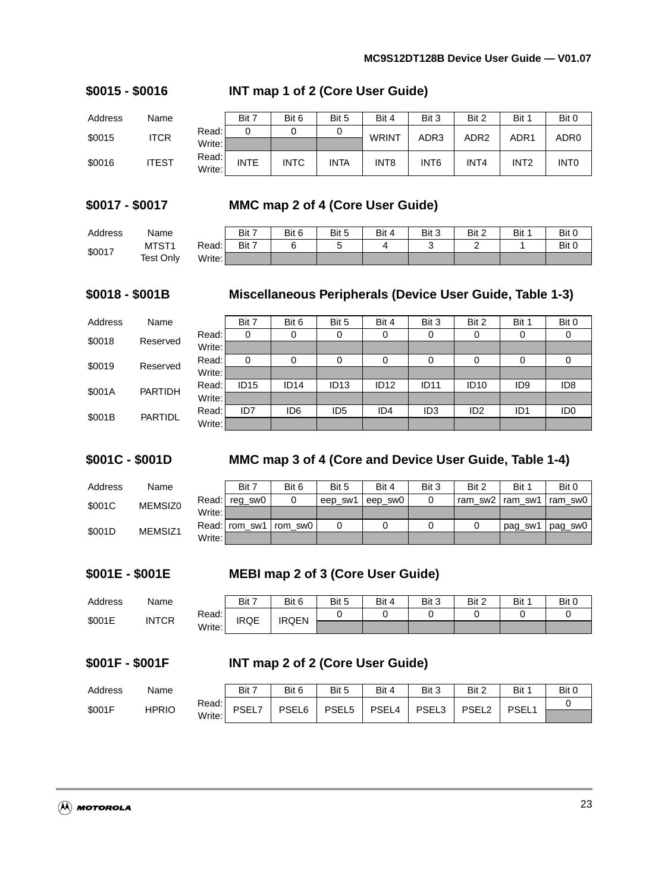### <span id="page-22-0"></span>**\$0015 - \$0016 INT map 1 of 2 (Core User Guide)**

| Address | Name       |                 | Bit 7       | Bit 6       | Bit 5       | Bit 4            | Bit 3            | Bit 2            | Bit 1            | Bit 0            |
|---------|------------|-----------------|-------------|-------------|-------------|------------------|------------------|------------------|------------------|------------------|
| \$0015  | <b>TCR</b> | Read:           |             |             |             | <b>WRINT</b>     | ADR3             | ADR <sub>2</sub> | ADR1             | ADR0             |
|         |            | Write:          |             |             |             |                  |                  |                  |                  |                  |
| \$0016  | ITEST      | Read:<br>Write: | <b>INTE</b> | <b>INTC</b> | <b>INTA</b> | INT <sub>8</sub> | INT <sub>6</sub> | INT <sub>4</sub> | INT <sub>2</sub> | INT <sub>0</sub> |

### <span id="page-22-1"></span>**\$0017 - \$0017 MMC map 2 of 4 (Core User Guide)**

| Address | Name              |        | Bit 7 | Bit 6 | Bit 5 | Bit 4 | Bit 3 | Bit 2 | Bit 1 | Bit 0 |
|---------|-------------------|--------|-------|-------|-------|-------|-------|-------|-------|-------|
| \$0017  | MTST <sub>1</sub> | Read:  | Bit 7 |       |       |       |       | -     |       | Bit 0 |
|         | <b>Test Only</b>  | Write: |       |       |       |       |       |       |       |       |

### <span id="page-22-2"></span>**\$0018 - \$001B Miscellaneous Peripherals (Device User Guide, [Table 1-3](#page-44-2))**

| Address | Name           |        | Bit 7       | Bit 6           | Bit 5            | Bit 4           | Bit 3           | Bit 2           | Bit 1           | Bit 0           |
|---------|----------------|--------|-------------|-----------------|------------------|-----------------|-----------------|-----------------|-----------------|-----------------|
| \$0018  | Reserved       | Read:  | 0           | 0               | 0                | 0               | 0               | 0               | 0               | 0               |
|         |                | Write: |             |                 |                  |                 |                 |                 |                 |                 |
| \$0019  |                | Read:  | 0           | 0               |                  | 0               | 0               | 0               | 0               | 0               |
|         | Reserved       | Write: |             |                 |                  |                 |                 |                 |                 |                 |
|         | <b>PARTIDH</b> | Read:  | <b>ID15</b> | ID14            | ID <sub>13</sub> | <b>ID12</b>     | <b>ID11</b>     | <b>ID10</b>     | ID <sub>9</sub> | ID <sub>8</sub> |
| \$001A  |                | Write: |             |                 |                  |                 |                 |                 |                 |                 |
| \$001B  | <b>PARTIDL</b> | Read:  | ID7         | ID <sub>6</sub> | ID <sub>5</sub>  | ID <sub>4</sub> | ID <sub>3</sub> | ID <sub>2</sub> | ID <sub>1</sub> | ID <sub>0</sub> |
|         |                | Write: |             |                 |                  |                 |                 |                 |                 |                 |

## <span id="page-22-3"></span>**\$001C - \$001D MMC map 3 of 4 (Core and Device User Guide, [Table 1-4\)](#page-44-3)**

| Address | Name    |        | Bit 7   | Bit 6   | Bit 5   | Bit 4   | Bit 3 | Bit 2     | Bit 1   | Bit 0   |
|---------|---------|--------|---------|---------|---------|---------|-------|-----------|---------|---------|
| \$001C  | MEMSIZ0 | Read:  | reg_sw0 |         | eep sw1 | eep sw0 |       | ram sw2 l | ram sw1 | ram sw0 |
|         |         | Write: |         |         |         |         |       |           |         |         |
| \$001D  | MEMSIZ1 | Read:  | rom sw1 | rom sw0 |         |         |       |           | pag_sw1 | pag_sw0 |
|         |         | Write: |         |         |         |         |       |           |         |         |

### <span id="page-22-4"></span>**\$001E - \$001E MEBI map 2 of 3 (Core User Guide)**

| Address | Name         |        | Bit 7       | Bit 6        | Bit 5 | Bit 4 | Bit 3 | Bit 2 | Bit 1 | Bit 0 |
|---------|--------------|--------|-------------|--------------|-------|-------|-------|-------|-------|-------|
| \$001E  | <b>INTCR</b> | Read:  | <b>IRQE</b> | <b>IRQEN</b> |       |       |       |       |       |       |
|         |              | Write: |             |              |       |       |       |       |       |       |

### <span id="page-22-5"></span>**\$001F - \$001F INT map 2 of 2 (Core User Guide)**

| Address | Name         |        | Bit 7 | Bit 6 | Bit 5 | Bit 4 | Bit 3             | Bit 2             | Bit 1 | Bit 0 |
|---------|--------------|--------|-------|-------|-------|-------|-------------------|-------------------|-------|-------|
| \$001F  | <b>HPRIC</b> | Read:  | PSEL7 | PSEL6 | PSEL5 | PSEL4 | PSEL <sub>3</sub> | PSEL <sub>2</sub> | PSEL1 |       |
|         |              | Write: |       |       |       |       |                   |                   |       |       |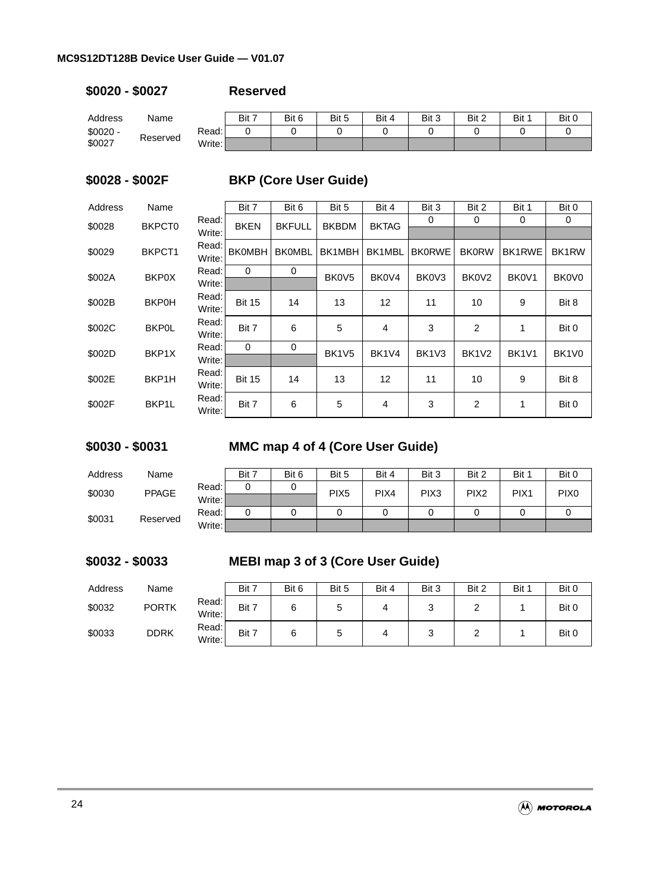<span id="page-23-0"></span>**\$0020 - \$0027 Reserved**

| Address  | Name     |        | Bit 7 | Bit 6 | Bit 5 | Bit 4 | Bit 3 | Bit 2 | Bit 1 | Bit 0 |
|----------|----------|--------|-------|-------|-------|-------|-------|-------|-------|-------|
| \$0020 - | Reserved | Read:  |       |       |       |       |       |       |       |       |
| \$0027   |          | Write: |       |       |       |       |       |       |       |       |

# <span id="page-23-1"></span>**\$0028 - \$002F BKP (Core User Guide)**

| Address | Name          |        | Bit 7         | Bit 6         | Bit 5        | Bit 4        | Bit 3                          | Bit 2                          | Bit 1             | Bit 0        |
|---------|---------------|--------|---------------|---------------|--------------|--------------|--------------------------------|--------------------------------|-------------------|--------------|
| \$0028  | <b>BKPCT0</b> | Read:  | <b>BKEN</b>   | <b>BKFULL</b> | <b>BKBDM</b> | <b>BKTAG</b> | $\Omega$                       | 0                              | 0                 | 0            |
|         |               | Write: |               |               |              |              |                                |                                |                   |              |
| \$0029  | BKPCT1        | Read:  | <b>BK0MBH</b> | <b>BK0MBL</b> | BK1MBH       | BK1MBL       | <b>BK0RWE</b>                  | <b>BK0RW</b>                   | BK1RWE            | BK1RW        |
|         |               | Write: |               |               |              |              |                                |                                |                   |              |
| \$002A  | <b>BKP0X</b>  | Read:  | $\Omega$      | 0             | BK0V5        | BK0V4        | BK0V3                          | BK0V2                          | BK0V1             | <b>BK0V0</b> |
|         |               | Write: |               |               |              |              |                                |                                |                   |              |
| \$002B  | <b>BKP0H</b>  | Read:  | <b>Bit 15</b> | 14            | 13           | 12           | 11                             | 10                             | 9                 | Bit 8        |
|         |               | Write: |               |               |              |              |                                |                                |                   |              |
| \$002C  | <b>BKP0L</b>  | Read:  | Bit 7         | 6             | 5            | 4            | 3                              | 2                              | 1                 | Bit 0        |
|         |               | Write: |               |               |              |              |                                |                                |                   |              |
| \$002D  | BKP1X         | Read:  | 0             | 0             | BK1V5        | BK1V4        | BK <sub>1</sub> V <sub>3</sub> | BK <sub>1</sub> V <sub>2</sub> | BK <sub>1V1</sub> | BK1V0        |
|         |               | Write: |               |               |              |              |                                |                                |                   |              |
|         | BKP1H         | Read:  |               | 14            | 13           | 12           | 11                             |                                |                   | Bit 8        |
| \$002E  |               | Write: | <b>Bit 15</b> |               |              |              |                                | 10                             | 9                 |              |
|         |               | Read:  |               |               |              |              | 3                              |                                |                   |              |
| \$002F  | BKP1L         | Write: | Bit 7         | 6             | 5            | 4            |                                | $\overline{c}$                 | 1                 | Bit 0        |

### <span id="page-23-2"></span>**\$0030 - \$0031 MMC map 4 of 4 (Core User Guide)**

| Address | Name         |        | Bit 7 | Bit 6 | Bit 5            | Bit 4 | Bit 3            | Bit 2            | Bit 1            | Bit 0            |
|---------|--------------|--------|-------|-------|------------------|-------|------------------|------------------|------------------|------------------|
| \$0030  | <b>PPAGE</b> | Read:  |       |       | PIX <sub>5</sub> | PIX4  | PIX <sub>3</sub> | PIX <sub>2</sub> | PIX <sub>1</sub> | PIX <sub>0</sub> |
|         |              | Write: |       |       |                  |       |                  |                  |                  |                  |
| \$0031  |              | Read:  |       |       |                  |       |                  |                  |                  |                  |
|         | Reserved     | Write: |       |       |                  |       |                  |                  |                  |                  |

### <span id="page-23-3"></span>**\$0032 - \$0033 MEBI map 3 of 3 (Core User Guide)**

| Address | Name         |                 | Bit 7 | Bit 6 | Bit 5 | Bit 4 | Bit 3 | Bit 2 | Bit 1 | Bit 0 |
|---------|--------------|-----------------|-------|-------|-------|-------|-------|-------|-------|-------|
| \$0032  | <b>PORTK</b> | Read:<br>Write: | Bit 7 | c     |       |       |       |       |       | Bit 0 |
| \$0033  | <b>DDRK</b>  | Read:<br>Write: | Bit 7 | b     | э     |       |       |       |       | Bit 0 |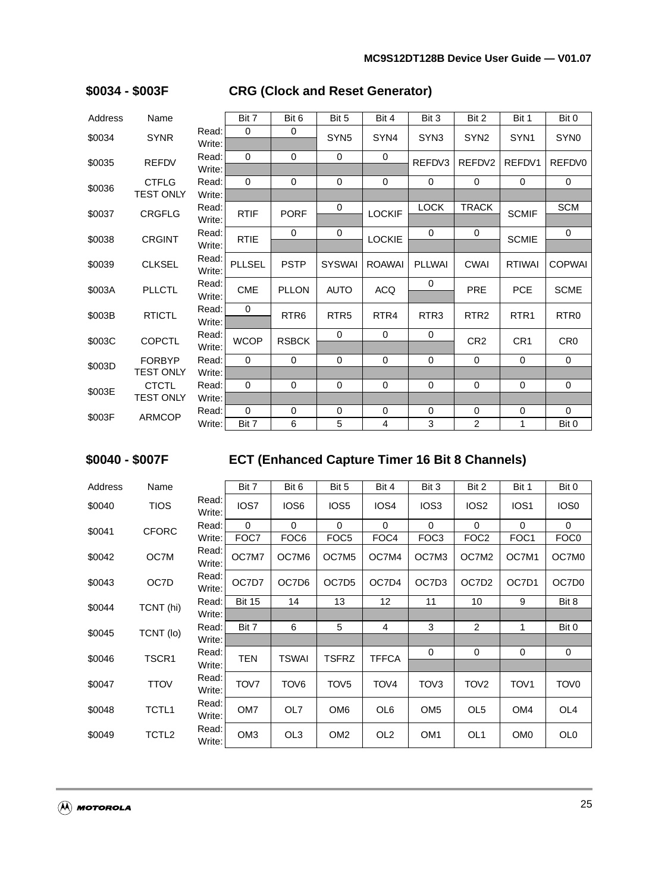# <span id="page-24-0"></span>**\$0034 - \$003F CRG (Clock and Reset Generator)**

| Address | Name             |        | Bit 7         | Bit 6            | Bit 5            | Bit 4         | Bit 3            | Bit 2            | Bit 1            | Bit 0            |
|---------|------------------|--------|---------------|------------------|------------------|---------------|------------------|------------------|------------------|------------------|
| \$0034  | <b>SYNR</b>      | Read:  | $\Omega$      | 0                | SYN <sub>5</sub> | SYN4          | SYN <sub>3</sub> | SYN <sub>2</sub> | SYN <sub>1</sub> | SYN <sub>0</sub> |
|         |                  | Write: |               |                  |                  |               |                  |                  |                  |                  |
| \$0035  | <b>REFDV</b>     | Read:  | $\Omega$      | $\mathbf 0$      | $\mathbf 0$      | 0             | REFDV3           | REFDV2           | REFDV1           | REFDV0           |
|         |                  | Write: |               |                  |                  |               |                  |                  |                  |                  |
| \$0036  | <b>CTFLG</b>     | Read:  | $\mathbf 0$   | $\mathbf 0$      | 0                | 0             | $\mathbf 0$      | $\mathbf 0$      | $\mathbf 0$      | $\mathbf 0$      |
|         | <b>TEST ONLY</b> | Write: |               |                  |                  |               |                  |                  |                  |                  |
| \$0037  | <b>CRGFLG</b>    | Read:  | <b>RTIF</b>   | <b>PORF</b>      | 0                | <b>LOCKIF</b> | <b>LOCK</b>      | <b>TRACK</b>     | <b>SCMIF</b>     | <b>SCM</b>       |
|         |                  | Write: |               |                  |                  |               |                  |                  |                  |                  |
| \$0038  | <b>CRGINT</b>    | Read:  | <b>RTIE</b>   | 0                | 0                | <b>LOCKIE</b> | 0                | 0                | <b>SCMIE</b>     | 0                |
|         |                  | Write: |               |                  |                  |               |                  |                  |                  |                  |
| \$0039  | <b>CLKSEL</b>    | Read:  | <b>PLLSEL</b> | <b>PSTP</b>      | <b>SYSWAI</b>    | <b>ROAWAI</b> | <b>PLLWAI</b>    | <b>CWAI</b>      | <b>RTIWAI</b>    | <b>COPWAI</b>    |
|         |                  | Write: |               |                  |                  |               |                  |                  |                  |                  |
| \$003A  | <b>PLLCTL</b>    | Read:  | CME           | <b>PLLON</b>     | <b>AUTO</b>      | <b>ACQ</b>    | 0                | <b>PRE</b>       | <b>PCE</b>       | <b>SCME</b>      |
|         |                  | Write: |               |                  |                  |               |                  |                  |                  |                  |
| \$003B  | <b>RTICTL</b>    | Read:  | $\Omega$      | RTR <sub>6</sub> | RTR <sub>5</sub> | RTR4          | RTR <sub>3</sub> | RTR <sub>2</sub> | RTR <sub>1</sub> | RTR <sub>0</sub> |
|         |                  | Write: |               |                  |                  |               |                  |                  |                  |                  |
| \$003C  | <b>COPCTL</b>    | Read:  | <b>WCOP</b>   | <b>RSBCK</b>     | $\mathbf 0$      | 0             | 0                | CR <sub>2</sub>  | CR <sub>1</sub>  | CR <sub>0</sub>  |
|         |                  | Write: |               |                  |                  |               |                  |                  |                  |                  |
| \$003D  | <b>FORBYP</b>    | Read:  | $\mathbf 0$   | $\mathbf 0$      | $\mathbf 0$      | 0             | $\mathbf 0$      | $\mathbf 0$      | $\mathbf 0$      | $\mathbf 0$      |
|         | <b>TEST ONLY</b> | Write: |               |                  |                  |               |                  |                  |                  |                  |
| \$003E  | <b>CTCTL</b>     | Read:  | $\Omega$      | $\mathbf 0$      | $\mathbf 0$      | 0             | $\Omega$         | 0                | $\mathbf 0$      | $\mathbf 0$      |
|         | <b>TEST ONLY</b> | Write: |               |                  |                  |               |                  |                  |                  |                  |
| \$003F  | <b>ARMCOP</b>    | Read:  | $\Omega$      | $\mathbf 0$      | 0                | 0             | 0                | 0                | 0                | $\mathbf 0$      |
|         |                  | Write: | Bit 7         | 6                | 5                | 4             | 3                | $\overline{c}$   | $\mathbf 1$      | Bit 0            |
|         |                  |        |               |                  |                  |               |                  |                  |                  |                  |

# <span id="page-24-1"></span>**\$0040 - \$007F ECT (Enhanced Capture Timer 16 Bit 8 Channels)**

| Address | Name              |                 | Bit 7           | Bit 6            | Bit 5             | Bit 4            | Bit 3            | Bit 2             | Bit 1            | Bit 0             |
|---------|-------------------|-----------------|-----------------|------------------|-------------------|------------------|------------------|-------------------|------------------|-------------------|
| \$0040  | <b>TIOS</b>       | Read:<br>Write: | IOS7            | IOS6             | IOS5              | IOS4             | IOS3             | IOS <sub>2</sub>  | IOS <sub>1</sub> | IOS <sub>0</sub>  |
| \$0041  | <b>CFORC</b>      | Read:           | $\Omega$        | $\mathbf{0}$     | $\Omega$          | $\Omega$         | $\Omega$         | $\Omega$          | $\Omega$         | $\Omega$          |
|         |                   | Write:          | FOC7            | FOC <sub>6</sub> | FOC <sub>5</sub>  | FOC4             | FOC <sub>3</sub> | FOC <sub>2</sub>  | FOC <sub>1</sub> | FOC <sub>0</sub>  |
| \$0042  | OC7M              | Read:<br>Write: | OC7M7           | OC7M6            | OC7M5             | OC7M4            | OC7M3            | OC7M2             | OC7M1            | OC7M0             |
| \$0043  | OC7D              | Read:<br>Write: | OC7D7           | OC7D6            | OC7D <sub>5</sub> | OC7D4            | OC7D3            | OC7D <sub>2</sub> | OC7D1            | OC7D <sub>0</sub> |
| \$0044  | TCNT (hi)         | Read:           | <b>Bit 15</b>   | 14               | 13                | 12               | 11               | 10                | 9                | Bit 8             |
|         |                   | Write:          |                 |                  |                   |                  |                  |                   |                  |                   |
| \$0045  | TCNT (lo)         | Read:           | Bit 7           | 6                | 5                 | 4                | 3                | $\overline{c}$    | 1                | Bit 0             |
|         |                   | Write:          |                 |                  |                   |                  |                  |                   |                  |                   |
| \$0046  | TSCR1             | Read:           | <b>TEN</b>      | <b>TSWAI</b>     | <b>TSFRZ</b>      | <b>TFFCA</b>     | 0                | 0                 | $\mathbf 0$      | 0                 |
|         |                   | Write:          |                 |                  |                   |                  |                  |                   |                  |                   |
| \$0047  | <b>TTOV</b>       | Read:<br>Write: | TOV7            | TOV <sub>6</sub> | TOV <sub>5</sub>  | TOV <sub>4</sub> | TOV <sub>3</sub> | TOV <sub>2</sub>  | TOV <sub>1</sub> | TOV <sub>0</sub>  |
| \$0048  | TCTL1             | Read:<br>Write: | OM <sub>7</sub> | OL7              | OM <sub>6</sub>   | OL6              | OM <sub>5</sub>  | OL <sub>5</sub>   | OM <sub>4</sub>  | OL <sub>4</sub>   |
| \$0049  | TCTL <sub>2</sub> | Read:<br>Write: | OM <sub>3</sub> | OL <sub>3</sub>  | OM <sub>2</sub>   | OL <sub>2</sub>  | OM <sub>1</sub>  | OL <sub>1</sub>   | OM <sub>0</sub>  | OL0               |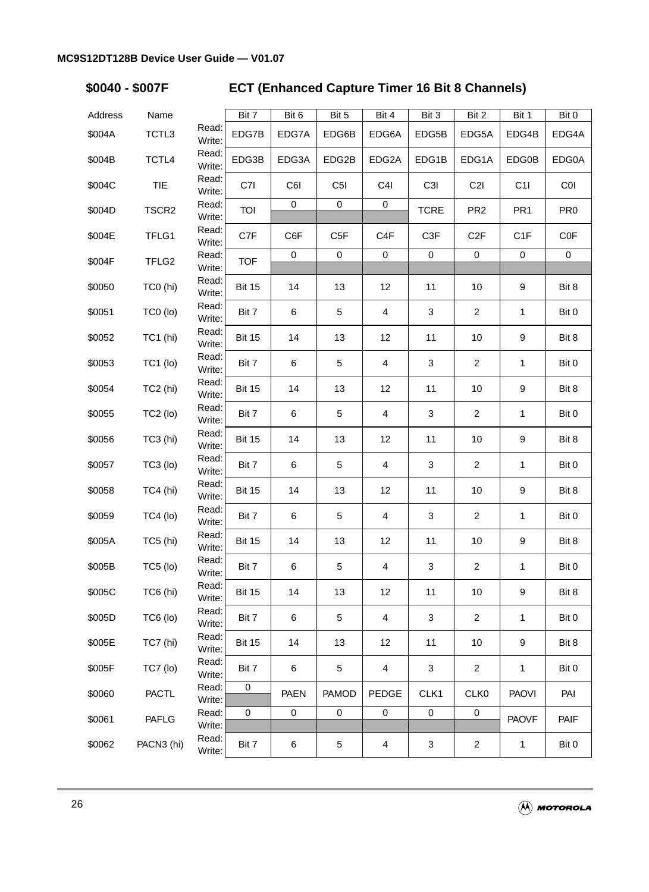# **\$0040 - \$007F ECT (Enhanced Capture Timer 16 Bit 8 Channels)**

| Address | Name              |                 | Bit 7         | Bit 6       | Bit 5            | Bit 4            | Bit 3            | Bit 2            | Bit 1            | Bit 0           |
|---------|-------------------|-----------------|---------------|-------------|------------------|------------------|------------------|------------------|------------------|-----------------|
| \$004A  | TCTL3             | Read:<br>Write: | EDG7B         | EDG7A       | EDG6B            | EDG6A            | EDG5B            | EDG5A            | EDG4B            | EDG4A           |
| \$004B  | TCTL4             | Read:<br>Write: | EDG3B         | EDG3A       | EDG2B            | EDG2A            | EDG1B            | EDG1A            | EDG0B            | EDG0A           |
| \$004C  | <b>TIE</b>        | Read:<br>Write: | C7I           | C6I         | C <sub>5</sub> I | C <sub>4</sub> I | C <sub>3</sub> I | C <sub>2</sub> I | C11              | <b>COI</b>      |
| \$004D  | TSCR <sub>2</sub> | Read:<br>Write: | TOI           | $\mathbf 0$ | $\pmb{0}$        | $\pmb{0}$        | <b>TCRE</b>      | PR <sub>2</sub>  | PR <sub>1</sub>  | PR <sub>0</sub> |
| \$004E  | TFLG1             | Read:<br>Write: | C7F           | C6F         | C5F              | C4F              | C <sub>3</sub> F | C <sub>2</sub> F | C <sub>1</sub> F | <b>COF</b>      |
| \$004F  | TFLG2             | Read:<br>Write: | <b>TOF</b>    | 0           | $\pmb{0}$        | $\pmb{0}$        | 0                | 0                | 0                | 0               |
| \$0050  | TC0 (hi)          | Read:<br>Write: | <b>Bit 15</b> | 14          | 13               | 12               | 11               | 10               | 9                | Bit 8           |
| \$0051  | TC0 (lo)          | Read:<br>Write: | Bit 7         | 6           | 5                | 4                | 3                | $\overline{2}$   | $\mathbf{1}$     | Bit 0           |
| \$0052  | TC1 (hi)          | Read:<br>Write: | <b>Bit 15</b> | 14          | 13               | 12               | 11               | 10               | 9                | Bit 8           |
| \$0053  | <b>TC1</b> (lo)   | Read:<br>Write: | Bit 7         | 6           | 5                | 4                | 3                | $\overline{c}$   | $\mathbf{1}$     | Bit 0           |
| \$0054  | $TC2$ (hi)        | Read:<br>Write: | <b>Bit 15</b> | 14          | 13               | 12               | 11               | 10               | 9                | Bit 8           |
| \$0055  | $TC2$ (lo)        | Read:<br>Write: | Bit 7         | 6           | 5                | 4                | 3                | $\overline{c}$   | $\mathbf{1}$     | Bit 0           |
| \$0056  | TC3(hi)           | Read:<br>Write: | <b>Bit 15</b> | 14          | 13               | 12               | 11               | 10               | 9                | Bit 8           |
| \$0057  | $TC3$ (lo)        | Read:<br>Write: | Bit 7         | 6           | 5                | 4                | 3                | $\overline{c}$   | $\mathbf{1}$     | Bit 0           |
| \$0058  | $TC4$ (hi)        | Read:<br>Write: | <b>Bit 15</b> | 14          | 13               | 12               | 11               | 10               | 9                | Bit 8           |
| \$0059  | $TC4$ (lo)        | Read:<br>Write: | Bit 7         | 6           | 5                | 4                | 3                | $\overline{c}$   | $\mathbf{1}$     | Bit 0           |
| \$005A  | $TC5$ (hi)        | Read:<br>Write: | <b>Bit 15</b> | 14          | 13               | 12               | 11               | 10               | 9                | Bit 8           |
| \$005B  | $TC5$ (lo)        | Read:<br>Write: | Bit 7         | 6           | 5                | 4                | 3                | $\overline{c}$   | $\mathbf{1}$     | Bit 0           |
| \$005C  | TC6 (hi)          | Read:<br>Write: | <b>Bit 15</b> | 14          | 13               | 12               | 11               | $10$             | 9                | Bit 8           |
| \$005D  | TC6 (lo)          | Read:<br>Write: | Bit 7         | 6           | 5                | 4                | 3                | $\overline{c}$   | $\mathbf{1}$     | Bit 0           |
| \$005E  | TC7 (hi)          | Read:<br>Write: | <b>Bit 15</b> | 14          | 13               | 12               | 11               | 10               | 9                | Bit 8           |
| \$005F  | TC7 (lo)          | Read:<br>Write: | Bit 7         | 6           | 5                | 4                | 3                | $\overline{c}$   | $\mathbf{1}$     | Bit 0           |
| \$0060  | <b>PACTL</b>      | Read:<br>Write: | 0             | <b>PAEN</b> | <b>PAMOD</b>     | PEDGE            | CLK1             | CLK0             | <b>PAOVI</b>     | PAI             |
| \$0061  | <b>PAFLG</b>      | Read:<br>Write: | 0             | 0           | $\,0\,$          | $\pmb{0}$        | $\pmb{0}$        | 0                | <b>PAOVF</b>     | PAIF            |
| \$0062  | PACN3 (hi)        | Read:<br>Write: | Bit 7         | 6           | 5                | $\overline{4}$   | 3                | $\overline{c}$   | $\mathbf{1}$     | Bit 0           |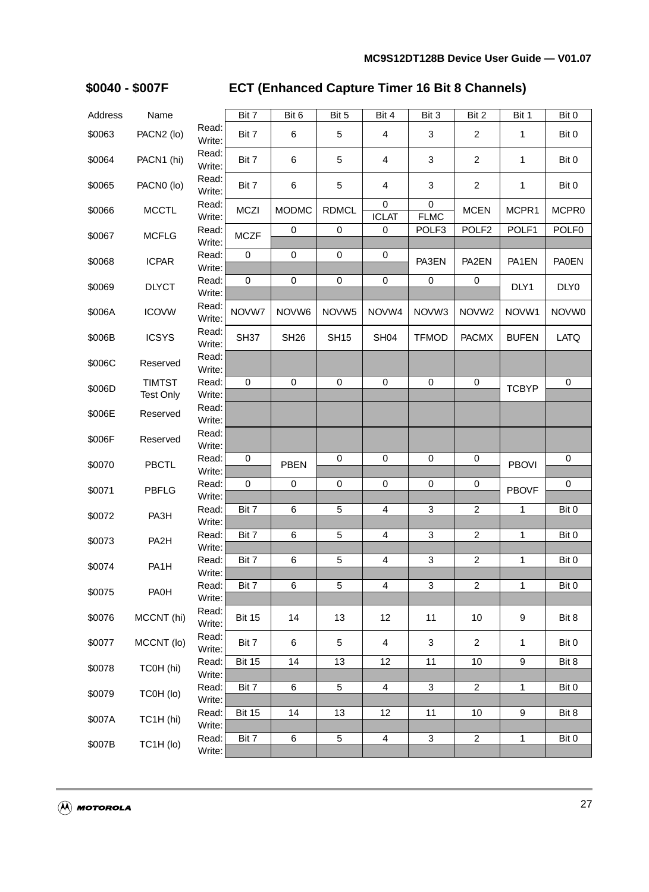# **\$0040 - \$007F ECT (Enhanced Capture Timer 16 Bit 8 Channels)**

| Address | Name                              |                 | Bit 7         | Bit 6        | Bit 5             | Bit 4             | Bit 3            | Bit 2             | Bit 1        | Bit 0             |
|---------|-----------------------------------|-----------------|---------------|--------------|-------------------|-------------------|------------------|-------------------|--------------|-------------------|
| \$0063  | PACN2 (lo)                        | Read:<br>Write: | Bit 7         | 6            | 5                 | 4                 | 3                | $\overline{c}$    | 1            | Bit 0             |
| \$0064  | PACN1 (hi)                        | Read:<br>Write: | Bit 7         | 6            | 5                 | 4                 | 3                | $\overline{c}$    | 1            | Bit 0             |
| \$0065  | PACNO (lo)                        | Read:<br>Write: | Bit 7         | $\,6\,$      | 5                 | 4                 | 3                | $\overline{c}$    | 1            | Bit 0             |
| \$0066  | <b>MCCTL</b>                      | Read:<br>Write: | <b>MCZI</b>   | <b>MODMC</b> | <b>RDMCL</b>      | 0<br><b>ICLAT</b> | 0<br><b>FLMC</b> | <b>MCEN</b>       | MCPR1        | MCPR <sub>0</sub> |
| \$0067  | <b>MCFLG</b>                      | Read:<br>Write: | <b>MCZF</b>   | 0            | $\mathbf 0$       | 0                 | POLF3            | POLF <sub>2</sub> | POLF1        | POLF <sub>0</sub> |
| \$0068  | <b>ICPAR</b>                      | Read:<br>Write: | 0             | 0            | 0                 | 0                 | PA3EN            | PA2EN             | PA1EN        | <b>PA0EN</b>      |
| \$0069  | <b>DLYCT</b>                      | Read:<br>Write: | 0             | 0            | 0                 | 0                 | $\boldsymbol{0}$ | $\pmb{0}$         | DLY1         | DLY0              |
| \$006A  | <b>ICOVW</b>                      | Read:<br>Write: | NOVW7         | NOVW6        | NOVW <sub>5</sub> | NOVW4             | NOVW3            | NOVW <sub>2</sub> | NOVW1        | NOVW0             |
| \$006B  | <b>ICSYS</b>                      | Read:<br>Write: | <b>SH37</b>   | <b>SH26</b>  | <b>SH15</b>       | <b>SH04</b>       | <b>TFMOD</b>     | <b>PACMX</b>      | <b>BUFEN</b> | <b>LATQ</b>       |
| \$006C  | Reserved                          | Read:<br>Write: |               |              |                   |                   |                  |                   |              |                   |
| \$006D  | <b>TIMTST</b><br><b>Test Only</b> | Read:<br>Write: | 0             | 0            | 0                 | 0                 | 0                | 0                 | <b>TCBYP</b> | 0                 |
| \$006E  | Reserved                          | Read:<br>Write: |               |              |                   |                   |                  |                   |              |                   |
| \$006F  | Reserved                          | Read:<br>Write: |               |              |                   |                   |                  |                   |              |                   |
| \$0070  | <b>PBCTL</b>                      | Read:<br>Write: | 0             | <b>PBEN</b>  | 0                 | 0                 | 0                | 0                 | <b>PBOVI</b> | 0                 |
| \$0071  | <b>PBFLG</b>                      | Read:<br>Write: | 0             | $\mathbf 0$  | 0                 | 0                 | 0                | 0                 | <b>PBOVF</b> | 0                 |
| \$0072  | PA3H                              | Read:<br>Write: | Bit 7         | 6            | 5                 | 4                 | 3                | $\overline{c}$    | 1            | Bit 0             |
| \$0073  | PA <sub>2</sub> H                 | Read:<br>Write: | Bit 7         | 6            | 5                 | 4                 | 3                | $\overline{c}$    | 1            | Bit 0             |
| \$0074  | PA1H                              | Read:<br>Write: | Bit 7         | 6            | 5                 | 4                 | 3                | $\overline{c}$    | 1            | Bit 0             |
| \$0075  | PA0H                              | Read:<br>Write: | Bit 7         | 6            | 5                 | 4                 | 3                | $\overline{c}$    | 1            | Bit 0             |
| \$0076  | MCCNT (hi)                        | Read:<br>Write: | <b>Bit 15</b> | 14           | 13                | 12                | 11               | 10                | 9            | Bit 8             |
| \$0077  | MCCNT (lo)                        | Read:<br>Write: | Bit 7         | 6            | 5                 | 4                 | 3                | $\overline{2}$    | 1            | Bit 0             |
| \$0078  | TC0H (hi)                         | Read:<br>Write: | <b>Bit 15</b> | 14           | 13                | 12                | 11               | 10                | 9            | Bit 8             |
| \$0079  | TC0H (lo)                         | Read:<br>Write: | Bit 7         | 6            | 5                 | 4                 | 3                | $\overline{c}$    | 1            | Bit 0             |
| \$007A  | TC1H (hi)                         | Read:<br>Write: | <b>Bit 15</b> | 14           | 13                | 12                | 11               | 10                | 9            | Bit 8             |
| \$007B  | TC1H (lo)                         | Read:<br>Write: | Bit 7         | 6            | 5                 | 4                 | 3                | $\overline{c}$    | 1            | Bit 0             |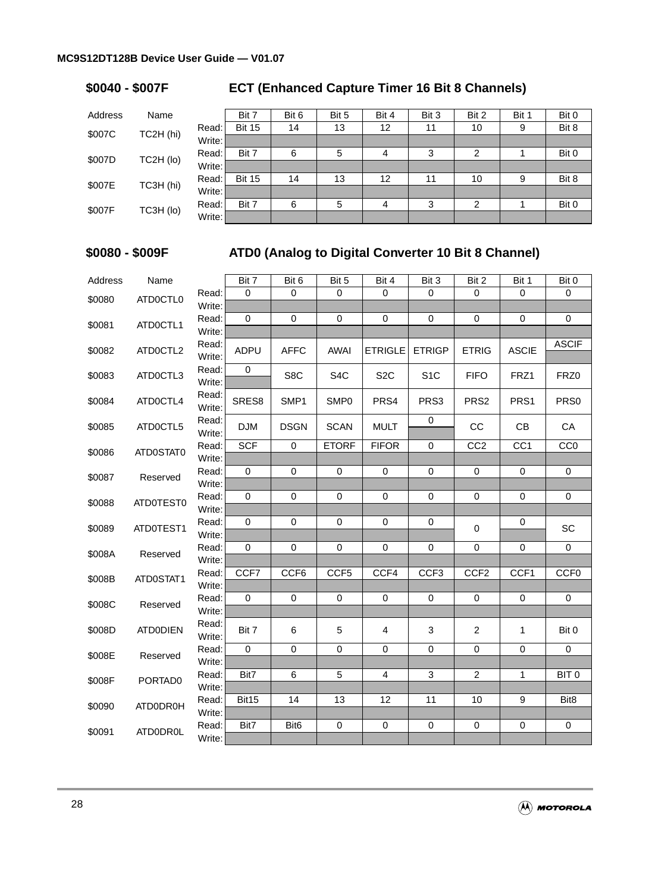# **\$0040 - \$007F ECT (Enhanced Capture Timer 16 Bit 8 Channels)**

| Address | Name      |        | Bit 7         | Bit 6 | Bit 5 | Bit 4 | Bit 3 | Bit 2 | Bit 1 | Bit 0 |
|---------|-----------|--------|---------------|-------|-------|-------|-------|-------|-------|-------|
| \$007C  | TC2H (hi) | Read:  | <b>Bit 15</b> | 14    | 13    | 12    | 11    | 10    | 9     | Bit 8 |
|         |           | Write: |               |       |       |       |       |       |       |       |
| \$007D  | TC2H (lo) | Read:  | Bit 7         | 6     | 5     | 4     | 3     | 2     |       | Bit 0 |
|         |           | Write: |               |       |       |       |       |       |       |       |
| \$007E  | TC3H (hi) | Read:  | <b>Bit 15</b> | 14    | 13    | 12    | 11    | 10    | 9     | Bit 8 |
|         |           | Write: |               |       |       |       |       |       |       |       |
| \$007F  | TC3H (lo) | Read:  | Bit 7         | 6     | 5     | 4     | 3     | 2     |       | Bit 0 |
|         |           | Write: |               |       |       |       |       |       |       |       |
|         |           |        |               |       |       |       |       |       |       |       |

### <span id="page-27-0"></span>**\$0080 - \$009F ATD0 (Analog to Digital Converter 10 Bit 8 Channel)**

| Address | Name            |                 | Bit 7       | Bit 6            | Bit 5            | Bit 4            | Bit 3            | Bit 2            | Bit 1           | Bit 0            |
|---------|-----------------|-----------------|-------------|------------------|------------------|------------------|------------------|------------------|-----------------|------------------|
| \$0080  | ATD0CTL0        | Read:           | $\mathbf 0$ | $\mathbf 0$      | 0                | 0                | 0                | 0                | $\mathbf 0$     | $\pmb{0}$        |
|         |                 | Write:          |             |                  |                  |                  |                  |                  |                 |                  |
| \$0081  | ATD0CTL1        | Read:           | 0           | 0                | 0                | 0                | 0                | 0                | 0               | $\pmb{0}$        |
|         |                 | Write:          |             |                  |                  |                  |                  |                  |                 |                  |
| \$0082  | ATD0CTL2        | Read:<br>Write: | <b>ADPU</b> | <b>AFFC</b>      | AWAI             | <b>ETRIGLE</b>   | <b>ETRIGP</b>    | <b>ETRIG</b>     | <b>ASCIE</b>    | <b>ASCIF</b>     |
| \$0083  | ATD0CTL3        | Read:<br>Write: | 0           | S8C              | S <sub>4</sub> C | S <sub>2</sub> C | S <sub>1</sub> C | <b>FIFO</b>      | FRZ1            | FRZ0             |
| \$0084  | ATD0CTL4        | Read:<br>Write: | SRES8       | SMP1             | SMP <sub>0</sub> | PRS4             | PRS3             | PRS <sub>2</sub> | PRS1            | PR <sub>S0</sub> |
| \$0085  | ATD0CTL5        | Read:<br>Write: | <b>DJM</b>  | <b>DSGN</b>      | <b>SCAN</b>      | <b>MULT</b>      | 0                | CC               | CB              | CA               |
| \$0086  | ATD0STAT0       | Read:           | <b>SCF</b>  | $\mathbf 0$      | <b>ETORF</b>     | <b>FIFOR</b>     | 0                | CC <sub>2</sub>  | CC <sub>1</sub> | CC <sub>0</sub>  |
|         |                 | Write:          |             |                  |                  |                  |                  |                  |                 |                  |
| \$0087  | Reserved        | Read:           | 0           | 0                | 0                | 0                | 0                | 0                | 0               | $\pmb{0}$        |
|         |                 | Write:          |             |                  |                  |                  |                  |                  |                 |                  |
| \$0088  | ATD0TEST0       | Read:           | 0           | $\pmb{0}$        | 0                | 0                | 0                | 0                | 0               | $\mathbf 0$      |
|         |                 | Write:<br>Read: | 0           |                  | 0                |                  | 0                |                  |                 |                  |
| \$0089  | ATD0TEST1       | Write:          |             | 0                |                  | 0                |                  | 0                | 0               | SC               |
|         |                 | Read:           | 0           | $\pmb{0}$        | 0                | 0                | 0                | $\mathbf 0$      | 0               | $\mathsf 0$      |
| \$008A  | Reserved        | Write:          |             |                  |                  |                  |                  |                  |                 |                  |
|         |                 | Read:           | CCF7        | CCF <sub>6</sub> | CCF <sub>5</sub> | CCF4             | CCF <sub>3</sub> | CCF <sub>2</sub> | CCF1            | CCF <sub>0</sub> |
| \$008B  | ATD0STAT1       | Write:          |             |                  |                  |                  |                  |                  |                 |                  |
|         |                 | Read:           | 0           | $\pmb{0}$        | $\mathbf 0$      | 0                | 0                | 0                | 0               | $\mathbf 0$      |
| \$008C  | Reserved        | Write:          |             |                  |                  |                  |                  |                  |                 |                  |
| \$008D  | <b>ATDODIEN</b> | Read:<br>Write: | Bit 7       | 6                | 5                | 4                | 3                | 2                | 1               | Bit 0            |
| \$008E  | Reserved        | Read:           | $\pmb{0}$   | $\pmb{0}$        | 0                | 0                | $\pmb{0}$        | $\pmb{0}$        | $\pmb{0}$       | $\pmb{0}$        |
|         |                 | Write:          |             |                  |                  |                  |                  |                  |                 |                  |
| \$008F  | PORTAD0         | Read:           | Bit7        | 6                | 5                | 4                | 3                | $\overline{c}$   | 1               | BIT <sub>0</sub> |
|         |                 | Write:          |             |                  |                  |                  |                  |                  |                 |                  |
| \$0090  | ATD0DR0H        | Read:           | Bit15       | 14               | 13               | 12               | 11               | 10               | 9               | Bit8             |
|         |                 | Write:          |             |                  |                  |                  |                  |                  |                 |                  |
| \$0091  | ATD0DR0L        | Read:           | Bit7        | Bit <sub>6</sub> | 0                | 0                | 0                | 0                | 0               | $\mathbf 0$      |
|         |                 | Write:          |             |                  |                  |                  |                  |                  |                 |                  |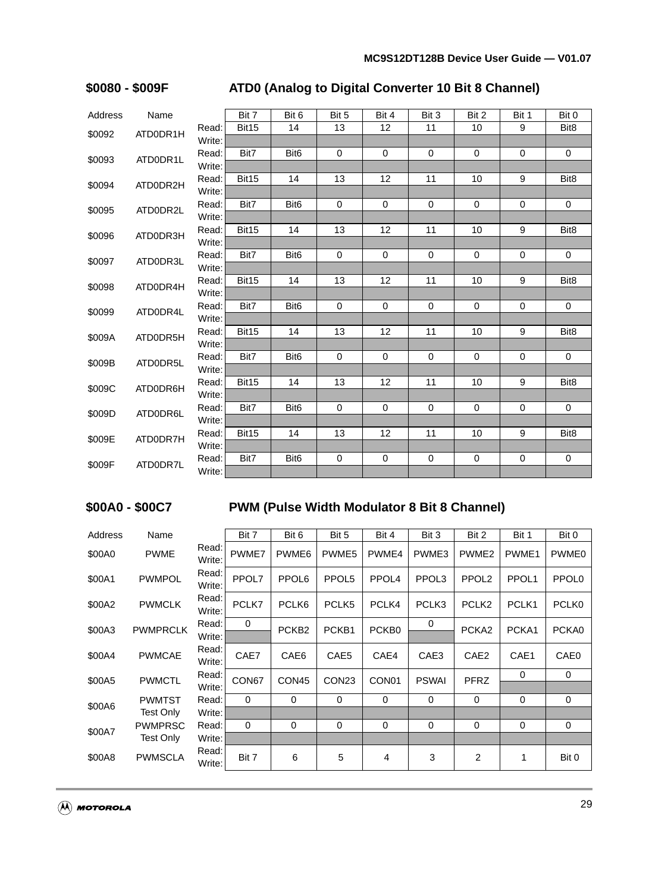# **\$0080 - \$009F ATD0 (Analog to Digital Converter 10 Bit 8 Channel)**

| Address | Name     |        | Bit 7 | Bit 6            | Bit 5       | Bit 4       | Bit 3       | Bit 2       | Bit 1       | Bit 0            |
|---------|----------|--------|-------|------------------|-------------|-------------|-------------|-------------|-------------|------------------|
| \$0092  | ATD0DR1H | Read:  | Bit15 | 14               | 13          | 12          | 11          | 10          | 9           | Bit <sub>8</sub> |
|         |          | Write: |       |                  |             |             |             |             |             |                  |
| \$0093  | ATD0DR1L | Read:  | Bit7  | Bit <sub>6</sub> | $\mathbf 0$ | 0           | 0           | $\mathbf 0$ | $\mathbf 0$ | $\mathbf 0$      |
|         |          | Write: |       |                  |             |             |             |             |             |                  |
| \$0094  | ATD0DR2H | Read:  | Bit15 | 14               | 13          | 12          | 11          | 10          | 9           | Bit <sub>8</sub> |
|         |          | Write: |       |                  |             |             |             |             |             |                  |
| \$0095  | ATD0DR2L | Read:  | Bit7  | Bit <sub>6</sub> | $\mathbf 0$ | $\mathbf 0$ | $\mathbf 0$ | $\mathbf 0$ | $\mathbf 0$ | $\mathbf 0$      |
|         |          | Write: |       |                  |             |             |             |             |             |                  |
| \$0096  | ATD0DR3H | Read:  | Bit15 | 14               | 13          | 12          | 11          | 10          | 9           | Bit8             |
|         |          | Write: |       |                  |             |             |             |             |             |                  |
| \$0097  | ATD0DR3L | Read:  | Bit7  | Bit <sub>6</sub> | $\mathbf 0$ | 0           | 0           | $\mathbf 0$ | $\mathbf 0$ | $\mathbf 0$      |
|         |          | Write: |       |                  |             |             |             |             |             |                  |
| \$0098  | ATD0DR4H | Read:  | Bit15 | 14               | 13          | 12          | 11          | 10          | 9           | Bit <sub>8</sub> |
|         |          | Write: |       |                  |             |             |             |             |             |                  |
| \$0099  | ATD0DR4L | Read:  | Bit7  | Bit <sub>6</sub> | $\mathbf 0$ | $\mathbf 0$ | $\mathbf 0$ | $\mathbf 0$ | $\mathbf 0$ | $\mathbf 0$      |
|         |          | Write: |       |                  |             |             |             |             |             |                  |
| \$009A  | ATD0DR5H | Read:  | Bit15 | 14               | 13          | 12          | 11          | 10          | 9           | Bit <sub>8</sub> |
|         |          | Write: |       |                  |             |             |             |             |             |                  |
| \$009B  | ATD0DR5L | Read:  | Bit7  | Bit <sub>6</sub> | $\mathbf 0$ | 0           | $\mathbf 0$ | $\mathbf 0$ | $\mathbf 0$ | $\mathbf 0$      |
|         |          | Write: |       |                  |             |             |             |             |             |                  |
| \$009C  | ATD0DR6H | Read:  | Bit15 | 14               | 13          | 12          | 11          | 10          | 9           | Bit <sub>8</sub> |
|         |          | Write: |       |                  |             |             |             |             |             |                  |
| \$009D  | ATD0DR6L | Read:  | Bit7  | Bit <sub>6</sub> | $\mathbf 0$ | $\mathbf 0$ | $\mathbf 0$ | $\mathbf 0$ | $\mathbf 0$ | $\mathbf 0$      |
|         |          | Write: |       |                  |             |             |             |             |             |                  |
| \$009E  | ATD0DR7H | Read:  | Bit15 | 14               | 13          | 12          | 11          | 10          | 9           | Bit <sub>8</sub> |
|         |          | Write: |       |                  |             |             |             |             |             |                  |
| \$009F  | ATD0DR7L | Read:  | Bit7  | Bit <sub>6</sub> | $\mathbf 0$ | 0           | 0           | $\mathbf 0$ | $\mathbf 0$ | $\mathbf 0$      |
|         |          | Write: |       |                  |             |             |             |             |             |                  |

# <span id="page-28-0"></span>**\$00A0 - \$00C7 PWM (Pulse Width Modulator 8 Bit 8 Channel)**

| Address | Name             |                 | Bit 7    | Bit 6             | Bit 5             | Bit 4             | Bit 3        | Bit 2             | Bit 1             | Bit 0             |
|---------|------------------|-----------------|----------|-------------------|-------------------|-------------------|--------------|-------------------|-------------------|-------------------|
| \$00A0  | <b>PWME</b>      | Read:<br>Write: | PWME7    | PWME6             | PWME5             | PWME4             | PWME3        | PWME <sub>2</sub> | PWME1             | PWME0             |
| \$00A1  | <b>PWMPOL</b>    | Read:<br>Write: | PPOL7    | PPOL <sub>6</sub> | PPOL <sub>5</sub> | PPOL <sub>4</sub> | PPOL3        | PPOL <sub>2</sub> | PPOL <sub>1</sub> | PPOL <sub>0</sub> |
| \$00A2  | <b>PWMCLK</b>    | Read:<br>Write: | PCLK7    | PCLK6             | PCLK <sub>5</sub> | PCLK4             | PCLK3        | PCLK <sub>2</sub> | PCLK1             | <b>PCLK0</b>      |
| \$00A3  | <b>PWMPRCLK</b>  | Read:<br>Write: | 0        | PCKB <sub>2</sub> | PCKB1             | PCKB <sub>0</sub> | 0            | PCKA2             | PCKA1             | PCKA0             |
| \$00A4  | <b>PWMCAE</b>    | Read:<br>Write: | CAE7     | CAE6              | CAE <sub>5</sub>  | CAE4              | CAE3         | CAE <sub>2</sub>  | CAE1              | CAE <sub>0</sub>  |
| \$00A5  | <b>PWMCTL</b>    | Read:<br>Write: | CON67    | CON <sub>45</sub> | CON <sub>23</sub> | CON <sub>01</sub> | <b>PSWAI</b> | <b>PFRZ</b>       | $\mathbf 0$       | $\mathbf 0$       |
| \$00A6  | <b>PWMTST</b>    | Read:           | $\Omega$ | 0                 | 0                 | 0                 | 0            | 0                 | 0                 | 0                 |
|         | <b>Test Only</b> | Write:          |          |                   |                   |                   |              |                   |                   |                   |
| \$00A7  | <b>PWMPRSC</b>   | Read:           | 0        | 0                 | $\mathbf 0$       | 0                 | 0            | 0                 | $\mathbf 0$       | $\mathbf 0$       |
|         | <b>Test Only</b> | Write:          |          |                   |                   |                   |              |                   |                   |                   |
| \$00A8  | <b>PWMSCLA</b>   | Read:<br>Write: | Bit 7    | 6                 | 5                 | 4                 | 3            | 2                 | 1                 | Bit 0             |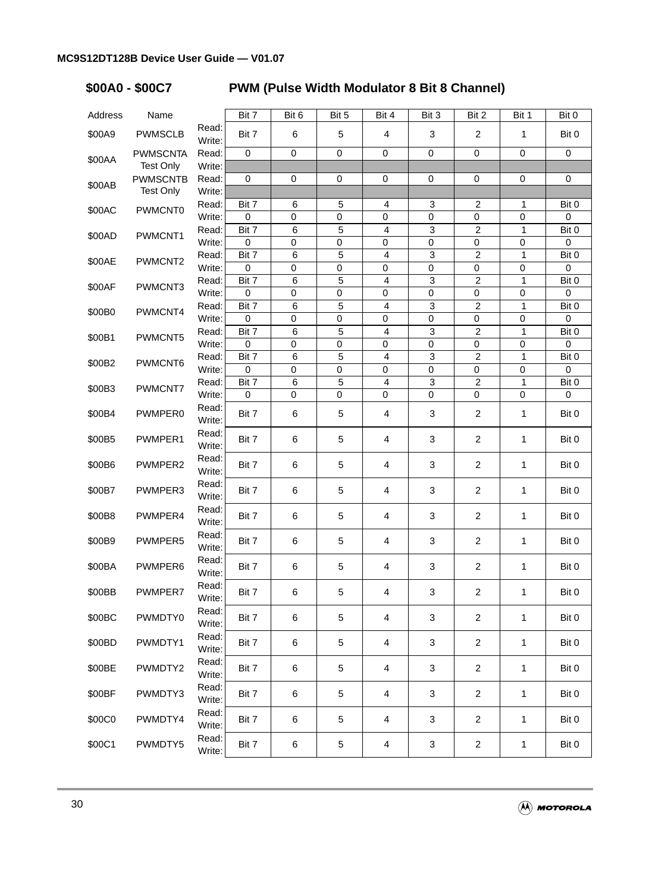# **\$00A0 - \$00C7 PWM (Pulse Width Modulator 8 Bit 8 Channel)**

| Address | Name             |                 | Bit 7      | Bit 6  | Bit 5            | Bit 4  | Bit 3                     | Bit 2                        | Bit 1  | Bit 0      |
|---------|------------------|-----------------|------------|--------|------------------|--------|---------------------------|------------------------------|--------|------------|
| \$00A9  | <b>PWMSCLB</b>   | Read:<br>Write: | Bit 7      | 6      | 5                | 4      | 3                         | $\overline{c}$               | 1      | Bit 0      |
| \$00AA  | <b>PWMSCNTA</b>  | Read:           | 0          | 0      | 0                | 0      | 0                         | 0                            | 0      | 0          |
|         | <b>Test Only</b> | Write:          |            |        |                  |        |                           |                              |        |            |
| \$00AB  | <b>PWMSCNTB</b>  | Read:           | 0          | 0      | 0                | 0      | 0                         | 0                            | 0      | 0          |
|         | <b>Test Only</b> | Write:          |            |        |                  |        |                           |                              |        |            |
| \$00AC  | <b>PWMCNT0</b>   | Read:           | Bit 7      | 6      | 5                | 4      | 3                         | $\overline{c}$               | 1      | Bit 0      |
|         |                  | Write:<br>Read: | 0<br>Bit 7 | 0<br>6 | 0<br>$\,$ 5 $\,$ | 0<br>4 | 0<br>3                    | 0<br>$\overline{\mathbf{c}}$ | 0<br>1 | 0<br>Bit 0 |
| \$00AD  | PWMCNT1          | Write:          | 0          | 0      | 0                | 0      | 0                         | 0                            | 0      | 0          |
|         |                  | Read:           | Bit 7      | 6      | $\,$ 5 $\,$      | 4      | 3                         | $\overline{c}$               | 1      | Bit 0      |
| \$00AE  | PWMCNT2          | Write:          | 0          | 0      | 0                | 0      | 0                         | 0                            | 0      | 0          |
|         |                  | Read:           | Bit 7      | 6      | $\,$ 5 $\,$      | 4      | 3                         | $\overline{c}$               | 1      | Bit 0      |
| \$00AF  | PWMCNT3          | Write:          | 0          | 0      | 0                | 0      | 0                         | 0                            | 0      | 0          |
|         |                  | Read:           | Bit 7      | 6      | $\,$ 5 $\,$      | 4      | 3                         | $\overline{c}$               | 1      | Bit 0      |
| \$00B0  | PWMCNT4          | Write:          | 0          | 0      | 0                | 0      | 0                         | 0                            | 0      | 0          |
|         |                  | Read:           | Bit 7      | 6      | $\,$ 5 $\,$      | 4      | $\ensuremath{\mathsf{3}}$ | $\overline{c}$               | 1      | Bit 0      |
| \$00B1  | PWMCNT5          | Write:          | 0          | 0      | 0                | 0      | 0                         | 0                            | 0      | 0          |
|         | PWMCNT6          | Read:           | Bit 7      | 6      | $\,$ 5 $\,$      | 4      | $\ensuremath{\mathsf{3}}$ | $\overline{\mathbf{c}}$      | 1      | Bit 0      |
| \$00B2  |                  | Write:          | 0          | 0      | 0                | 0      | 0                         | 0                            | 0      | 0          |
| \$00B3  | PWMCNT7          | Read:           | Bit 7      | 6      | $\,$ 5 $\,$      | 4      | $\ensuremath{\mathsf{3}}$ | $\overline{\mathbf{c}}$      | 1      | Bit 0      |
|         |                  | Write:          | 0          | 0      | 0                | 0      | 0                         | 0                            | 0      | 0          |
| \$00B4  | PWMPER0          | Read:<br>Write: | Bit 7      | 6      | 5                | 4      | 3                         | $\overline{c}$               | 1      | Bit 0      |
| \$00B5  | PWMPER1          | Read:<br>Write: | Bit 7      | 6      | 5                | 4      | 3                         | $\overline{2}$               | 1      | Bit 0      |
| \$00B6  | PWMPER2          | Read:<br>Write: | Bit 7      | 6      | 5                | 4      | 3                         | $\overline{2}$               | 1      | Bit 0      |
| \$00B7  | PWMPER3          | Read:<br>Write: | Bit 7      | 6      | 5                | 4      | 3                         | $\overline{2}$               | 1      | Bit 0      |
| \$00B8  | PWMPER4          | Read:<br>Write: | Bit 7      | 6      | 5                | 4      | 3                         | $\overline{c}$               | 1      | Bit 0      |
| \$00B9  | PWMPER5          | Read:<br>Write: | Bit 7      | 6      | 5                | 4      | 3                         | 2                            | 1      | Bit 0      |
| \$00BA  | PWMPER6          | Read:<br>Write: | Bit 7      | 6      | 5                | 4      | 3                         | $\overline{c}$               | 1      | Bit 0      |
| \$00BB  | PWMPER7          | Read:<br>Write: | Bit 7      | 6      | 5                | 4      | 3                         | $\overline{\mathbf{c}}$      | 1      | Bit 0      |
| \$00BC  | PWMDTY0          | Read:<br>Write: | Bit 7      | 6      | 5                | 4      | 3                         | 2                            | 1      | Bit 0      |
| \$00BD  | PWMDTY1          | Read:<br>Write: | Bit 7      | 6      | 5                | 4      | 3                         | 2                            | 1      | Bit 0      |
| \$00BE  | PWMDTY2          | Read:<br>Write: | Bit 7      | 6      | 5                | 4      | 3                         | 2                            | 1      | Bit 0      |
| \$00BF  | PWMDTY3          | Read:<br>Write: | Bit 7      | 6      | 5                | 4      | 3                         | 2                            | 1      | Bit 0      |
| \$00C0  | PWMDTY4          | Read:<br>Write: | Bit 7      | 6      | 5                | 4      | 3                         | 2                            | 1      | Bit 0      |
| \$00C1  | PWMDTY5          | Read:<br>Write: | Bit 7      | 6      | 5                | 4      | 3                         | 2                            | 1      | Bit 0      |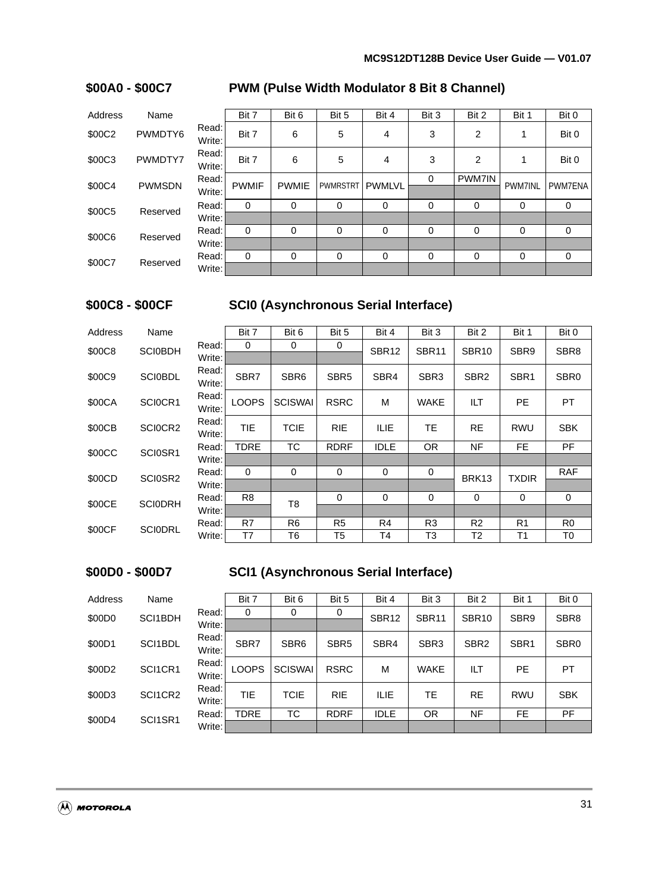# **\$00A0 - \$00C7 PWM (Pulse Width Modulator 8 Bit 8 Channel)**

| Address | Name          |                 | Bit 7        | Bit 6        | Bit 5           | Bit 4         | Bit 3    | Bit 2         | Bit 1          | Bit 0       |
|---------|---------------|-----------------|--------------|--------------|-----------------|---------------|----------|---------------|----------------|-------------|
| \$00C2  | PWMDTY6       | Read:<br>Write: | Bit 7        | 6            | 5               | 4             | 3        | 2             |                | Bit 0       |
| \$00C3  | PWMDTY7       | Read:<br>Write: | Bit 7        | 6            | 5               | 4             | 3        | 2             | 1              | Bit 0       |
| \$00C4  | <b>PWMSDN</b> | Read:           | <b>PWMIF</b> | <b>PWMIE</b> | <b>PWMRSTRT</b> | <b>PWMLVL</b> | $\Omega$ | <b>PWM7IN</b> | <b>PWM7INL</b> | PWM7ENA     |
|         |               | Write:          |              |              |                 |               |          |               |                |             |
|         |               | Read:           | $\mathbf 0$  | 0            | 0               | 0             | 0        | 0             | 0              | 0           |
| \$00C5  | Reserved      | Write:          |              |              |                 |               |          |               |                |             |
|         |               | Read:           | $\Omega$     | $\Omega$     | 0               | 0             | $\Omega$ | 0             | 0              | $\Omega$    |
| \$00C6  | Reserved      | Write:          |              |              |                 |               |          |               |                |             |
|         |               | Read:           | $\mathbf 0$  | 0            | $\mathbf 0$     | 0             | 0        | 0             | 0              | $\mathbf 0$ |
| \$00C7  | Reserved      | Write:          |              |              |                 |               |          |               |                |             |

# <span id="page-30-0"></span>**\$00C8 - \$00CF SCI0 (Asynchronous Serial Interface)**

| Address | Name           |        | Bit 7          | Bit 6            | Bit 5            | Bit 4             | Bit 3            | Bit 2            | Bit 1            | Bit 0            |
|---------|----------------|--------|----------------|------------------|------------------|-------------------|------------------|------------------|------------------|------------------|
| \$00C8  | <b>SCI0BDH</b> | Read:  | 0              | 0                | 0                | SBR <sub>12</sub> | <b>SBR11</b>     | <b>SBR10</b>     | SBR <sub>9</sub> | SBR <sub>8</sub> |
|         |                | Write: |                |                  |                  |                   |                  |                  |                  |                  |
| \$00C9  | <b>SCIOBDL</b> | Read:  | SBR7           | SBR <sub>6</sub> | SBR <sub>5</sub> | SBR4              | SBR <sub>3</sub> | SBR <sub>2</sub> | SBR <sub>1</sub> | SBR <sub>0</sub> |
|         |                | Write: |                |                  |                  |                   |                  |                  |                  |                  |
| \$00CA  | SCI0CR1        | Read:  | LOOPS          | <b>SCISWAI</b>   | <b>RSRC</b>      | м                 | <b>WAKE</b>      | ILT              | <b>PE</b>        | <b>PT</b>        |
|         |                | Write: |                |                  |                  |                   |                  |                  |                  |                  |
| \$00CB  | SCI0CR2        | Read:  | <b>TIE</b>     | <b>TCIE</b>      | <b>RIE</b>       | <b>ILIE</b>       | <b>TE</b>        | <b>RE</b>        | <b>RWU</b>       | <b>SBK</b>       |
|         |                | Write: |                |                  |                  |                   |                  |                  |                  |                  |
| \$00CC  | SCI0SR1        | Read:  | <b>TDRE</b>    | <b>TC</b>        | <b>RDRF</b>      | <b>IDLE</b>       | <b>OR</b>        | <b>NF</b>        | FE.              | <b>PF</b>        |
|         |                | Write: |                |                  |                  |                   |                  |                  |                  |                  |
| \$00CD  | SCI0SR2        | Read:  | $\Omega$       | $\mathbf 0$      | 0                | $\mathbf 0$       | 0                | BRK13            | <b>TXDIR</b>     | <b>RAF</b>       |
|         |                | Write: |                |                  |                  |                   |                  |                  |                  |                  |
| \$00CE  | <b>SCIODRH</b> | Read:  | R <sub>8</sub> | T8               | 0                | 0                 | 0                | 0                | $\mathbf 0$      | 0                |
|         |                | Write: |                |                  |                  |                   |                  |                  |                  |                  |
| \$00CF  | <b>SCIODRL</b> | Read:  | R7             | R <sub>6</sub>   | R <sub>5</sub>   | R4                | R <sub>3</sub>   | R <sub>2</sub>   | R <sub>1</sub>   | R0               |
|         |                | Write: | T7             | T6               | T5               | T <sub>4</sub>    | T <sub>3</sub>   | T <sub>2</sub>   | Τ1               | T0               |
|         |                |        |                |                  |                  |                   |                  |                  |                  |                  |

# <span id="page-30-1"></span>**\$00D0 - \$00D7 SCI1 (Asynchronous Serial Interface)**

| Address | Name    |        | Bit 7        | Bit 6            | Bit 5            | Bit 4             | Bit 3            | Bit 2             | Bit 1            | Bit 0            |
|---------|---------|--------|--------------|------------------|------------------|-------------------|------------------|-------------------|------------------|------------------|
| \$00D0  | SCI1BDH | Read:  | 0            | 0                | 0                | SBR <sub>12</sub> | <b>SBR11</b>     | SBR <sub>10</sub> | SBR <sub>9</sub> | SBR <sub>8</sub> |
|         |         | Write: |              |                  |                  |                   |                  |                   |                  |                  |
| \$00D1  | SCI1BDL | Read:  | SBR7         | SBR <sub>6</sub> | SBR <sub>5</sub> | SBR4              | SBR <sub>3</sub> | SBR <sub>2</sub>  | SBR <sub>1</sub> | SBR <sub>0</sub> |
|         |         | Write: |              |                  |                  |                   |                  |                   |                  |                  |
| \$00D2  | SCI1CR1 | Read:  | <b>LOOPS</b> | <b>SCISWAI</b>   | <b>RSRC</b>      | M                 | <b>WAKE</b>      | ILT               | <b>PE</b>        | PT               |
|         |         | Write: |              |                  |                  |                   |                  |                   |                  |                  |
| \$00D3  | SCI1CR2 | Read:  | TIE          | <b>TCIE</b>      | <b>RIE</b>       | <b>ILIE</b>       | TЕ               | <b>RE</b>         | <b>RWU</b>       | <b>SBK</b>       |
|         |         | Write: |              |                  |                  |                   |                  |                   |                  |                  |
| \$00D4  | SCI1SR1 | Read:  | <b>TDRE</b>  | ТC               | <b>RDRF</b>      | <b>IDLE</b>       | 0R               | NF                | FE.              | PF               |
|         |         | Write: |              |                  |                  |                   |                  |                   |                  |                  |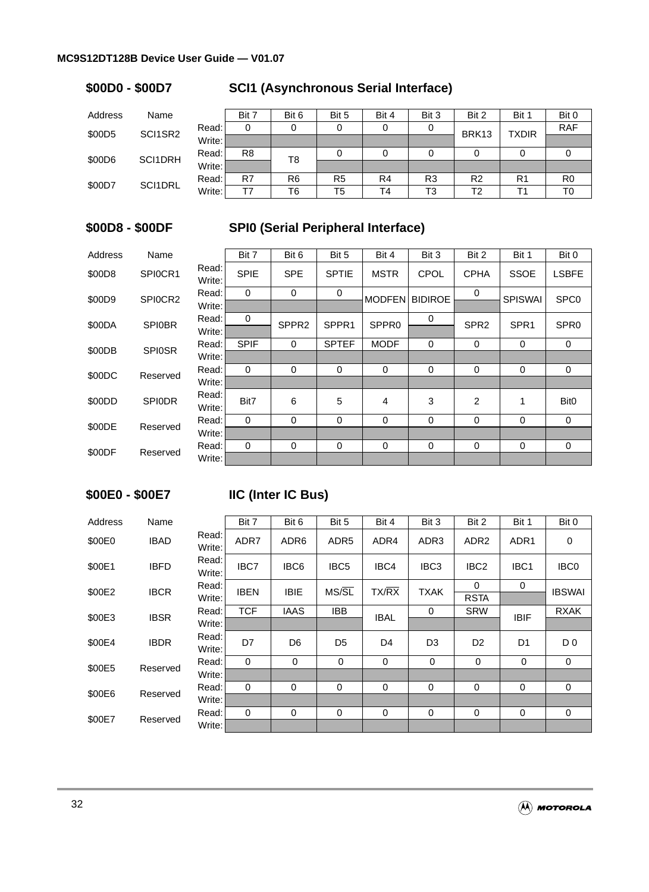# **\$00D0 - \$00D7 SCI1 (Asynchronous Serial Interface)**

| Address | Name    |          | Bit 7 | Bit 6          | Bit 5          | Bit 4          | Bit 3          | Bit 2             | Bit 1        | Bit 0          |
|---------|---------|----------|-------|----------------|----------------|----------------|----------------|-------------------|--------------|----------------|
| \$00D5  | SCI1SR2 | Read:    | 0     |                | U              | 0              |                | BRK <sub>13</sub> | <b>TXDIR</b> | <b>RAF</b>     |
|         |         | Write: l |       |                |                |                |                |                   |              |                |
| \$00D6  | SCI1DRH | Read:    | R8    | T8             |                |                |                |                   |              |                |
|         |         | Write: l |       |                |                |                |                |                   |              |                |
| \$00D7  | SCI1DRL | Read:    | R7    | R <sub>6</sub> | R <sub>5</sub> | R <sub>4</sub> | R <sub>3</sub> | R <sub>2</sub>    | R1           | R <sub>0</sub> |
|         |         | Write:   | Т7    | T6             | T5             | T4             | T3             | T2                | Τ1           | T0             |
|         |         |          |       |                |                |                |                |                   |              |                |

# <span id="page-31-0"></span>**\$00D8 - \$00DF SPI0 (Serial Peripheral Interface)**

| Address | Name          |                           | Bit 7       | Bit 6             | Bit 5        | Bit 4             | Bit 3          | Bit 2            | Bit 1            | Bit 0            |
|---------|---------------|---------------------------|-------------|-------------------|--------------|-------------------|----------------|------------------|------------------|------------------|
| \$00D8  | SPI0CR1       | Read:<br>Write:           | <b>SPIE</b> | <b>SPE</b>        | <b>SPTIE</b> | <b>MSTR</b>       | <b>CPOL</b>    | <b>CPHA</b>      | <b>SSOE</b>      | <b>LSBFE</b>     |
| \$00D9  | SPI0CR2       | Read:<br>Write:           | $\mathbf 0$ | $\mathbf 0$       | 0            | <b>MODFEN</b>     | <b>BIDIROE</b> | 0                | <b>SPISWAI</b>   | SPC <sub>0</sub> |
| \$00DA  | <b>SPI0BR</b> | Read:<br>Write:           | $\mathbf 0$ | SPPR <sub>2</sub> | SPPR1        | SPPR <sub>0</sub> | 0              | SPR <sub>2</sub> | SPR <sub>1</sub> | SPR <sub>0</sub> |
| \$00DB  | <b>SPI0SR</b> | Read:                     | <b>SPIF</b> | $\mathbf 0$       | <b>SPTEF</b> | <b>MODF</b>       | $\mathbf 0$    | $\mathbf 0$      | $\mathbf 0$      | $\mathbf 0$      |
| \$00DC  | Reserved      | Write:<br>Read:<br>Write: | $\Omega$    | 0                 | 0            | 0                 | $\mathbf 0$    | $\mathbf 0$      | $\mathbf 0$      | 0                |
| \$00DD  | <b>SPIODR</b> | Read:<br>Write:           | Bit7        | 6                 | 5            | 4                 | 3              | 2                | 1                | <b>Bit0</b>      |
| \$00DE  | Reserved      | Read:                     | $\mathbf 0$ | 0                 | $\mathbf 0$  | 0                 | $\mathbf 0$    | $\mathbf 0$      | $\mathbf 0$      | $\mathbf 0$      |
|         |               | Write:<br>Read:           | $\mathbf 0$ | 0                 | 0            | 0                 | $\mathbf 0$    | 0                | $\mathbf 0$      | 0                |
| \$00DF  | Reserved      | Write:                    |             |                   |              |                   |                |                  |                  |                  |

# <span id="page-31-1"></span>**\$00E0 - \$00E7 IIC (Inter IC Bus)**

| <b>Address</b> | Name        |                 | Bit 7       | Bit 6            | Bit 5            | Bit 4          | Bit 3            | Bit 2            | Bit 1            | Bit 0          |
|----------------|-------------|-----------------|-------------|------------------|------------------|----------------|------------------|------------------|------------------|----------------|
| \$00E0         | <b>IBAD</b> | Read:<br>Write: | ADR7        | ADR <sub>6</sub> | ADR <sub>5</sub> | ADR4           | ADR3             | ADR <sub>2</sub> | ADR <sub>1</sub> | $\pmb{0}$      |
| \$00E1         | <b>IBFD</b> | Read:<br>Write: | IBC7        | IBC6             | IBC <sub>5</sub> | IBC4           | IBC <sub>3</sub> | IBC <sub>2</sub> | IBC1             | IBC0           |
| \$00E2         | <b>IBCR</b> | Read:           | <b>IBEN</b> | <b>IBIE</b>      | MS/SL            | TX/RX          | <b>TXAK</b>      | 0                | 0                | <b>IBSWAI</b>  |
|                |             | Write:          |             |                  |                  |                |                  | <b>RSTA</b>      |                  |                |
| \$00E3         | <b>IBSR</b> | Read:           | <b>TCF</b>  | <b>IAAS</b>      | <b>IBB</b>       | <b>IBAL</b>    | 0                | <b>SRW</b>       | <b>IBIF</b>      | <b>RXAK</b>    |
|                |             | Write:          |             |                  |                  |                |                  |                  |                  |                |
| \$00E4         | <b>IBDR</b> | Read:<br>Write: | D7          | D <sub>6</sub>   | D <sub>5</sub>   | D <sub>4</sub> | D <sub>3</sub>   | D <sub>2</sub>   | D <sub>1</sub>   | D <sub>0</sub> |
| \$00E5         | Reserved    | Read:           | $\mathbf 0$ | 0                | $\mathbf 0$      | $\mathbf 0$    | $\mathbf 0$      | $\mathbf 0$      | $\mathbf 0$      | $\mathbf 0$    |
|                |             | Write:          |             |                  |                  |                |                  |                  |                  |                |
| \$00E6         | Reserved    | Read:           | $\mathbf 0$ | 0                | 0                | 0              | 0                | 0                | 0                | 0              |
|                |             | Write:          |             |                  |                  |                |                  |                  |                  |                |
| \$00E7         | Reserved    | Read:           | $\mathbf 0$ | $\mathbf 0$      | $\mathbf 0$      | $\mathbf 0$    | $\mathbf 0$      | 0                | $\mathbf 0$      | $\mathbf 0$    |
|                |             | Write:          |             |                  |                  |                |                  |                  |                  |                |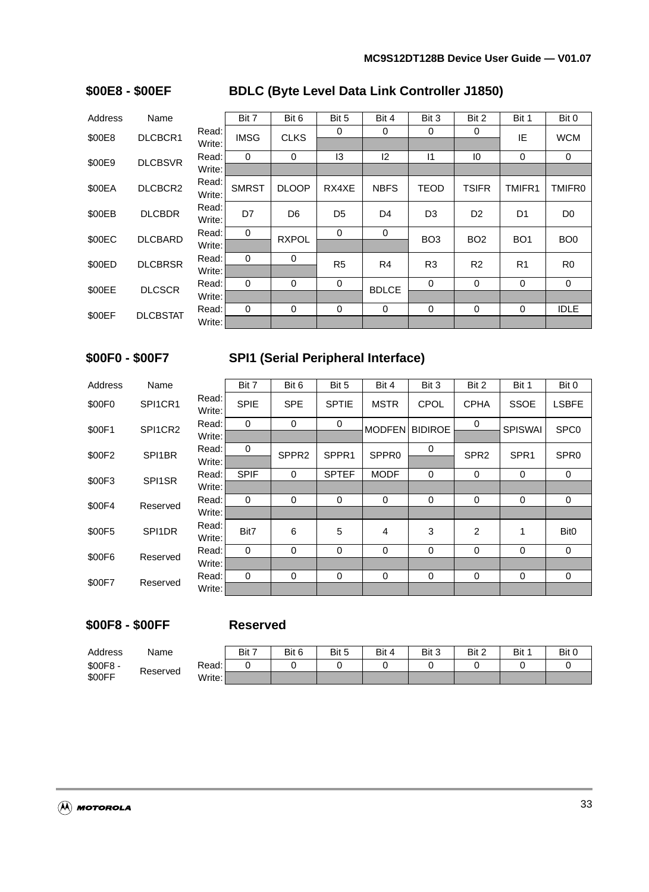# <span id="page-32-0"></span>**\$00E8 - \$00EF BDLC (Byte Level Data Link Controller J1850)**

| Address | Name            |                 | Bit 7        | Bit 6          | Bit 5          | Bit 4          | Bit 3           | Bit 2           | Bit 1           | Bit 0           |
|---------|-----------------|-----------------|--------------|----------------|----------------|----------------|-----------------|-----------------|-----------------|-----------------|
| \$00E8  | DLCBCR1         | Read:<br>Write: | <b>IMSG</b>  | <b>CLKS</b>    | 0              | 0              | 0               | 0               | IE              | <b>WCM</b>      |
| \$00E9  | <b>DLCBSVR</b>  | Read:           | $\mathbf{0}$ | 0              | 13             | 12             | $\mathsf{I}$    | 10              | 0               | 0               |
|         |                 | Write:          |              |                |                |                |                 |                 |                 |                 |
| \$00EA  | DLCBCR2         | Read:<br>Write: | <b>SMRST</b> | <b>DLOOP</b>   | RX4XE          | <b>NBFS</b>    | <b>TEOD</b>     | <b>TSIFR</b>    | TMIFR1          | <b>TMIFR0</b>   |
| \$00EB  | <b>DLCBDR</b>   | Read:<br>Write: | D7           | D <sub>6</sub> | D <sub>5</sub> | D <sub>4</sub> | D <sub>3</sub>  | D <sub>2</sub>  | D <sub>1</sub>  | D <sub>0</sub>  |
| \$00EC  | <b>DLCBARD</b>  | Read:           | 0            | <b>RXPOL</b>   | $\mathbf 0$    | $\pmb{0}$      | BO <sub>3</sub> | BO <sub>2</sub> | BO <sub>1</sub> | BO <sub>0</sub> |
|         |                 | Write:          |              |                |                |                |                 |                 |                 |                 |
| \$00ED  | <b>DLCBRSR</b>  | Read:           | $\mathbf 0$  | 0              | R <sub>5</sub> | R <sub>4</sub> | R <sub>3</sub>  | R <sub>2</sub>  | R <sub>1</sub>  | R <sub>0</sub>  |
|         |                 | Write:          |              |                |                |                |                 |                 |                 |                 |
| \$00EE  | <b>DLCSCR</b>   | Read:           | $\Omega$     | $\Omega$       | $\mathbf 0$    | <b>BDLCE</b>   | 0               | $\mathbf 0$     | $\Omega$        | $\mathbf 0$     |
|         |                 | Write:          |              |                |                |                |                 |                 |                 |                 |
|         | <b>DLCBSTAT</b> | Read:           | $\mathbf 0$  | 0              | $\mathbf 0$    | 0              | 0               | $\mathbf 0$     | $\mathbf 0$     | <b>IDLE</b>     |
| \$00EF  |                 | Write:          |              |                |                |                |                 |                 |                 |                 |

### <span id="page-32-1"></span>**\$00F0 - \$00F7 SPI1 (Serial Peripheral Interface)**

| Address | Name     |                 | Bit 7       | Bit 6             | Bit 5             | Bit 4             | Bit 3          | Bit 2            | Bit 1            | Bit 0            |
|---------|----------|-----------------|-------------|-------------------|-------------------|-------------------|----------------|------------------|------------------|------------------|
| \$00F0  | SPI1CR1  | Read:<br>Write: | <b>SPIE</b> | <b>SPE</b>        | <b>SPTIE</b>      | <b>MSTR</b>       | <b>CPOL</b>    | <b>CPHA</b>      | <b>SSOE</b>      | <b>LSBFE</b>     |
| \$00F1  | SPI1CR2  | Read:           | $\Omega$    | $\mathbf 0$       | 0                 | <b>MODFEN</b>     | <b>BIDIROE</b> | 0                | <b>SPISWAI</b>   | SPC <sub>0</sub> |
|         |          | Write:          |             |                   |                   |                   |                |                  |                  |                  |
| \$00F2  | SPI1BR   | Read:           | 0           | SPPR <sub>2</sub> | SPPR <sub>1</sub> | SPPR <sub>0</sub> | 0              | SPR <sub>2</sub> | SPR <sub>1</sub> | SPR <sub>0</sub> |
|         |          | Write:          |             |                   |                   |                   |                |                  |                  |                  |
| \$00F3  | SPI1SR   | Read:           | <b>SPIF</b> | $\mathbf 0$       | <b>SPTEF</b>      | <b>MODF</b>       | 0              | $\mathbf 0$      | $\mathbf 0$      | $\pmb{0}$        |
|         |          | Write:          |             |                   |                   |                   |                |                  |                  |                  |
| \$00F4  | Reserved | Read:           | $\Omega$    | $\mathbf 0$       | $\mathbf 0$       | 0                 | $\mathbf 0$    | 0                | 0                | 0                |
|         |          | Write:          |             |                   |                   |                   |                |                  |                  |                  |
| \$00F5  | SPI1DR   | Read:           | Bit7        | 6                 | 5                 | 4                 | 3              | $\overline{c}$   | 1                | Bit <sub>0</sub> |
|         |          | Write:          |             |                   |                   |                   |                |                  |                  |                  |
| \$00F6  | Reserved | Read:           | 0           | 0                 | 0                 | 0                 | $\mathbf 0$    | 0                | $\mathbf 0$      | 0                |
|         |          | Write:          |             |                   |                   |                   |                |                  |                  |                  |
| \$00F7  |          | Read:           | $\mathbf 0$ | $\mathbf 0$       | $\mathbf 0$       | 0                 | 0              | 0                | 0                | 0                |
|         | Reserved | Write:          |             |                   |                   |                   |                |                  |                  |                  |

# <span id="page-32-2"></span>**\$00F8 - \$00FF Reserved**

| Address   | Name     |        | Bit 7 | Bit 6 | Bit 5 | Bit 4 | Bit 3 | Bit 2 | Bit 1 | Bit 0 |
|-----------|----------|--------|-------|-------|-------|-------|-------|-------|-------|-------|
| $$00F8 -$ | Reserved | Read:। |       |       |       |       |       |       |       |       |
| \$00FF    |          | Write: |       |       |       |       |       |       |       |       |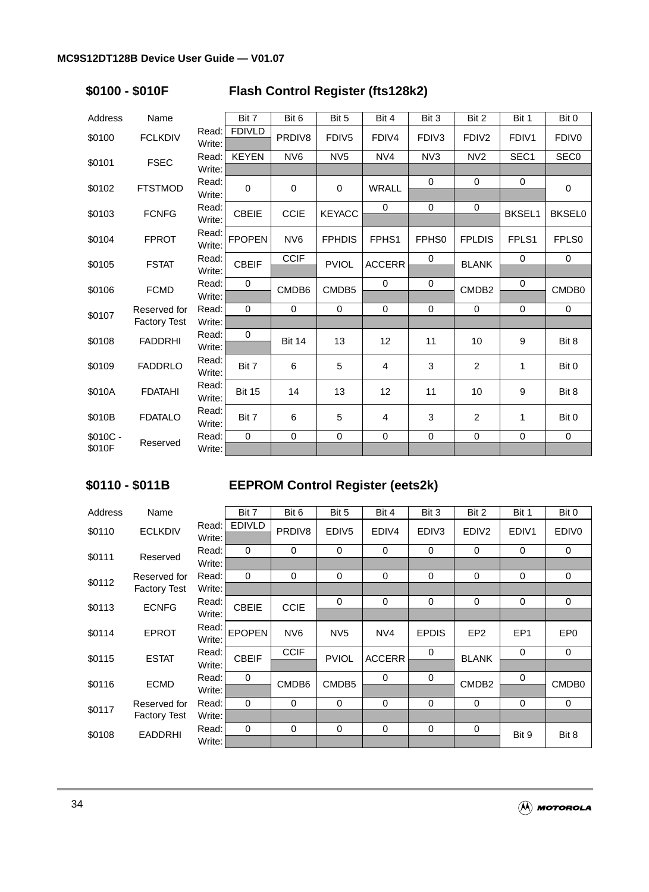# <span id="page-33-0"></span>**\$0100 - \$010F Flash Control Register (fts128k2)**

| Address  | Name                |                 | Bit 7         | Bit 6           | Bit 5             | Bit 4             | Bit 3             | Bit 2             | Bit 1            | Bit 0             |
|----------|---------------------|-----------------|---------------|-----------------|-------------------|-------------------|-------------------|-------------------|------------------|-------------------|
| \$0100   | <b>FCLKDIV</b>      | Read:<br>Write: | <b>FDIVLD</b> | PRDIV8          | FDIV <sub>5</sub> | FDIV4             | FDIV <sub>3</sub> | FDIV <sub>2</sub> | FDIV1            | FDIV <sub>0</sub> |
| \$0101   | <b>FSEC</b>         | Read:           | <b>KEYEN</b>  | NV <sub>6</sub> | NV <sub>5</sub>   | NV4               | NV3               | N <sub>V</sub> 2  | SEC1             | SEC <sub>0</sub>  |
|          |                     | Write:          |               |                 |                   |                   |                   |                   |                  |                   |
| \$0102   | <b>FTSTMOD</b>      | Read:<br>Write: | 0             | $\mathbf 0$     | $\mathbf 0$       | <b>WRALL</b>      | 0                 | $\pmb{0}$         | 0                | $\pmb{0}$         |
| \$0103   | <b>FCNFG</b>        | Read:<br>Write: | CBEIE         | <b>CCIE</b>     | <b>KEYACC</b>     | $\pmb{0}$         | $\mathbf 0$       | $\mathbf 0$       | <b>BKSEL1</b>    | <b>BKSEL0</b>     |
| \$0104   | <b>FPROT</b>        | Read:<br>Write: | <b>FPOPEN</b> | NV <sub>6</sub> | <b>FPHDIS</b>     | FPHS <sub>1</sub> | FPH <sub>S0</sub> | <b>FPLDIS</b>     | FPLS1            | FPLS <sub>0</sub> |
| \$0105   | <b>FSTAT</b>        | Read:           | <b>CBEIF</b>  | <b>CCIF</b>     | <b>PVIOL</b>      | <b>ACCERR</b>     | 0                 | <b>BLANK</b>      | $\mathbf 0$      | $\mathbf 0$       |
|          |                     | Write:          |               |                 |                   |                   |                   |                   |                  |                   |
| \$0106   | <b>FCMD</b>         | Read:<br>Write: | $\mathbf 0$   | CMDB6           | CMDB <sub>5</sub> | $\pmb{0}$         | $\mathbf 0$       | CMDB <sub>2</sub> | $\pmb{0}$        | CMDB0             |
| \$0107   | Reserved for        | Read:           | 0             | $\mathbf 0$     | $\pmb{0}$         | $\pmb{0}$         | $\mathbf 0$       | $\mathbf 0$       | $\mathbf 0$      | $\mathbf 0$       |
|          | <b>Factory Test</b> | Write:          |               |                 |                   |                   |                   |                   |                  |                   |
| \$0108   | <b>FADDRHI</b>      | Read:<br>Write: | $\mathbf 0$   | <b>Bit 14</b>   | 13                | 12                | 11                | 10                | 9                | Bit 8             |
| \$0109   | <b>FADDRLO</b>      | Read:<br>Write: | Bit 7         | 6               | 5                 | $\overline{4}$    | 3                 | $\overline{c}$    | 1                | Bit 0             |
| \$010A   | <b>FDATAHI</b>      | Read:<br>Write: | <b>Bit 15</b> | 14              | 13                | 12                | 11                | 10                | $\boldsymbol{9}$ | Bit 8             |
| \$010B   | <b>FDATALO</b>      | Read:<br>Write: | Bit 7         | 6               | 5                 | 4                 | 3                 | $\overline{2}$    | 1                | Bit 0             |
| \$010C - | Reserved            | Read:           | $\mathbf 0$   | $\mathbf 0$     | $\pmb{0}$         | $\pmb{0}$         | $\mathbf 0$       | $\boldsymbol{0}$  | $\mathbf 0$      | $\mathbf 0$       |
| \$010F   |                     | Write:          |               |                 |                   |                   |                   |                   |                  |                   |

# <span id="page-33-1"></span>**\$0110 - \$011B EEPROM Control Register (eets2k)**

| Address | Name                |                 | Bit 7         | Bit 6             | Bit 5             | Bit 4         | Bit 3             | Bit 2             | Bit 1           | Bit 0             |
|---------|---------------------|-----------------|---------------|-------------------|-------------------|---------------|-------------------|-------------------|-----------------|-------------------|
| \$0110  | <b>ECLKDIV</b>      | Read:<br>Write: | <b>EDIVLD</b> | PRDIV8            | EDIV <sub>5</sub> | EDIV4         | EDIV <sub>3</sub> | EDIV <sub>2</sub> | EDIV1           | EDIV <sub>0</sub> |
| \$0111  | Reserved            | Read:           | $\Omega$      | $\mathbf 0$       | $\mathbf 0$       | 0             | 0                 | $\mathbf 0$       | $\mathbf 0$     | 0                 |
|         |                     | Write:          |               |                   |                   |               |                   |                   |                 |                   |
| \$0112  | Reserved for        | Read:           | $\Omega$      | $\mathbf 0$       | $\mathbf 0$       | 0             | $\mathbf 0$       | 0                 | 0               | 0                 |
|         | <b>Factory Test</b> | Write:          |               |                   |                   |               |                   |                   |                 |                   |
| \$0113  | <b>ECNFG</b>        | Read:           | <b>CBEIE</b>  | <b>CCIE</b>       | $\mathbf 0$       | $\mathbf 0$   | $\mathbf 0$       | $\mathbf 0$       | 0               | $\mathbf 0$       |
|         |                     | Write:          |               |                   |                   |               |                   |                   |                 |                   |
| \$0114  | <b>EPROT</b>        | Read:<br>Write: | <b>EPOPEN</b> | NV <sub>6</sub>   | NV <sub>5</sub>   | NV4           | <b>EPDIS</b>      | EP <sub>2</sub>   | EP <sub>1</sub> | EP <sub>0</sub>   |
| \$0115  | <b>ESTAT</b>        | Read:           | <b>CBEIF</b>  | <b>CCIF</b>       | <b>PVIOL</b>      | <b>ACCERR</b> | 0                 | <b>BLANK</b>      | 0               | $\pmb{0}$         |
|         |                     | Write:          |               |                   |                   |               |                   |                   |                 |                   |
| \$0116  | <b>ECMD</b>         | Read:           | $\mathbf 0$   | CMDB <sub>6</sub> | CMDB <sub>5</sub> | 0             | $\mathbf 0$       | CMDB <sub>2</sub> | 0               | CMDB <sub>0</sub> |
|         |                     | Write:          |               |                   |                   |               |                   |                   |                 |                   |
| \$0117  | Reserved for        | Read:           | 0             | $\mathbf 0$       | $\mathbf 0$       | 0             | $\mathbf 0$       | $\mathbf 0$       | $\mathbf 0$     | $\mathbf 0$       |
|         | <b>Factory Test</b> | Write:          |               |                   |                   |               |                   |                   |                 |                   |
| \$0108  | <b>EADDRHI</b>      | Read:           | $\Omega$      | $\mathbf 0$       | $\mathbf 0$       | 0             | $\mathbf 0$       | 0                 | Bit 9           | Bit 8             |
|         |                     | Write:          |               |                   |                   |               |                   |                   |                 |                   |
|         |                     |                 |               |                   |                   |               |                   |                   |                 |                   |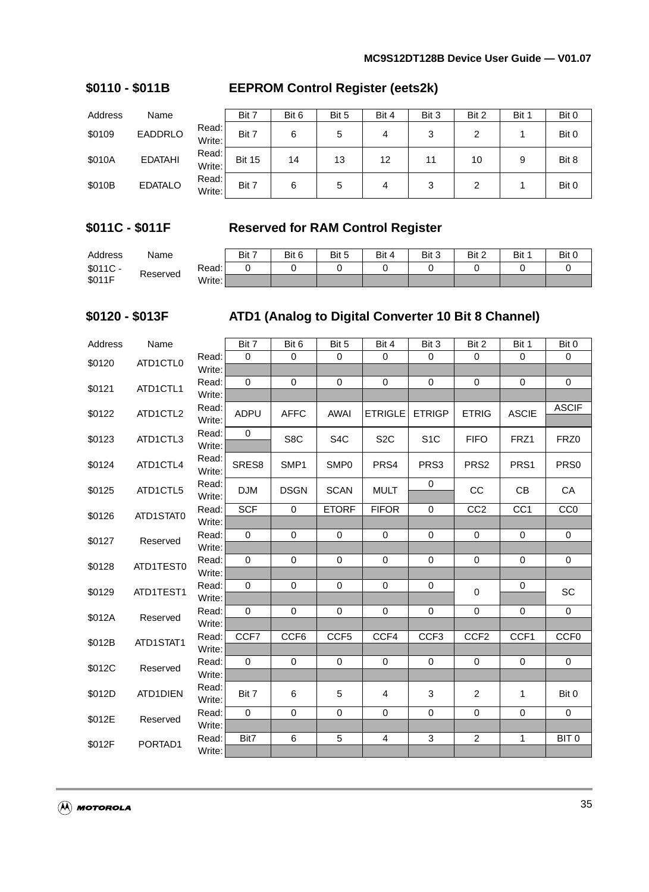# **\$0110 - \$011B EEPROM Control Register (eets2k)**

| Address | Name           |                 | Bit 7         | Bit 6 | Bit 5 | Bit 4 | Bit 3 | Bit 2 | Bit 1 | Bit 0 |
|---------|----------------|-----------------|---------------|-------|-------|-------|-------|-------|-------|-------|
| \$0109  | <b>EADDRLO</b> | Read:<br>Write: | Bit 7         | 6     | 5     | 4     | 3     | 2     |       | Bit 0 |
| \$010A  | <b>EDATAHI</b> | Read:<br>Write: | <b>Bit 15</b> | 14    | 13    | 12    | 11    | 10    | 9     | Bit 8 |
| \$010B  | <b>EDATALO</b> | Read:<br>Write: | Bit 7         | 6     | 5     | 4     | 3     | 2     |       | Bit 0 |

# <span id="page-34-0"></span>**\$011C - \$011F Reserved for RAM Control Register**

| Address   | Name     |        | Bit 7 | Bit 6 | Bit 5 | Bit 4 | Bit 3 | Bit 2 | Bit 1 | Bit 0 |
|-----------|----------|--------|-------|-------|-------|-------|-------|-------|-------|-------|
| $$011C -$ | Reserved | Read:  |       |       |       |       |       |       |       |       |
| \$011F    |          | Write: |       |       |       |       |       |       |       |       |

# <span id="page-34-1"></span>**\$0120 - \$013F ATD1 (Analog to Digital Converter 10 Bit 8 Channel)**

| Address | Name               |                 | Bit 7       | Bit 6            | Bit 5            | Bit 4            | Bit 3            | Bit 2            | Bit 1           | Bit 0            |
|---------|--------------------|-----------------|-------------|------------------|------------------|------------------|------------------|------------------|-----------------|------------------|
|         | \$0120<br>ATD1CTL0 | Read:           | 0           | $\mathbf 0$      | $\mathbf 0$      | $\mathbf 0$      | $\mathbf 0$      | $\mathbf 0$      | $\mathbf 0$     | $\mathbf 0$      |
|         |                    | Write:          |             |                  |                  |                  |                  |                  |                 |                  |
| \$0121  | ATD1CTL1           | Read:           | 0           | 0                | $\mathbf 0$      | $\,0\,$          | $\mathbf 0$      | 0                | 0               | $\mathbf 0$      |
|         |                    | Write:          |             |                  |                  |                  |                  |                  |                 |                  |
| \$0122  | ATD1CTL2           | Read:<br>Write: | <b>ADPU</b> | <b>AFFC</b>      | AWAI             | <b>ETRIGLE</b>   | <b>ETRIGP</b>    | <b>ETRIG</b>     | <b>ASCIE</b>    | <b>ASCIF</b>     |
| \$0123  | ATD1CTL3           | Read:<br>Write: | 0           | S8C              | S <sub>4</sub> C | S <sub>2</sub> C | S <sub>1</sub> C | <b>FIFO</b>      | FRZ1            | FRZ0             |
| \$0124  | ATD1CTL4           | Read:<br>Write: | SRES8       | SMP1             | SMP <sub>0</sub> | PRS4             | PRS3             | PRS <sub>2</sub> | PRS1            | PRS <sub>0</sub> |
| \$0125  | ATD1CTL5           | Read:<br>Write: | <b>DJM</b>  | <b>DSGN</b>      | <b>SCAN</b>      | <b>MULT</b>      | 0                | CC               | CВ              | CA               |
| \$0126  | ATD1STAT0          | Read:           | <b>SCF</b>  | $\Omega$         | <b>ETORF</b>     | <b>FIFOR</b>     | $\mathbf 0$      | CC <sub>2</sub>  | CC <sub>1</sub> | CC <sub>0</sub>  |
|         |                    | Write:          |             |                  |                  |                  |                  |                  |                 |                  |
| \$0127  | Reserved           | Read:           | 0           | 0                | $\mathbf 0$      | $\pmb{0}$        | $\mathbf 0$      | 0                | 0               | $\mathbf 0$      |
|         |                    | Write:          |             |                  |                  |                  |                  |                  |                 |                  |
| \$0128  | ATD1TEST0          | Read:           | 0           | $\mathbf 0$      | 0                | 0                | $\mathbf 0$      | $\mathbf 0$      | 0               | 0                |
|         |                    | Write:          |             |                  |                  |                  |                  |                  |                 |                  |
| \$0129  | ATD1TEST1          | Read:           | 0           | 0                | 0                | 0                | 0                | $\mathbf 0$      | 0               | SC               |
|         |                    | Write:          |             |                  |                  |                  |                  |                  |                 |                  |
| \$012A  | Reserved           | Read:           | 0           | $\mathbf 0$      | $\pmb{0}$        | $\pmb{0}$        | $\mathbf 0$      | $\mathbf 0$      | $\mathbf 0$     | $\mathbf 0$      |
|         |                    | Write:          |             |                  |                  |                  |                  |                  |                 |                  |
| \$012B  | ATD1STAT1          | Read:           | CCF7        | CCF <sub>6</sub> | CCF <sub>5</sub> | CCF4             | CCF <sub>3</sub> | CCF <sub>2</sub> | CCF1            | CCF <sub>0</sub> |
|         |                    | Write:          | $\mathbf 0$ | $\mathbf 0$      | $\mathbf 0$      | $\mathbf 0$      | $\mathbf 0$      | $\mathbf 0$      | $\mathbf 0$     | $\mathbf 0$      |
| \$012C  | Reserved           | Read:<br>Write: |             |                  |                  |                  |                  |                  |                 |                  |
|         |                    | Read:           |             |                  |                  |                  |                  |                  |                 |                  |
| \$012D  | ATD1DIEN           | Write:          | Bit 7       | 6                | 5                | 4                | 3                | $\overline{c}$   | 1               | Bit 0            |
| \$012E  | Reserved           | Read:           | $\mathbf 0$ | $\mathbf 0$      | $\mathbf 0$      | $\pmb{0}$        | $\mathbf 0$      | $\pmb{0}$        | $\mathbf 0$     | $\mathbf 0$      |
|         |                    | Write:          |             |                  |                  |                  |                  |                  |                 |                  |
| \$012F  | PORTAD1            | Read:           | Bit7        | 6                | 5                | 4                | 3                | $\overline{c}$   | 1               | BIT <sub>0</sub> |
|         |                    | Write:          |             |                  |                  |                  |                  |                  |                 |                  |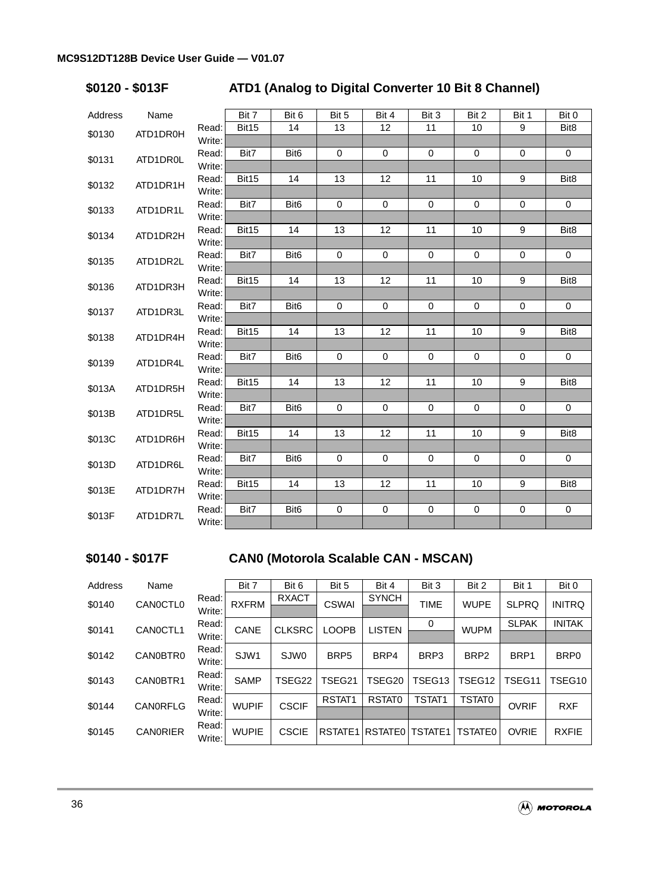# **\$0120 - \$013F ATD1 (Analog to Digital Converter 10 Bit 8 Channel)**

| Address | Name     |        | Bit 7 | Bit 6            | Bit 5       | Bit 4     | Bit 3       | Bit 2       | Bit 1            | Bit 0            |
|---------|----------|--------|-------|------------------|-------------|-----------|-------------|-------------|------------------|------------------|
| \$0130  | ATD1DR0H | Read:  | Bit15 | 14               | 13          | 12        | 11          | 10          | 9                | Bit8             |
|         |          | Write: |       |                  |             |           |             |             |                  |                  |
| \$0131  | ATD1DR0L | Read:  | Bit7  | Bit <sub>6</sub> | $\mathbf 0$ | 0         | $\mathbf 0$ | 0           | 0                | $\mathbf 0$      |
|         |          | Write: |       |                  |             |           |             |             |                  |                  |
| \$0132  | ATD1DR1H | Read:  | Bit15 | 14               | 13          | 12        | 11          | 10          | $\boldsymbol{9}$ | Bit8             |
|         |          | Write: |       |                  |             |           |             |             |                  |                  |
| \$0133  | ATD1DR1L | Read:  | Bit7  | Bit <sub>6</sub> | $\mathbf 0$ | $\pmb{0}$ | $\mathbf 0$ | $\pmb{0}$   | $\mathbf 0$      | $\mathbf 0$      |
|         |          | Write: |       |                  |             |           |             |             |                  |                  |
| \$0134  | ATD1DR2H | Read:  | Bit15 | 14               | 13          | 12        | 11          | 10          | 9                | Bit <sub>8</sub> |
|         |          | Write: |       |                  |             |           |             |             |                  |                  |
| \$0135  | ATD1DR2L | Read:  | Bit7  | Bit <sub>6</sub> | 0           | 0         | 0           | 0           | 0                | 0                |
|         |          | Write: |       |                  |             |           |             |             |                  |                  |
| \$0136  | ATD1DR3H | Read:  | Bit15 | 14               | 13          | 12        | 11          | 10          | 9                | Bit <sub>8</sub> |
|         |          | Write: |       |                  |             |           |             |             |                  |                  |
| \$0137  | ATD1DR3L | Read:  | Bit7  | Bit <sub>6</sub> | $\mathbf 0$ | 0         | $\mathbf 0$ | $\mathbf 0$ | $\mathbf 0$      | $\mathbf 0$      |
|         |          | Write: |       |                  |             |           |             |             |                  |                  |
| \$0138  | ATD1DR4H | Read:  | Bit15 | 14               | 13          | 12        | 11          | 10          | 9                | Bit <sub>8</sub> |
|         |          | Write: |       |                  |             |           |             |             |                  |                  |
| \$0139  | ATD1DR4L | Read:  | Bit7  | Bit <sub>6</sub> | $\mathbf 0$ | 0         | $\mathbf 0$ | $\mathbf 0$ | $\mathbf 0$      | $\mathbf 0$      |
|         |          | Write: |       |                  |             |           |             |             |                  |                  |
| \$013A  | ATD1DR5H | Read:  | Bit15 | 14               | 13          | 12        | 11          | 10          | 9                | Bit <sub>8</sub> |
|         |          | Write: |       |                  |             |           |             |             |                  |                  |
| \$013B  | ATD1DR5L | Read:  | Bit7  | Bit <sub>6</sub> | $\mathbf 0$ | 0         | $\mathbf 0$ | $\mathbf 0$ | $\mathbf 0$      | $\mathbf 0$      |
|         |          | Write: |       |                  |             |           |             |             |                  |                  |
| \$013C  | ATD1DR6H | Read:  | Bit15 | 14               | 13          | 12        | 11          | 10          | 9                | Bit <sub>8</sub> |
|         |          | Write: |       |                  |             |           |             |             |                  | $\mathbf 0$      |
| \$013D  | ATD1DR6L | Read:  | Bit7  | Bit <sub>6</sub> | 0           | 0         | 0           | 0           | 0                |                  |
|         |          | Write: |       |                  |             |           |             |             |                  |                  |
| \$013E  | ATD1DR7H | Read:  | Bit15 | 14               | 13          | 12        | 11          | 10          | 9                | Bit8             |
|         | ATD1DR7L | Write: |       | Bit <sub>6</sub> | 0           | 0         | $\mathbf 0$ | 0           | $\mathbf 0$      | $\mathbf 0$      |
| \$013F  |          | Read:  | Bit7  |                  |             |           |             |             |                  |                  |
|         |          | Write: |       |                  |             |           |             |             |                  |                  |

# <span id="page-35-0"></span>**\$0140 - \$017F CAN0 (Motorola Scalable CAN - MSCAN)**

| Address | Name            |                 | Bit 7            | Bit 6            | Bit 5              | Bit 4         | Bit 3              | Bit 2              | Bit 1        | Bit 0            |
|---------|-----------------|-----------------|------------------|------------------|--------------------|---------------|--------------------|--------------------|--------------|------------------|
| \$0140  | <b>CANOCTLO</b> | Read:<br>Write: | <b>RXFRM</b>     | <b>RXACT</b>     | <b>CSWAI</b>       | <b>SYNCH</b>  | <b>TIME</b>        | <b>WUPE</b>        | <b>SLPRQ</b> | <b>INITRQ</b>    |
| \$0141  | CAN0CTL1        | Read:<br>Write: | <b>CANE</b>      | <b>CLKSRC</b>    | <b>LOOPB</b>       | <b>LISTEN</b> | 0                  | <b>WUPM</b>        | <b>SLPAK</b> | <b>INITAK</b>    |
| \$0142  | CAN0BTR0        | Read:<br>Write: | SJW <sub>1</sub> | SJW <sub>0</sub> | BRP <sub>5</sub>   | BRP4          | BRP3               | BRP <sub>2</sub>   | BRP1         | BRP <sub>0</sub> |
| \$0143  | CAN0BTR1        | Read:<br>Write: | <b>SAMP</b>      | TSEG22           | TSEG21             | TSEG20        | TSEG <sub>13</sub> | TSEG <sub>12</sub> | TSEG11       | TSEG10           |
| \$0144  | CANORFLG        | Read:<br>Write: | <b>WUPIF</b>     | <b>CSCIF</b>     | RSTAT <sub>1</sub> | RSTAT0        | TSTAT1             | <b>TSTAT0</b>      | <b>OVRIF</b> | <b>RXF</b>       |
| \$0145  | <b>CANORIER</b> | Read:<br>Write: | <b>WUPIE</b>     | <b>CSCIE</b>     | RSTATE1            | RSTATE0       | <b>TSTATE1</b>     | <b>TSTATE0</b>     | <b>OVRIE</b> | <b>RXFIE</b>     |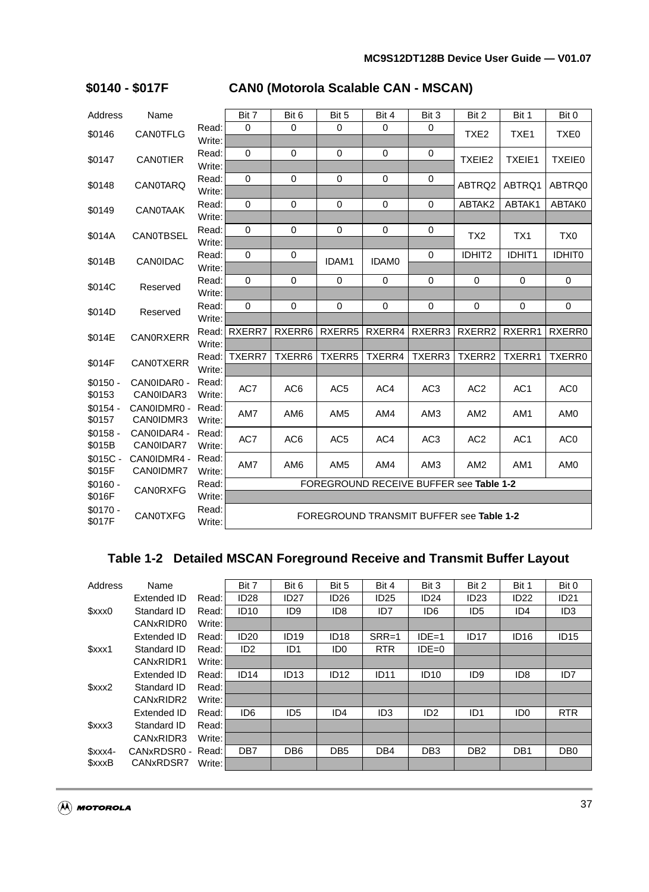## **\$0140 - \$017F CAN0 (Motorola Scalable CAN - MSCAN)**

| Address             | Name             |                 | Bit 7         | Bit 6           | Bit 5           | Bit 4    | Bit 3                                    | Bit 2              | Bit 1            | Bit 0           |
|---------------------|------------------|-----------------|---------------|-----------------|-----------------|----------|------------------------------------------|--------------------|------------------|-----------------|
| \$0146              | <b>CANOTFLG</b>  | Read:           | $\Omega$      | $\Omega$        | $\Omega$        | 0        | 0                                        | TXE <sub>2</sub>   | TXE <sub>1</sub> | TXE0            |
|                     |                  | Write:          |               |                 |                 |          |                                          |                    |                  |                 |
| \$0147              | <b>CANOTIER</b>  | Read:           | $\Omega$      | 0               | 0               | 0        | 0                                        | TXEIE <sub>2</sub> | <b>TXEIE1</b>    | <b>TXEIE0</b>   |
|                     |                  | Write:          |               |                 |                 |          |                                          |                    |                  |                 |
| \$0148              | <b>CANOTARQ</b>  | Read:<br>Write: | $\mathbf 0$   | $\mathbf 0$     | 0               | 0        | $\mathbf 0$                              | ABTRQ2             | ABTRQ1           | ABTRQ0          |
|                     |                  | Read:           | $\mathbf 0$   | 0               | 0               | 0        | 0                                        | ABTAK2             | ABTAK1           | ABTAK0          |
| \$0149              | <b>CANOTAAK</b>  | Write:          |               |                 |                 |          |                                          |                    |                  |                 |
|                     |                  | Read:           | $\mathbf 0$   | 0               | $\mathbf 0$     | 0        | 0                                        |                    |                  |                 |
| \$014A              | <b>CANOTBSEL</b> | Write:          |               |                 |                 |          |                                          | TX <sub>2</sub>    | TX1              | TX <sub>0</sub> |
|                     | CANOIDAC         | Read:           | $\mathbf 0$   | 0               | IDAM1           | IDAM0    | 0                                        | IDHIT <sub>2</sub> | IDHIT1           | <b>IDHIT0</b>   |
| \$014B              |                  | Write:          |               |                 |                 |          |                                          |                    |                  |                 |
| \$014C              | Reserved         | Read:           | $\mathbf 0$   | $\Omega$        | $\Omega$        | $\Omega$ | $\mathbf 0$                              | $\mathbf 0$        | $\Omega$         | $\mathbf 0$     |
|                     |                  | Write:          |               |                 |                 |          |                                          |                    |                  |                 |
| \$014D              | Reserved         | Read:           | $\mathbf 0$   | 0               | $\mathbf 0$     | 0        | $\mathbf 0$                              | 0                  | 0                | $\mathbf 0$     |
|                     |                  | Write:          |               |                 |                 |          |                                          |                    |                  |                 |
| \$014E              | <b>CANORXERR</b> | Read:           | RXERR7        | RXERR6          | RXERR5          | RXERR4   | RXERR3                                   | RXERR2             | RXERR1           | RXERR0          |
|                     |                  | Write:<br>Read: | <b>TXERR7</b> | TXERR6          | TXERR5          | TXERR4   | TXERR3                                   | TXERR2             | TXERR1           | TXERR0          |
| \$014F              | <b>CANOTXERR</b> | Write:          |               |                 |                 |          |                                          |                    |                  |                 |
| $$0150 -$           | CANOIDARO -      | Read:           |               |                 |                 |          |                                          |                    |                  |                 |
| \$0153              | CANOIDAR3        | Write:          | AC7           | AC <sub>6</sub> | AC <sub>5</sub> | AC4      | AC <sub>3</sub>                          | AC <sub>2</sub>    | AC <sub>1</sub>  | AC <sub>0</sub> |
| $$0154 -$           | CANOIDMR0 -      | Read:           |               |                 |                 |          |                                          |                    |                  |                 |
| \$0157              | CANOIDMR3        | Write:          | AM7           | AM <sub>6</sub> | AM <sub>5</sub> | AM4      | AM <sub>3</sub>                          | AM <sub>2</sub>    | AM <sub>1</sub>  | AM <sub>0</sub> |
| $$0158 -$           | CANOIDAR4 -      | Read:           | AC7           | AC <sub>6</sub> | AC <sub>5</sub> | AC4      | AC <sub>3</sub>                          | AC <sub>2</sub>    | AC <sub>1</sub>  | AC <sub>0</sub> |
| \$015B              | CAN0IDAR7        | Write:          |               |                 |                 |          |                                          |                    |                  |                 |
| $$015C -$           | CANOIDMR4 -      | Read:           | AM7           | AM6             | AM <sub>5</sub> | AM4      | AM <sub>3</sub>                          | AM <sub>2</sub>    | AM1              | AM <sub>0</sub> |
| \$015F              | CAN0IDMR7        | Write:          |               |                 |                 |          |                                          |                    |                  |                 |
| $$0160 -$<br>\$016F | <b>CAN0RXFG</b>  | Read:<br>Write: |               |                 |                 |          | FOREGROUND RECEIVE BUFFER see Table 1-2  |                    |                  |                 |
| $$0170 -$<br>\$017F | <b>CAN0TXFG</b>  | Read:<br>Write: |               |                 |                 |          | FOREGROUND TRANSMIT BUFFER see Table 1-2 |                    |                  |                 |

#### <span id="page-36-0"></span>**Table 1-2 Detailed MSCAN Foreground Receive and Transmit Buffer Layout**

| Address       | Name        |        | Bit 7            | Bit 6            | Bit 5            | Bit 4            | Bit 3            | Bit 2            | Bit 1            | Bit 0           |
|---------------|-------------|--------|------------------|------------------|------------------|------------------|------------------|------------------|------------------|-----------------|
|               | Extended ID | Read:  | ID <sub>28</sub> | ID <sub>27</sub> | ID <sub>26</sub> | ID <sub>25</sub> | ID <sub>24</sub> | ID23             | ID22             | <b>ID21</b>     |
| \$xxx0        | Standard ID | Read:  | ID <sub>10</sub> | ID9              | ID <sub>8</sub>  | ID7              | ID <sub>6</sub>  | ID <sub>5</sub>  | ID <sub>4</sub>  | ID <sub>3</sub> |
|               | CANxRIDR0   | Write: |                  |                  |                  |                  |                  |                  |                  |                 |
|               | Extended ID | Read:  | ID <sub>20</sub> | ID <sub>19</sub> | ID <sub>18</sub> | $SRR=1$          | $IDE=1$          | ID <sub>17</sub> | ID <sub>16</sub> | ID15            |
| \$xxx1        | Standard ID | Read:  | ID <sub>2</sub>  | ID <sub>1</sub>  | ID <sub>0</sub>  | <b>RTR</b>       | $IDE=0$          |                  |                  |                 |
|               | CANxRIDR1   | Write: |                  |                  |                  |                  |                  |                  |                  |                 |
|               | Extended ID | Read:  | ID14             | ID13             | ID12             | <b>ID11</b>      | <b>ID10</b>      | ID <sub>9</sub>  | ID <sub>8</sub>  | ID7             |
| \$xxx2        | Standard ID | Read:  |                  |                  |                  |                  |                  |                  |                  |                 |
|               | CANxRIDR2   | Write: |                  |                  |                  |                  |                  |                  |                  |                 |
|               | Extended ID | Read:  | ID <sub>6</sub>  | ID <sub>5</sub>  | ID <sub>4</sub>  | ID <sub>3</sub>  | ID <sub>2</sub>  | ID <sub>1</sub>  | ID <sub>0</sub>  | <b>RTR</b>      |
| \$xxx3        | Standard ID | Read:  |                  |                  |                  |                  |                  |                  |                  |                 |
|               | CANxRIDR3   | Write: |                  |                  |                  |                  |                  |                  |                  |                 |
| $$xxx4-$      | CANxRDSR0 - | Read:  | DB <sub>7</sub>  | DB <sub>6</sub>  | DB <sub>5</sub>  | DB4              | DB <sub>3</sub>  | D <sub>B2</sub>  | DB <sub>1</sub>  | DB <sub>0</sub> |
| <b>\$xxxB</b> | CANxRDSR7   | Write: |                  |                  |                  |                  |                  |                  |                  |                 |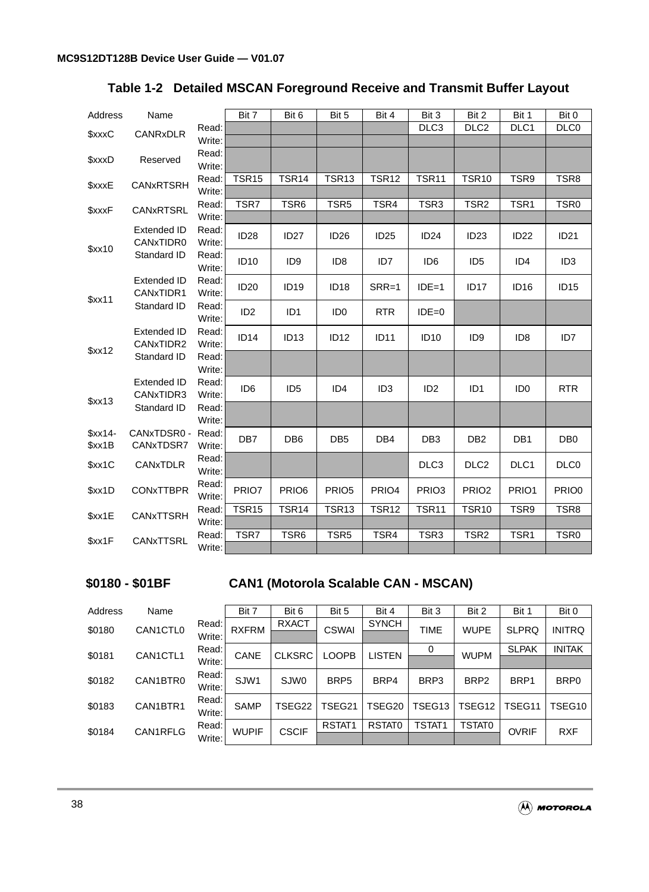| Address            | Name                     |                 | Bit 7             | Bit 6             | Bit 5             | Bit 4             | Bit 3             | Bit 2             | Bit 1            | Bit 0            |
|--------------------|--------------------------|-----------------|-------------------|-------------------|-------------------|-------------------|-------------------|-------------------|------------------|------------------|
| \$xxxC             | CANRxDLR                 | Read:           |                   |                   |                   |                   | DLC <sub>3</sub>  | DLC <sub>2</sub>  | DLC1             | DLC0             |
|                    |                          | Write:<br>Read: |                   |                   |                   |                   |                   |                   |                  |                  |
| \$xxxD             | Reserved                 | Write:          |                   |                   |                   |                   |                   |                   |                  |                  |
| \$xxxE             | <b>CANxRTSRH</b>         | Read:           | TSR <sub>15</sub> | <b>TSR14</b>      | TSR <sub>13</sub> | TSR <sub>12</sub> | <b>TSR11</b>      | TSR <sub>10</sub> | TSR9             | TSR8             |
|                    |                          | Write:          |                   |                   |                   |                   |                   |                   |                  |                  |
| \$xxxF             | CANxRTSRL                | Read:<br>Write: | TSR7              | TSR6              | TSR <sub>5</sub>  | TSR4              | TSR <sub>3</sub>  | TSR <sub>2</sub>  | TSR <sub>1</sub> | TSR <sub>0</sub> |
|                    | <b>Extended ID</b>       | Read:           |                   |                   |                   |                   |                   |                   |                  |                  |
| \$xx10             | CANxTIDR0                | Write:          | ID <sub>28</sub>  | ID <sub>27</sub>  | ID <sub>26</sub>  | ID <sub>25</sub>  | ID24              | ID <sub>23</sub>  | ID <sub>22</sub> | <b>ID21</b>      |
|                    | Standard ID              | Read:<br>Write: | <b>ID10</b>       | ID <sub>9</sub>   | ID <sub>8</sub>   | ID7               | ID <sub>6</sub>   | ID <sub>5</sub>   | ID4              | ID <sub>3</sub>  |
|                    | Extended ID<br>CANxTIDR1 | Read:<br>Write: | ID <sub>20</sub>  | ID <sub>19</sub>  | ID <sub>18</sub>  | $SRR=1$           | $IDE=1$           | ID <sub>17</sub>  | ID <sub>16</sub> | ID <sub>15</sub> |
| \$xx11             | Standard ID              | Read:<br>Write: | ID <sub>2</sub>   | ID <sub>1</sub>   | ID <sub>0</sub>   | <b>RTR</b>        | $IDE=0$           |                   |                  |                  |
|                    | Extended ID<br>CANxTIDR2 | Read:<br>Write: | ID14              | ID13              | ID <sub>12</sub>  | ID <sub>11</sub>  | ID <sub>10</sub>  | ID <sub>9</sub>   | ID <sub>8</sub>  | ID7              |
| \$xx12             | Standard ID              | Read:<br>Write: |                   |                   |                   |                   |                   |                   |                  |                  |
|                    | Extended ID<br>CANxTIDR3 | Read:<br>Write: | ID <sub>6</sub>   | ID <sub>5</sub>   | ID <sub>4</sub>   | ID <sub>3</sub>   | ID <sub>2</sub>   | ID <sub>1</sub>   | ID <sub>0</sub>  | <b>RTR</b>       |
| \$xx13             | Standard ID              | Read:<br>Write: |                   |                   |                   |                   |                   |                   |                  |                  |
| $$xx14-$<br>\$xx1B | CANxTDSR0 -<br>CANxTDSR7 | Read:<br>Write: | DB7               | DB <sub>6</sub>   | DB <sub>5</sub>   | DB4               | DB <sub>3</sub>   | DB <sub>2</sub>   | DB <sub>1</sub>  | DB <sub>0</sub>  |
| \$xx1C             | <b>CANxTDLR</b>          | Read:<br>Write: |                   |                   |                   |                   | DLC <sub>3</sub>  | DLC <sub>2</sub>  | DLC1             | DLC <sub>0</sub> |
| \$xx1D             | <b>CONxTTBPR</b>         | Read:<br>Write: | PRIO7             | PRIO <sub>6</sub> | PRIO <sub>5</sub> | PRIO <sub>4</sub> | PRIO <sub>3</sub> | PRIO <sub>2</sub> | PRIO1            | PRIO0            |
| \$xx1E             | <b>CANxTTSRH</b>         | Read:           | <b>TSR15</b>      | <b>TSR14</b>      | <b>TSR13</b>      | <b>TSR12</b>      | <b>TSR11</b>      | <b>TSR10</b>      | TSR9             | TSR8             |
|                    |                          | Write:          |                   |                   |                   |                   |                   |                   |                  |                  |
| \$xx1F             | <b>CANxTTSRL</b>         | Read:<br>Write: | TSR7              | TSR6              | TSR <sub>5</sub>  | TSR4              | TSR3              | TSR <sub>2</sub>  | TSR1             | TSR <sub>0</sub> |
|                    |                          |                 |                   |                   |                   |                   |                   |                   |                  |                  |

#### **Table 1-2 Detailed MSCAN Foreground Receive and Transmit Buffer Layout**

#### **\$0180 - \$01BF CAN1 (Motorola Scalable CAN - MSCAN)**

| Address | Name     |                 | Bit 7        | Bit 6            | Bit 5              | Bit 4              | Bit 3              | Bit 2            | Bit 1        | Bit 0            |
|---------|----------|-----------------|--------------|------------------|--------------------|--------------------|--------------------|------------------|--------------|------------------|
| \$0180  | CAN1CTL0 | Read:<br>Write: | <b>RXFRM</b> | <b>RXACT</b>     | <b>CSWAI</b>       | <b>SYNCH</b>       | TIME               | WUPE             | <b>SLPRQ</b> | <b>INITRQ</b>    |
| \$0181  | CAN1CTL1 | Read:           | <b>CANE</b>  | <b>CLKSRC</b>    | LOOPB              | <b>LISTEN</b>      |                    | <b>WUPM</b>      | <b>SLPAK</b> | <b>INITAK</b>    |
|         |          | Write:          |              |                  |                    |                    |                    |                  |              |                  |
| \$0182  | CAN1BTR0 | Read:<br>Write: | SJW1         | SJW <sub>0</sub> | BRP <sub>5</sub>   | BRP4               | BRP3               | BRP <sub>2</sub> | BRP1         | BRP <sub>0</sub> |
| \$0183  | CAN1BTR1 | Read:<br>Write: | <b>SAMP</b>  | TSEG22           | TSEG21             | TSEG20             | TSEG13             | TSEG12           | TSEG11       | TSEG10           |
| \$0184  | CAN1RFLG | Read:           | <b>WUPIF</b> | <b>CSCIF</b>     | RSTAT <sub>1</sub> | RSTAT <sub>0</sub> | TSTAT <sub>1</sub> | <b>TSTAT0</b>    | <b>OVRIF</b> | <b>RXF</b>       |
|         |          | Write:          |              |                  |                    |                    |                    |                  |              |                  |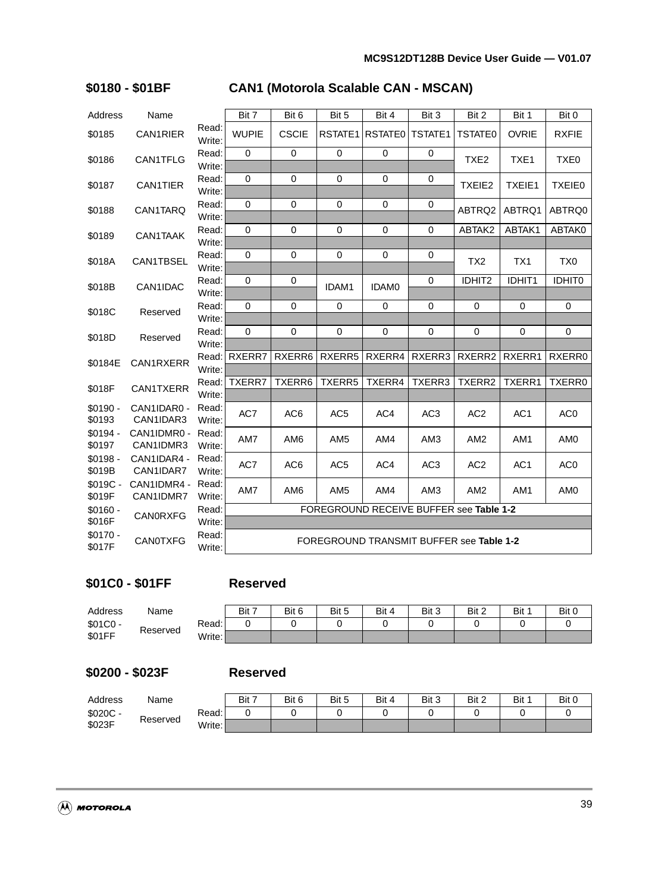## **\$0180 - \$01BF CAN1 (Motorola Scalable CAN - MSCAN)**

| Address   | Name            |                 | Bit 7         | Bit 6           | Bit 5           | Bit 4                                    | Bit 3           | Bit 2              | Bit 1            | Bit 0            |
|-----------|-----------------|-----------------|---------------|-----------------|-----------------|------------------------------------------|-----------------|--------------------|------------------|------------------|
| \$0185    | CAN1RIER        | Read:<br>Write: | <b>WUPIE</b>  | <b>CSCIE</b>    | RSTATE1 RSTATE0 |                                          | <b>TSTATE1</b>  | <b>TSTATE0</b>     | <b>OVRIE</b>     | <b>RXFIE</b>     |
| \$0186    | CAN1TFLG        | Read:           | $\Omega$      | $\mathbf 0$     | $\Omega$        | $\mathbf 0$                              | $\mathbf 0$     | TXE <sub>2</sub>   | TXE <sub>1</sub> | TXE <sub>0</sub> |
|           |                 | Write:          |               |                 |                 |                                          |                 |                    |                  |                  |
| \$0187    | <b>CAN1TIER</b> | Read:<br>Write: | $\Omega$      | 0               | $\mathbf 0$     | $\mathbf 0$                              | $\mathbf 0$     | TXEIE2             | <b>TXEIE1</b>    | <b>TXEIE0</b>    |
|           |                 | Read:           | $\Omega$      | $\mathbf 0$     | $\Omega$        | 0                                        | 0               |                    |                  |                  |
| \$0188    | CAN1TARQ        | Write:          |               |                 |                 |                                          |                 | ABTRQ2             | ABTRQ1           | ABTRQ0           |
| \$0189    | CAN1TAAK        | Read:           | $\Omega$      | 0               | 0               | 0                                        | $\Omega$        | ABTAK2             | ABTAK1           | ABTAK0           |
|           |                 | Write:          |               |                 |                 |                                          |                 |                    |                  |                  |
| \$018A    | CAN1TBSEL       | Read:           | $\Omega$      | $\Omega$        | $\Omega$        | 0                                        | $\Omega$        | TX <sub>2</sub>    | TX <sub>1</sub>  | TX0              |
|           |                 | Write:          |               |                 |                 |                                          |                 |                    |                  |                  |
| \$018B    | CAN1IDAC        | Read:           | 0             | 0               | IDAM1           | <b>IDAM0</b>                             | 0               | IDHIT <sub>2</sub> | <b>IDHIT1</b>    | <b>IDHITO</b>    |
|           |                 | Write:          |               |                 |                 |                                          |                 |                    |                  |                  |
| \$018C    | Reserved        | Read:           | 0             | $\mathbf 0$     | $\mathbf 0$     | $\mathbf 0$                              | $\mathbf 0$     | $\mathbf 0$        | 0                | $\mathbf 0$      |
|           |                 | Write:          |               |                 |                 |                                          |                 |                    |                  |                  |
| \$018D    | Reserved        | Read:           | 0             | 0               | 0               | 0                                        | 0               | 0                  | 0                | 0                |
|           |                 | Write:          |               |                 |                 |                                          |                 |                    |                  |                  |
| \$0184E   | CAN1RXERR       | Read:           | RXERR7        | RXERR6          | RXERR5          | RXERR4                                   | RXERR3          | RXERR2             | RXERR1           | RXERR0           |
|           |                 | Write:          |               |                 |                 |                                          |                 |                    |                  |                  |
| \$018F    | CAN1TXERR       | Read:           | <b>TXERR7</b> | TXERR6          | TXERR5          | TXERR4                                   | TXERR3          | TXERR2             | TXERR1           | TXERR0           |
|           |                 | Write:          |               |                 |                 |                                          |                 |                    |                  |                  |
| $$0190 -$ | CAN1IDAR0 -     | Read:           | AC7           | AC <sub>6</sub> | AC <sub>5</sub> | AC4                                      | AC <sub>3</sub> | AC <sub>2</sub>    | AC <sub>1</sub>  | AC <sub>0</sub>  |
| \$0193    | CAN1IDAR3       | Write:          |               |                 |                 |                                          |                 |                    |                  |                  |
| $$0194 -$ | CAN1IDMR0 -     | Read:           | AM7           | AM6             | AM <sub>5</sub> | AM4                                      | AM <sub>3</sub> | AM <sub>2</sub>    | AM1              | AM0              |
| \$0197    | CAN1IDMR3       | Write:          |               |                 |                 |                                          |                 |                    |                  |                  |
| $$0198 -$ | CAN1IDAR4 -     | Read:           | AC7           | AC <sub>6</sub> | AC <sub>5</sub> | AC4                                      | AC <sub>3</sub> | AC <sub>2</sub>    | AC <sub>1</sub>  | AC <sub>0</sub>  |
| \$019B    | CAN1IDAR7       | Write:          |               |                 |                 |                                          |                 |                    |                  |                  |
| \$019C -  | CAN1IDMR4 -     | Read:           | AM7           | AM6             | AM <sub>5</sub> | AM4                                      | AM <sub>3</sub> | AM <sub>2</sub>    | AM1              | AM <sub>0</sub>  |
| \$019F    | CAN1IDMR7       | Write:          |               |                 |                 |                                          |                 |                    |                  |                  |
| $$0160 -$ | <b>CAN0RXFG</b> | Read:           |               |                 |                 | FOREGROUND RECEIVE BUFFER see Table 1-2  |                 |                    |                  |                  |
| \$016F    |                 | Write:          |               |                 |                 |                                          |                 |                    |                  |                  |
| $$0170 -$ | <b>CAN0TXFG</b> | Read:           |               |                 |                 | FOREGROUND TRANSMIT BUFFER see Table 1-2 |                 |                    |                  |                  |
| \$017F    |                 | Write:          |               |                 |                 |                                          |                 |                    |                  |                  |

#### **\$01C0 - \$01FF Reserved**

| Address  | Name     |        | Bit 7 | Bit 6 | Bit 5 | Bit 4 | Bit 3 | Bit 2 | Bit 1 | Bit 0 |
|----------|----------|--------|-------|-------|-------|-------|-------|-------|-------|-------|
| \$01C0 - |          | Read:  |       |       |       |       |       |       |       |       |
| \$01FF   | Reserved | Write: |       |       |       |       |       |       |       |       |

#### **\$0200 - \$023F Reserved**

| Address   | Name     |        | Bit 7 | Bit 6 | Bit 5 | Bit 4 | Bit 3 | Bit 2 | Bit 1 | Bit 0 |
|-----------|----------|--------|-------|-------|-------|-------|-------|-------|-------|-------|
| $$020C -$ | Reserved | Read:। |       |       |       |       |       |       |       |       |
| \$023F    |          | Write: |       |       |       |       |       |       |       |       |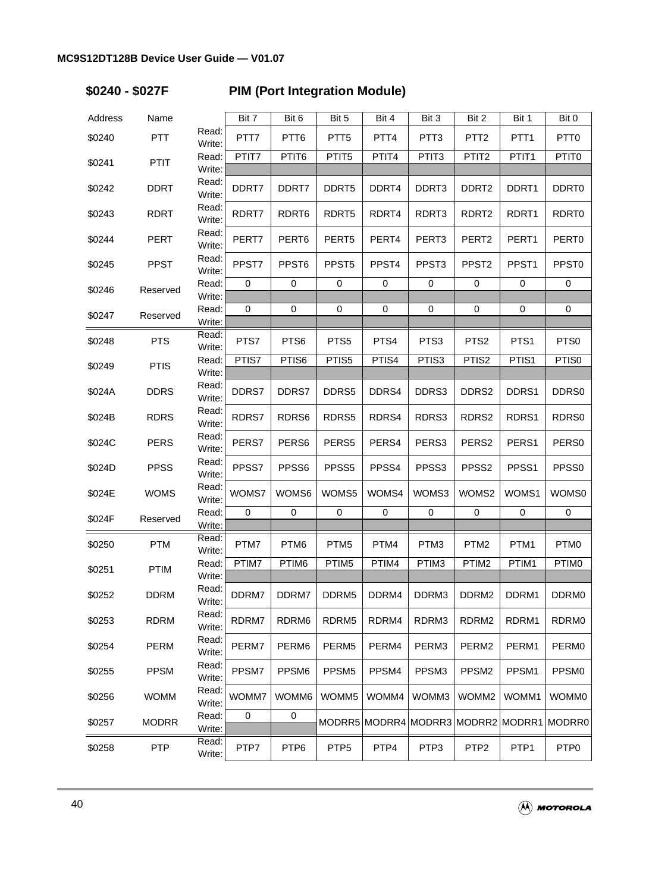#### **\$0240 - \$027F PIM (Port Integration Module)**

| Address | Name         |                 | Bit 7 | Bit 6             | Bit 5             | Bit 4 | Bit 3             | Bit 2             | Bit 1                                     | Bit 0             |
|---------|--------------|-----------------|-------|-------------------|-------------------|-------|-------------------|-------------------|-------------------------------------------|-------------------|
| \$0240  | <b>PTT</b>   | Read:<br>Write: | PTT7  | PTT6              | PTT <sub>5</sub>  | PTT4  | PTT3              | PTT <sub>2</sub>  | PTT <sub>1</sub>                          | PTT <sub>0</sub>  |
| \$0241  | <b>PTIT</b>  | Read:<br>Write: | PTIT7 | PTIT6             | PTIT5             | PTIT4 | PTIT3             | PTIT <sub>2</sub> | PTIT <sub>1</sub>                         | PTIT0             |
| \$0242  | <b>DDRT</b>  | Read:<br>Write: | DDRT7 | DDRT7             | DDRT5             | DDRT4 | DDRT3             | DDRT2             | DDRT1                                     | DDRT0             |
| \$0243  | <b>RDRT</b>  | Read:<br>Write: | RDRT7 | RDRT6             | RDRT5             | RDRT4 | RDRT3             | RDRT2             | RDRT1                                     | RDRT0             |
| \$0244  | PERT         | Read:<br>Write: | PERT7 | PERT6             | PERT5             | PERT4 | PERT3             | PERT2             | PERT1                                     | PERT <sub>0</sub> |
| \$0245  | <b>PPST</b>  | Read:<br>Write: | PPST7 | PPST <sub>6</sub> | PPST <sub>5</sub> | PPST4 | PPST <sub>3</sub> | PPST <sub>2</sub> | PPST <sub>1</sub>                         | PPST <sub>0</sub> |
| \$0246  | Reserved     | Read:<br>Write: | 0     | 0                 | 0                 | 0     | $\mathbf 0$       | 0                 | 0                                         | $\,0\,$           |
| \$0247  | Reserved     | Read:<br>Write: | 0     | 0                 | 0                 | 0     | 0                 | 0                 | 0                                         | 0                 |
| \$0248  | <b>PTS</b>   | Read:<br>Write: | PTS7  | PTS6              | PTS5              | PTS4  | PTS3              | PTS <sub>2</sub>  | PTS1                                      | PTS <sub>0</sub>  |
| \$0249  | <b>PTIS</b>  | Read:<br>Write: | PTIS7 | PTIS <sub>6</sub> | PTIS5             | PTIS4 | PTIS3             | PTIS <sub>2</sub> | PTIS1                                     | PTIS <sub>0</sub> |
| \$024A  | <b>DDRS</b>  | Read:<br>Write: | DDRS7 | DDRS7             | DDRS5             | DDRS4 | DDRS3             | DDRS2             | DDRS1                                     | DDRS0             |
| \$024B  | <b>RDRS</b>  | Read:<br>Write: | RDRS7 | RDRS6             | RDRS5             | RDRS4 | RDRS3             | RDRS2             | RDRS1                                     | RDR <sub>S0</sub> |
| \$024C  | <b>PERS</b>  | Read:<br>Write: | PERS7 | PERS6             | PERS5             | PERS4 | PERS3             | PERS2             | PERS1                                     | PERS <sub>0</sub> |
| \$024D  | <b>PPSS</b>  | Read:<br>Write: | PPSS7 | PPSS6             | PPSS <sub>5</sub> | PPSS4 | PPSS3             | PPSS <sub>2</sub> | PPSS <sub>1</sub>                         | PPSS <sub>0</sub> |
| \$024E  | <b>WOMS</b>  | Read:<br>Write: | WOMS7 | WOMS6             | WOMS5             | WOMS4 | WOMS3             | WOMS2             | WOMS1                                     | WOMS0             |
| \$024F  | Reserved     | Read:<br>Write: | 0     | 0                 | 0                 | 0     | 0                 | 0                 | 0                                         | 0                 |
| \$0250  | <b>PTM</b>   | Read:<br>Write: | PTM7  | PTM6              | PTM <sub>5</sub>  | PTM4  | PTM <sub>3</sub>  | PTM <sub>2</sub>  | PTM1                                      | PTM <sub>0</sub>  |
| \$0251  | PTIM         | Read:<br>Write: | PTIM7 | PTIM6             | PTIM <sub>5</sub> | PTIM4 | PTIM3             | PTIM2             | PTIM1                                     | PTIM <sub>0</sub> |
| \$0252  | <b>DDRM</b>  | Read:<br>Write: | DDRM7 | DDRM7             | DDRM5             | DDRM4 | DDRM3             | DDRM2             | DDRM1                                     | DDRM0             |
| \$0253  | <b>RDRM</b>  | Read:<br>Write: | RDRM7 | RDRM <sub>6</sub> | RDRM5             | RDRM4 | RDRM3             | RDRM2             | RDRM1                                     | RDRM0             |
| \$0254  | <b>PERM</b>  | Read:<br>Write: | PERM7 | PERM6             | PERM5             | PERM4 | PERM3             | PERM <sub>2</sub> | PERM1                                     | <b>PERMO</b>      |
| \$0255  | <b>PPSM</b>  | Read:<br>Write: | PPSM7 | PPSM6             | PPSM <sub>5</sub> | PPSM4 | PPSM3             | PPSM <sub>2</sub> | PPSM1                                     | PPSM0             |
| \$0256  | <b>WOMM</b>  | Read:<br>Write: | WOMM7 | WOMM6             | WOMM5             | WOMM4 | WOMM3             | WOMM <sub>2</sub> | WOMM1                                     | <b>WOMM0</b>      |
| \$0257  | <b>MODRR</b> | Read:<br>Write: | 0     | 0                 |                   |       |                   |                   | MODRR5 MODRR4 MODRR3 MODRR2 MODRR1 MODRR0 |                   |
| \$0258  | <b>PTP</b>   | Read:<br>Write: | PTP7  | PTP <sub>6</sub>  | PTP <sub>5</sub>  | PTP4  | PTP3              | PTP <sub>2</sub>  | PTP <sub>1</sub>                          | PTP <sub>0</sub>  |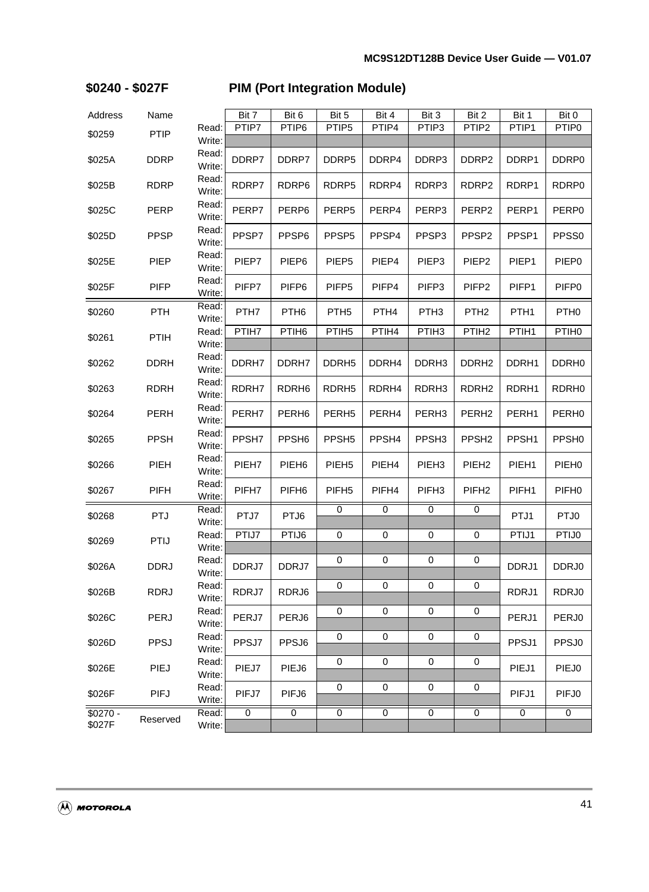## **\$0240 - \$027F PIM (Port Integration Module)**

| Address   | Name        |                 | Bit 7 | Bit 6             | Bit 5             | Bit 4            | Bit 3             | Bit 2             | Bit 1             | Bit 0             |
|-----------|-------------|-----------------|-------|-------------------|-------------------|------------------|-------------------|-------------------|-------------------|-------------------|
|           |             | Read:           | PTIP7 | PTIP <sub>6</sub> | PTIP <sub>5</sub> | PTIP4            | PTIP <sub>3</sub> | PTIP <sub>2</sub> | PTIP <sub>1</sub> | PTIP <sub>0</sub> |
| \$0259    | PTIP        | Write:          |       |                   |                   |                  |                   |                   |                   |                   |
| \$025A    | <b>DDRP</b> | Read:           | DDRP7 | DDRP7             | DDRP5             | DDRP4            | DDRP3             | DDRP <sub>2</sub> | DDRP1             | DDRP0             |
|           |             | Write:          |       |                   |                   |                  |                   |                   |                   |                   |
| \$025B    | <b>RDRP</b> | Read:<br>Write: | RDRP7 | RDRP6             | RDRP5             | RDRP4            | RDRP3             | RDRP2             | RDRP1             | RDRP0             |
| \$025C    | PERP        | Read:<br>Write: | PERP7 | PERP6             | PERP5             | PERP4            | PERP3             | PERP2             | PERP1             | PERP0             |
| \$025D    | <b>PPSP</b> | Read:<br>Write: | PPSP7 | PPSP <sub>6</sub> | PPSP <sub>5</sub> | PPSP4            | PPSP <sub>3</sub> | PPSP <sub>2</sub> | PPSP <sub>1</sub> | PPSS <sub>0</sub> |
| \$025E    | <b>PIEP</b> | Read:<br>Write: | PIEP7 | PIEP6             | PIEP <sub>5</sub> | PIEP4            | PIEP <sub>3</sub> | PIEP <sub>2</sub> | PIEP1             | PIEP <sub>0</sub> |
| \$025F    | <b>PIFP</b> | Read:<br>Write: | PIFP7 | PIFP <sub>6</sub> | PIFP <sub>5</sub> | PIFP4            | PIFP <sub>3</sub> | PIFP <sub>2</sub> | PIFP1             | PIFP <sub>0</sub> |
| \$0260    | <b>PTH</b>  | Read:<br>Write: | PTH7  | PTH <sub>6</sub>  | PTH <sub>5</sub>  | PTH <sub>4</sub> | PTH <sub>3</sub>  | PTH <sub>2</sub>  | PTH <sub>1</sub>  | PTH <sub>0</sub>  |
| \$0261    | PTIH        | Read:           | PTIH7 | PTIH <sub>6</sub> | PTIH <sub>5</sub> | PTIH4            | PTIH <sub>3</sub> | PTIH <sub>2</sub> | PTIH1             | PTIH <sub>0</sub> |
|           |             | Write:          |       |                   |                   |                  |                   |                   |                   |                   |
| \$0262    | <b>DDRH</b> | Read:<br>Write: | DDRH7 | DDRH7             | DDRH <sub>5</sub> | DDRH4            | DDRH3             | DDRH <sub>2</sub> | DDRH1             | DDRH <sub>0</sub> |
| \$0263    | <b>RDRH</b> | Read:<br>Write: | RDRH7 | RDRH <sub>6</sub> | RDRH <sub>5</sub> | RDRH4            | RDRH3             | RDRH <sub>2</sub> | RDRH1             | RDRH <sub>0</sub> |
| \$0264    | <b>PERH</b> | Read:<br>Write: | PERH7 | PERH <sub>6</sub> | PERH <sub>5</sub> | PERH4            | PERH <sub>3</sub> | PERH <sub>2</sub> | PERH1             | PERH <sub>0</sub> |
| \$0265    | <b>PPSH</b> | Read:<br>Write: | PPSH7 | PPSH <sub>6</sub> | PPSH <sub>5</sub> | PPSH4            | PPSH <sub>3</sub> | PPSH <sub>2</sub> | PPSH <sub>1</sub> | PPSH <sub>0</sub> |
| \$0266    | PIEH        | Read:<br>Write: | PIEH7 | PIEH6             | PIEH <sub>5</sub> | PIEH4            | PIEH <sub>3</sub> | PIEH <sub>2</sub> | PIEH1             | PIEH <sub>0</sub> |
| \$0267    | <b>PIFH</b> | Read:<br>Write: | PIFH7 | PIFH <sub>6</sub> | PIFH <sub>5</sub> | PIFH4            | PIFH <sub>3</sub> | PIFH <sub>2</sub> | PIFH1             | PIFH <sub>0</sub> |
| \$0268    | PTJ         | Read:           | PTJ7  | PTJ6              | $\overline{0}$    | $\overline{0}$   | $\overline{0}$    | 0                 | PTJ1              | PTJ0              |
|           |             | Write:<br>Read: | PTIJ7 | PTIJ6             | 0                 | 0                | 0                 | 0                 | PTIJ1             | PTIJ0             |
| \$0269    | PTIJ        | Write:          |       |                   |                   |                  |                   |                   |                   |                   |
| \$026A    | <b>DDRJ</b> | Read:           | DDRJ7 | DDRJ7             | 0                 | 0                | 0                 | 0                 | DDRJ1             | DDRJ0             |
|           |             | Write:          |       |                   |                   |                  |                   |                   |                   |                   |
| \$026B    | <b>RDRJ</b> | Read:<br>Write: | RDRJ7 | RDRJ6             | 0                 | $\pmb{0}$        | 0                 | 0                 | RDRJ1             | RDRJ0             |
| \$026C    | PERJ        | Read:<br>Write: | PERJ7 | PERJ6             | 0                 | 0                | 0                 | 0                 | PERJ1             | PERJ0             |
| \$026D    | PPSJ        | Read:<br>Write: | PPSJ7 | PPSJ6             | 0                 | 0                | 0                 | 0                 | PPSJ1             | PPSJ0             |
| \$026E    | <b>PIEJ</b> | Read:<br>Write: | PIEJ7 | PIEJ6             | 0                 | 0                | 0                 | 0                 | PIEJ1             | PIEJ0             |
| \$026F    | <b>PIFJ</b> | Read:<br>Write: | PIFJ7 | PIFJ6             | 0                 | 0                | 0                 | 0                 | PIFJ1             | PIFJ0             |
| $$0270 -$ | Reserved    | Read:           | 0     | $\overline{0}$    | 0                 | 0                | $\overline{0}$    | 0                 | $\overline{0}$    | $\overline{0}$    |
| \$027F    |             | Write:          |       |                   |                   |                  |                   |                   |                   |                   |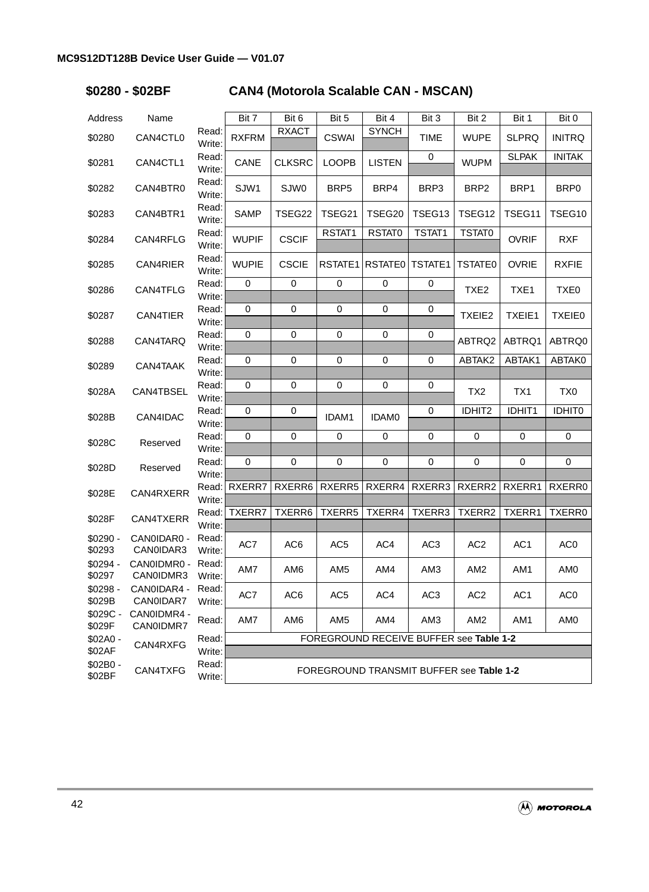#### **\$0280 - \$02BF CAN4 (Motorola Scalable CAN - MSCAN)**

| Address             | Name                     |                 | Bit 7         | Bit 6           | Bit 5            | Bit 4                                    | Bit 3           | Bit 2            | Bit 1           | Bit 0            |
|---------------------|--------------------------|-----------------|---------------|-----------------|------------------|------------------------------------------|-----------------|------------------|-----------------|------------------|
| \$0280              | CAN4CTL0                 | Read:<br>Write: | <b>RXFRM</b>  | <b>RXACT</b>    | <b>CSWAI</b>     | <b>SYNCH</b>                             | <b>TIME</b>     | <b>WUPE</b>      | <b>SLPRQ</b>    | <b>INITRQ</b>    |
| \$0281              | CAN4CTL1                 | Read:           | CANE          | <b>CLKSRC</b>   | <b>LOOPB</b>     | <b>LISTEN</b>                            | 0               | <b>WUPM</b>      | <b>SLPAK</b>    | <b>INITAK</b>    |
|                     |                          | Write:          |               |                 |                  |                                          |                 |                  |                 |                  |
| \$0282              | CAN4BTR0                 | Read:<br>Write: | SJW1          | SJW0            | BRP <sub>5</sub> | BRP4                                     | BRP3            | BRP <sub>2</sub> | BRP1            | BRP <sub>0</sub> |
| \$0283              | CAN4BTR1                 | Read:<br>Write: | <b>SAMP</b>   | TSEG22          | TSEG21           | TSEG20                                   | TSEG13          | TSEG12           | TSEG11          | TSEG10           |
| \$0284              | CAN4RFLG                 | Read:<br>Write: | <b>WUPIF</b>  | <b>CSCIF</b>    | RSTAT1           | RSTAT0                                   | TSTAT1          | <b>TSTAT0</b>    | <b>OVRIF</b>    | <b>RXF</b>       |
| \$0285              | CAN4RIER                 | Read:<br>Write: | <b>WUPIE</b>  | <b>CSCIE</b>    | RSTATE1          | RSTATE0                                  | <b>TSTATE1</b>  | <b>TSTATE0</b>   | <b>OVRIE</b>    | <b>RXFIE</b>     |
| \$0286              | CAN4TFLG                 | Read:<br>Write: | 0             | 0               | 0                | 0                                        | 0               | TXE <sub>2</sub> | TXE1            | TXE <sub>0</sub> |
| \$0287              | <b>CAN4TIER</b>          | Read:<br>Write: | 0             | 0               | 0                | 0                                        | 0               | TXEIE2           | TXEIE1          | <b>TXEIE0</b>    |
| \$0288              | CAN4TARQ                 | Read:<br>Write: | 0             | 0               | 0                | 0                                        | 0               | ABTRQ2           | ABTRQ1          | ABTRQ0           |
| \$0289              | CAN4TAAK                 | Read:           | 0             | 0               | 0                | 0                                        | 0               | ABTAK2           | ABTAK1          | ABTAK0           |
|                     |                          | Write:          |               |                 |                  |                                          |                 |                  |                 |                  |
| \$028A              | CAN4TBSEL                | Read:<br>Write: | 0             | 0               | 0                | 0                                        | 0               | TX <sub>2</sub>  | TX1             | TX <sub>0</sub>  |
| \$028B              | CAN4IDAC                 | Read:<br>Write: | 0             | 0               | IDAM1            | IDAM0                                    | 0               | IDHIT2           | IDHIT1          | <b>IDHIT0</b>    |
| \$028C              | Reserved                 | Read:<br>Write: | 0             | 0               | 0                | 0                                        | 0               | 0                | 0               | 0                |
| \$028D              | Reserved                 | Read:<br>Write: | 0             | 0               | 0                | 0                                        | 0               | 0                | 0               | 0                |
| \$028E              | CAN4RXERR                | Read:<br>Write: | RXERR7        | RXERR6          | RXERR5           | RXERR4                                   | RXERR3          | RXERR2           | RXERR1          | RXERR0           |
| \$028F              | CAN4TXERR                | Read:           | <b>TXERR7</b> | TXERR6          | TXERR5           | TXERR4                                   | TXERR3          | TXERR2           | TXERR1          | TXERR0           |
|                     |                          | Write:          |               |                 |                  |                                          |                 |                  |                 |                  |
| $$0290 -$<br>\$0293 | CANOIDARO -<br>CANOIDAR3 | Read:<br>Write: | AC7           | AC <sub>6</sub> | AC <sub>5</sub>  | AC4                                      | AC <sub>3</sub> | AC <sub>2</sub>  | AC <sub>1</sub> | AC <sub>0</sub>  |
| $$0294 -$<br>\$0297 | CANOIDMR0 -<br>CAN0IDMR3 | Read:<br>Write: | AM7           | AM <sub>6</sub> | AM <sub>5</sub>  | AM4                                      | AM3             | AM <sub>2</sub>  | AM1             | AM <sub>0</sub>  |
| $$0298 -$<br>\$029B | CANOIDAR4 -<br>CAN0IDAR7 | Read:<br>Write: | AC7           | AC <sub>6</sub> | AC <sub>5</sub>  | AC4                                      | AC <sub>3</sub> | AC <sub>2</sub>  | AC <sub>1</sub> | AC <sub>0</sub>  |
| \$029C -<br>\$029F  | CANOIDMR4 -<br>CAN0IDMR7 | Read:           | AM7           | AM6             | AM <sub>5</sub>  | AM4                                      | AM3             | AM <sub>2</sub>  | AM1             | AM <sub>0</sub>  |
| \$02A0 -            |                          | Read:           |               |                 |                  | FOREGROUND RECEIVE BUFFER see Table 1-2  |                 |                  |                 |                  |
| \$02AF              | CAN4RXFG                 | Write:          |               |                 |                  |                                          |                 |                  |                 |                  |
| \$02B0 -<br>\$02BF  | CAN4TXFG                 | Read:<br>Write: |               |                 |                  | FOREGROUND TRANSMIT BUFFER see Table 1-2 |                 |                  |                 |                  |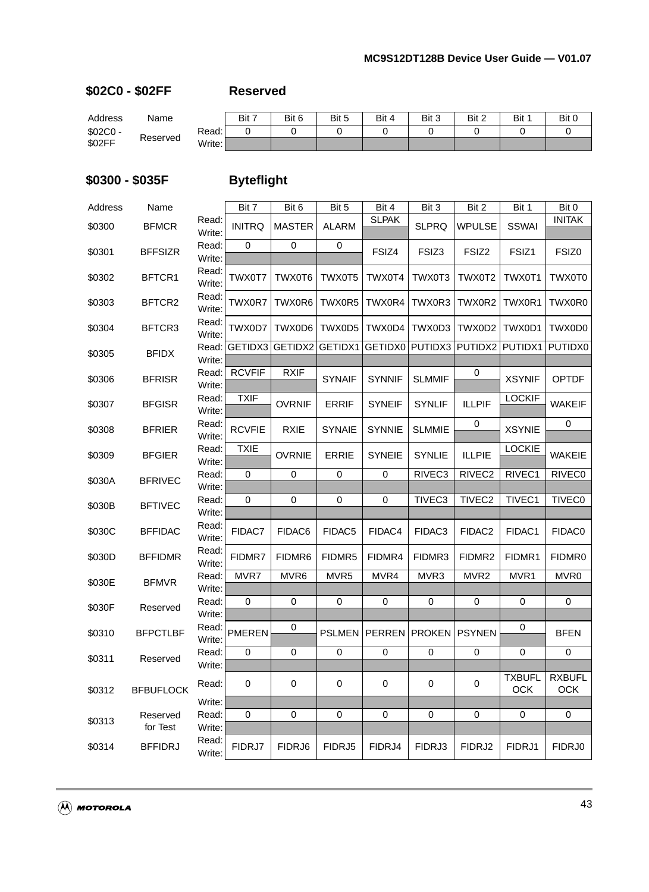#### **\$02C0 - \$02FF Reserved**

| Address  | Name     |        | Bit 7 | Bit 6 | Bit 5 | Bit 4 | Bit 3 | Bit 2 | Bit 1 | Bit 0 |
|----------|----------|--------|-------|-------|-------|-------|-------|-------|-------|-------|
| \$02C0 - | Reserved | Read:  |       |       |       |       |       |       |       |       |
| \$02FF   |          | Write: |       |       |       |       |       |       |       |       |

## **\$0300 - \$035F Byteflight**

| Address | Name                       |                           | Bit 7         | Bit 6         | Bit 5         | Bit 4         | Bit 3                | Bit 2              | Bit 1         | Bit 0             |
|---------|----------------------------|---------------------------|---------------|---------------|---------------|---------------|----------------------|--------------------|---------------|-------------------|
| \$0300  | <b>BFMCR</b>               | Read:<br>Write:           | <b>INITRQ</b> | <b>MASTER</b> | <b>ALARM</b>  | <b>SLPAK</b>  | <b>SLPRQ</b>         | <b>WPULSE</b>      | <b>SSWAI</b>  | <b>INITAK</b>     |
| \$0301  | <b>BFFSIZR</b>             | Read:<br>Write:           | 0             | $\mathbf 0$   | 0             | FSIZ4         | FSIZ3                | FSIZ <sub>2</sub>  | FSIZ1         | FSIZ <sub>0</sub> |
| \$0302  | BFTCR1                     | Read:<br>Write:           | TWX0T7        | TWX0T6        | TWX0T5        | TWX0T4        | TWX0T3               | TWX0T2             | TWX0T1        | TWX0T0            |
| \$0303  | BFTCR2                     | Read:<br>Write:           | TWX0R7        | TWX0R6        | TWX0R5        | TWX0R4        | TWX0R3               | TWX0R2             | TWX0R1        | TWX0R0            |
| \$0304  | BFTCR3                     | Read:<br>Write:           | TWX0D7        | TWX0D6        | TWX0D5        | TWX0D4        | TWX0D3               | TWX0D2             | TWX0D1        | TWX0D0            |
| \$0305  | <b>BFIDX</b>               | Read:<br>Write:           | GETIDX3       | GETIDX2       | GETIDX1       | GETIDX0       | PUTIDX3              | PUTIDX2            | PUTIDX1       | PUTIDX0           |
| \$0306  | <b>BFRISR</b>              | Read:<br>Write:           | <b>RCVFIF</b> | <b>RXIF</b>   | <b>SYNAIF</b> | <b>SYNNIF</b> | <b>SLMMIF</b>        | 0                  | <b>XSYNIF</b> | <b>OPTDF</b>      |
| \$0307  | <b>BFGISR</b>              | Read:<br>Write:           | <b>TXIF</b>   | <b>OVRNIF</b> | <b>ERRIF</b>  | <b>SYNEIF</b> | <b>SYNLIF</b>        | <b>ILLPIF</b>      | <b>LOCKIF</b> | <b>WAKEIF</b>     |
| \$0308  | <b>BFRIER</b>              | Read:<br>Write:           | <b>RCVFIE</b> | <b>RXIE</b>   | <b>SYNAIE</b> | <b>SYNNIE</b> | <b>SLMMIE</b>        | 0                  | <b>XSYNIE</b> | $\pmb{0}$         |
| \$0309  | <b>BFGIER</b>              | Read:<br>Write:           | <b>TXIE</b>   | <b>OVRNIE</b> | <b>ERRIE</b>  | <b>SYNEIE</b> | <b>SYNLIE</b>        | <b>ILLPIE</b>      | <b>LOCKIE</b> | <b>WAKEIE</b>     |
| \$030A  | <b>BFRIVEC</b>             | Read:<br>Write:           | 0             | $\mathbf 0$   | 0             | 0             | RIVEC <sub>3</sub>   | RIVEC2             | RIVEC1        | <b>RIVEC0</b>     |
| \$030B  | <b>BFTIVEC</b>             | Read:<br>Write:           | 0             | 0             | 0             | 0             | TIVEC <sub>3</sub>   | TIVEC <sub>2</sub> | TIVEC1        | <b>TIVEC0</b>     |
| \$030C  | <b>BFFIDAC</b>             | Read:<br>Write:           | FIDAC7        | FIDAC6        | FIDAC5        | FIDAC4        | FIDAC3               | FIDAC2             | FIDAC1        | FIDAC0            |
| \$030D  | <b>BFFIDMR</b>             | Read:<br>Write:           | FIDMR7        | FIDMR6        | FIDMR5        | FIDMR4        | FIDMR3               | FIDMR <sub>2</sub> | FIDMR1        | FIDMR0            |
| \$030E  | <b>BFMVR</b>               | Read:<br>Write:           | MVR7          | MVR6          | MVR5          | MVR4          | MVR3                 | MVR <sub>2</sub>   | MVR1          | MVR0              |
| \$030F  | Reserved                   | Read:<br>Write:           | 0             | 0             | 0             | 0             | 0                    | 0                  | 0             | 0                 |
| \$0310  | <b>BFPCTLBF</b>            | Read:<br>Write:           | <b>PMEREN</b> | 0             | <b>PSLMEN</b> | <b>PERREN</b> | <b>PROKEN PSYNEN</b> |                    | 0             | <b>BFEN</b>       |
| \$0311  | Reserved                   | Read:<br>Write:           | 0             | 0             | 0             | 0             | $\mathbf 0$          | $\mathbf 0$        | 0             | $\pmb{0}$         |
| \$0312  | <b>BFBUFLOCK</b>           | Read:                     | 0             | 0             | 0             | 0             | $\pmb{0}$            | 0                  | TXBUFL<br>OCK | RXBUFL<br>OCK     |
| \$0313  | Reserved                   | Write:<br>Read:           | 0             | 0             | 0             | 0             | 0                    | 0                  | 0             | 0                 |
| \$0314  | for Test<br><b>BFFIDRJ</b> | Write:<br>Read:<br>Write: | FIDRJ7        | FIDRJ6        | FIDRJ5        | FIDRJ4        | FIDRJ3               | FIDRJ2             | FIDRJ1        | FIDRJ0            |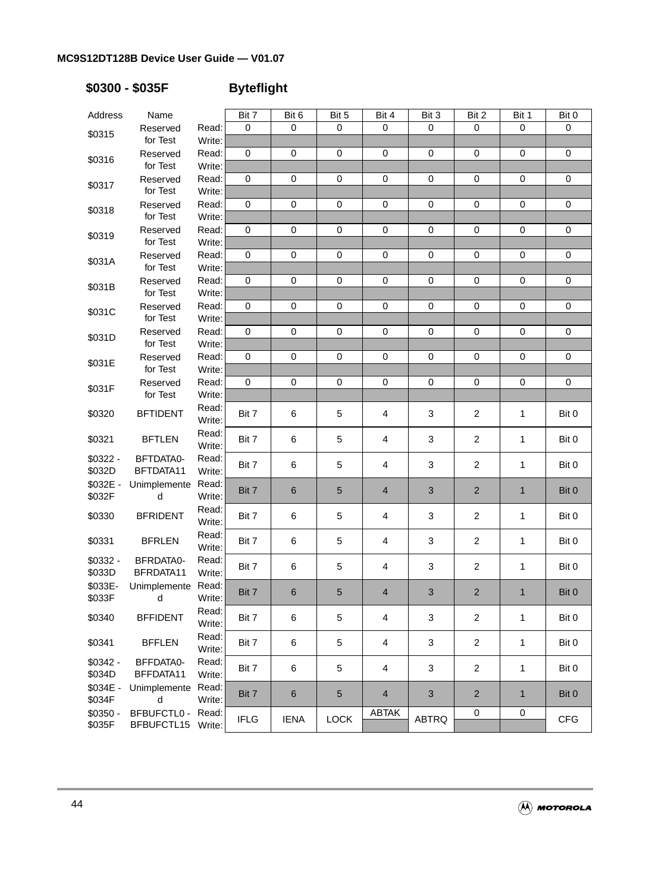## **\$0300 - \$035F Byteflight**

| Address            | Name                      |                 | Bit 7       | Bit 6           | Bit 5          | Bit 4          | Bit 3          | Bit 2          | Bit 1        | Bit 0       |
|--------------------|---------------------------|-----------------|-------------|-----------------|----------------|----------------|----------------|----------------|--------------|-------------|
| \$0315             | Reserved                  | Read:           | $\mathbf 0$ | $\mathbf 0$     | $\mathbf 0$    | $\mathbf 0$    | $\mathbf 0$    | 0              | $\mathbf 0$  | $\mathbf 0$ |
|                    | for Test                  | Write:          |             | $\mathbf 0$     |                |                | $\mathbf 0$    |                | $\mathbf 0$  | $\mathbf 0$ |
| \$0316             | Reserved<br>for Test      | Read:<br>Write: | 0           |                 | $\mathbf 0$    | 0              |                | 0              |              |             |
|                    | Reserved                  | Read:           | 0           | $\mathbf 0$     | $\mathbf 0$    | $\mathbf 0$    | $\mathbf 0$    | 0              | $\mathbf 0$  | $\mathbf 0$ |
| \$0317             | for Test                  | Write:          |             |                 |                |                |                |                |              |             |
|                    | Reserved                  | Read:           | 0           | 0               | $\mathbf 0$    | $\mathbf 0$    | $\mathbf 0$    | 0              | $\mathbf 0$  | $\mathbf 0$ |
| \$0318             | for Test                  | Write:          |             |                 |                |                |                |                |              |             |
|                    | Reserved                  | Read:           | 0           | 0               | $\mathbf 0$    | $\mathbf 0$    | $\mathbf 0$    | 0              | $\mathbf 0$  | $\mathbf 0$ |
| \$0319             | for Test                  | Write:          |             |                 |                |                |                |                |              |             |
| \$031A             | Reserved                  | Read:           | 0           | 0               | $\mathbf 0$    | $\mathbf 0$    | 0              | 0              | $\mathbf 0$  | 0           |
|                    | for Test                  | Write:          |             |                 |                |                |                |                |              |             |
| \$031B             | Reserved                  | Read:           | 0           | $\pmb{0}$       | $\mathbf 0$    | $\mathbf 0$    | 0              | 0              | $\mathbf 0$  | 0           |
|                    | for Test                  | Write:          |             |                 |                |                |                |                |              |             |
| \$031C             | Reserved<br>for Test      | Read:           | 0           | $\pmb{0}$       | $\mathbf 0$    | $\mathbf 0$    | 0              | 0              | $\mathbf 0$  | 0           |
|                    | Reserved                  | Write:<br>Read: | 0           | $\pmb{0}$       | $\mathbf 0$    | 0              | 0              | 0              | $\mathbf 0$  | 0           |
| \$031D             | for Test                  | Write:          |             |                 |                |                |                |                |              |             |
|                    | Reserved                  | Read:           | 0           | $\pmb{0}$       | $\mathbf 0$    | 0              | 0              | 0              | $\mathbf 0$  | 0           |
| \$031E             | for Test                  | Write:          |             |                 |                |                |                |                |              |             |
|                    | Reserved                  | Read:           | 0           | 0               | $\mathbf 0$    | $\mathbf 0$    | 0              | $\pmb{0}$      | $\mathbf 0$  | 0           |
| \$031F             | for Test                  | Write:          |             |                 |                |                |                |                |              |             |
| \$0320             | <b>BFTIDENT</b>           | Read:           | Bit 7       | 6               | 5              | 4              | 3              | $\overline{2}$ | 1            | Bit 0       |
|                    |                           | Write:          |             |                 |                |                |                |                |              |             |
| \$0321             | <b>BFTLEN</b>             | Read:           | Bit 7       | 6               | 5              | 4              | 3              | $\overline{2}$ | 1            | Bit 0       |
|                    |                           | Write:          |             |                 |                |                |                |                |              |             |
| $$0322 -$          | BFTDATA0-                 | Read:           | Bit 7       | 6               | 5              | 4              | 3              | $\overline{2}$ | 1            | Bit 0       |
| \$032D<br>\$032E - | BFTDATA11<br>Unimplemente | Write:<br>Read: |             |                 |                |                |                |                |              |             |
| \$032F             | d                         | Write:          | Bit 7       | $6\phantom{1}6$ | $\overline{5}$ | $\overline{4}$ | 3              | $\overline{2}$ | $\mathbf{1}$ | Bit 0       |
|                    |                           | Read:           |             |                 |                |                |                |                |              |             |
| \$0330             | <b>BFRIDENT</b>           | Write:          | Bit 7       | 6               | 5              | 4              | 3              | $\overline{2}$ | 1            | Bit 0       |
|                    |                           | Read:           |             |                 |                |                |                |                |              |             |
| \$0331             | <b>BFRLEN</b>             | Write:          | Bit 7       | 6               | 5              | 4              | 3              | $\overline{2}$ | 1            | Bit 0       |
| \$0332 -           | BFRDATA0-                 | Read:           | Bit 7       | 6               | 5              | 4              | 3              | $\overline{2}$ | 1            | Bit 0       |
| \$033D             | BFRDATA11                 | Write:          |             |                 |                |                |                |                |              |             |
| \$033E-            | Unimplemente              | Read:           | Bit 7       | $\,6$           | 5              | 4              | 3              | $\overline{c}$ | $\mathbf 1$  | Bit 0       |
| \$033F             | d                         | Write:          |             |                 |                |                |                |                |              |             |
| \$0340             | <b>BFFIDENT</b>           | Read:<br>Write: | Bit 7       | 6               | 5              | 4              | 3              | $\overline{a}$ | 1            | Bit 0       |
|                    |                           | Read:           |             |                 |                |                |                |                |              |             |
| \$0341             | <b>BFFLEN</b>             | Write:          | Bit 7       | 6               | 5              | 4              | 3              | $\overline{2}$ | 1            | Bit 0       |
| $$0342 -$          | BFFDATA0-                 | Read:           |             |                 |                |                |                |                |              |             |
| \$034D             | BFFDATA11                 | Write:          | Bit 7       | 6               | 5              | 4              | 3              | $\overline{2}$ | 1            | Bit 0       |
| \$034E -           | Unimplemente              | Read:           | Bit 7       | $\,6$           | 5              | $\overline{4}$ | $\mathfrak{S}$ | $\overline{2}$ | $\mathbf{1}$ | Bit 0       |
| \$034F             | d                         | Write:          |             |                 |                |                |                |                |              |             |
| $$0350 -$          | <b>BFBUFCTL0 -</b>        | Read:           | <b>IFLG</b> | <b>IENA</b>     | <b>LOCK</b>    | <b>ABTAK</b>   | ABTRQ          | 0              | $\pmb{0}$    | <b>CFG</b>  |
| \$035F             | BFBUFCTL15                | Write:          |             |                 |                |                |                |                |              |             |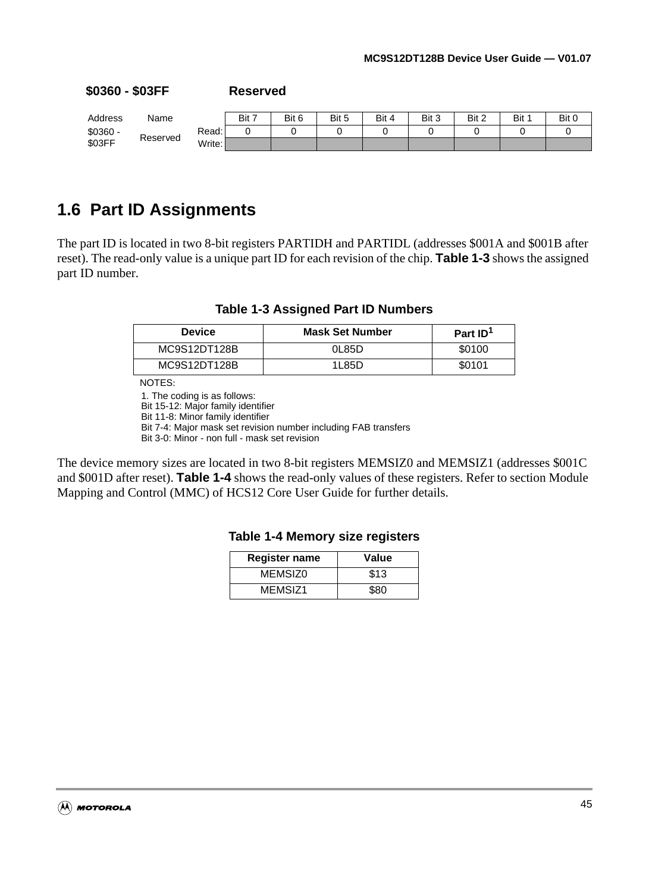#### **\$0360 - \$03FF Reserved**

| Address               | Name  |        | Bit 7 | Bit 6 | Bit 5 | Bit 4 | Bit 3 | Bit 2 | Bit 1 | Bit 0 |
|-----------------------|-------|--------|-------|-------|-------|-------|-------|-------|-------|-------|
| $$0360 -$<br>Reserved | रead: |        |       |       |       |       |       |       |       |       |
| \$03FF                |       | Write: |       |       |       |       |       |       |       |       |

## **1.6 Part ID Assignments**

<span id="page-44-0"></span>The part ID is located in two 8-bit registers PARTIDH and PARTIDL (addresses \$001A and \$001B after reset). The read-only value is a unique part ID for each revision of the chip. **[Table 1-3](#page-44-0)** shows the assigned part ID number.

#### **Table 1-3 Assigned Part ID Numbers**

| <b>Device</b> | <b>Mask Set Number</b> | Part ID <sup>1</sup> |
|---------------|------------------------|----------------------|
| MC9S12DT128B  | 0L85D                  | \$0100               |
| MC9S12DT128B  | 1L85D                  | \$0101               |

NOTES:

1. The coding is as follows:

Bit 15-12: Major family identifier

Bit 11-8: Minor family identifier

Bit 7-4: Major mask set revision number including FAB transfers

Bit 3-0: Minor - non full - mask set revision

<span id="page-44-1"></span>The device memory sizes are located in two 8-bit registers MEMSIZ0 and MEMSIZ1 (addresses \$001C and \$001D after reset). **[Table 1-4](#page-44-1)** shows the read-only values of these registers. Refer to section Module Mapping and Control (MMC) of HCS12 Core User Guide for further details.

#### **Table 1-4 Memory size registers**

| <b>Register name</b> | Value |
|----------------------|-------|
| MEMSIZ0              | \$13  |
| MEMSIZ1              | \$80  |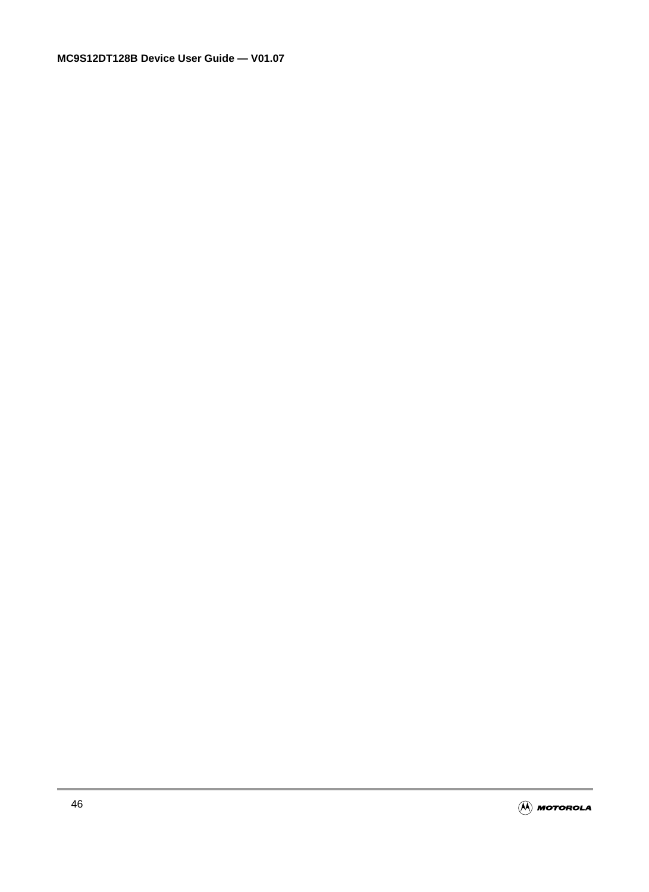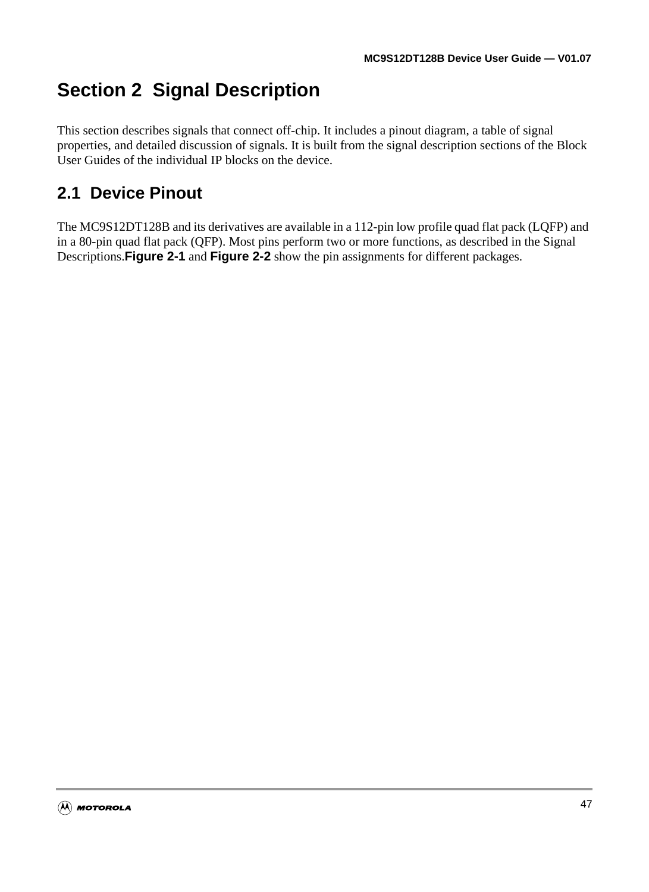# **Section 2 Signal Description**

This section describes signals that connect off-chip. It includes a pinout diagram, a table of signal properties, and detailed discussion of signals. It is built from the signal description sections of the Block User Guides of the individual IP blocks on the device.

# **2.1 Device Pinout**

The MC9S12DT128B and its derivatives are available in a 112-pin low profile quad flat pack (LQFP) and in a 80-pin quad flat pack (QFP). Most pins perform two or more functions, as described in the Signal Descriptions.**[Figure 2-1](#page-47-0)** and **[Figure 2-2](#page-48-0)** show the pin assignments for different packages.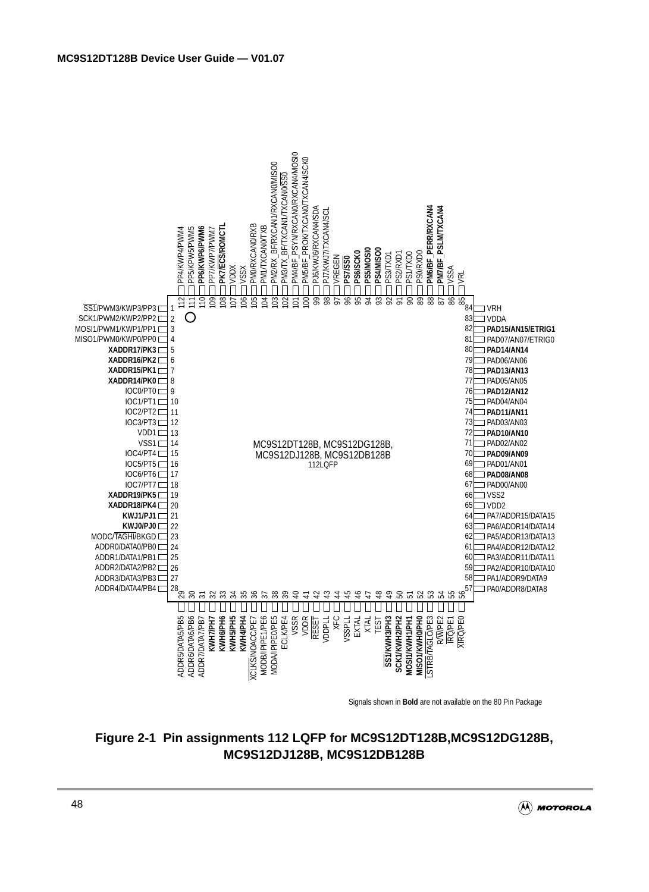

Signals shown in **Bold** are not available on the 80 Pin Package

#### <span id="page-47-0"></span>**Figure 2-1 Pin assignments 112 LQFP for MC9S12DT128B,MC9S12DG128B, MC9S12DJ128B, MC9S12DB128B**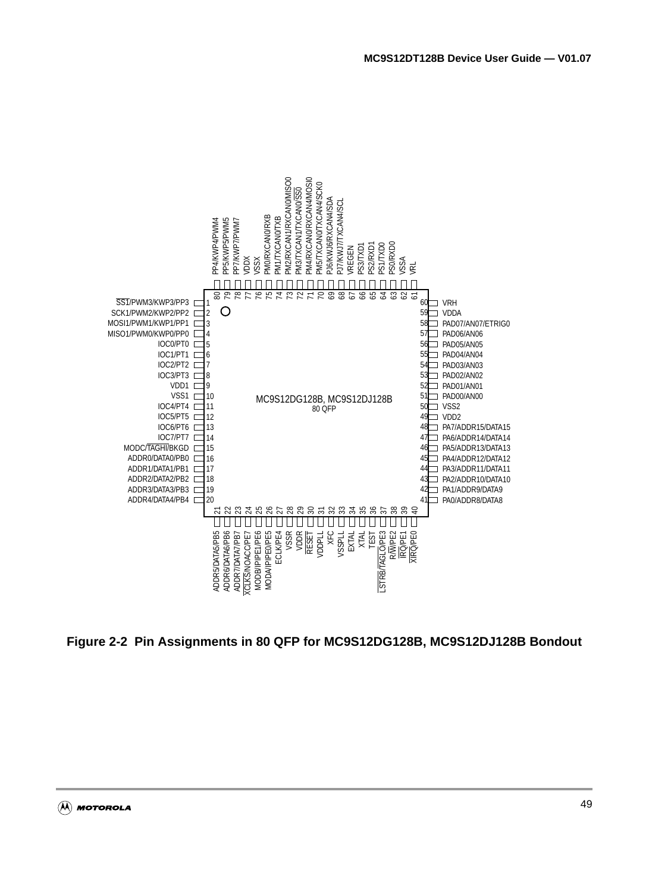

<span id="page-48-0"></span>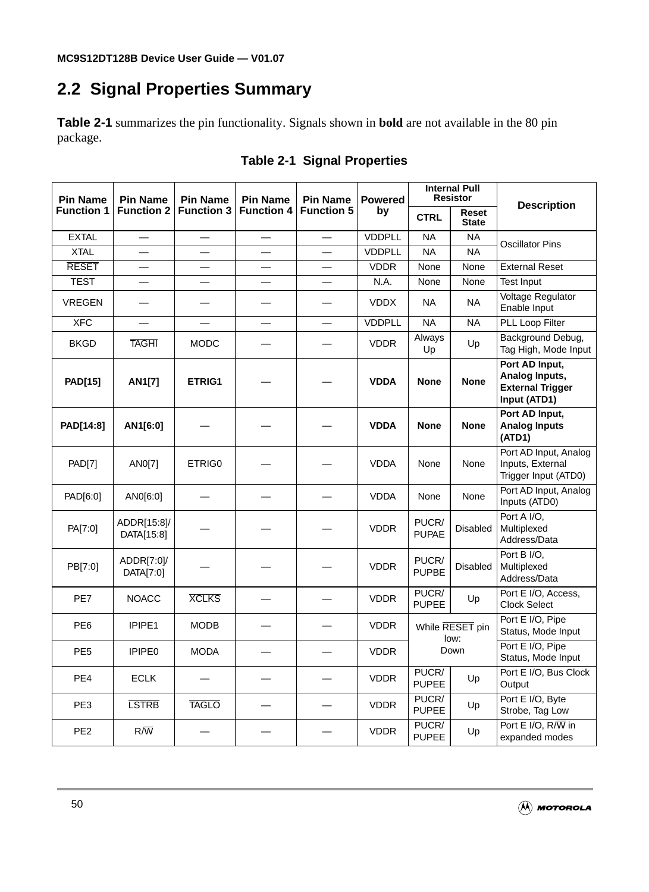# **2.2 Signal Properties Summary**

**[Table 2-1](#page-49-0)** summarizes the pin functionality. Signals shown in **bold** are not available in the 80 pin package.

<span id="page-49-0"></span>

| <b>Pin Name</b>   | <b>Pin Name</b>           | <b>Pin Name</b>          | <b>Pin Name</b>          | <b>Pin Name</b>          | <b>Powered</b> |                                 | <b>Internal Pull</b><br><b>Resistor</b> | <b>Description</b>                                                          |
|-------------------|---------------------------|--------------------------|--------------------------|--------------------------|----------------|---------------------------------|-----------------------------------------|-----------------------------------------------------------------------------|
| <b>Function 1</b> | <b>Function 2</b>         | <b>Function 3</b>        | <b>Function 4</b>        | <b>Function 5</b>        | by             | <b>CTRL</b>                     | Reset<br><b>State</b>                   |                                                                             |
| <b>EXTAL</b>      | $\overline{\phantom{0}}$  | $\overline{\phantom{0}}$ |                          | $\overline{\phantom{0}}$ | <b>VDDPLL</b>  | <b>NA</b>                       | <b>NA</b>                               | <b>Oscillator Pins</b>                                                      |
| <b>XTAL</b>       |                           |                          |                          |                          | <b>VDDPLL</b>  | <b>NA</b>                       | <b>NA</b>                               |                                                                             |
| <b>RESET</b>      |                           |                          |                          |                          | <b>VDDR</b>    | None                            | None                                    | <b>External Reset</b>                                                       |
| <b>TEST</b>       |                           | $\overline{\phantom{0}}$ |                          |                          | N.A.           | None                            | None                                    | <b>Test Input</b>                                                           |
| <b>VREGEN</b>     |                           |                          |                          |                          | <b>VDDX</b>    | <b>NA</b>                       | <b>NA</b>                               | Voltage Regulator<br>Enable Input                                           |
| <b>XFC</b>        |                           |                          | $\overline{\phantom{0}}$ | $\overline{\phantom{0}}$ | VDDPLL         | <b>NA</b>                       | <b>NA</b>                               | PLL Loop Filter                                                             |
| <b>BKGD</b>       | <b>TAGHI</b>              | <b>MODC</b>              |                          |                          | <b>VDDR</b>    | Always<br>Up                    | Up                                      | Background Debug,<br>Tag High, Mode Input                                   |
| <b>PAD[15]</b>    | AN1[7]                    | ETRIG1                   |                          |                          | <b>VDDA</b>    | <b>None</b>                     | <b>None</b>                             | Port AD Input,<br>Analog Inputs,<br><b>External Trigger</b><br>Input (ATD1) |
| PAD[14:8]         | AN1[6:0]                  |                          |                          |                          | <b>VDDA</b>    | <b>None</b>                     | <b>None</b>                             | Port AD Input,<br><b>Analog Inputs</b><br>(ATD1)                            |
| <b>PAD[7]</b>     | AN0[7]                    | ETRIG0                   |                          |                          | <b>VDDA</b>    | None                            | None                                    | Port AD Input, Analog<br>Inputs, External<br>Trigger Input (ATD0)           |
| PAD[6:0]          | AN0[6:0]                  |                          |                          |                          | <b>VDDA</b>    | None                            | None                                    | Port AD Input, Analog<br>Inputs (ATD0)                                      |
| PA[7:0]           | ADDR[15:8]/<br>DATA[15:8] |                          |                          |                          | <b>VDDR</b>    | PUCR/<br><b>PUPAE</b>           | Disabled                                | Port A I/O,<br>Multiplexed<br>Address/Data                                  |
| PB[7:0]           | ADDR[7:0]/<br>DATA[7:0]   |                          |                          |                          | <b>VDDR</b>    | PUCR/<br><b>PUPBE</b>           | Disabled                                | Port B I/O,<br>Multiplexed<br>Address/Data                                  |
| PE7               | <b>NOACC</b>              | <b>XCLKS</b>             |                          |                          | <b>VDDR</b>    | PUCR/<br><b>PUPEE</b>           | Up                                      | Port E I/O, Access,<br><b>Clock Select</b>                                  |
| PE <sub>6</sub>   | IPIPE1                    | <b>MODB</b>              |                          |                          | <b>VDDR</b>    | While RESET pin<br>low:<br>Down |                                         | Port E I/O, Pipe<br>Status, Mode Input                                      |
| PE <sub>5</sub>   | <b>IPIPE0</b>             | <b>MODA</b>              |                          |                          | <b>VDDR</b>    |                                 |                                         | Port E I/O, Pipe<br>Status, Mode Input                                      |
| PE4               | <b>ECLK</b>               |                          |                          |                          | <b>VDDR</b>    | PUCR/<br><b>PUPEE</b>           | Up                                      | Port E I/O, Bus Clock<br>Output                                             |
| PE3               | <b>LSTRB</b>              | <b>TAGLO</b>             |                          |                          | <b>VDDR</b>    | PUCR/<br><b>PUPEE</b>           | Up                                      | Port E I/O, Byte<br>Strobe, Tag Low                                         |
| PE <sub>2</sub>   | $R/\overline{W}$          |                          |                          |                          | <b>VDDR</b>    | PUCR/<br><b>PUPEE</b>           | Up                                      | Port E I/O, R/W in<br>expanded modes                                        |

**Table 2-1 Signal Properties**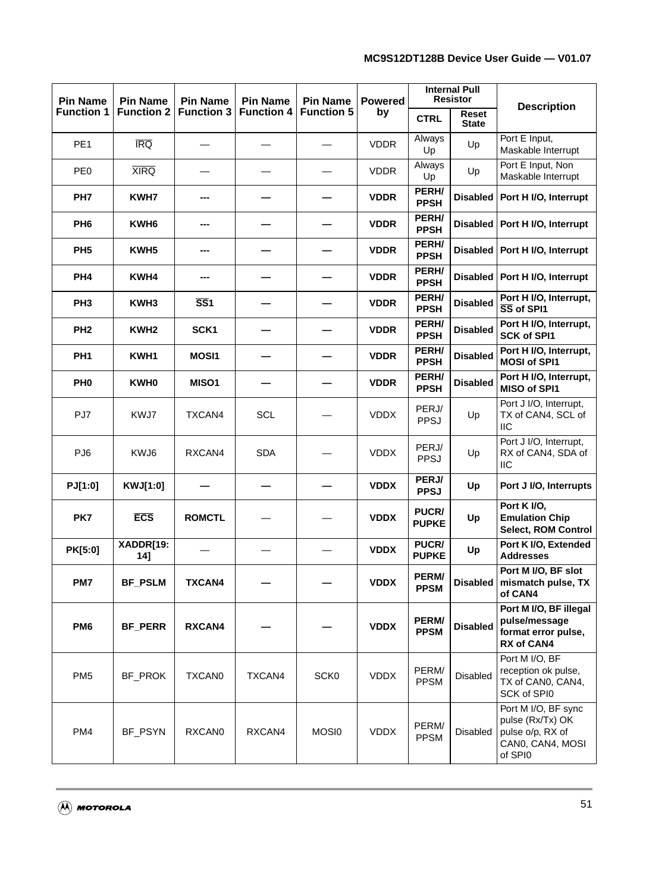| <b>Pin Name</b><br><b>Pin Name</b> |                   | <b>Pin Name</b>          | <b>Pin Name</b>   | <b>Pin Name</b>   | <b>Powered</b> |                              | <b>Internal Pull</b><br><b>Resistor</b> |                                                                                            |
|------------------------------------|-------------------|--------------------------|-------------------|-------------------|----------------|------------------------------|-----------------------------------------|--------------------------------------------------------------------------------------------|
| <b>Function 1</b>                  | <b>Function 2</b> | <b>Function 3</b>        | <b>Function 4</b> | <b>Function 5</b> | by             | <b>CTRL</b>                  | <b>Reset</b><br><b>State</b>            | <b>Description</b>                                                                         |
| PE <sub>1</sub>                    | IRQ               |                          |                   |                   | <b>VDDR</b>    | Always<br>Up                 | Up                                      | Port E Input,<br>Maskable Interrupt                                                        |
| PE <sub>0</sub>                    | <b>XIRQ</b>       |                          |                   |                   | <b>VDDR</b>    | Always<br>Up                 | Up                                      | Port E Input, Non<br>Maskable Interrupt                                                    |
| PH <sub>7</sub>                    | <b>KWH7</b>       |                          |                   |                   | <b>VDDR</b>    | PERH/<br><b>PPSH</b>         | <b>Disabled</b>                         | Port H I/O, Interrupt                                                                      |
| PH <sub>6</sub>                    | KWH <sub>6</sub>  |                          |                   |                   | <b>VDDR</b>    | PERH/<br><b>PPSH</b>         | <b>Disabled</b>                         | Port H I/O, Interrupt                                                                      |
| PH <sub>5</sub>                    | KWH <sub>5</sub>  |                          |                   |                   | <b>VDDR</b>    | PERH/<br><b>PPSH</b>         | <b>Disabled</b>                         | Port H I/O, Interrupt                                                                      |
| PH <sub>4</sub>                    | KWH4              |                          |                   |                   | <b>VDDR</b>    | PERH/<br><b>PPSH</b>         | <b>Disabled</b>                         | Port H I/O, Interrupt                                                                      |
| PH <sub>3</sub>                    | KWH <sub>3</sub>  | $\overline{\text{SS}}$ 1 |                   |                   | <b>VDDR</b>    | PERH/<br><b>PPSH</b>         | <b>Disabled</b>                         | Port H I/O, Interrupt,<br>SS of SPI1                                                       |
| PH <sub>2</sub>                    | KWH <sub>2</sub>  | SCK <sub>1</sub>         |                   |                   | <b>VDDR</b>    | PERH/<br><b>PPSH</b>         | <b>Disabled</b>                         | Port H I/O, Interrupt,<br><b>SCK of SPI1</b>                                               |
| PH <sub>1</sub>                    | KWH1              | <b>MOSI1</b>             |                   |                   | <b>VDDR</b>    | PERH/<br><b>PPSH</b>         | <b>Disabled</b>                         | Port H I/O, Interrupt,<br><b>MOSI of SPI1</b>                                              |
| PH <sub>0</sub>                    | KWH <sub>0</sub>  | MISO1                    |                   |                   | <b>VDDR</b>    | PERH/<br><b>PPSH</b>         | <b>Disabled</b>                         | Port H I/O, Interrupt,<br>MISO of SPI1                                                     |
| PJ7                                | KWJ7              | TXCAN4                   | <b>SCL</b>        |                   | <b>VDDX</b>    | PERJ/<br><b>PPSJ</b>         | Up                                      | Port J I/O, Interrupt,<br>TX of CAN4, SCL of<br>IIC                                        |
| PJ6                                | KWJ6              | RXCAN4                   | <b>SDA</b>        |                   | <b>VDDX</b>    | PERJ/<br><b>PPSJ</b>         | Up                                      | Port J I/O, Interrupt,<br>RX of CAN4, SDA of<br><b>IIC</b>                                 |
| PJ[1:0]                            | <b>KWJ[1:0]</b>   |                          |                   |                   | <b>VDDX</b>    | PERJ/<br><b>PPSJ</b>         | Up                                      | Port J I/O, Interrupts                                                                     |
| PK7                                | <b>ECS</b>        | <b>ROMCTL</b>            |                   |                   | <b>VDDX</b>    | <b>PUCR/</b><br><b>PUPKE</b> | Up                                      | Port K I/O,<br><b>Emulation Chip</b><br><b>Select, ROM Control</b>                         |
| PK[5:0]                            | XADDR[19:<br>14]  |                          |                   |                   | <b>VDDX</b>    | PUCR/<br><b>PUPKE</b>        | Up                                      | Port K I/O, Extended<br><b>Addresses</b>                                                   |
| PM7                                | <b>BF_PSLM</b>    | <b>TXCAN4</b>            |                   |                   | <b>VDDX</b>    | PERM/<br><b>PPSM</b>         | <b>Disabled</b>                         | Port M I/O, BF slot<br>mismatch pulse, TX<br>of CAN4                                       |
| PM <sub>6</sub>                    | <b>BF_PERR</b>    | <b>RXCAN4</b>            |                   |                   | <b>VDDX</b>    | PERM/<br><b>PPSM</b>         | <b>Disabled</b>                         | Port M I/O, BF illegal<br>pulse/message<br>format error pulse,<br>RX of CAN4               |
| PM <sub>5</sub>                    | BF_PROK           | <b>TXCAN0</b>            | TXCAN4            | SCK <sub>0</sub>  | <b>VDDX</b>    | PERM/<br><b>PPSM</b>         | Disabled                                | Port M I/O, BF<br>reception ok pulse,<br>TX of CAN0, CAN4,<br>SCK of SPI0                  |
| PM4                                | BF_PSYN           | RXCAN <sub>0</sub>       | RXCAN4            | MOSI0             | <b>VDDX</b>    | PERM/<br><b>PPSM</b>         | Disabled                                | Port M I/O, BF sync<br>pulse (Rx/Tx) OK<br>pulse o/p, RX of<br>CANO, CAN4, MOSI<br>of SPI0 |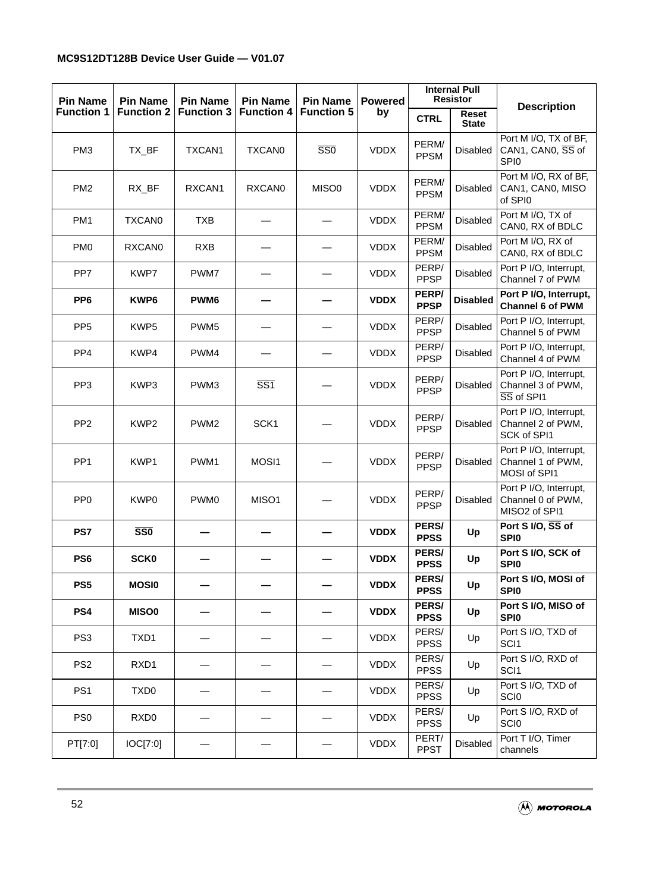| <b>Pin Name</b>   | <b>Pin Name</b>         | <b>Pin Name</b>   | <b>Pin Name</b>    | <b>Pin Name</b>         | <b>Powered</b> |                      | <b>Internal Pull</b><br><b>Resistor</b> | <b>Description</b>                                             |  |
|-------------------|-------------------------|-------------------|--------------------|-------------------------|----------------|----------------------|-----------------------------------------|----------------------------------------------------------------|--|
| <b>Function 1</b> | <b>Function 2</b>       | <b>Function 3</b> | <b>Function 4</b>  | <b>Function 5</b>       | by             | <b>CTRL</b>          | <b>Reset</b><br><b>State</b>            |                                                                |  |
| PM <sub>3</sub>   | TX_BF                   | TXCAN1            | <b>TXCAN0</b>      | $\overline{\text{SS0}}$ | <b>VDDX</b>    | PERM/<br><b>PPSM</b> | Disabled                                | Port M I/O, TX of BF,<br>CAN1, CAN0, SS of<br>SPI <sub>0</sub> |  |
| PM <sub>2</sub>   | RX_BF                   | RXCAN1            | RXCAN <sub>0</sub> | MISO0                   | <b>VDDX</b>    | PERM/<br><b>PPSM</b> | Disabled                                | Port M I/O, RX of BF,<br>CAN1, CAN0, MISO<br>of SPI0           |  |
| PM <sub>1</sub>   | <b>TXCAN0</b>           | <b>TXB</b>        |                    |                         | <b>VDDX</b>    | PERM/<br><b>PPSM</b> | Disabled                                | Port M I/O, TX of<br>CAN0, RX of BDLC                          |  |
| PM <sub>0</sub>   | RXCAN <sub>0</sub>      | <b>RXB</b>        |                    |                         | <b>VDDX</b>    | PERM/<br><b>PPSM</b> | <b>Disabled</b>                         | Port M I/O, RX of<br>CAN0, RX of BDLC                          |  |
| PP7               | KWP7                    | PWM7              |                    |                         | <b>VDDX</b>    | PERP/<br><b>PPSP</b> | Disabled                                | Port P I/O, Interrupt,<br>Channel 7 of PWM                     |  |
| PP <sub>6</sub>   | KWP6                    | PWM <sub>6</sub>  |                    |                         | <b>VDDX</b>    | PERP/<br><b>PPSP</b> | <b>Disabled</b>                         | Port P I/O, Interrupt,<br><b>Channel 6 of PWM</b>              |  |
| PP <sub>5</sub>   | KWP5                    | PWM <sub>5</sub>  |                    |                         | <b>VDDX</b>    | PERP/<br><b>PPSP</b> | Disabled                                | Port P I/O, Interrupt,<br>Channel 5 of PWM                     |  |
| PP <sub>4</sub>   | KWP4                    | PWM4              |                    |                         | <b>VDDX</b>    | PERP/<br><b>PPSP</b> | <b>Disabled</b>                         | Port P I/O, Interrupt,<br>Channel 4 of PWM                     |  |
| PP <sub>3</sub>   | KWP3                    | PWM3              | $\overline{SS1}$   |                         | <b>VDDX</b>    | PERP/<br><b>PPSP</b> | Disabled                                | Port P I/O, Interrupt,<br>Channel 3 of PWM,<br>SS of SPI1      |  |
| PP <sub>2</sub>   | KWP <sub>2</sub>        | PWM <sub>2</sub>  | SCK1               |                         | <b>VDDX</b>    | PERP/<br><b>PPSP</b> | Disabled                                | Port P I/O, Interrupt,<br>Channel 2 of PWM,<br>SCK of SPI1     |  |
| PP <sub>1</sub>   | KWP1                    | PWM1              | MOSI1              |                         | <b>VDDX</b>    | PERP/<br><b>PPSP</b> | Disabled                                | Port P I/O, Interrupt,<br>Channel 1 of PWM,<br>MOSI of SPI1    |  |
| PP <sub>0</sub>   | KWP0                    | PWM <sub>0</sub>  | MISO1              |                         | <b>VDDX</b>    | PERP/<br><b>PPSP</b> | Disabled                                | Port P I/O, Interrupt,<br>Channel 0 of PWM,<br>MISO2 of SPI1   |  |
| PS7               | $\overline{\text{SS0}}$ |                   |                    |                         | <b>VDDX</b>    | PERS/<br><b>PPSS</b> | Up                                      | Port S I/O, SS of<br><b>SPI0</b>                               |  |
| PS6               | <b>SCK0</b>             |                   |                    |                         | <b>VDDX</b>    | PERS/<br><b>PPSS</b> | Up                                      | Port S I/O, SCK of<br>SPI <sub>0</sub>                         |  |
| PS <sub>5</sub>   | <b>MOSI0</b>            |                   |                    |                         | <b>VDDX</b>    | PERS/<br><b>PPSS</b> | Up                                      | Port S I/O, MOSI of<br><b>SPI0</b>                             |  |
| PS4               | <b>MISO0</b>            |                   |                    |                         | <b>VDDX</b>    | PERS/<br><b>PPSS</b> | Up                                      | Port S I/O, MISO of<br>SPI <sub>0</sub>                        |  |
| PS <sub>3</sub>   | TXD1                    |                   |                    |                         | <b>VDDX</b>    | PERS/<br><b>PPSS</b> | Up                                      | Port S I/O, TXD of<br>SCI <sub>1</sub>                         |  |
| PS <sub>2</sub>   | RXD1                    |                   |                    |                         | <b>VDDX</b>    | PERS/<br><b>PPSS</b> | Up                                      | Port S I/O, RXD of<br>SCI1                                     |  |
| PS <sub>1</sub>   | TXD <sub>0</sub>        |                   |                    |                         | <b>VDDX</b>    | PERS/<br><b>PPSS</b> | Up                                      | Port S I/O, TXD of<br><b>SCIO</b>                              |  |
| PS <sub>0</sub>   | RXD <sub>0</sub>        |                   |                    |                         | <b>VDDX</b>    | PERS/<br><b>PPSS</b> | Up                                      | Port S I/O, RXD of<br><b>SCIO</b>                              |  |
| PT[7:0]           | IOC[7:0]                |                   |                    |                         | <b>VDDX</b>    | PERT/<br><b>PPST</b> | Disabled                                | Port T I/O, Timer<br>channels                                  |  |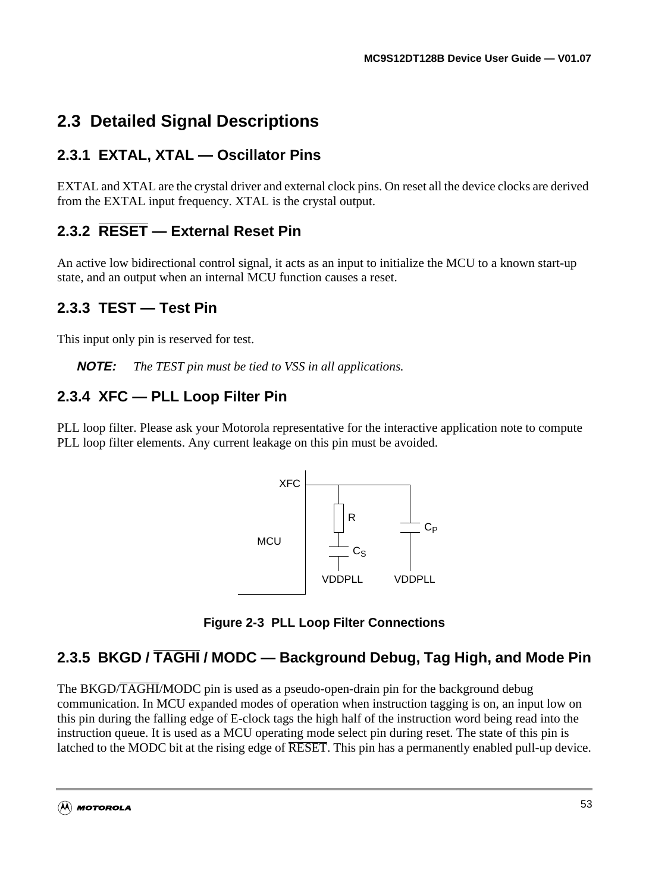# **2.3 Detailed Signal Descriptions**

#### **2.3.1 EXTAL, XTAL — Oscillator Pins**

EXTAL and XTAL are the crystal driver and external clock pins. On reset all the device clocks are derived from the EXTAL input frequency. XTAL is the crystal output.

## **2.3.2 RESET — External Reset Pin**

An active low bidirectional control signal, it acts as an input to initialize the MCU to a known start-up state, and an output when an internal MCU function causes a reset.

#### **2.3.3 TEST — Test Pin**

This input only pin is reserved for test.

**NOTE:** *The TEST pin must be tied to VSS in all applications.*

#### **2.3.4 XFC — PLL Loop Filter Pin**

PLL loop filter. Please ask your Motorola representative for the interactive application note to compute PLL loop filter elements. Any current leakage on this pin must be avoided.





## **2.3.5 BKGD / TAGHI / MODC — Background Debug, Tag High, and Mode Pin**

The BKGD/TAGHI/MODC pin is used as a pseudo-open-drain pin for the background debug communication. In MCU expanded modes of operation when instruction tagging is on, an input low on this pin during the falling edge of E-clock tags the high half of the instruction word being read into the instruction queue. It is used as a MCU operating mode select pin during reset. The state of this pin is latched to the MODC bit at the rising edge of RESET. This pin has a permanently enabled pull-up device.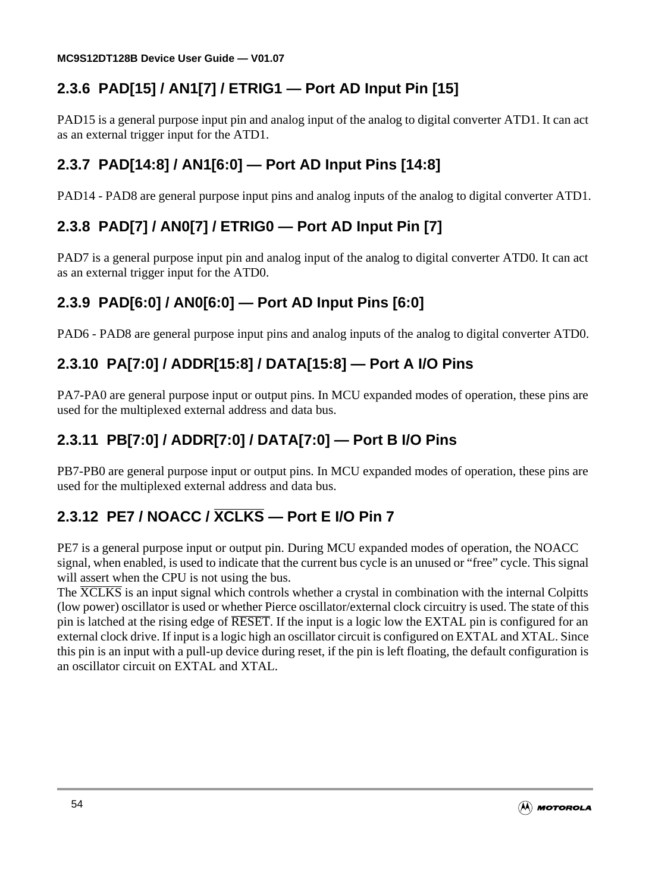## **2.3.6 PAD[15] / AN1[7] / ETRIG1 — Port AD Input Pin [15]**

PAD15 is a general purpose input pin and analog input of the analog to digital converter ATD1. It can act as an external trigger input for the ATD1.

## **2.3.7 PAD[14:8] / AN1[6:0] — Port AD Input Pins [14:8]**

PAD14 - PAD8 are general purpose input pins and analog inputs of the analog to digital converter ATD1.

## **2.3.8 PAD[7] / AN0[7] / ETRIG0 — Port AD Input Pin [7]**

PAD7 is a general purpose input pin and analog input of the analog to digital converter ATD0. It can act as an external trigger input for the ATD0.

## **2.3.9 PAD[6:0] / AN0[6:0] — Port AD Input Pins [6:0]**

PAD6 - PAD8 are general purpose input pins and analog inputs of the analog to digital converter ATD0.

## **2.3.10 PA[7:0] / ADDR[15:8] / DATA[15:8] — Port A I/O Pins**

PA7-PA0 are general purpose input or output pins. In MCU expanded modes of operation, these pins are used for the multiplexed external address and data bus.

#### **2.3.11 PB[7:0] / ADDR[7:0] / DATA[7:0] — Port B I/O Pins**

PB7-PB0 are general purpose input or output pins. In MCU expanded modes of operation, these pins are used for the multiplexed external address and data bus.

## **2.3.12 PE7 / NOACC / XCLKS — Port E I/O Pin 7**

PE7 is a general purpose input or output pin. During MCU expanded modes of operation, the NOACC signal, when enabled, is used to indicate that the current bus cycle is an unused or "free" cycle. This signal will assert when the CPU is not using the bus.

The  $\overline{XCLKS}$  is an input signal which controls whether a crystal in combination with the internal Colpitts (low power) oscillator is used or whether Pierce oscillator/external clock circuitry is used. The state of this pin is latched at the rising edge of RESET. If the input is a logic low the EXTAL pin is configured for an external clock drive. If input is a logic high an oscillator circuit is configured on EXTAL and XTAL. Since this pin is an input with a pull-up device during reset, if the pin is left floating, the default configuration is an oscillator circuit on EXTAL and XTAL.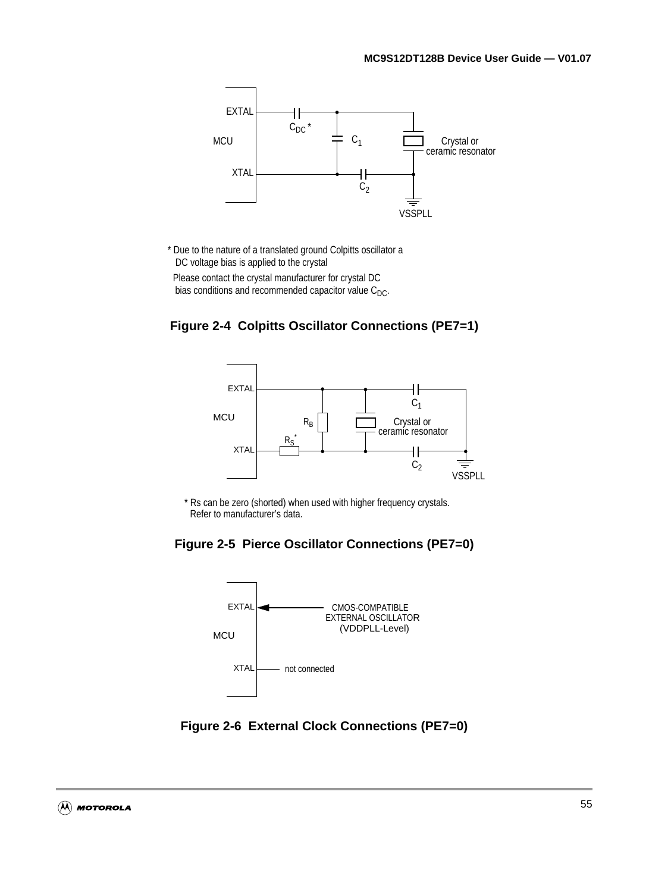

\* Due to the nature of a translated ground Colpitts oscillator a DC voltage bias is applied to the crystal

bias conditions and recommended capacitor value  $C_{DC}$ . Please contact the crystal manufacturer for crystal DC

#### **Figure 2-4 Colpitts Oscillator Connections (PE7=1)**



\* Rs can be zero (shorted) when used with higher frequency crystals. Refer to manufacturer's data.

**Figure 2-5 Pierce Oscillator Connections (PE7=0)**



**Figure 2-6 External Clock Connections (PE7=0)**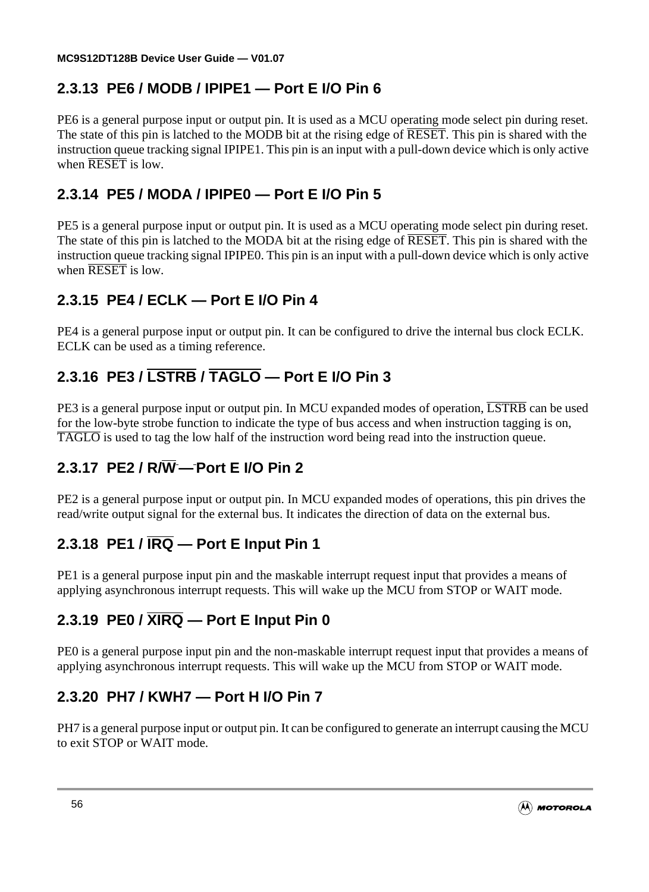## **2.3.13 PE6 / MODB / IPIPE1 — Port E I/O Pin 6**

PE6 is a general purpose input or output pin. It is used as a MCU operating mode select pin during reset. The state of this pin is latched to the MODB bit at the rising edge of RESET. This pin is shared with the instruction queue tracking signal IPIPE1. This pin is an input with a pull-down device which is only active when **RESET** is low.

#### **2.3.14 PE5 / MODA / IPIPE0 — Port E I/O Pin 5**

PE5 is a general purpose input or output pin. It is used as a MCU operating mode select pin during reset. The state of this pin is latched to the MODA bit at the rising edge of RESET. This pin is shared with the instruction queue tracking signal IPIPE0. This pin is an input with a pull-down device which is only active when **RESET** is low.

#### **2.3.15 PE4 / ECLK — Port E I/O Pin 4**

PE4 is a general purpose input or output pin. It can be configured to drive the internal bus clock ECLK. ECLK can be used as a timing reference.

#### **2.3.16 PE3 / LSTRB / TAGLO — Port E I/O Pin 3**

PE3 is a general purpose input or output pin. In MCU expanded modes of operation, LSTRB can be used for the low-byte strobe function to indicate the type of bus access and when instruction tagging is on, TAGLO is used to tag the low half of the instruction word being read into the instruction queue.

#### **2.3.17 PE2 / R/W — Port E I/O Pin 2**

PE2 is a general purpose input or output pin. In MCU expanded modes of operations, this pin drives the read/write output signal for the external bus. It indicates the direction of data on the external bus.

#### **2.3.18 PE1 / IRQ — Port E Input Pin 1**

PE1 is a general purpose input pin and the maskable interrupt request input that provides a means of applying asynchronous interrupt requests. This will wake up the MCU from STOP or WAIT mode.

#### **2.3.19 PE0 / XIRQ — Port E Input Pin 0**

PE0 is a general purpose input pin and the non-maskable interrupt request input that provides a means of applying asynchronous interrupt requests. This will wake up the MCU from STOP or WAIT mode.

#### **2.3.20 PH7 / KWH7 — Port H I/O Pin 7**

PH7 is a general purpose input or output pin. It can be configured to generate an interrupt causing the MCU to exit STOP or WAIT mode.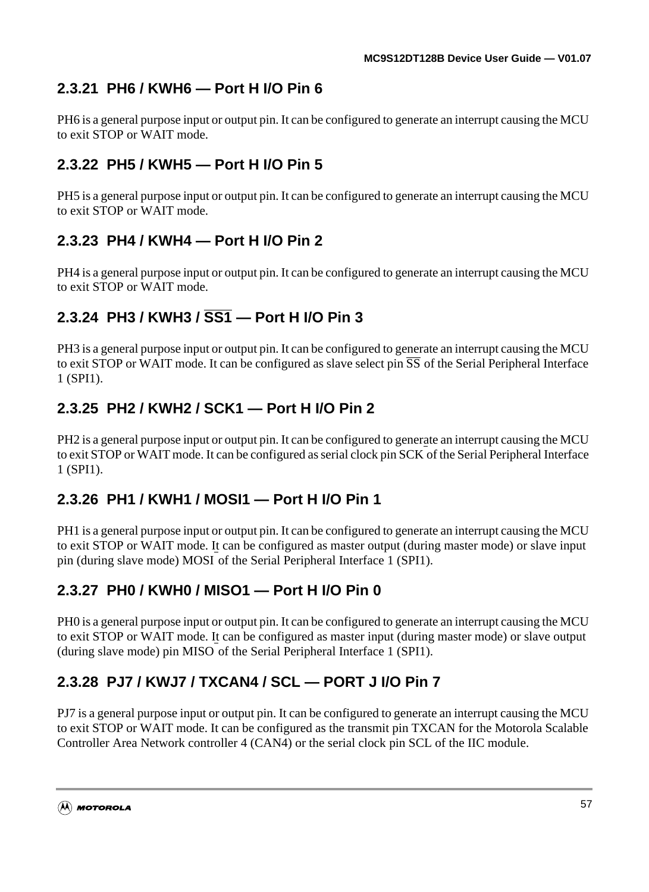#### **2.3.21 PH6 / KWH6 — Port H I/O Pin 6**

PH6 is a general purpose input or output pin. It can be configured to generate an interrupt causing the MCU to exit STOP or WAIT mode.

#### **2.3.22 PH5 / KWH5 — Port H I/O Pin 5**

PH5 is a general purpose input or output pin. It can be configured to generate an interrupt causing the MCU to exit STOP or WAIT mode.

#### **2.3.23 PH4 / KWH4 — Port H I/O Pin 2**

PH4 is a general purpose input or output pin. It can be configured to generate an interrupt causing the MCU to exit STOP or WAIT mode.

#### **2.3.24 PH3 / KWH3 / SS1 — Port H I/O Pin 3**

PH3 is a general purpose input or output pin. It can be configured to generate an interrupt causing the MCU to exit STOP or WAIT mode. It can be configured as slave select pin  $\overline{SS}$  of the Serial Peripheral Interface 1 (SPI1).

#### **2.3.25 PH2 / KWH2 / SCK1 — Port H I/O Pin 2**

PH2 is a general purpose input or output pin. It can be configured to generate an interrupt causing the MCU to exit STOP or WAIT mode. It can be configured as serial clock pin SCK of the Serial Peripheral Interface 1 (SPI1).

#### **2.3.26 PH1 / KWH1 / MOSI1 — Port H I/O Pin 1**

PH1 is a general purpose input or output pin. It can be configured to generate an interrupt causing the MCU to exit STOP or WAIT mode. It can be configured as master output (during master mode) or slave input pin (during slave mode) MOSI of the Serial Peripheral Interface 1 (SPI1).

#### **2.3.27 PH0 / KWH0 / MISO1 — Port H I/O Pin 0**

PH0 is a general purpose input or output pin. It can be configured to generate an interrupt causing the MCU to exit STOP or WAIT mode. It can be configured as master input (during master mode) or slave output (during slave mode) pin MISO of the Serial Peripheral Interface 1 (SPI1).

#### **2.3.28 PJ7 / KWJ7 / TXCAN4 / SCL — PORT J I/O Pin 7**

PJ7 is a general purpose input or output pin. It can be configured to generate an interrupt causing the MCU to exit STOP or WAIT mode. It can be configured as the transmit pin TXCAN for the Motorola Scalable Controller Area Network controller 4 (CAN4) or the serial clock pin SCL of the IIC module.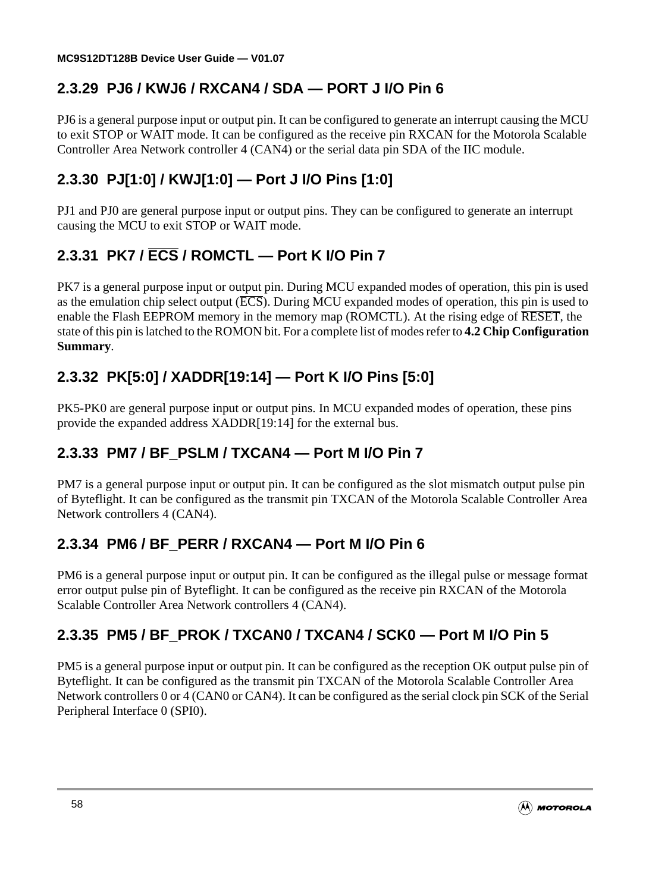## **2.3.29 PJ6 / KWJ6 / RXCAN4 / SDA — PORT J I/O Pin 6**

PJ6 is a general purpose input or output pin. It can be configured to generate an interrupt causing the MCU to exit STOP or WAIT mode. It can be configured as the receive pin RXCAN for the Motorola Scalable Controller Area Network controller 4 (CAN4) or the serial data pin SDA of the IIC module.

## **2.3.30 PJ[1:0] / KWJ[1:0] — Port J I/O Pins [1:0]**

PJ1 and PJ0 are general purpose input or output pins. They can be configured to generate an interrupt causing the MCU to exit STOP or WAIT mode.

## **2.3.31 PK7 / ECS / ROMCTL — Port K I/O Pin 7**

PK7 is a general purpose input or output pin. During MCU expanded modes of operation, this pin is used as the emulation chip select output  $(\overline{ECS})$ . During MCU expanded modes of operation, this pin is used to enable the Flash EEPROM memory in the memory map (ROMCTL). At the rising edge of  $\overline{\text{RESET}}$ , the state of this pin is latched to the ROMON bit. For a complete list of modes refer to **[4.2 Chip Configuration](#page-66-0) [Summary](#page-66-0)**.

## **2.3.32 PK[5:0] / XADDR[19:14] — Port K I/O Pins [5:0]**

PK5-PK0 are general purpose input or output pins. In MCU expanded modes of operation, these pins provide the expanded address XADDR[19:14] for the external bus.

#### **2.3.33 PM7 / BF\_PSLM / TXCAN4 — Port M I/O Pin 7**

PM7 is a general purpose input or output pin. It can be configured as the slot mismatch output pulse pin of Byteflight. It can be configured as the transmit pin TXCAN of the Motorola Scalable Controller Area Network controllers 4 (CAN4).

#### **2.3.34 PM6 / BF\_PERR / RXCAN4 — Port M I/O Pin 6**

PM6 is a general purpose input or output pin. It can be configured as the illegal pulse or message format error output pulse pin of Byteflight. It can be configured as the receive pin RXCAN of the Motorola Scalable Controller Area Network controllers 4 (CAN4).

#### **2.3.35 PM5 / BF\_PROK / TXCAN0 / TXCAN4 / SCK0 — Port M I/O Pin 5**

PM5 is a general purpose input or output pin. It can be configured as the reception OK output pulse pin of Byteflight. It can be configured as the transmit pin TXCAN of the Motorola Scalable Controller Area Network controllers 0 or 4 (CAN0 or CAN4). It can be configured as the serial clock pin SCK of the Serial Peripheral Interface 0 (SPI0).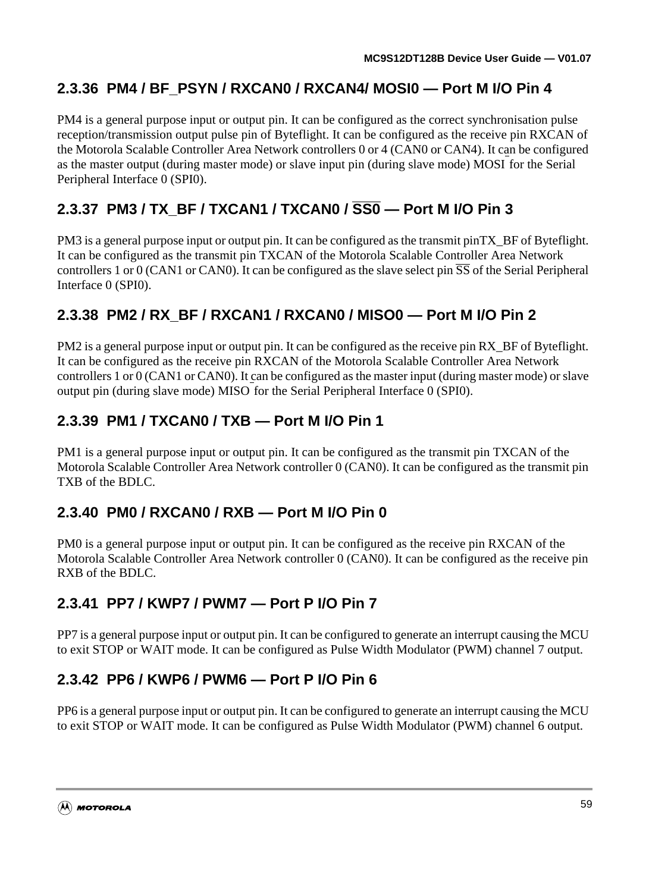#### **2.3.36 PM4 / BF\_PSYN / RXCAN0 / RXCAN4/ MOSI0 — Port M I/O Pin 4**

PM4 is a general purpose input or output pin. It can be configured as the correct synchronisation pulse reception/transmission output pulse pin of Byteflight. It can be configured as the receive pin RXCAN of the Motorola Scalable Controller Area Network controllers 0 or 4 (CAN0 or CAN4). It can be configured as the master output (during master mode) or slave input pin (during slave mode) MOSI for the Serial Peripheral Interface 0 (SPI0).

#### **2.3.37 PM3 / TX\_BF / TXCAN1 / TXCAN0 / SS0 — Port M I/O Pin 3**

PM3 is a general purpose input or output pin. It can be configured as the transmit pinTX\_BF of Byteflight. It can be configured as the transmit pin TXCAN of the Motorola Scalable Controller Area Network controllers 1 or 0 (CAN1 or CAN0). It can be configured as the slave select pin  $\overline{SS}$  of the Serial Peripheral Interface 0 (SPI0).

#### **2.3.38 PM2 / RX\_BF / RXCAN1 / RXCAN0 / MISO0 — Port M I/O Pin 2**

PM2 is a general purpose input or output pin. It can be configured as the receive pin RX\_BF of Byteflight. It can be configured as the receive pin RXCAN of the Motorola Scalable Controller Area Network controllers 1 or 0 (CAN1 or CAN0). It can be configured as the master input (during master mode) or slave output pin (during slave mode) MISO for the Serial Peripheral Interface 0 (SPI0).

#### **2.3.39 PM1 / TXCAN0 / TXB — Port M I/O Pin 1**

PM1 is a general purpose input or output pin. It can be configured as the transmit pin TXCAN of the Motorola Scalable Controller Area Network controller 0 (CAN0). It can be configured as the transmit pin TXB of the BDLC.

#### **2.3.40 PM0 / RXCAN0 / RXB — Port M I/O Pin 0**

PM0 is a general purpose input or output pin. It can be configured as the receive pin RXCAN of the Motorola Scalable Controller Area Network controller 0 (CAN0). It can be configured as the receive pin RXB of the BDLC.

#### **2.3.41 PP7 / KWP7 / PWM7 — Port P I/O Pin 7**

PP7 is a general purpose input or output pin. It can be configured to generate an interrupt causing the MCU to exit STOP or WAIT mode. It can be configured as Pulse Width Modulator (PWM) channel 7 output.

#### **2.3.42 PP6 / KWP6 / PWM6 — Port P I/O Pin 6**

PP6 is a general purpose input or output pin. It can be configured to generate an interrupt causing the MCU to exit STOP or WAIT mode. It can be configured as Pulse Width Modulator (PWM) channel 6 output.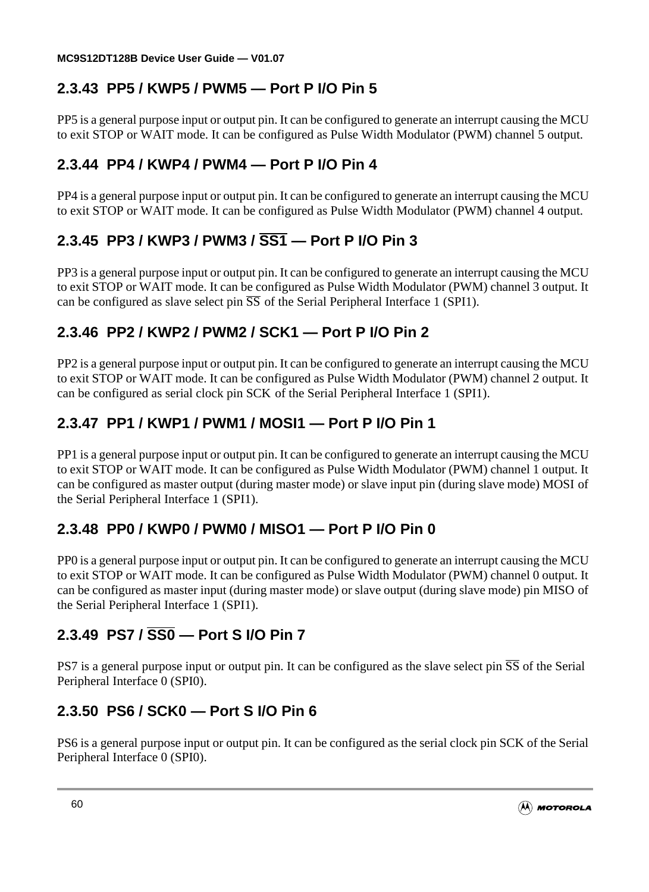### **2.3.43 PP5 / KWP5 / PWM5 — Port P I/O Pin 5**

PP5 is a general purpose input or output pin. It can be configured to generate an interrupt causing the MCU to exit STOP or WAIT mode. It can be configured as Pulse Width Modulator (PWM) channel 5 output.

#### **2.3.44 PP4 / KWP4 / PWM4 — Port P I/O Pin 4**

PP4 is a general purpose input or output pin. It can be configured to generate an interrupt causing the MCU to exit STOP or WAIT mode. It can be configured as Pulse Width Modulator (PWM) channel 4 output.

## **2.3.45 PP3 / KWP3 / PWM3 / SS1 — Port P I/O Pin 3**

PP3 is a general purpose input or output pin. It can be configured to generate an interrupt causing the MCU to exit STOP or WAIT mode. It can be configured as Pulse Width Modulator (PWM) channel 3 output. It can be configured as slave select pin  $\overline{SS}$  of the Serial Peripheral Interface 1 (SPI1).

#### **2.3.46 PP2 / KWP2 / PWM2 / SCK1 — Port P I/O Pin 2**

PP2 is a general purpose input or output pin. It can be configured to generate an interrupt causing the MCU to exit STOP or WAIT mode. It can be configured as Pulse Width Modulator (PWM) channel 2 output. It can be configured as serial clock pin SCK of the Serial Peripheral Interface 1 (SPI1).

#### **2.3.47 PP1 / KWP1 / PWM1 / MOSI1 — Port P I/O Pin 1**

PP1 is a general purpose input or output pin. It can be configured to generate an interrupt causing the MCU to exit STOP or WAIT mode. It can be configured as Pulse Width Modulator (PWM) channel 1 output. It can be configured as master output (during master mode) or slave input pin (during slave mode) MOSI of the Serial Peripheral Interface 1 (SPI1).

#### **2.3.48 PP0 / KWP0 / PWM0 / MISO1 — Port P I/O Pin 0**

PP0 is a general purpose input or output pin. It can be configured to generate an interrupt causing the MCU to exit STOP or WAIT mode. It can be configured as Pulse Width Modulator (PWM) channel 0 output. It can be configured as master input (during master mode) or slave output (during slave mode) pin MISO of the Serial Peripheral Interface 1 (SPI1).

#### **2.3.49 PS7 / SS0 — Port S I/O Pin 7**

PS7 is a general purpose input or output pin. It can be configured as the slave select pin  $\overline{SS}$  of the Serial Peripheral Interface 0 (SPI0).

#### **2.3.50 PS6 / SCK0 — Port S I/O Pin 6**

PS6 is a general purpose input or output pin. It can be configured as the serial clock pin SCK of the Serial Peripheral Interface 0 (SPI0).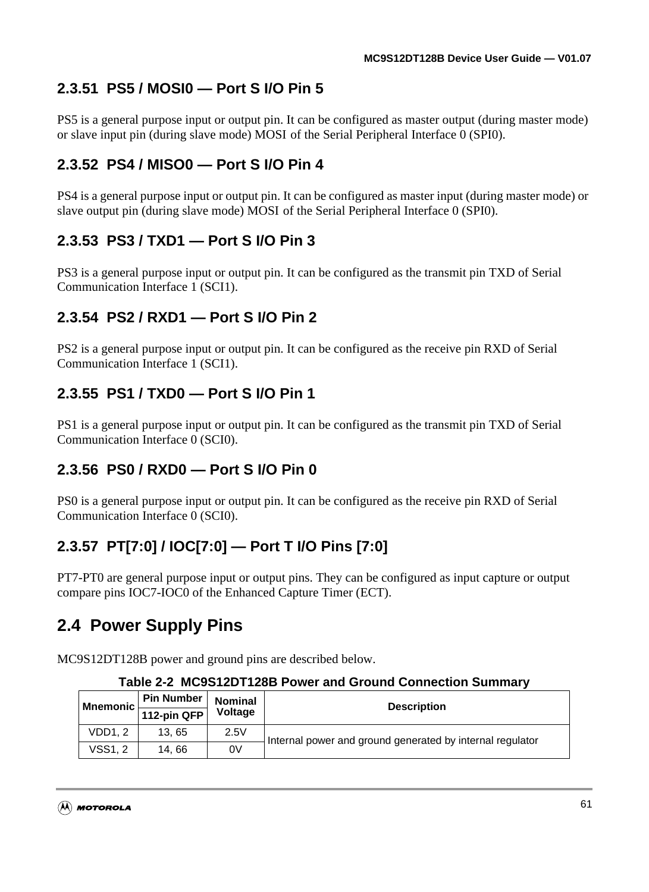#### **2.3.51 PS5 / MOSI0 — Port S I/O Pin 5**

PS5 is a general purpose input or output pin. It can be configured as master output (during master mode) or slave input pin (during slave mode) MOSI of the Serial Peripheral Interface 0 (SPI0).

#### **2.3.52 PS4 / MISO0 — Port S I/O Pin 4**

PS4 is a general purpose input or output pin. It can be configured as master input (during master mode) or slave output pin (during slave mode) MOSI of the Serial Peripheral Interface 0 (SPI0).

#### **2.3.53 PS3 / TXD1 — Port S I/O Pin 3**

PS3 is a general purpose input or output pin. It can be configured as the transmit pin TXD of Serial Communication Interface 1 (SCI1).

#### **2.3.54 PS2 / RXD1 — Port S I/O Pin 2**

PS2 is a general purpose input or output pin. It can be configured as the receive pin RXD of Serial Communication Interface 1 (SCI1).

#### **2.3.55 PS1 / TXD0 — Port S I/O Pin 1**

PS1 is a general purpose input or output pin. It can be configured as the transmit pin TXD of Serial Communication Interface 0 (SCI0).

#### **2.3.56 PS0 / RXD0 — Port S I/O Pin 0**

PS0 is a general purpose input or output pin. It can be configured as the receive pin RXD of Serial Communication Interface 0 (SCI0).

#### **2.3.57 PT[7:0] / IOC[7:0] — Port T I/O Pins [7:0]**

PT7-PT0 are general purpose input or output pins. They can be configured as input capture or output compare pins IOC7-IOC0 of the Enhanced Capture Timer (ECT).

# **2.4 Power Supply Pins**

MC9S12DT128B power and ground pins are described below.

**Table 2-2 MC9S12DT128B Power and Ground Connection Summary**

| Mnemonic       | Pin Number<br><b>Nominal</b><br>Voltage<br>112-pin QFP |      | <b>Description</b>                                        |  |  |
|----------------|--------------------------------------------------------|------|-----------------------------------------------------------|--|--|
| VDD1.2         | 13.65                                                  | 2.5V | Internal power and ground generated by internal regulator |  |  |
| <b>VSS1, 2</b> | 14.66                                                  | 0V   |                                                           |  |  |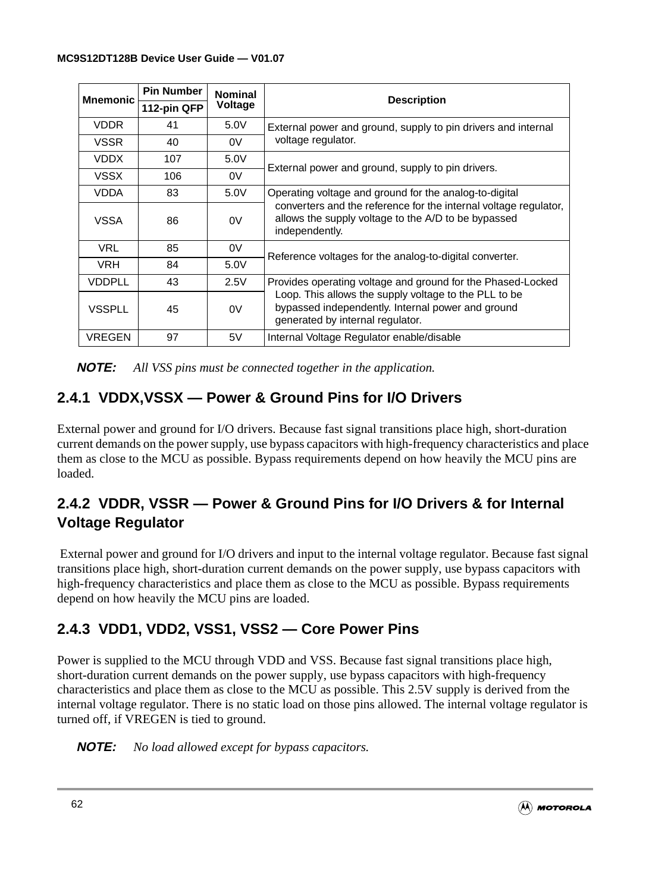| <b>Pin Number</b><br><b>Mnemonic</b> |             | <b>Nominal</b> | <b>Description</b>                                                                                                                             |  |  |  |  |
|--------------------------------------|-------------|----------------|------------------------------------------------------------------------------------------------------------------------------------------------|--|--|--|--|
|                                      | 112-pin QFP | Voltage        |                                                                                                                                                |  |  |  |  |
| <b>VDDR</b>                          | 41          | 5.0V           | External power and ground, supply to pin drivers and internal                                                                                  |  |  |  |  |
| <b>VSSR</b>                          | 40          | 0V             | voltage regulator.                                                                                                                             |  |  |  |  |
| <b>VDDX</b>                          | 107         | 5.0V           | External power and ground, supply to pin drivers.                                                                                              |  |  |  |  |
| <b>VSSX</b>                          | 106         | 0V             |                                                                                                                                                |  |  |  |  |
| <b>VDDA</b>                          | 83          | 5.0V           | Operating voltage and ground for the analog-to-digital                                                                                         |  |  |  |  |
| <b>VSSA</b>                          | 86          | 0 <sup>V</sup> | converters and the reference for the internal voltage regulator,<br>allows the supply voltage to the A/D to be bypassed<br>independently.      |  |  |  |  |
| <b>VRL</b>                           | 85          | 0V             |                                                                                                                                                |  |  |  |  |
| <b>VRH</b>                           | 84          | 5.0V           | Reference voltages for the analog-to-digital converter.                                                                                        |  |  |  |  |
| <b>VDDPLL</b>                        | 43          | 2.5V           | Provides operating voltage and ground for the Phased-Locked                                                                                    |  |  |  |  |
| <b>VSSPLL</b>                        | 45          | 0 <sup>V</sup> | Loop. This allows the supply voltage to the PLL to be<br>bypassed independently. Internal power and ground<br>generated by internal regulator. |  |  |  |  |
| <b>VREGEN</b>                        | 97          | 5V             | Internal Voltage Regulator enable/disable                                                                                                      |  |  |  |  |

**NOTE:** *All VSS pins must be connected together in the application.*

#### **2.4.1 VDDX,VSSX — Power & Ground Pins for I/O Drivers**

External power and ground for I/O drivers. Because fast signal transitions place high, short-duration current demands on the power supply, use bypass capacitors with high-frequency characteristics and place them as close to the MCU as possible. Bypass requirements depend on how heavily the MCU pins are loaded.

#### **2.4.2 VDDR, VSSR — Power & Ground Pins for I/O Drivers & for Internal Voltage Regulator**

External power and ground for I/O drivers and input to the internal voltage regulator. Because fast signal transitions place high, short-duration current demands on the power supply, use bypass capacitors with high-frequency characteristics and place them as close to the MCU as possible. Bypass requirements depend on how heavily the MCU pins are loaded.

#### **2.4.3 VDD1, VDD2, VSS1, VSS2 — Core Power Pins**

Power is supplied to the MCU through VDD and VSS. Because fast signal transitions place high, short-duration current demands on the power supply, use bypass capacitors with high-frequency characteristics and place them as close to the MCU as possible. This 2.5V supply is derived from the internal voltage regulator. There is no static load on those pins allowed. The internal voltage regulator is turned off, if VREGEN is tied to ground.

#### **NOTE:** *No load allowed except for bypass capacitors.*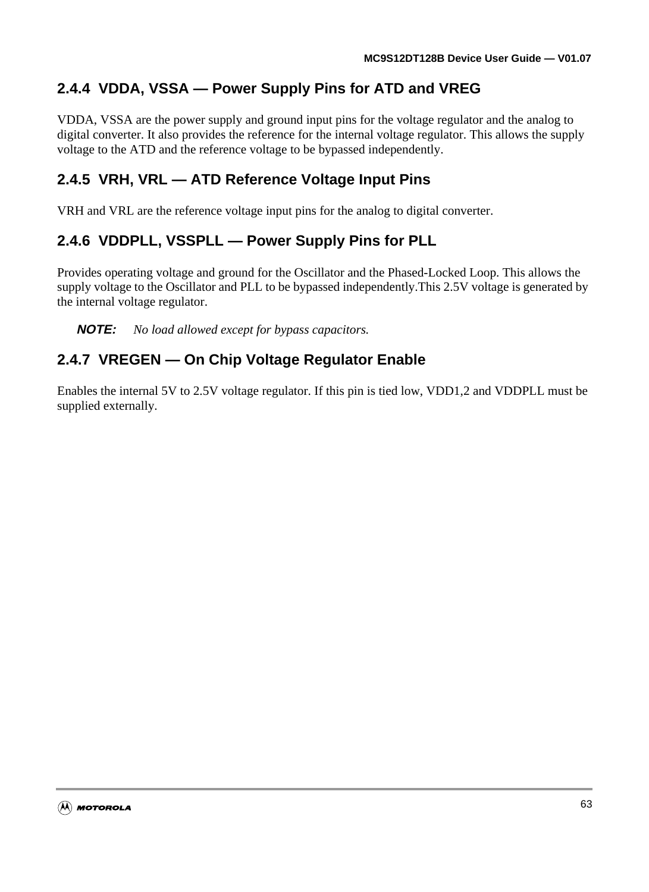### **2.4.4 VDDA, VSSA — Power Supply Pins for ATD and VREG**

VDDA, VSSA are the power supply and ground input pins for the voltage regulator and the analog to digital converter. It also provides the reference for the internal voltage regulator. This allows the supply voltage to the ATD and the reference voltage to be bypassed independently.

#### **2.4.5 VRH, VRL — ATD Reference Voltage Input Pins**

VRH and VRL are the reference voltage input pins for the analog to digital converter.

#### **2.4.6 VDDPLL, VSSPLL — Power Supply Pins for PLL**

Provides operating voltage and ground for the Oscillator and the Phased-Locked Loop. This allows the supply voltage to the Oscillator and PLL to be bypassed independently.This 2.5V voltage is generated by the internal voltage regulator.

**NOTE:** *No load allowed except for bypass capacitors.*

#### **2.4.7 VREGEN — On Chip Voltage Regulator Enable**

Enables the internal 5V to 2.5V voltage regulator. If this pin is tied low, VDD1,2 and VDDPLL must be supplied externally.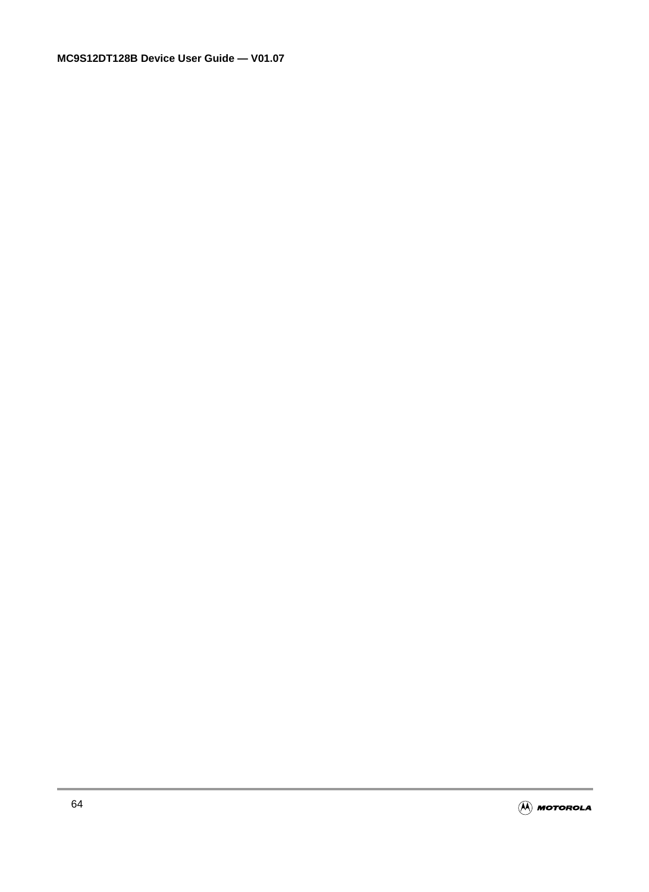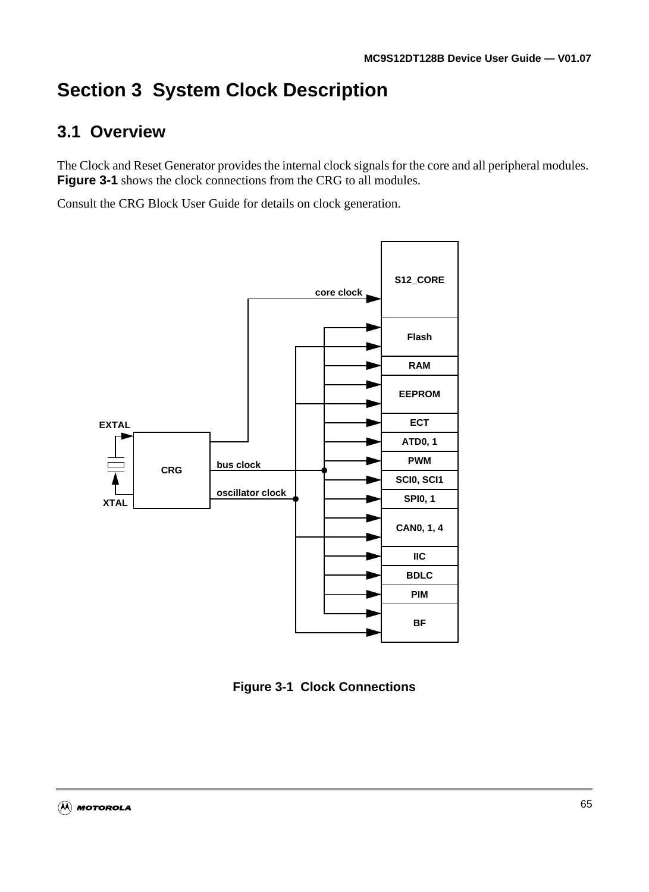# **Section 3 System Clock Description**

# **3.1 Overview**

The Clock and Reset Generator provides the internal clock signals for the core and all peripheral modules. **[Figure 3-1](#page-64-0)** shows the clock connections from the CRG to all modules.

Consult the CRG Block User Guide for details on clock generation.



<span id="page-64-0"></span>**Figure 3-1 Clock Connections**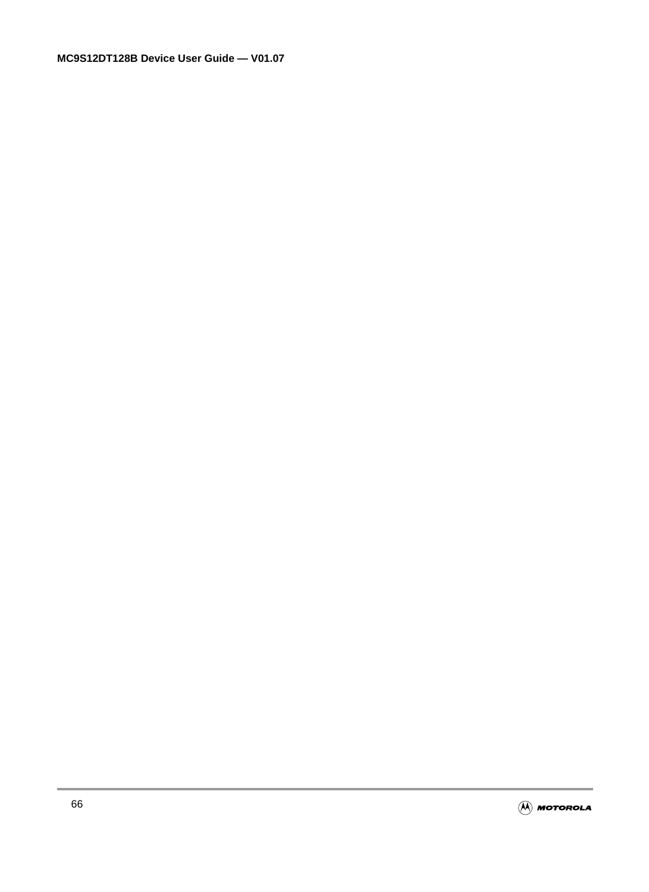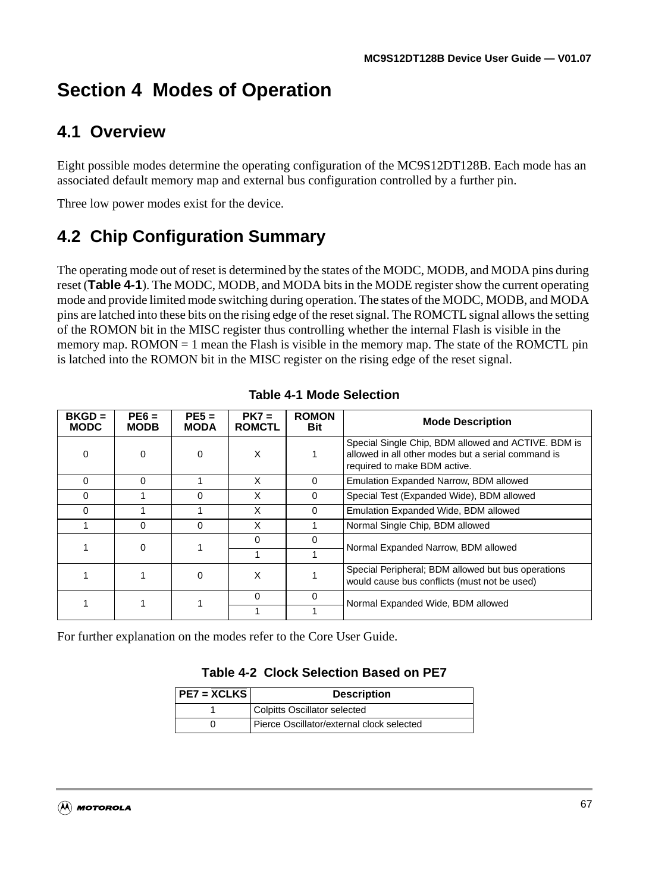# <span id="page-66-0"></span>**Section 4 Modes of Operation**

# **4.1 Overview**

Eight possible modes determine the operating configuration of the MC9S12DT128B. Each mode has an associated default memory map and external bus configuration controlled by a further pin.

Three low power modes exist for the device.

# **4.2 Chip Configuration Summary**

The operating mode out of reset is determined by the states of the MODC, MODB, and MODA pins during reset (**[Table 4-1](#page-66-1)**). The MODC, MODB, and MODA bits in the MODE register show the current operating mode and provide limited mode switching during operation. The states of the MODC, MODB, and MODA pins are latched into these bits on the rising edge of the reset signal. The ROMCTL signal allows the setting of the ROMON bit in the MISC register thus controlling whether the internal Flash is visible in the memory map.  $ROMON = 1$  mean the Flash is visible in the memory map. The state of the ROMCTL pin is latched into the ROMON bit in the MISC register on the rising edge of the reset signal.

<span id="page-66-1"></span>

| $BKGD =$<br><b>MODC</b> | $PE6 =$<br><b>MODB</b> | $PE5 =$<br><b>MODA</b> | $PK7 =$<br><b>ROMCTL</b> | <b>ROMON</b><br><b>Bit</b> | <b>Mode Description</b>                                                                                                                   |  |  |
|-------------------------|------------------------|------------------------|--------------------------|----------------------------|-------------------------------------------------------------------------------------------------------------------------------------------|--|--|
| O                       | 0                      | 0                      | X                        |                            | Special Single Chip, BDM allowed and ACTIVE. BDM is<br>allowed in all other modes but a serial command is<br>required to make BDM active. |  |  |
| 0                       | 0                      |                        | X                        | $\Omega$                   | Emulation Expanded Narrow, BDM allowed                                                                                                    |  |  |
| <sup>0</sup>            |                        | 0                      | X                        | 0                          | Special Test (Expanded Wide), BDM allowed                                                                                                 |  |  |
| <sup>0</sup>            |                        |                        | X                        | $\Omega$                   | Emulation Expanded Wide, BDM allowed                                                                                                      |  |  |
|                         | 0                      | 0                      | X                        |                            | Normal Single Chip, BDM allowed                                                                                                           |  |  |
|                         | 0                      |                        | 0                        | 0                          | Normal Expanded Narrow, BDM allowed                                                                                                       |  |  |
|                         |                        |                        |                          |                            |                                                                                                                                           |  |  |
|                         |                        | 0                      | X                        |                            | Special Peripheral; BDM allowed but bus operations<br>would cause bus conflicts (must not be used)                                        |  |  |
|                         |                        |                        | 0                        | 0                          | Normal Expanded Wide, BDM allowed                                                                                                         |  |  |
|                         |                        |                        |                          |                            |                                                                                                                                           |  |  |

#### **Table 4-1 Mode Selection**

For further explanation on the modes refer to the Core User Guide.

| Table 4-2 Clock Selection Based on PE7 |
|----------------------------------------|
|                                        |

| $ $ PE7 = $\overline{\text{XCLKS}} $ | <b>Description</b>                        |
|--------------------------------------|-------------------------------------------|
|                                      | Colpitts Oscillator selected              |
|                                      | Pierce Oscillator/external clock selected |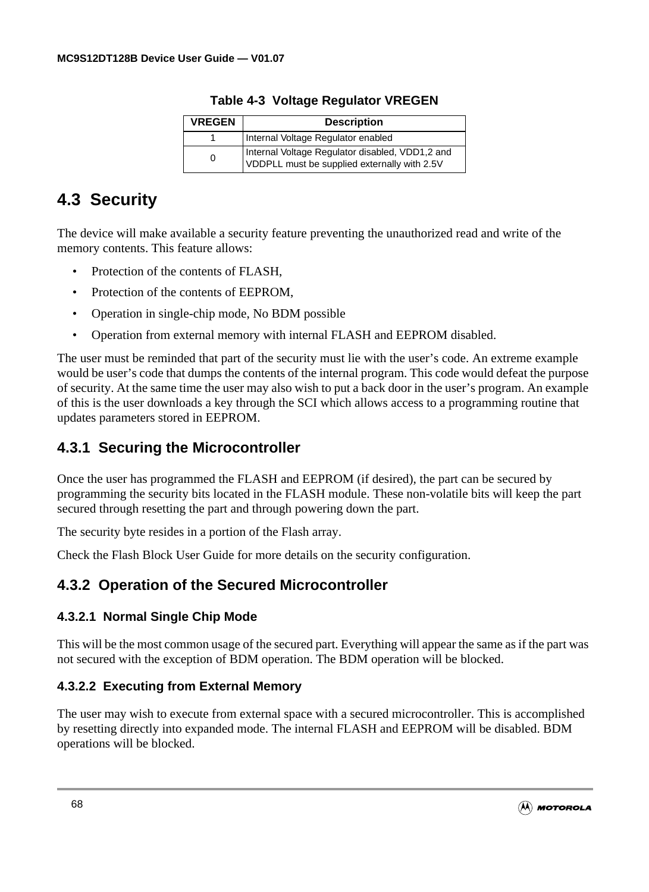| <b>VREGEN</b> | <b>Description</b>                                                                              |  |  |
|---------------|-------------------------------------------------------------------------------------------------|--|--|
|               | Internal Voltage Regulator enabled                                                              |  |  |
| 0             | Internal Voltage Regulator disabled, VDD1,2 and<br>VDDPLL must be supplied externally with 2.5V |  |  |

#### **Table 4-3 Voltage Regulator VREGEN**

# **4.3 Security**

The device will make available a security feature preventing the unauthorized read and write of the memory contents. This feature allows:

- Protection of the contents of FLASH,
- Protection of the contents of EEPROM,
- Operation in single-chip mode, No BDM possible
- Operation from external memory with internal FLASH and EEPROM disabled.

The user must be reminded that part of the security must lie with the user's code. An extreme example would be user's code that dumps the contents of the internal program. This code would defeat the purpose of security. At the same time the user may also wish to put a back door in the user's program. An example of this is the user downloads a key through the SCI which allows access to a programming routine that updates parameters stored in EEPROM.

#### **4.3.1 Securing the Microcontroller**

Once the user has programmed the FLASH and EEPROM (if desired), the part can be secured by programming the security bits located in the FLASH module. These non-volatile bits will keep the part secured through resetting the part and through powering down the part.

The security byte resides in a portion of the Flash array.

Check the Flash Block User Guide for more details on the security configuration.

#### **4.3.2 Operation of the Secured Microcontroller**

#### **4.3.2.1 Normal Single Chip Mode**

This will be the most common usage of the secured part. Everything will appear the same as if the part was not secured with the exception of BDM operation. The BDM operation will be blocked.

#### **4.3.2.2 Executing from External Memory**

The user may wish to execute from external space with a secured microcontroller. This is accomplished by resetting directly into expanded mode. The internal FLASH and EEPROM will be disabled. BDM operations will be blocked.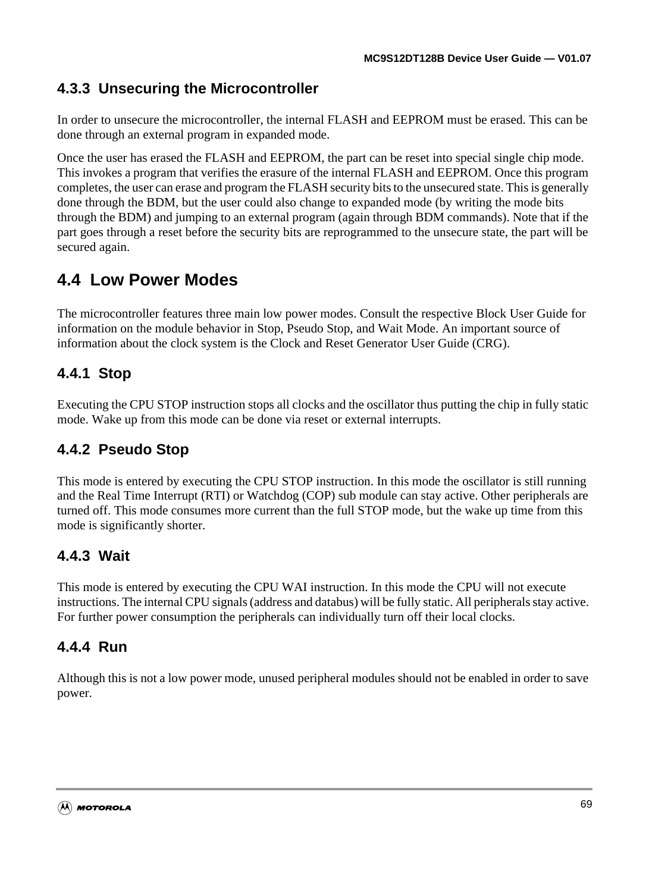#### **4.3.3 Unsecuring the Microcontroller**

In order to unsecure the microcontroller, the internal FLASH and EEPROM must be erased. This can be done through an external program in expanded mode.

Once the user has erased the FLASH and EEPROM, the part can be reset into special single chip mode. This invokes a program that verifies the erasure of the internal FLASH and EEPROM. Once this program completes, the user can erase and program the FLASH security bits to the unsecured state. This is generally done through the BDM, but the user could also change to expanded mode (by writing the mode bits through the BDM) and jumping to an external program (again through BDM commands). Note that if the part goes through a reset before the security bits are reprogrammed to the unsecure state, the part will be secured again.

## **4.4 Low Power Modes**

The microcontroller features three main low power modes. Consult the respective Block User Guide for information on the module behavior in Stop, Pseudo Stop, and Wait Mode. An important source of information about the clock system is the Clock and Reset Generator User Guide (CRG).

#### **4.4.1 Stop**

Executing the CPU STOP instruction stops all clocks and the oscillator thus putting the chip in fully static mode. Wake up from this mode can be done via reset or external interrupts.

#### **4.4.2 Pseudo Stop**

This mode is entered by executing the CPU STOP instruction. In this mode the oscillator is still running and the Real Time Interrupt (RTI) or Watchdog (COP) sub module can stay active. Other peripherals are turned off. This mode consumes more current than the full STOP mode, but the wake up time from this mode is significantly shorter.

#### **4.4.3 Wait**

This mode is entered by executing the CPU WAI instruction. In this mode the CPU will not execute instructions. The internal CPU signals (address and databus) will be fully static. All peripherals stay active. For further power consumption the peripherals can individually turn off their local clocks.

#### **4.4.4 Run**

Although this is not a low power mode, unused peripheral modules should not be enabled in order to save power.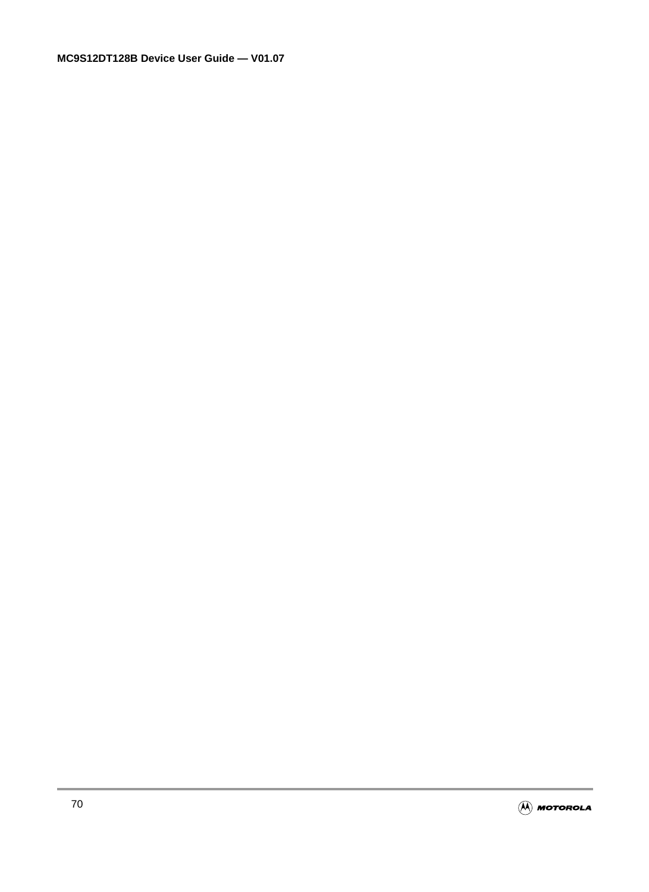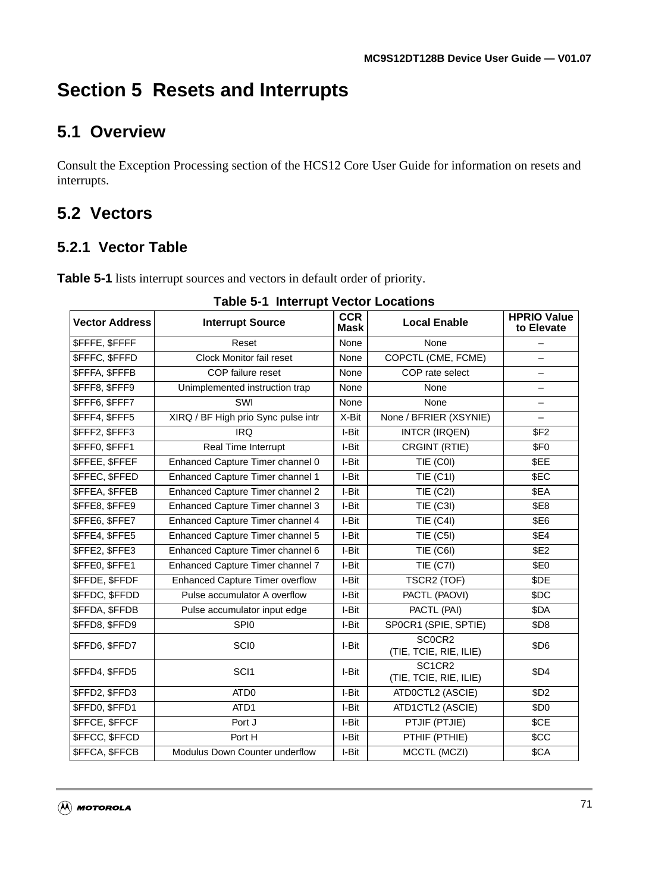# **Section 5 Resets and Interrupts**

# **5.1 Overview**

Consult the Exception Processing section of the HCS12 Core User Guide for information on resets and interrupts.

# **5.2 Vectors**

#### **5.2.1 Vector Table**

<span id="page-70-0"></span>**[Table 5-1](#page-70-0)** lists interrupt sources and vectors in default order of priority.

| <b>Vector Address</b>      | <b>Interrupt Source</b>                 | <b>CCR</b><br><b>Mask</b> | <b>Local Enable</b>                                       | <b>HPRIO Value</b><br>to Elevate |
|----------------------------|-----------------------------------------|---------------------------|-----------------------------------------------------------|----------------------------------|
| <b>SFFFE, SFFFF</b>        | Reset                                   | None                      | None                                                      |                                  |
| <b>\$FFFC, \$FFFD</b>      | Clock Monitor fail reset                | None                      | COPCTL (CME, FCME)                                        | $\equiv$                         |
| <b><i>SFFFA, SFFFB</i></b> | COP failure reset                       | None                      | COP rate select                                           |                                  |
| <b>\$FFF8, \$FFF9</b>      | Unimplemented instruction trap          | None                      | None                                                      | $\overline{\phantom{0}}$         |
| <b>\$FFF6, \$FFF7</b>      | SWI                                     | None                      | None                                                      | $\overline{\phantom{0}}$         |
| \$FFF4, \$FFF5             | XIRQ / BF High prio Sync pulse intr     | X-Bit                     | None / BFRIER (XSYNIE)                                    | $\qquad \qquad -$                |
| \$FFF2, \$FFF3             | <b>IRQ</b>                              | I-Bit                     | <b>INTCR (IRQEN)</b>                                      | \$F2                             |
| \$FFF0, \$FFF1             | Real Time Interrupt                     | I-Bit                     | CRGINT (RTIE)                                             | \$F <sub>0</sub>                 |
| <b>SFFEE, SFFEF</b>        | Enhanced Capture Timer channel 0        | I-Bit                     | TIE (C0I)                                                 | \$EE                             |
| <b><i>SFFEC, SFFED</i></b> | Enhanced Capture Timer channel 1        | I-Bit                     | <b>TIE (C1I)</b>                                          | E <sub>C</sub>                   |
| <b>SFFEA, SFFEB</b>        | Enhanced Capture Timer channel 2        | I-Bit                     | <b>TIE (C2I)</b>                                          | \$EA                             |
| <b>\$FFE8, \$FFE9</b>      | <b>Enhanced Capture Timer channel 3</b> | I-Bit                     | <b>TIE (C3I)</b>                                          | \$E8                             |
| <b>\$FFE6, \$FFE7</b>      | Enhanced Capture Timer channel 4        | I-Bit                     | <b>TIE (C4I)</b>                                          | \$E6                             |
| \$FFE4, \$FFE5             | Enhanced Capture Timer channel 5        | I-Bit                     | <b>TIE (C5I)</b>                                          | <b>\$E4</b>                      |
| \$FFE2, \$FFE3             | Enhanced Capture Timer channel 6        | I-Bit                     | TIE (C6I)                                                 | <b>\$E2</b>                      |
| \$FFE0, \$FFE1             | Enhanced Capture Timer channel 7        | I-Bit                     | TIE (C7I)                                                 | \$E0                             |
| <b><i>SFFDE, SFFDF</i></b> | <b>Enhanced Capture Timer overflow</b>  | I-Bit                     | TSCR2 (TOF)                                               | \$DE                             |
| <b>\$FFDC, \$FFDD</b>      | Pulse accumulator A overflow            | I-Bit                     | PACTL (PAOVI)                                             | \$DC                             |
| <b><i>SFFDA, SFFDB</i></b> | Pulse accumulator input edge            | I-Bit                     | PACTL (PAI)                                               | \$DA                             |
| \$FFD8, \$FFD9             | SPI <sub>0</sub>                        | I-Bit                     | SP0CR1 (SPIE, SPTIE)                                      | \$D8                             |
| \$FFD6, \$FFD7             | <b>SCIO</b>                             | I-Bit                     | SCOCR2<br>(TIE, TCIE, RIE, ILIE)                          | \$D6                             |
| \$FFD4, \$FFD5             | SCI <sub>1</sub>                        | I-Bit                     | SC <sub>1</sub> CR <sub>2</sub><br>(TIE, TCIE, RIE, ILIE) | \$D4                             |
| \$FFD2, \$FFD3             | ATD <sub>0</sub>                        | I-Bit                     | ATDOCTL2 (ASCIE)                                          | \$D2                             |
| \$FFD0, \$FFD1             | ATD1                                    | I-Bit                     | ATD1CTL2 (ASCIE)                                          | \$D <sub>0</sub>                 |
| <b>\$FFCE, \$FFCF</b>      | Port J                                  | I-Bit                     | PTJIF (PTJIE)                                             | \$CE                             |
| <b>\$FFCC, \$FFCD</b>      | Port H                                  | I-Bit                     | PTHIF (PTHIE)                                             | \$CC                             |
| <b>\$FFCA, \$FFCB</b>      | Modulus Down Counter underflow          | I-Bit                     | MCCTL (MCZI)                                              | \$CA                             |

|  | <b>Table 5-1 Interrupt Vector Locations</b> |  |  |  |
|--|---------------------------------------------|--|--|--|
|--|---------------------------------------------|--|--|--|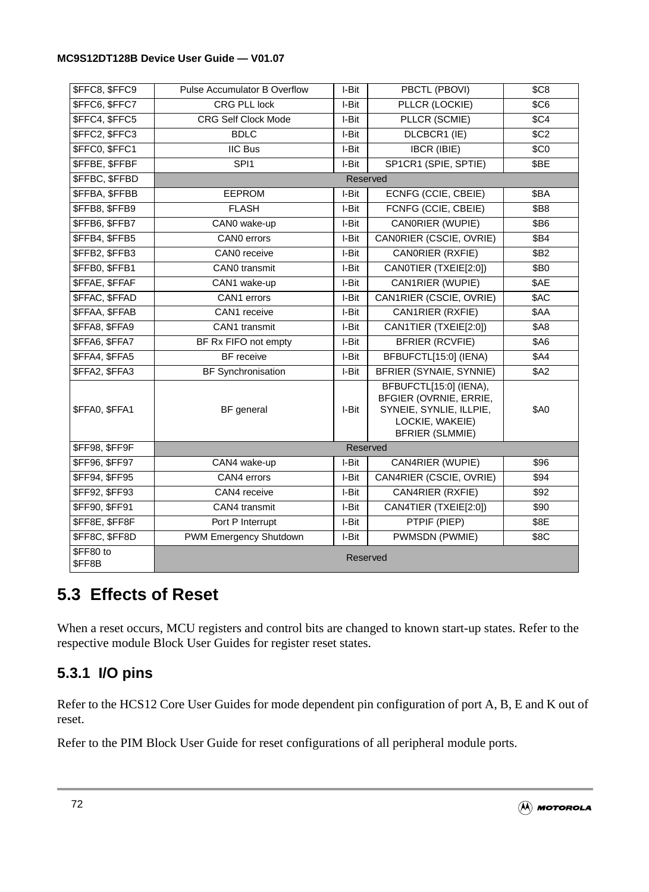| \$FFC8, \$FFC9             | Pulse Accumulator B Overflow | I-Bit | PBCTL (PBOVI)                                                                                                            | \$C8        |  |
|----------------------------|------------------------------|-------|--------------------------------------------------------------------------------------------------------------------------|-------------|--|
| \$FFC6, \$FFC7             | CRG PLL lock                 | I-Bit | PLLCR (LOCKIE)                                                                                                           | \$C6        |  |
| <b>\$FFC4, \$FFC5</b>      | <b>CRG Self Clock Mode</b>   | I-Bit | PLLCR (SCMIE)                                                                                                            | \$C4        |  |
| <b>\$FFC2, \$FFC3</b>      | <b>BDLC</b>                  | I-Bit | DLCBCR1 (IE)                                                                                                             | \$C2        |  |
| <b>\$FFC0, \$FFC1</b>      | <b>IIC Bus</b>               | I-Bit | <b>IBCR (IBIE)</b>                                                                                                       | \$CO        |  |
| <b><i>SFFBE, SFFBF</i></b> | SPI <sub>1</sub>             | I-Bit | SP1CR1 (SPIE, SPTIE)                                                                                                     | \$BE        |  |
| <b>SFFBC, SFFBD</b>        | Reserved                     |       |                                                                                                                          |             |  |
| <b>\$FFBA, \$FFBB</b>      | <b>EEPROM</b>                | l-Bit | <b>ECNFG (CCIE, CBEIE)</b>                                                                                               | \$BA        |  |
| \$FFB8, \$FFB9             | <b>FLASH</b>                 | I-Bit | FCNFG (CCIE, CBEIE)                                                                                                      | \$B8        |  |
| \$FFB6, \$FFB7             | CAN0 wake-up                 | I-Bit | CANORIER (WUPIE)<br>\$B6                                                                                                 |             |  |
| \$FFB4, \$FFB5             | CAN0 errors                  | I-Bit | CANORIER (CSCIE, OVRIE)                                                                                                  | \$B4        |  |
| \$FFB2, \$FFB3             | CAN0 receive                 | I-Bit | CANORIER (RXFIE)                                                                                                         | \$B2        |  |
| \$FFB0, \$FFB1             | CAN0 transmit                | I-Bit | CANOTIER (TXEIE[2:0])                                                                                                    | \$B0        |  |
| <b><i>SFFAE, SFFAF</i></b> | CAN1 wake-up                 | I-Bit | CAN1RIER (WUPIE)                                                                                                         | \$AE        |  |
| <b><i>SFFAC, SFFAD</i></b> | CAN1 errors                  | I-Bit | CAN1RIER (CSCIE, OVRIE)                                                                                                  | \$AC        |  |
| <b><i>SFFAA, SFFAB</i></b> | CAN1 receive                 | I-Bit | CAN1RIER (RXFIE)                                                                                                         | \$AA        |  |
| <b>\$FFA8, \$FFA9</b>      | CAN1 transmit                | I-Bit | CAN1TIER (TXEIE[2:0])                                                                                                    | \$A8        |  |
| <b>\$FFA6, \$FFA7</b>      | BF Rx FIFO not empty         | I-Bit | <b>BFRIER (RCVFIE)</b>                                                                                                   | \$A6        |  |
| \$FFA4, \$FFA5             | BF receive                   | I-Bit | BFBUFCTL[15:0] (IENA)                                                                                                    | \$A4        |  |
| <b>\$FFA2, \$FFA3</b>      | <b>BF</b> Synchronisation    | I-Bit | <b>BFRIER (SYNAIE, SYNNIE)</b>                                                                                           | \$A2        |  |
| \$FFA0, \$FFA1             | BF general                   | I-Bit | BFBUFCTL[15:0] (IENA),<br>BFGIER (OVRNIE, ERRIE,<br>SYNEIE, SYNLIE, ILLPIE,<br>LOCKIE, WAKEIE)<br><b>BFRIER (SLMMIE)</b> | <b>\$A0</b> |  |
| \$FF98, \$FF9F             | Reserved                     |       |                                                                                                                          |             |  |
| <b>\$FF96, \$FF97</b>      | CAN4 wake-up                 | I-Bit | CAN4RIER (WUPIE)                                                                                                         | \$96        |  |
| <b>\$FF94, \$FF95</b>      | CAN4 errors                  | I-Bit | CAN4RIER (CSCIE, OVRIE)                                                                                                  | \$94        |  |
| <b>\$FF92, \$FF93</b>      | CAN4 receive                 | I-Bit | CAN4RIER (RXFIE)                                                                                                         | \$92        |  |
| <b>\$FF90, \$FF91</b>      | CAN4 transmit                | I-Bit | CAN4TIER (TXEIE[2:0])                                                                                                    | \$90        |  |
| \$FF8E, \$FF8F             | Port P Interrupt             | I-Bit | PTPIF (PIEP)                                                                                                             | \$8E        |  |
| \$FF8C, \$FF8D             | PWM Emergency Shutdown       | I-Bit | PWMSDN (PWMIE)                                                                                                           | \$8C        |  |
| \$FF80 to<br>\$FF8B        | Reserved                     |       |                                                                                                                          |             |  |

# **5.3 Effects of Reset**

When a reset occurs, MCU registers and control bits are changed to known start-up states. Refer to the respective module Block User Guides for register reset states.

#### **5.3.1 I/O pins**

Refer to the HCS12 Core User Guides for mode dependent pin configuration of port A, B, E and K out of reset.

Refer to the PIM Block User Guide for reset configurations of all peripheral module ports.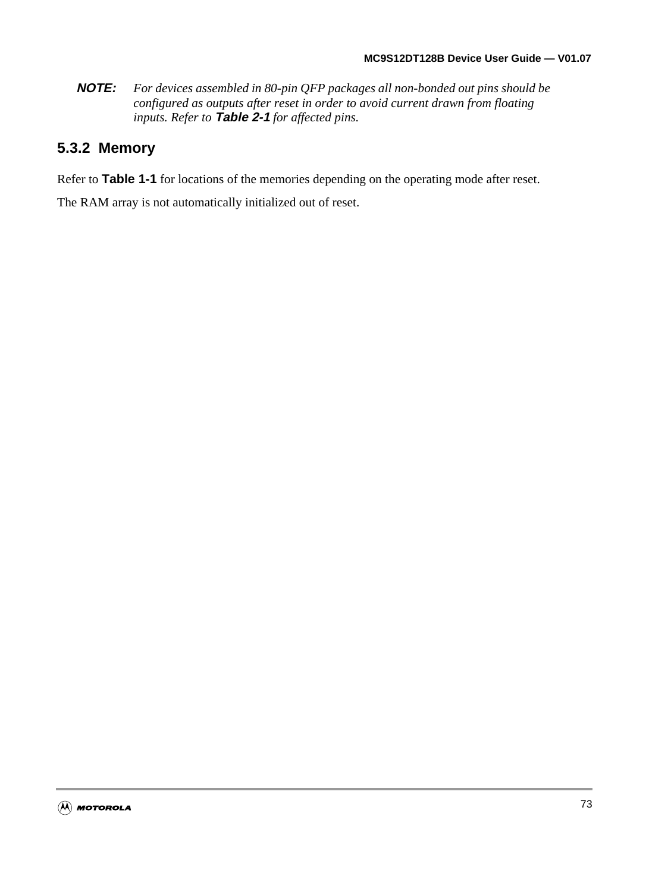**NOTE:** *For devices assembled in 80-pin QFP packages all non-bonded out pins should be configured as outputs after reset in order to avoid current drawn from floating inputs. Refer to* **[Table 2-1](#page-49-0)** *for affected pins.*

### **5.3.2 Memory**

Refer to **[Table 1-1](#page-19-0)** for locations of the memories depending on the operating mode after reset.

The RAM array is not automatically initialized out of reset.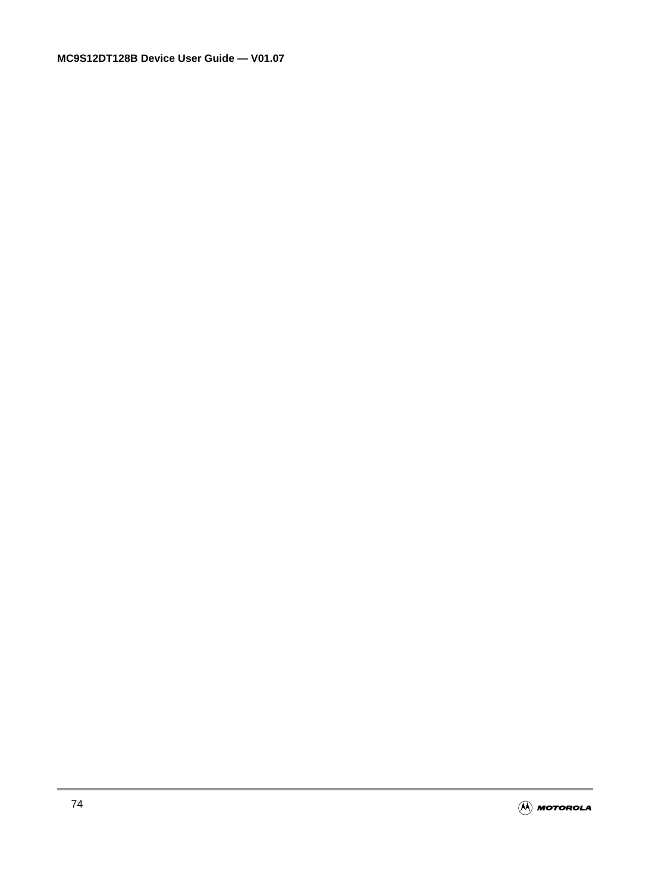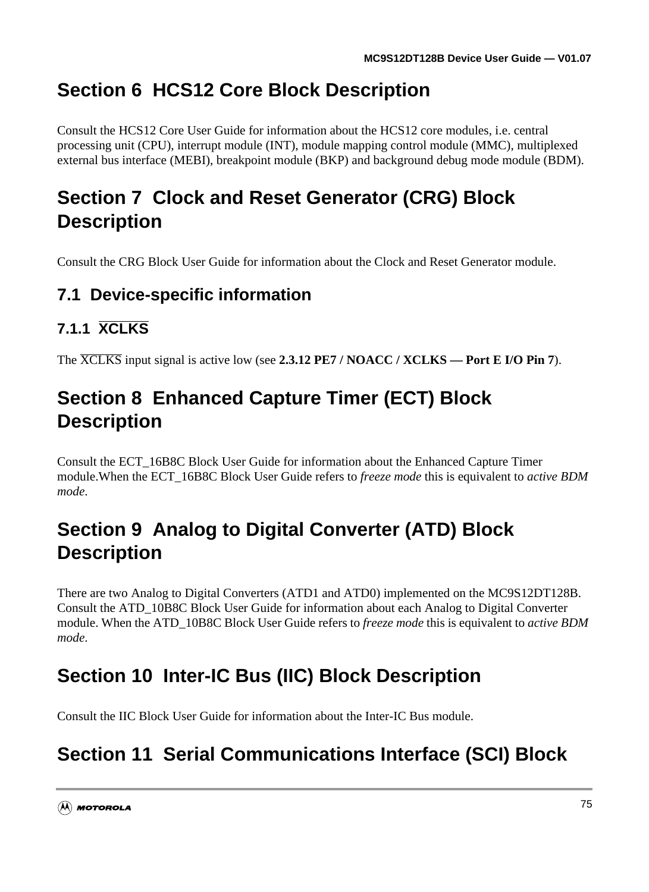## **Section 6 HCS12 Core Block Description**

Consult the HCS12 Core User Guide for information about the HCS12 core modules, i.e. central processing unit (CPU), interrupt module (INT), module mapping control module (MMC), multiplexed external bus interface (MEBI), breakpoint module (BKP) and background debug mode module (BDM).

## **Section 7 Clock and Reset Generator (CRG) Block Description**

Consult the CRG Block User Guide for information about the Clock and Reset Generator module.

## **7.1 Device-specific information**

### **7.1.1 XCLKS**

The XCLKS input signal is active low (see **[2.3.12 PE7 / NOACC / XCLKS — Port E I/O Pin 7](#page-53-0)**).

## **Section 8 Enhanced Capture Timer (ECT) Block Description**

Consult the ECT\_16B8C Block User Guide for information about the Enhanced Capture Timer module.When the ECT\_16B8C Block User Guide refers to *freeze mode* this is equivalent to *active BDM mode*.

# **Section 9 Analog to Digital Converter (ATD) Block Description**

There are two Analog to Digital Converters (ATD1 and ATD0) implemented on the MC9S12DT128B. Consult the ATD\_10B8C Block User Guide for information about each Analog to Digital Converter module. When the ATD\_10B8C Block User Guide refers to *freeze mode* this is equivalent to *active BDM mode*.

# **Section 10 Inter-IC Bus (IIC) Block Description**

Consult the IIC Block User Guide for information about the Inter-IC Bus module.

## **Section 11 Serial Communications Interface (SCI) Block**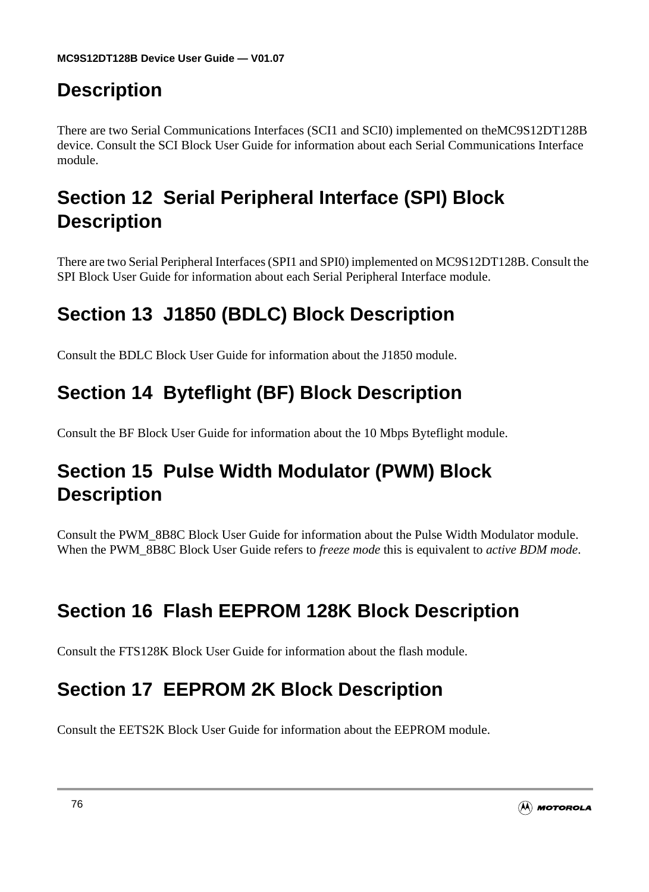# **Description**

There are two Serial Communications Interfaces (SCI1 and SCI0) implemented on theMC9S12DT128B device. Consult the SCI Block User Guide for information about each Serial Communications Interface module.

# **Section 12 Serial Peripheral Interface (SPI) Block Description**

There are two Serial Peripheral Interfaces (SPI1 and SPI0) implemented on MC9S12DT128B. Consult the SPI Block User Guide for information about each Serial Peripheral Interface module.

# **Section 13 J1850 (BDLC) Block Description**

Consult the BDLC Block User Guide for information about the J1850 module.

# **Section 14 Byteflight (BF) Block Description**

Consult the BF Block User Guide for information about the 10 Mbps Byteflight module.

# **Section 15 Pulse Width Modulator (PWM) Block Description**

Consult the PWM\_8B8C Block User Guide for information about the Pulse Width Modulator module. When the PWM\_8B8C Block User Guide refers to *freeze mode* this is equivalent to *active BDM mode*.

# **Section 16 Flash EEPROM 128K Block Description**

Consult the FTS128K Block User Guide for information about the flash module.

## **Section 17 EEPROM 2K Block Description**

Consult the EETS2K Block User Guide for information about the EEPROM module.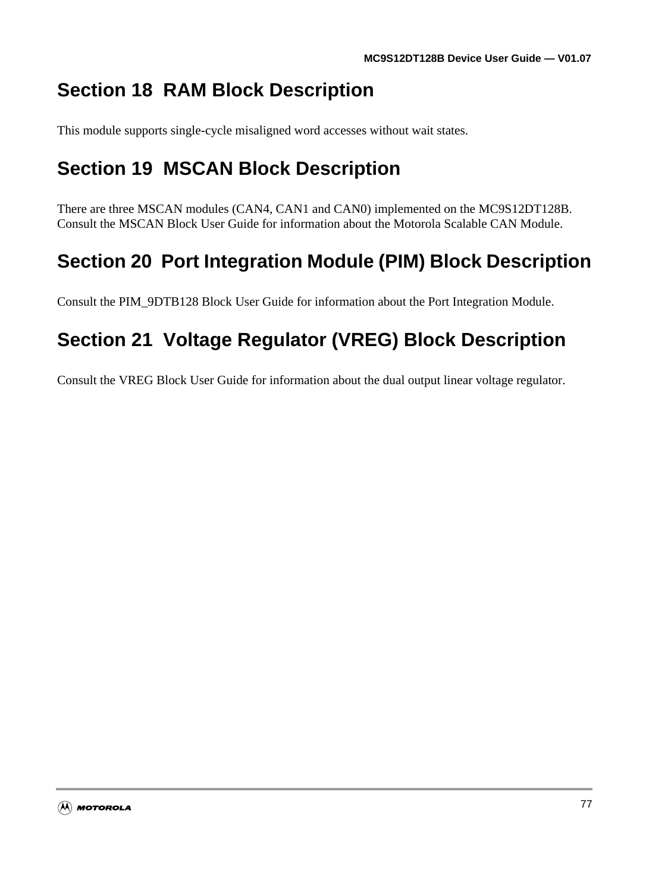## **Section 18 RAM Block Description**

This module supports single-cycle misaligned word accesses without wait states.

## **Section 19 MSCAN Block Description**

There are three MSCAN modules (CAN4, CAN1 and CAN0) implemented on the MC9S12DT128B. Consult the MSCAN Block User Guide for information about the Motorola Scalable CAN Module.

## **Section 20 Port Integration Module (PIM) Block Description**

Consult the PIM\_9DTB128 Block User Guide for information about the Port Integration Module.

## **Section 21 Voltage Regulator (VREG) Block Description**

Consult the VREG Block User Guide for information about the dual output linear voltage regulator.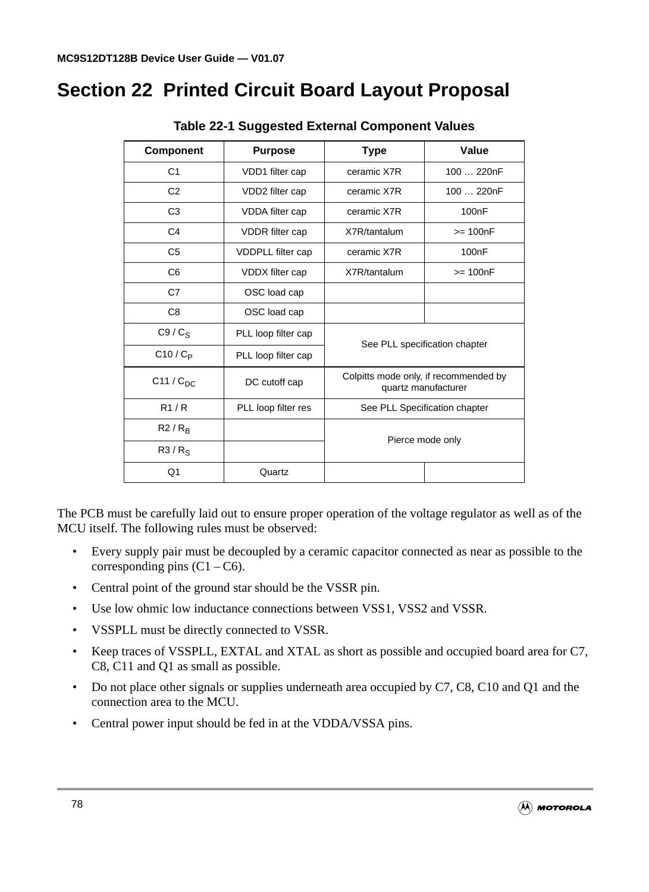## **Section 22 Printed Circuit Board Layout Proposal**

| Component           | <b>Purpose</b>         | <b>Type</b>      | Value                                                        |  |
|---------------------|------------------------|------------------|--------------------------------------------------------------|--|
| C <sub>1</sub>      | VDD1 filter cap        | ceramic X7R      | 100  220nF                                                   |  |
| C <sub>2</sub>      | VDD2 filter cap        | ceramic X7R      | 100  220nF                                                   |  |
| C <sub>3</sub>      | VDDA filter cap        | ceramic X7R      | 100 <sub>n</sub> F                                           |  |
| C <sub>4</sub>      | <b>VDDR</b> filter cap | X7R/tantalum     | $>= 100nF$                                                   |  |
| C <sub>5</sub>      | VDDPLL filter cap      | ceramic X7R      | 100 <sub>n</sub> F                                           |  |
| C <sub>6</sub>      | VDDX filter cap        | X7R/tantalum     | $>= 100nF$                                                   |  |
| C7                  | OSC load cap           |                  |                                                              |  |
| C <sub>8</sub>      | OSC load cap           |                  |                                                              |  |
| $C9/C_S$            | PLL loop filter cap    |                  |                                                              |  |
| $C10/C_{P}$         | PLL loop filter cap    |                  | See PLL specification chapter                                |  |
| C11/C <sub>DC</sub> | DC cutoff cap          |                  | Colpitts mode only, if recommended by<br>quartz manufacturer |  |
| R1/R                | PLL loop filter res    |                  | See PLL Specification chapter                                |  |
| $R2/R_B$            |                        |                  |                                                              |  |
| R3/R <sub>S</sub>   |                        | Pierce mode only |                                                              |  |
| Q1                  | Quartz                 |                  |                                                              |  |

**Table 22-1 Suggested External Component Values**

The PCB must be carefully laid out to ensure proper operation of the voltage regulator as well as of the MCU itself. The following rules must be observed:

- Every supply pair must be decoupled by a ceramic capacitor connected as near as possible to the corresponding pins  $(C1 - C6)$ .
- Central point of the ground star should be the VSSR pin.
- Use low ohmic low inductance connections between VSS1, VSS2 and VSSR.
- VSSPLL must be directly connected to VSSR.
- Keep traces of VSSPLL, EXTAL and XTAL as short as possible and occupied board area for C7, C8, C11 and Q1 as small as possible.
- Do not place other signals or supplies underneath area occupied by C7, C8, C10 and Q1 and the connection area to the MCU.
- Central power input should be fed in at the VDDA/VSSA pins.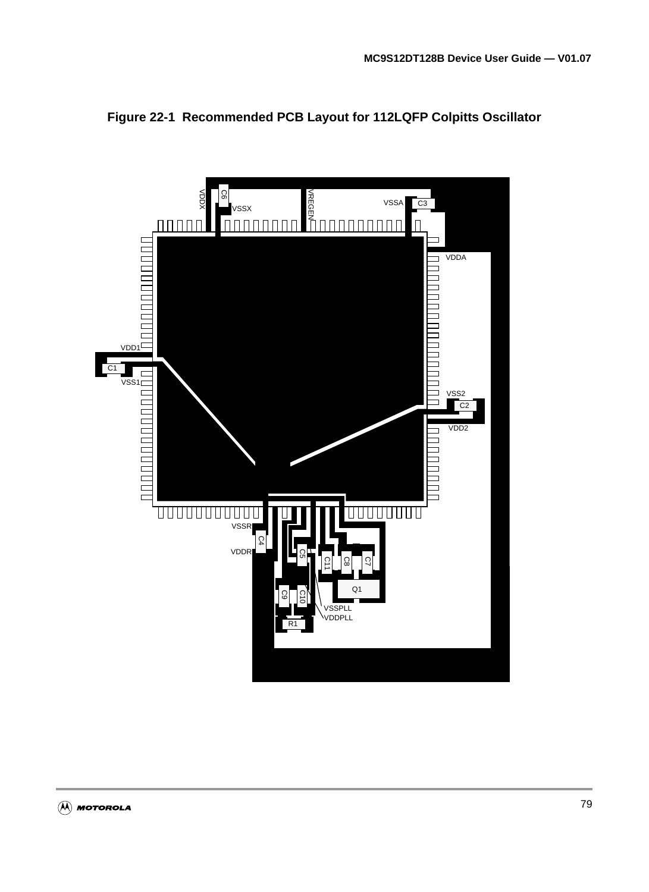

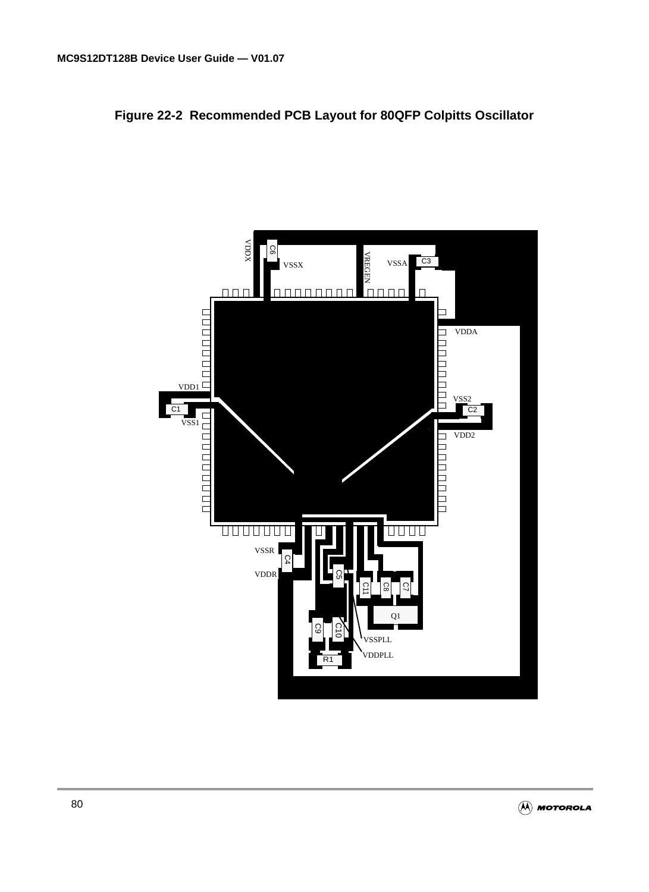

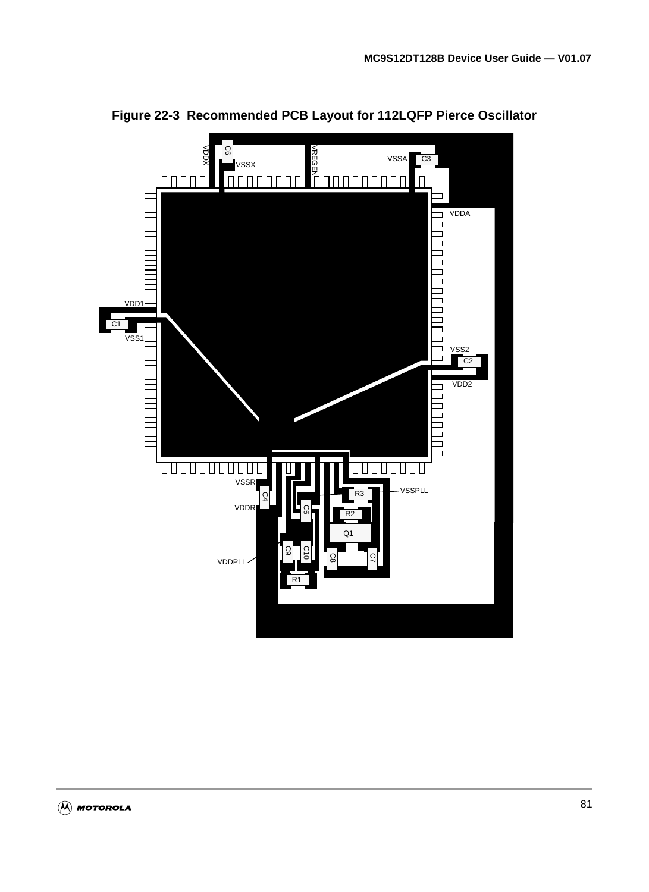

**Figure 22-3 Recommended PCB Layout for 112LQFP Pierce Oscillator**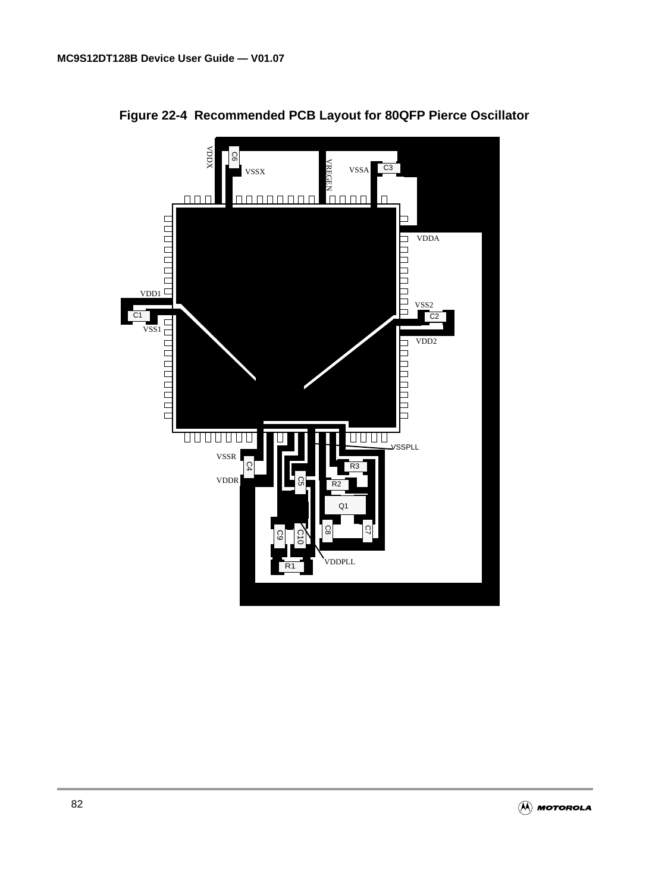

**Figure 22-4 Recommended PCB Layout for 80QFP Pierce Oscillator**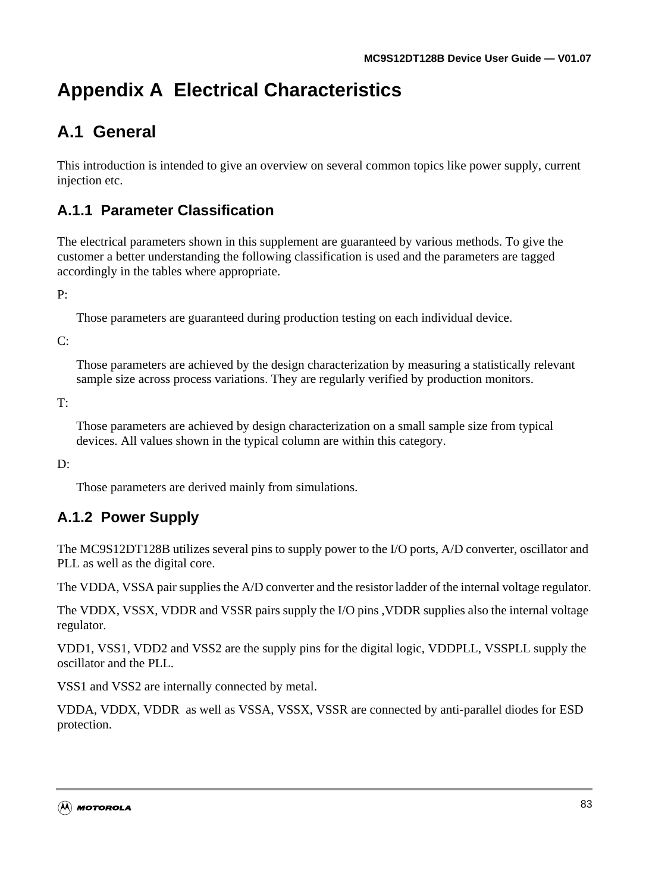# **Appendix A Electrical Characteristics**

## **A.1 General**

This introduction is intended to give an overview on several common topics like power supply, current injection etc.

## **A.1.1 Parameter Classification**

The electrical parameters shown in this supplement are guaranteed by various methods. To give the customer a better understanding the following classification is used and the parameters are tagged accordingly in the tables where appropriate.

P:

Those parameters are guaranteed during production testing on each individual device.

 $C:$ 

Those parameters are achieved by the design characterization by measuring a statistically relevant sample size across process variations. They are regularly verified by production monitors.

T:

Those parameters are achieved by design characterization on a small sample size from typical devices. All values shown in the typical column are within this category.

D:

Those parameters are derived mainly from simulations.

## **A.1.2 Power Supply**

The MC9S12DT128B utilizes several pins to supply power to the I/O ports, A/D converter, oscillator and PLL as well as the digital core.

The VDDA, VSSA pair supplies the A/D converter and the resistor ladder of the internal voltage regulator.

The VDDX, VSSX, VDDR and VSSR pairs supply the I/O pins ,VDDR supplies also the internal voltage regulator.

VDD1, VSS1, VDD2 and VSS2 are the supply pins for the digital logic, VDDPLL, VSSPLL supply the oscillator and the PLL.

VSS1 and VSS2 are internally connected by metal.

VDDA, VDDX, VDDR as well as VSSA, VSSX, VSSR are connected by anti-parallel diodes for ESD protection.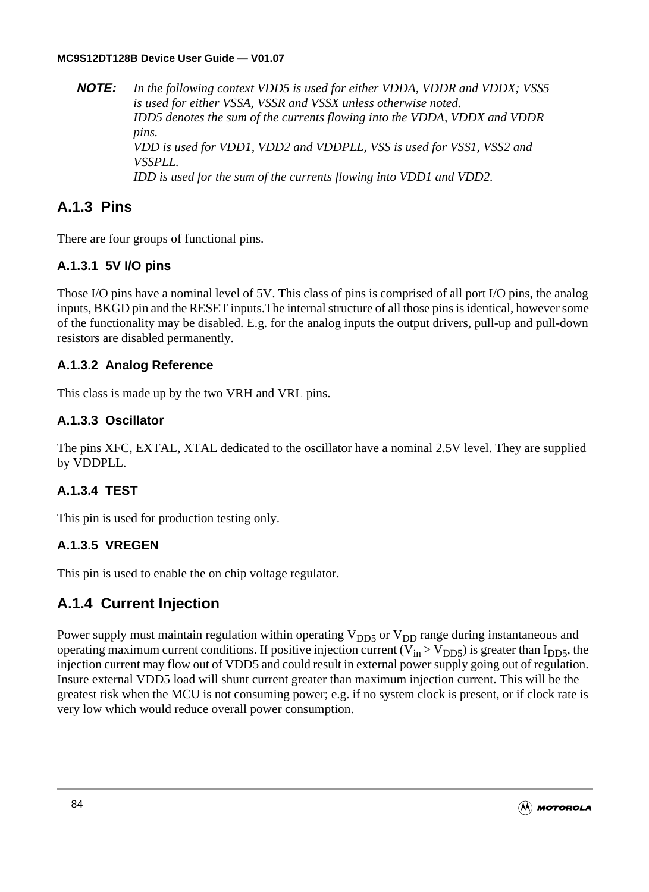**NOTE:** *In the following context VDD5 is used for either VDDA, VDDR and VDDX; VSS5 is used for either VSSA, VSSR and VSSX unless otherwise noted. IDD5 denotes the sum of the currents flowing into the VDDA, VDDX and VDDR pins. VDD is used for VDD1, VDD2 and VDDPLL, VSS is used for VSS1, VSS2 and VSSPLL. IDD is used for the sum of the currents flowing into VDD1 and VDD2.*

### **A.1.3 Pins**

There are four groups of functional pins.

#### **A.1.3.1 5V I/O pins**

Those I/O pins have a nominal level of 5V. This class of pins is comprised of all port I/O pins, the analog inputs, BKGD pin and the RESET inputs.The internal structure of all those pins is identical, however some of the functionality may be disabled. E.g. for the analog inputs the output drivers, pull-up and pull-down resistors are disabled permanently.

#### **A.1.3.2 Analog Reference**

This class is made up by the two VRH and VRL pins.

#### **A.1.3.3 Oscillator**

The pins XFC, EXTAL, XTAL dedicated to the oscillator have a nominal 2.5V level. They are supplied by VDDPLL.

### **A.1.3.4 TEST**

This pin is used for production testing only.

#### **A.1.3.5 VREGEN**

This pin is used to enable the on chip voltage regulator.

### <span id="page-83-0"></span>**A.1.4 Current Injection**

Power supply must maintain regulation within operating  $V_{DD5}$  or  $V_{DD}$  range during instantaneous and operating maximum current conditions. If positive injection current ( $V_{in} > V_{DD5}$ ) is greater than  $I_{DD5}$ , the injection current may flow out of VDD5 and could result in external power supply going out of regulation. Insure external VDD5 load will shunt current greater than maximum injection current. This will be the greatest risk when the MCU is not consuming power; e.g. if no system clock is present, or if clock rate is very low which would reduce overall power consumption.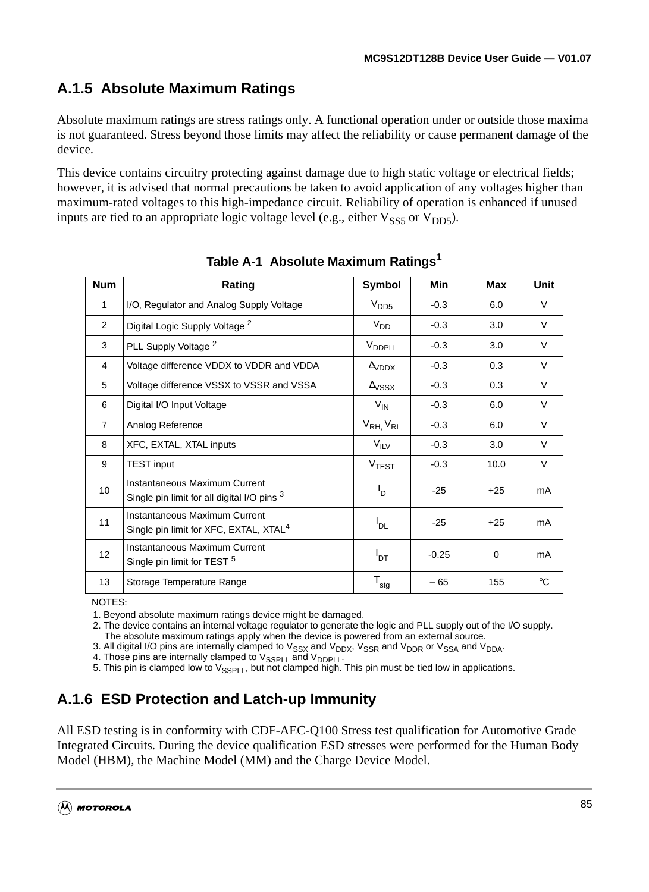### **A.1.5 Absolute Maximum Ratings**

Absolute maximum ratings are stress ratings only. A functional operation under or outside those maxima is not guaranteed. Stress beyond those limits may affect the reliability or cause permanent damage of the device.

This device contains circuitry protecting against damage due to high static voltage or electrical fields; however, it is advised that normal precautions be taken to avoid application of any voltages higher than maximum-rated voltages to this high-impedance circuit. Reliability of operation is enhanced if unused inputs are tied to an appropriate logic voltage level (e.g., either  $V_{SS5}$  or  $V_{DD5}$ ).

| <b>Num</b>      | Rating                                                                              | Symbol                           | Min     | Max      | Unit        |
|-----------------|-------------------------------------------------------------------------------------|----------------------------------|---------|----------|-------------|
| $\mathbf{1}$    | I/O, Regulator and Analog Supply Voltage                                            | V <sub>DD5</sub>                 | $-0.3$  | 6.0      | $\vee$      |
| $\overline{2}$  | Digital Logic Supply Voltage <sup>2</sup>                                           | V <sub>DD</sub>                  | $-0.3$  | 3.0      | $\vee$      |
| 3               | PLL Supply Voltage <sup>2</sup>                                                     | V <sub>DDPLL</sub>               | $-0.3$  | 3.0      | $\vee$      |
| 4               | Voltage difference VDDX to VDDR and VDDA                                            | $\Delta$ <sub>VDDX</sub>         | $-0.3$  | 0.3      | $\vee$      |
| 5               | Voltage difference VSSX to VSSR and VSSA                                            | $\Delta$ <sub>VSSX</sub>         | $-0.3$  | 0.3      | $\vee$      |
| 6               | Digital I/O Input Voltage                                                           | $V_{\text{IN}}$                  | $-0.3$  | 6.0      | $\vee$      |
| $\overline{7}$  | Analog Reference                                                                    | V <sub>RH,</sub> V <sub>RL</sub> | $-0.3$  | 6.0      | V           |
| 8               | XFC, EXTAL, XTAL inputs                                                             | $V_{\text{ILV}}$                 | $-0.3$  | 3.0      | $\vee$      |
| 9               | <b>TEST input</b>                                                                   | V <sub>TEST</sub>                | $-0.3$  | 10.0     | $\vee$      |
| 10 <sup>°</sup> | Instantaneous Maximum Current<br>Single pin limit for all digital I/O pins 3        | $\mathsf{I}_{\mathsf{D}}$        | $-25$   | $+25$    | mA          |
| 11              | Instantaneous Maximum Current<br>Single pin limit for XFC, EXTAL, XTAL <sup>4</sup> | <sup>I</sup> DL                  | $-25$   | $+25$    | mA          |
| 12 <sup>2</sup> | Instantaneous Maximum Current<br>Single pin limit for TEST <sup>5</sup>             | יס <sup>ו</sup>                  | $-0.25$ | $\Omega$ | mA          |
| 13              | Storage Temperature Range                                                           | $T_{\text{stg}}$                 | $-65$   | 155      | $^{\circ}C$ |

|  | Table A-1 Absolute Maximum Ratings <sup>1</sup> |  |
|--|-------------------------------------------------|--|
|  |                                                 |  |

NOTES:

1. Beyond absolute maximum ratings device might be damaged.

<span id="page-84-0"></span>2. The device contains an internal voltage regulator to generate the logic and PLL supply out of the I/O supply. The absolute maximum ratings apply when the device is powered from an external source.

3. All digital I/O pins are internally clamped to  $V_{SSX}$  and  $V_{DDX}$ ,  $V_{SSR}$  and  $V_{DDR}$  or  $V_{SSA}$  and  $V_{DDA}$ .

4. Those pins are internally clamped to V<sub>SSPLL</sub> and V<sub>DDPLL</sub>.

5. This pin is clamped low to  $\vee_{\text{SSPLL}}$ , but not clamped high. This pin must be tied low in applications.

### **A.1.6 ESD Protection and Latch-up Immunity**

All ESD testing is in conformity with CDF-AEC-Q100 Stress test qualification for Automotive Grade Integrated Circuits. During the device qualification ESD stresses were performed for the Human Body Model (HBM), the Machine Model (MM) and the Charge Device Model.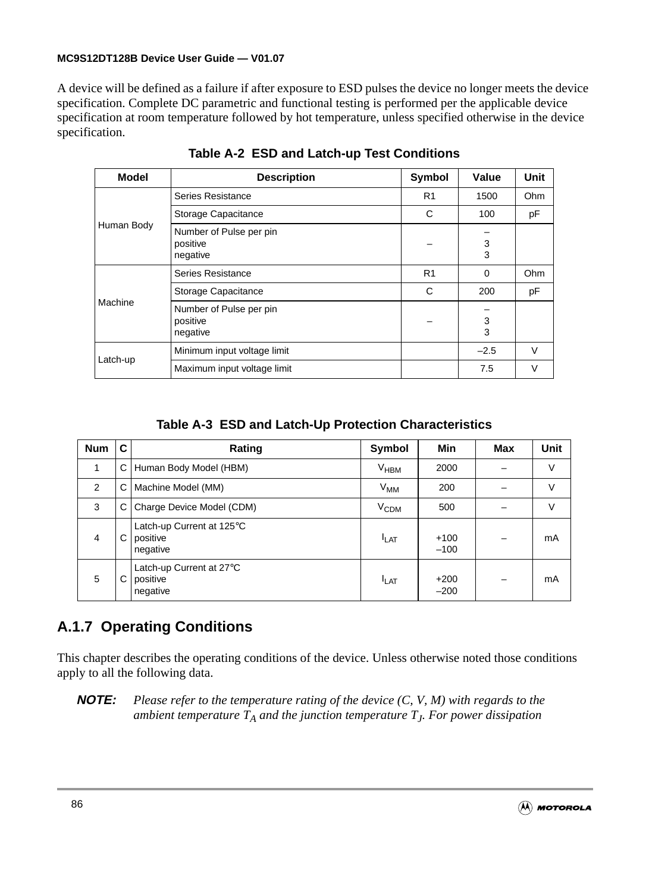A device will be defined as a failure if after exposure to ESD pulses the device no longer meets the device specification. Complete DC parametric and functional testing is performed per the applicable device specification at room temperature followed by hot temperature, unless specified otherwise in the device specification.

| <b>Model</b> | <b>Description</b>                              | Symbol         | Value    | Unit |
|--------------|-------------------------------------------------|----------------|----------|------|
|              | Series Resistance                               | R <sub>1</sub> | 1500     | Ohm  |
|              | Storage Capacitance                             | C              | 100      | pF   |
| Human Body   | Number of Pulse per pin<br>positive<br>negative |                | 3<br>3   |      |
|              | Series Resistance                               | R <sub>1</sub> | $\Omega$ | Ohm  |
|              | Storage Capacitance                             | C              | 200      | pF   |
| l Machine    | Number of Pulse per pin<br>positive<br>negative |                | 3<br>3   |      |
| Latch-up     | Minimum input voltage limit                     |                | $-2.5$   | V    |
|              | Maximum input voltage limit                     |                | 7.5      | V    |

**Table A-2 ESD and Latch-up Test Conditions**

**Table A-3 ESD and Latch-Up Protection Characteristics**

| <b>Num</b>     | С  | Rating                                            | Symbol           | Min              | <b>Max</b> | <b>Unit</b> |
|----------------|----|---------------------------------------------------|------------------|------------------|------------|-------------|
|                | C. | Human Body Model (HBM)                            | V <sub>HBM</sub> | 2000             |            | V           |
| $\mathcal{P}$  | C. | Machine Model (MM)                                | $V_{MM}$         | 200              |            | $\vee$      |
| 3              | С  | Charge Device Model (CDM)                         | V <sub>CDM</sub> | 500              |            | $\vee$      |
| $\overline{4}$ |    | Latch-up Current at 125°C<br>positive<br>negative | $I_{LAT}$        | $+100$<br>$-100$ |            | mA          |
| 5              | ⌒  | Latch-up Current at 27°C<br>positive<br>negative  | <b>ILAT</b>      | $+200$<br>$-200$ |            | mA          |

### **A.1.7 Operating Conditions**

This chapter describes the operating conditions of the device. Unless otherwise noted those conditions apply to all the following data.

**NOTE:** *Please refer to the temperature rating of the device (C, V, M) with regards to the ambient temperature*  $T_A$  *and the junction temperature*  $T_J$ *. For power dissipation*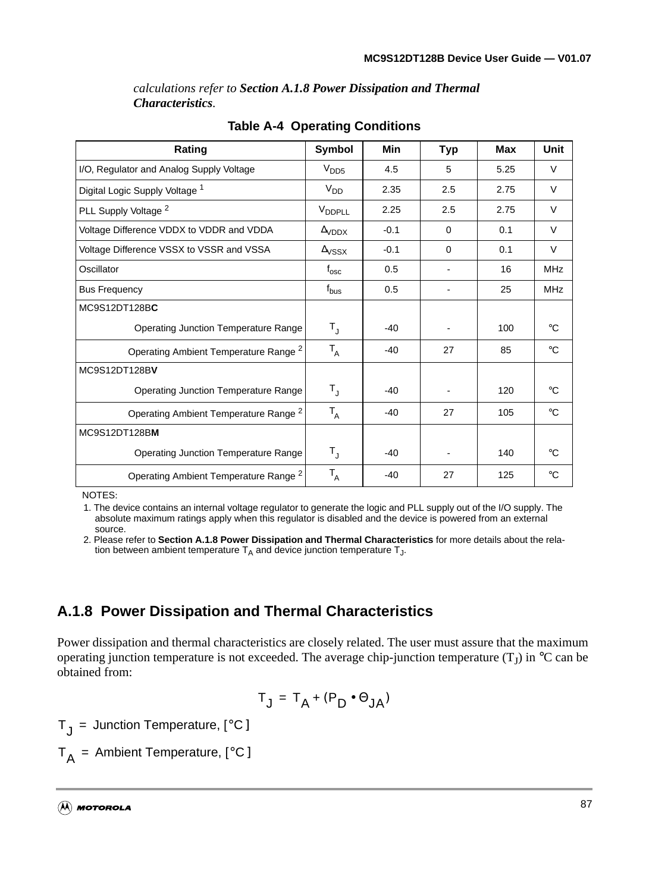*calculations refer to [Section A.1.8 Power Dissipation and Thermal](#page-86-0) [Characteristics](#page-86-0).*

<span id="page-86-2"></span>

| Rating                                           | <b>Symbol</b>            | Min    | <b>Typ</b> | <b>Max</b> | <b>Unit</b>     |
|--------------------------------------------------|--------------------------|--------|------------|------------|-----------------|
| I/O, Regulator and Analog Supply Voltage         | V <sub>DD5</sub>         | 4.5    | 5          | 5.25       | $\vee$          |
| Digital Logic Supply Voltage <sup>1</sup>        | V <sub>DD</sub>          | 2.35   | 2.5        | 2.75       | $\vee$          |
| PLL Supply Voltage <sup>2</sup>                  | V <sub>DDPLL</sub>       | 2.25   | 2.5        | 2.75       | $\vee$          |
| Voltage Difference VDDX to VDDR and VDDA         | $\Delta$ <sub>VDDX</sub> | $-0.1$ | 0          | 0.1        | V               |
| Voltage Difference VSSX to VSSR and VSSA         | $\Delta$ <sub>VSSX</sub> | $-0.1$ | $\Omega$   | 0.1        | $\vee$          |
| Oscillator                                       | $f_{\rm osc}$            | 0.5    |            | 16         | <b>MHz</b>      |
| <b>Bus Frequency</b>                             | $f_{bus}$                | 0.5    |            | 25         | <b>MHz</b>      |
| MC9S12DT128BC                                    |                          |        |            |            |                 |
| <b>Operating Junction Temperature Range</b>      | $T_{\rm J}$              | $-40$  |            | 100        | °C              |
| Operating Ambient Temperature Range <sup>2</sup> | $T_{A}$                  | $-40$  | 27         | 85         | $\rm ^{\circ}C$ |
| MC9S12DT128BV                                    |                          |        |            |            |                 |
| <b>Operating Junction Temperature Range</b>      | $T_{\rm J}$              | $-40$  |            | 120        | °C              |
| Operating Ambient Temperature Range <sup>2</sup> | $T_{A}$                  | $-40$  | 27         | 105        | $\rm ^{\circ}C$ |
| MC9S12DT128BM                                    |                          |        |            |            |                 |
| <b>Operating Junction Temperature Range</b>      | $T_{\rm J}$              | $-40$  |            | 140        | $^{\circ}$ C    |
| Operating Ambient Temperature Range <sup>2</sup> | $\mathsf{T}_\mathsf{A}$  | $-40$  | 27         | 125        | $^{\circ}C$     |

#### <span id="page-86-3"></span>**Table A-4 Operating Conditions**

NOTES:

1. The device contains an internal voltage regulator to generate the logic and PLL supply out of the I/O supply. The absolute maximum ratings apply when this regulator is disabled and the device is powered from an external source.

<span id="page-86-1"></span>2. Please refer to **[Section A.1.8 Power Dissipation and Thermal Characteristics](#page-86-0)** for more details about the relation between ambient temperature  $T_A$  and device junction temperature  $T_J$ .

### <span id="page-86-0"></span>**A.1.8 Power Dissipation and Thermal Characteristics**

Power dissipation and thermal characteristics are closely related. The user must assure that the maximum operating junction temperature is not exceeded. The average chip-junction temperature  $(T<sub>I</sub>)$  in  $^{\circ}C$  can be obtained from:

$$
T_J = T_A + (P_D \bullet \Theta_{JA})
$$

 $T_{\rm J}$  = Junction Temperature, [°C]

 $T_A$  = Ambient Temperature,  $[°C]$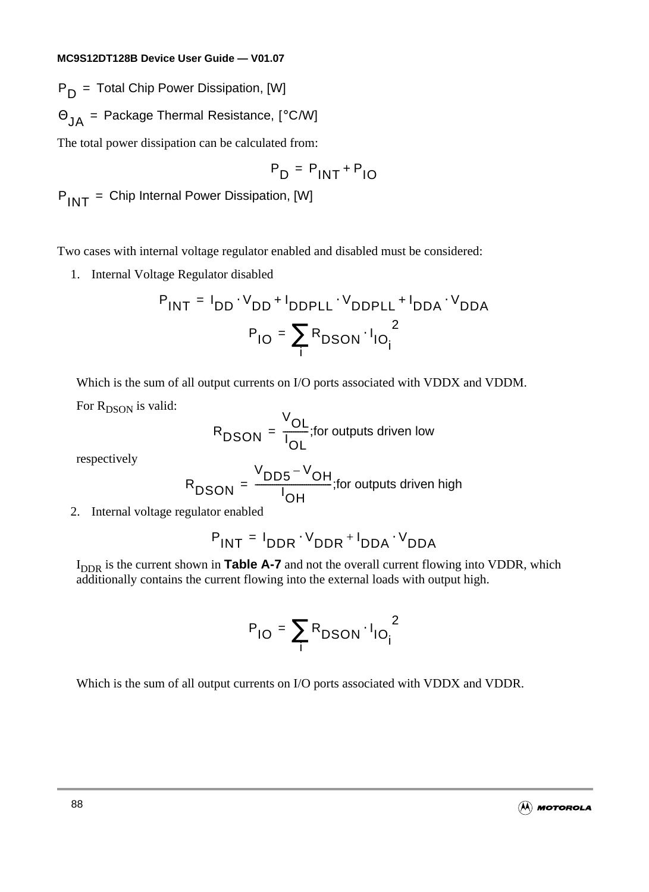$P_D$  = Total Chip Power Dissipation, [W]

<sup>Θ</sup>JA <sup>=</sup> Package Thermal Resistance, [°C/W]

The total power dissipation can be calculated from:

$$
P_D = P_{INT} + P_{IO}
$$

 $P_{INT}$  = Chip Internal Power Dissipation, [W]

Two cases with internal voltage regulator enabled and disabled must be considered:

1. Internal Voltage Regulator disabled

$$
P_{INT} = I_{DD} \cdot V_{DD} + I_{DDPLL} \cdot V_{DDPLL} + I_{DDA} \cdot V_{DDA}
$$

$$
P_{IO} = \sum_{i} R_{DSON} \cdot I_{IO}^{2}
$$

Which is the sum of all output currents on I/O ports associated with VDDX and VDDM.

For R<sub>DSON</sub> is valid:

$$
R_{DSON} = \frac{V_{OL}}{I_{OL}}
$$
; for outputs driven low

respectively

$$
R_{DSON} = \frac{V_{DD5} - V_{OH}}{I_{OH}}
$$
; for outputs driven high

2. Internal voltage regulator enabled

$$
P_{INT} = I_{DDR} \cdot V_{DDR} + I_{DDA} \cdot V_{DDA}
$$

I<sub>DDR</sub> is the current shown in **[Table A-7](#page-91-0)** and not the overall current flowing into VDDR, which additionally contains the current flowing into the external loads with output high.

$$
P_{IO} = \sum_{i} R_{DSON} \cdot I_{IO}^2
$$

Which is the sum of all output currents on I/O ports associated with VDDX and VDDR.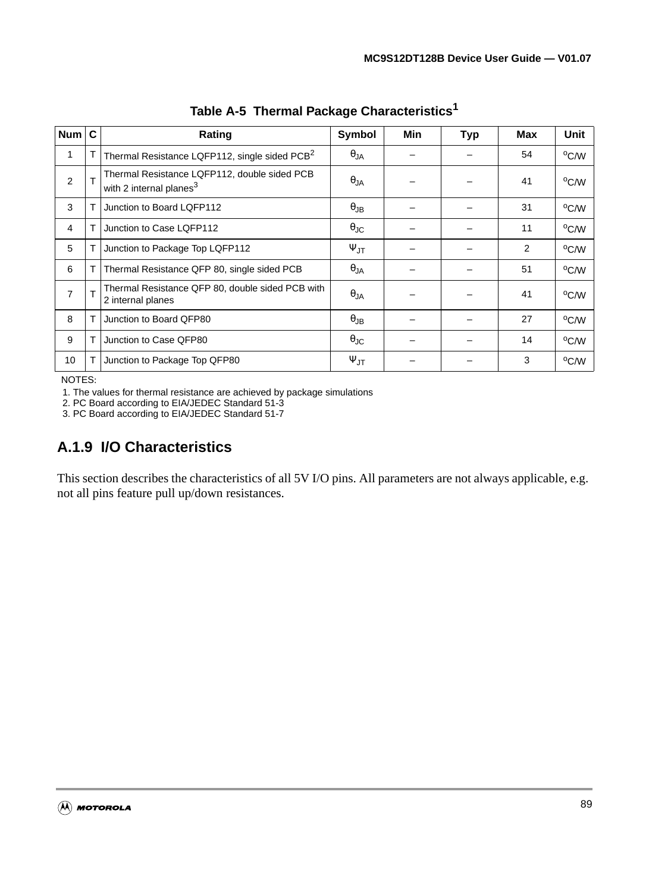| <b>Num</b>     | C | Rating                                                                              | <b>Symbol</b>        | Min | <b>Typ</b> | <b>Max</b> | <b>Unit</b>    |
|----------------|---|-------------------------------------------------------------------------------------|----------------------|-----|------------|------------|----------------|
| 1              | T | Thermal Resistance LQFP112, single sided PCB <sup>2</sup>                           | $\theta_{JA}$        |     |            | 54         | °C/W           |
| $\overline{2}$ |   | Thermal Resistance LQFP112, double sided PCB<br>with 2 internal planes <sup>3</sup> | $\theta_{JA}$        |     |            | 41         | °C/W           |
| 3              |   | Junction to Board LQFP112                                                           | $\theta_{JB}$        |     |            | 31         | °C/W           |
| 4              |   | Junction to Case LQFP112                                                            | $\theta_{\text{JC}}$ |     |            | 11         | °C/W           |
| 5              | Т | Junction to Package Top LQFP112                                                     | $\Psi_{\text{JT}}$   |     |            | 2          | °C/W           |
| 6              | т | Thermal Resistance QFP 80, single sided PCB                                         | $\theta_{JA}$        |     |            | 51         | $^{\circ}$ C/W |
| $\overline{7}$ |   | Thermal Resistance QFP 80, double sided PCB with<br>2 internal planes               | $\theta_{JA}$        |     |            | 41         | °C/W           |
| 8              |   | Junction to Board QFP80                                                             | $\theta_{JB}$        |     |            | 27         | °C/W           |
| 9              |   | Junction to Case QFP80                                                              | $\theta_{\text{JC}}$ |     |            | 14         | °C/W           |
| 10             |   | Junction to Package Top QFP80                                                       | $\Psi_{\text{JT}}$   |     |            | 3          | °C/W           |

**Table A-5 Thermal Package Characteristics1**

NOTES:

1. The values for thermal resistance are achieved by package simulations

2. PC Board according to EIA/JEDEC Standard 51-3

3. PC Board according to EIA/JEDEC Standard 51-7

### **A.1.9 I/O Characteristics**

This section describes the characteristics of all 5V I/O pins. All parameters are not always applicable, e.g. not all pins feature pull up/down resistances.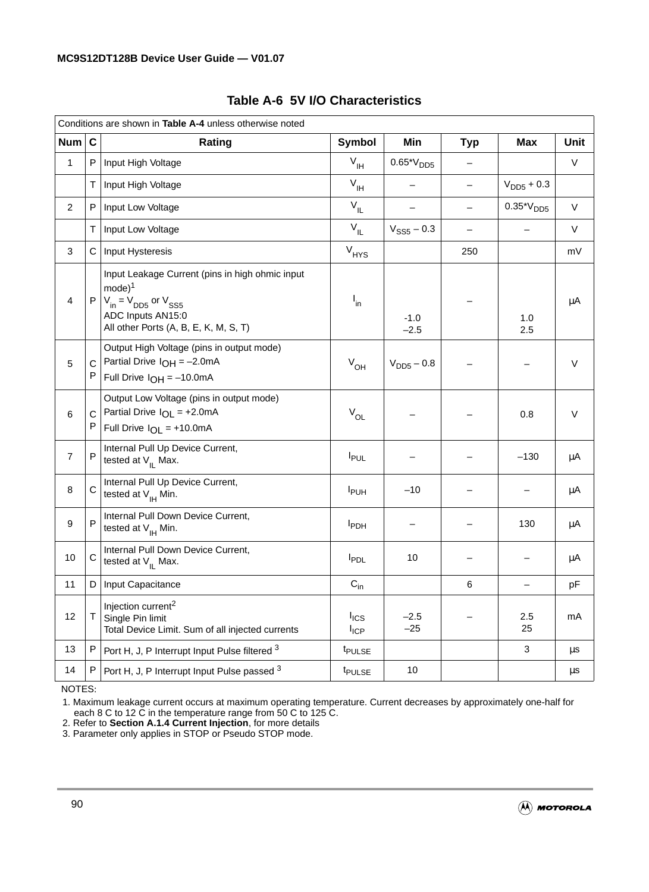|                  | Conditions are shown in Table A-4 unless otherwise noted |                                                                                                                                                                            |                         |                  |            |                 |              |
|------------------|----------------------------------------------------------|----------------------------------------------------------------------------------------------------------------------------------------------------------------------------|-------------------------|------------------|------------|-----------------|--------------|
| <b>Num</b>       | $\mathbf c$                                              | Rating                                                                                                                                                                     | <b>Symbol</b>           | Min              | <b>Typ</b> | <b>Max</b>      | Unit         |
| 1                | P                                                        | Input High Voltage                                                                                                                                                         | $V_{\vert H}$           | $0.65*V_{DD5}$   |            |                 | V            |
|                  | $\mathsf{T}$                                             | Input High Voltage                                                                                                                                                         | $V_{\vert H}$           |                  | -          | $V_{DD5}$ + 0.3 |              |
| $\overline{2}$   | P                                                        | Input Low Voltage                                                                                                                                                          | $\rm V_{\rm IL}$        |                  | -          | $0.35*V_{DD5}$  | V            |
|                  | $\mathsf T$                                              | Input Low Voltage                                                                                                                                                          | $V_{IL}$                | $V_{SS5} - 0.3$  | —          |                 | $\mathsf{V}$ |
| 3                | C                                                        | Input Hysteresis                                                                                                                                                           | $\rm V_{HYS}$           |                  | 250        |                 | mV           |
| 4                |                                                          | Input Leakage Current (pins in high ohmic input<br>$mode)$ <sup>1</sup><br>$P V_{in} = V_{DD5}$ or $V_{SS5}$<br>ADC Inputs AN15:0<br>All other Ports (A, B, E, K, M, S, T) | $I_{in}$                | $-1.0$<br>$-2.5$ |            | 1.0<br>2.5      | $\mu A$      |
| 5                | C<br>Р                                                   | Output High Voltage (pins in output mode)<br>Partial Drive $I_{OH} = -2.0mA$<br>Full Drive $I_{OH} = -10.0 \text{mA}$                                                      | $V_{OH}$                | $V_{DD5} - 0.8$  |            |                 | V            |
| 6                | C<br>P                                                   | Output Low Voltage (pins in output mode)<br>Partial Drive $I_{OL}$ = +2.0mA<br>Full Drive $I_{OL}$ = +10.0mA                                                               | $\rm V_{OL}$            |                  |            | 0.8             | $\vee$       |
| $\boldsymbol{7}$ | P                                                        | Internal Pull Up Device Current,<br>tested at $V_{\parallel}$ Max.                                                                                                         | $I_{PUL}$               |                  |            | $-130$          | $\mu$ A      |
| 8                | C                                                        | Internal Pull Up Device Current,<br>tested at $V_{\vert H}$ Min.                                                                                                           | <b>I</b> <sub>PUH</sub> | $-10$            |            |                 | μA           |
| 9                | P                                                        | Internal Pull Down Device Current,<br>tested at $V_{\vert H}$ Min.                                                                                                         | <b>I</b> <sub>PDH</sub> |                  |            | 130             | μA           |
| 10               | C                                                        | Internal Pull Down Device Current,<br>tested at $V_{IL}$ Max.                                                                                                              | <b>I</b> PDL            | 10               |            | —               | $\mu A$      |
| 11               | D                                                        | Input Capacitance                                                                                                                                                          | $C_{in}$                |                  | 6          |                 | pF           |
| 12               | Т                                                        | Injection current <sup>2</sup><br>Single Pin limit<br>Total Device Limit. Sum of all injected currents                                                                     | $I_{ICS}$<br>$I_{ICP}$  | $-2.5$<br>$-25$  |            | 2.5<br>25       | mA           |
| 13               | $\mathsf{P}$                                             | Port H, J, P Interrupt Input Pulse filtered 3                                                                                                                              | t <sub>PULSE</sub>      |                  |            | 3               | μs           |
| 14               | P                                                        | Port H, J, P Interrupt Input Pulse passed $3$                                                                                                                              | t <sub>PULSE</sub>      | 10               |            |                 | μs           |

#### <span id="page-89-1"></span>**Table A-6 5V I/O Characteristics**

NOTES:

1. Maximum leakage current occurs at maximum operating temperature. Current decreases by approximately one-half for each 8 C to 12 C in the temperature range from 50 C to 125 C.

2. Refer to **[Section A.1.4 Current Injection](#page-83-0)**, for more details

<span id="page-89-0"></span>3. Parameter only applies in STOP or Pseudo STOP mode.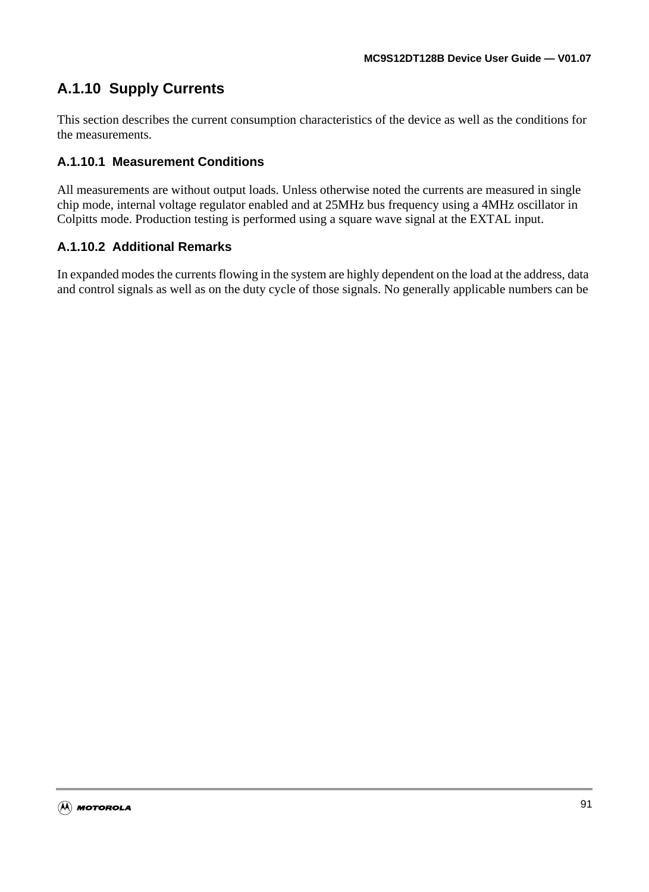## **A.1.10 Supply Currents**

This section describes the current consumption characteristics of the device as well as the conditions for the measurements.

#### **A.1.10.1 Measurement Conditions**

All measurements are without output loads. Unless otherwise noted the currents are measured in single chip mode, internal voltage regulator enabled and at 25MHz bus frequency using a 4MHz oscillator in Colpitts mode. Production testing is performed using a square wave signal at the EXTAL input.

#### **A.1.10.2 Additional Remarks**

In expanded modes the currents flowing in the system are highly dependent on the load at the address, data and control signals as well as on the duty cycle of those signals. No generally applicable numbers can be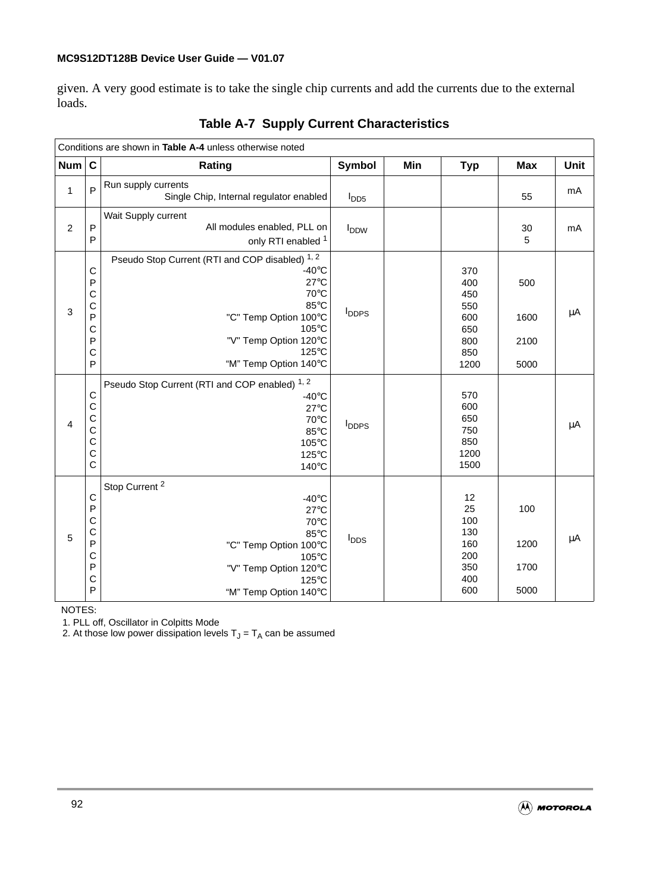given. A very good estimate is to take the single chip currents and add the currents due to the external loads.

<span id="page-91-0"></span>

|                |                                                                                                                                           | Conditions are shown in Table A-4 unless otherwise noted                                                                                                                                          |                          |     |                                                              |                             |         |
|----------------|-------------------------------------------------------------------------------------------------------------------------------------------|---------------------------------------------------------------------------------------------------------------------------------------------------------------------------------------------------|--------------------------|-----|--------------------------------------------------------------|-----------------------------|---------|
| <b>Num</b>     | $\mathbf c$                                                                                                                               | Rating                                                                                                                                                                                            | <b>Symbol</b>            | Min | <b>Typ</b>                                                   | <b>Max</b>                  | Unit    |
| $\mathbf{1}$   | $\overline{P}$                                                                                                                            | Run supply currents<br>Single Chip, Internal regulator enabled                                                                                                                                    | $I_{DD5}$                |     |                                                              | 55                          | mA      |
| $\overline{2}$ | $\mathsf{P}$<br>$\mathsf{P}$                                                                                                              | Wait Supply current<br>All modules enabled, PLL on<br>only RTI enabled 1                                                                                                                          | <b>I</b> <sub>DDW</sub>  |     |                                                              | 30<br>$\overline{5}$        | mA      |
| 3              | $\mathsf C$<br>$\mathsf{P}$<br>$\mathsf C$<br>$\mathsf{C}$<br>$\mathsf{P}$<br>$\mathsf C$<br>$\mathsf{P}$<br>$\mathsf C$<br>$\mathsf{P}$  | Pseudo Stop Current (RTI and COP disabled) 1, 2<br>$-40^{\circ}$ C<br>$27^{\circ}$ C<br>70°C<br>85°C<br>"C" Temp Option 100°C<br>105°C<br>"V" Temp Option 120°C<br>125°C<br>"M" Temp Option 140°C | <b>I</b> <sub>DDPS</sub> |     | 370<br>400<br>450<br>550<br>600<br>650<br>800<br>850<br>1200 | 500<br>1600<br>2100<br>5000 | $\mu$ A |
| 4              | $\mathsf C$<br>$\mathsf C$<br>$\mathsf{C}$<br>$\mathsf C$<br>$\mathsf{C}$<br>$\mathbf C$<br>$\mathsf{C}$                                  | Pseudo Stop Current (RTI and COP enabled) 1, 2<br>$-40^{\circ}$ C<br>$27^{\circ}$ C<br>70°C<br>85°C<br>105°C<br>125°C<br>140°C                                                                    | <b>I</b> <sub>DDPS</sub> |     | 570<br>600<br>650<br>750<br>850<br>1200<br>1500              |                             | $\mu A$ |
| 5              | $\mathsf C$<br>$\mathsf{P}$<br>$\mathsf C$<br>$\mathsf{C}$<br>$\mathsf{P}$<br>$\mathsf C$<br>$\mathsf{P}$<br>$\mathsf{C}$<br>$\mathsf{P}$ | Stop Current <sup>2</sup><br>$-40^{\circ}$ C<br>$27^{\circ}$ C<br>70°C<br>85°C<br>"C" Temp Option 100°C<br>105°C<br>"V" Temp Option 120°C<br>125°C<br>"M" Temp Option 140°C                       | $I_{\text{DDS}}$         |     | 12<br>25<br>100<br>130<br>160<br>200<br>350<br>400<br>600    | 100<br>1200<br>1700<br>5000 | μA      |

**Table A-7 Supply Current Characteristics**

NOTES:

<span id="page-91-1"></span>1. PLL off, Oscillator in Colpitts Mode

<span id="page-91-2"></span>2. At those low power dissipation levels  ${\sf T}_{\sf J}$  =  ${\sf T}_{\sf A}$  can be assumed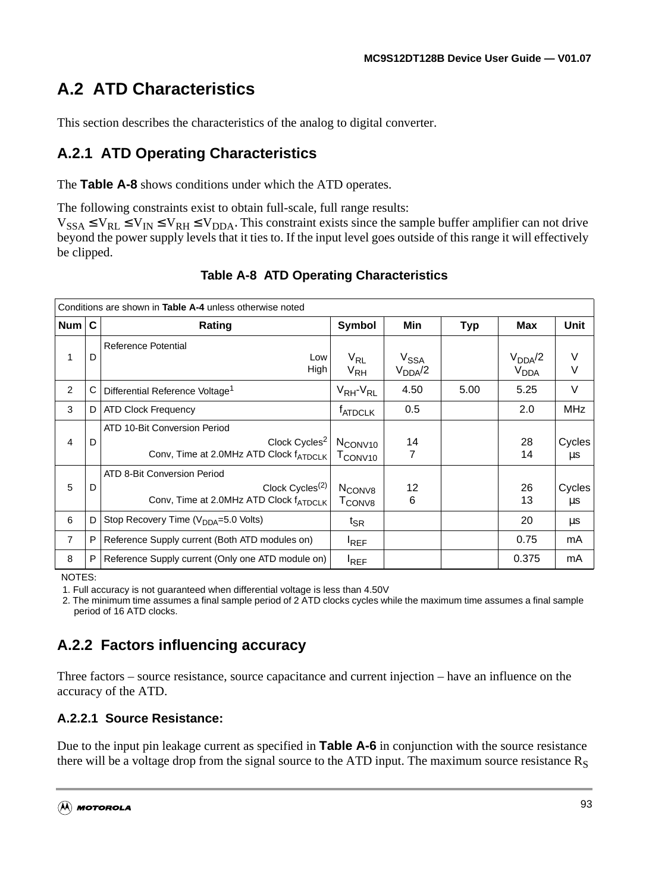## **A.2 ATD Characteristics**

This section describes the characteristics of the analog to digital converter.

### **A.2.1 ATD Operating Characteristics**

The **[Table A-8](#page-92-0)** shows conditions under which the ATD operates.

The following constraints exist to obtain full-scale, full range results:

 $V_{SSA} \leq V_{RL} \leq V_{IN} \leq V_{RH} \leq V_{DDA}$ . This constraint exists since the sample buffer amplifier can not drive beyond the power supply levels that it ties to. If the input level goes outside of this range it will effectively be clipped.

<span id="page-92-0"></span>

|                | Conditions are shown in Table A-4 unless otherwise noted |                                                                                                      |                                            |                                       |            |                                               |              |
|----------------|----------------------------------------------------------|------------------------------------------------------------------------------------------------------|--------------------------------------------|---------------------------------------|------------|-----------------------------------------------|--------------|
| Num            | C                                                        | Rating                                                                                               | Symbol                                     | Min                                   | <b>Typ</b> | Max                                           | Unit         |
| 1              | D                                                        | Reference Potential<br>Low<br>High                                                                   | $V_{RL}$<br>V <sub>RH</sub>                | <b>V<sub>SSA</sub></b><br>$V_{DDA}/2$ |            | V <sub>DDA</sub> /2<br><b>V<sub>DDA</sub></b> | V<br>V       |
| 2              | С                                                        | Differential Reference Voltage <sup>1</sup>                                                          | $VRH-VRL$                                  | 4.50                                  | 5.00       | 5.25                                          | $\vee$       |
| 3              | D                                                        | <b>ATD Clock Frequency</b>                                                                           | <b>TATDCLK</b>                             | 0.5                                   |            | 2.0                                           | <b>MHz</b>   |
| 4              | D                                                        | ATD 10-Bit Conversion Period<br>Clock Cycles <sup>2</sup><br>Conv, Time at 2.0MHz ATD Clock fATDCLK  | N <sub>CONV10</sub><br>T <sub>CONV10</sub> | 14<br>7                               |            | 28<br>14                                      | Cycles<br>μs |
| 5              | D                                                        | ATD 8-Bit Conversion Period<br>Clock Cycles <sup>(2)</sup><br>Conv, Time at 2.0MHz ATD Clock fATDCLK | N <sub>CONV8</sub><br>T <sub>CONV8</sub>   | 12<br>6                               |            | 26<br>13                                      | Cycles<br>μs |
| 6              | D                                                        | Stop Recovery Time ( $V_{\text{DDA}}$ =5.0 Volts)                                                    | $t_{\mathsf{SR}}$                          |                                       |            | 20                                            | μs           |
| $\overline{7}$ | P                                                        | Reference Supply current (Both ATD modules on)                                                       | <b>REF</b>                                 |                                       |            | 0.75                                          | mA           |
| 8              | P                                                        | Reference Supply current (Only one ATD module on)                                                    | <b>REF</b>                                 |                                       |            | 0.375                                         | mA           |

### **Table A-8 ATD Operating Characteristics**

NOTES:

1. Full accuracy is not guaranteed when differential voltage is less than 4.50V

<span id="page-92-1"></span>2. The minimum time assumes a final sample period of 2 ATD clocks cycles while the maximum time assumes a final sample period of 16 ATD clocks.

## **A.2.2 Factors influencing accuracy**

Three factors – source resistance, source capacitance and current injection – have an influence on the accuracy of the ATD.

### **A.2.2.1 Source Resistance:**

Due to the input pin leakage current as specified in **[Table A-6](#page-89-1)** in conjunction with the source resistance there will be a voltage drop from the signal source to the ATD input. The maximum source resistance  $R<sub>S</sub>$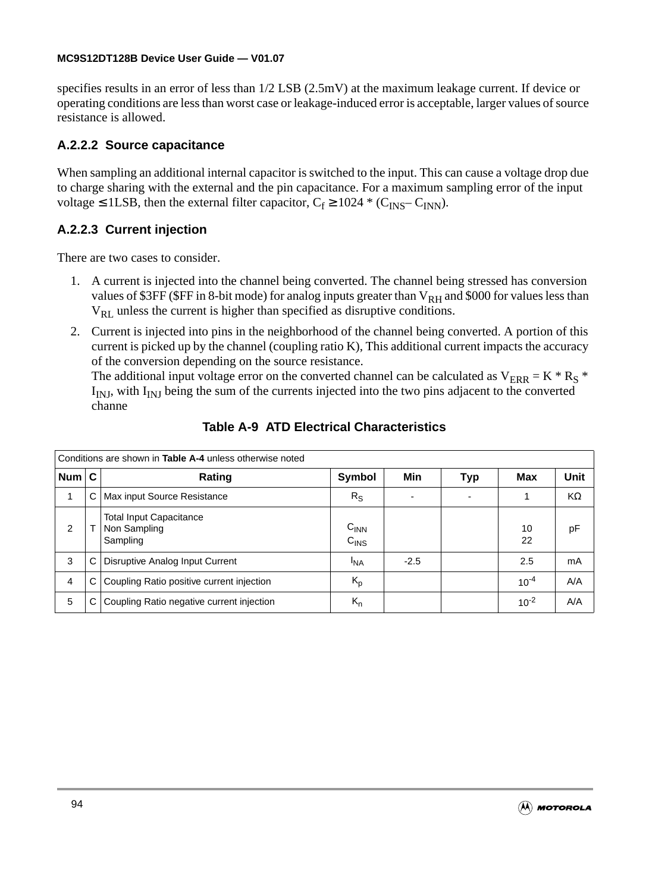specifies results in an error of less than 1/2 LSB (2.5mV) at the maximum leakage current. If device or operating conditions are less than worst case or leakage-induced error is acceptable, larger values of source resistance is allowed.

#### **A.2.2.2 Source capacitance**

When sampling an additional internal capacitor is switched to the input. This can cause a voltage drop due to charge sharing with the external and the pin capacitance. For a maximum sampling error of the input voltage  $\leq$  1LSB, then the external filter capacitor,  $C_f \geq 1024$  \* ( $C_{INS} - C_{INN}$ ).

#### **A.2.2.3 Current injection**

There are two cases to consider.

- 1. A current is injected into the channel being converted. The channel being stressed has conversion values of \$3FF (\$FF in 8-bit mode) for analog inputs greater than  $V_{RH}$  and \$000 for values less than  $V_{RL}$  unless the current is higher than specified as disruptive conditions.
- 2. Current is injected into pins in the neighborhood of the channel being converted. A portion of this current is picked up by the channel (coupling ratio K), This additional current impacts the accuracy of the conversion depending on the source resistance.

The additional input voltage error on the converted channel can be calculated as  $V_{ERR} = K * R_S *$  $I_{INJ}$ , with  $I_{INJ}$  being the sum of the currents injected into the two pins adjacent to the converted channe

|                |    | Conditions are shown in Table A-4 unless otherwise noted   |                                      |        |     |           |           |
|----------------|----|------------------------------------------------------------|--------------------------------------|--------|-----|-----------|-----------|
| <b>Num</b>     | C  | Rating                                                     | Symbol                               | Min    | Тур | Max       | Unit      |
|                | C. | Max input Source Resistance                                | $R_{\rm S}$                          |        |     | 1         | $K\Omega$ |
| $\mathcal{P}$  |    | <b>Total Input Capacitance</b><br>Non Sampling<br>Sampling | C <sub>INN</sub><br>C <sub>INS</sub> |        |     | 10<br>22  | рF        |
| 3              | С  | Disruptive Analog Input Current                            | <sup>I</sup> NA                      | $-2.5$ |     | 2.5       | mA        |
| $\overline{4}$ | C. | Coupling Ratio positive current injection                  | $K_p$                                |        |     | $10^{-4}$ | A/A       |
| 5              | C. | Coupling Ratio negative current injection                  | $K_n$                                |        |     | $10^{-2}$ | A/A       |

#### **Table A-9 ATD Electrical Characteristics**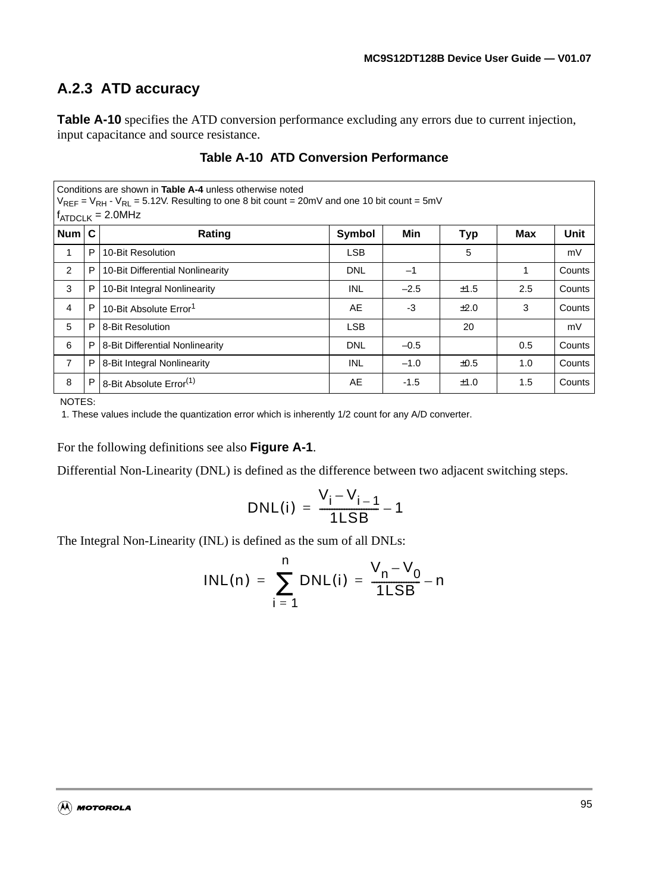## **A.2.3 ATD accuracy**

**[Table A-10](#page-94-0)** specifies the ATD conversion performance excluding any errors due to current injection, input capacitance and source resistance.

<span id="page-94-0"></span>

|                | Conditions are shown in Table A-4 unless otherwise noted<br>$V_{RFF} = V_{RH} - V_{R1} = 5.12V$ . Resulting to one 8 bit count = 20mV and one 10 bit count = 5mV |                                     |            |        |            |            |        |  |  |
|----------------|------------------------------------------------------------------------------------------------------------------------------------------------------------------|-------------------------------------|------------|--------|------------|------------|--------|--|--|
|                |                                                                                                                                                                  | $f_{ATDCLK} = 2.0 MHz$              |            |        |            |            |        |  |  |
| Num            | C                                                                                                                                                                | Rating                              | Symbol     | Min    | <b>Typ</b> | <b>Max</b> | Unit   |  |  |
| 1              | P                                                                                                                                                                | 10-Bit Resolution                   | LSB        |        | 5          |            | mV     |  |  |
| 2              | P                                                                                                                                                                | 10-Bit Differential Nonlinearity    | <b>DNL</b> | $-1$   |            |            | Counts |  |  |
| 3              | Р                                                                                                                                                                | 10-Bit Integral Nonlinearity        | <b>INL</b> | $-2.5$ | ±1.5       | 2.5        | Counts |  |  |
| $\overline{4}$ | P                                                                                                                                                                | 10-Bit Absolute Error <sup>1</sup>  | AE         | -3     | ±2.0       | 3          | Counts |  |  |
| 5              | P                                                                                                                                                                | 8-Bit Resolution                    | <b>LSB</b> |        | 20         |            | mV     |  |  |
| 6              | P                                                                                                                                                                | 8-Bit Differential Nonlinearity     | <b>DNL</b> | $-0.5$ |            | 0.5        | Counts |  |  |
| $\overline{7}$ | P                                                                                                                                                                | 8-Bit Integral Nonlinearity         | <b>INL</b> | $-1.0$ | $\pm 0.5$  | 1.0        | Counts |  |  |
| 8              | P                                                                                                                                                                | 8-Bit Absolute Error <sup>(1)</sup> | AE         | $-1.5$ | ±1.0       | 1.5        | Counts |  |  |

#### **Table A-10 ATD Conversion Performance**

NOTES:

<span id="page-94-1"></span>1. These values include the quantization error which is inherently 1/2 count for any A/D converter.

For the following definitions see also **[Figure A-1](#page-95-0)**.

Differential Non-Linearity (DNL) is defined as the difference between two adjacent switching steps.

$$
DNL(i) = \frac{V_i - V_{i-1}}{1LSB} - 1
$$

The Integral Non-Linearity (INL) is defined as the sum of all DNLs:

$$
INL(n) = \sum_{i=1}^{n} DNL(i) = \frac{V_{n} - V_{0}}{1LSB} - n
$$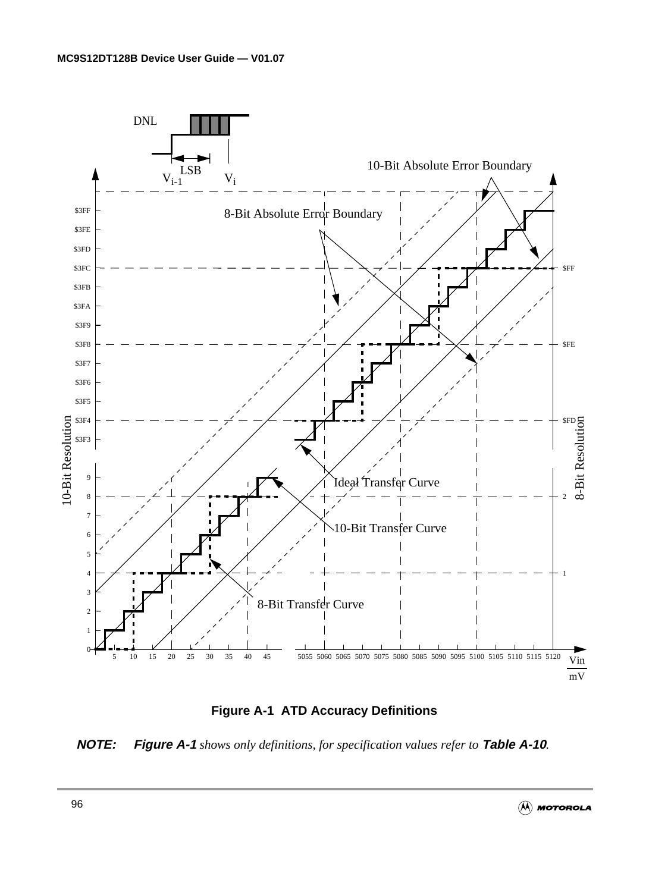

**Figure A-1 ATD Accuracy Definitions**

<span id="page-95-0"></span>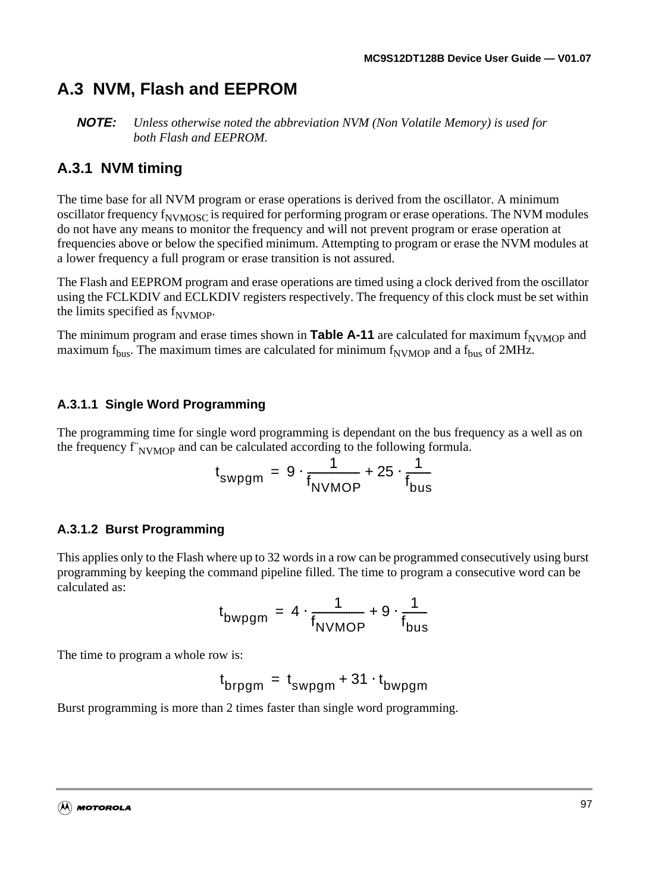## **A.3 NVM, Flash and EEPROM**

**NOTE:** *Unless otherwise noted the abbreviation NVM (Non Volatile Memory) is used for both Flash and EEPROM.*

### **A.3.1 NVM timing**

The time base for all NVM program or erase operations is derived from the oscillator. A minimum oscillator frequency  $f_{\text{NVMOSC}}$  is required for performing program or erase operations. The NVM modules do not have any means to monitor the frequency and will not prevent program or erase operation at frequencies above or below the specified minimum. Attempting to program or erase the NVM modules at a lower frequency a full program or erase transition is not assured.

The Flash and EEPROM program and erase operations are timed using a clock derived from the oscillator using the FCLKDIV and ECLKDIV registers respectively. The frequency of this clock must be set within the limits specified as  $f_{\text{NVMOP}}$ .

The minimum program and erase times shown in **[Table A-11](#page-97-0)** are calculated for maximum  $f_{\text{NVMOP}}$  and maximum  $f_{bus}$ . The maximum times are calculated for minimum  $f_{NVMOP}$  and a  $f_{bus}$  of 2MHz.

#### <span id="page-96-0"></span>**A.3.1.1 Single Word Programming**

The programming time for single word programming is dependant on the bus frequency as a well as on the frequency  $f_{\text{NVMOP}}$  and can be calculated according to the following formula.

$$
t_{\text{swpgm}} = 9 \cdot \frac{1}{f_{\text{NVMOP}}} + 25 \cdot \frac{1}{f_{\text{bus}}}
$$

#### **A.3.1.2 Burst Programming**

This applies only to the Flash where up to 32 words in a row can be programmed consecutively using burst programming by keeping the command pipeline filled. The time to program a consecutive word can be calculated as:

$$
t_{bwpgm} = 4 \cdot \frac{1}{f_{NVMOP}} + 9 \cdot \frac{1}{f_{bus}}
$$

The time to program a whole row is:

$$
t_{brgm} = t_{swpgm} + 31 \cdot t_{bwpgm}
$$

Burst programming is more than 2 times faster than single word programming.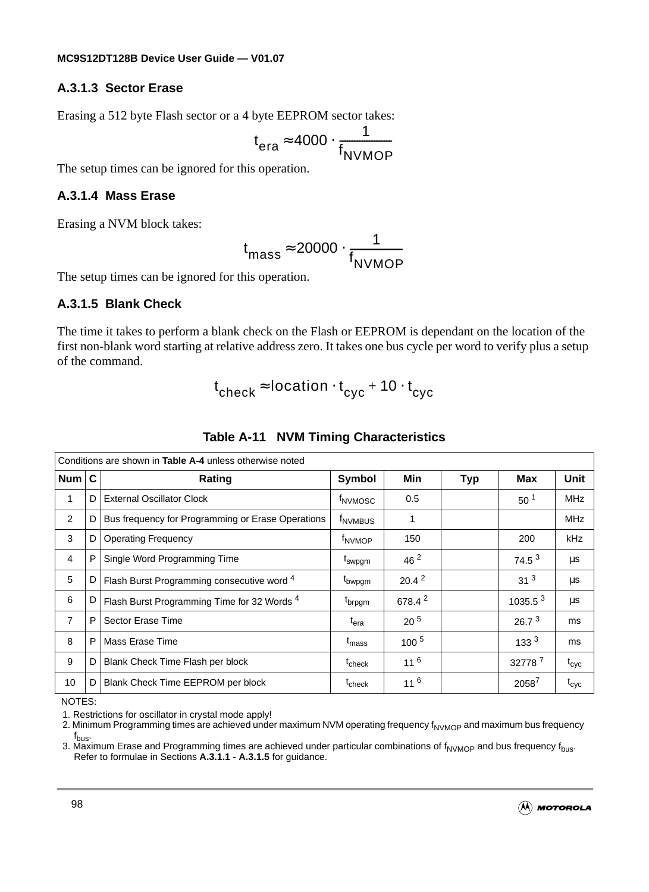#### **A.3.1.3 Sector Erase**

Erasing a 512 byte Flash sector or a 4 byte EEPROM sector takes:

$$
t_{era} \approx 4000 \cdot \frac{1}{f_{\text{NVMOP}}}
$$

The setup times can be ignored for this operation.

#### **A.3.1.4 Mass Erase**

Erasing a NVM block takes:

$$
t_{\text{mass}} \approx 20000 \cdot \frac{1}{f_{\text{NVMOP}}}
$$

The setup times can be ignored for this operation.

#### <span id="page-97-1"></span>**A.3.1.5 Blank Check**

The time it takes to perform a blank check on the Flash or EEPROM is dependant on the location of the first non-blank word starting at relative address zero. It takes one bus cycle per word to verify plus a setup of the command.

$$
t_{\sf check} \approx \text{location} \cdot t_{\sf cyc} + \text{10} \cdot t_{\sf cyc}
$$

<span id="page-97-0"></span>

|                | Conditions are shown in Table A-4 unless otherwise noted |                                                        |                     |                    |            |                   |               |  |  |
|----------------|----------------------------------------------------------|--------------------------------------------------------|---------------------|--------------------|------------|-------------------|---------------|--|--|
| <b>Num</b>     | C                                                        | Rating                                                 | Symbol              | Min                | <b>Typ</b> | Max               | Unit          |  |  |
| 1              | D                                                        | <b>External Oscillator Clock</b>                       | <sup>T</sup> NVMOSC | 0.5                |            | 50 <sup>1</sup>   | <b>MHz</b>    |  |  |
| 2              | D                                                        | Bus frequency for Programming or Erase Operations      | <sup>T</sup> NVMBUS | 1                  |            |                   | <b>MHz</b>    |  |  |
| 3              | D                                                        | <b>Operating Frequency</b>                             | <sup>t</sup> NVMOP  | 150                |            | 200               | kHz           |  |  |
| $\overline{4}$ | P                                                        | Single Word Programming Time                           | <sup>L</sup> swpgm  | 46 <sup>2</sup>    |            | 74.5 <sup>3</sup> | μs            |  |  |
| 5              | D                                                        | Flash Burst Programming consecutive word 4             | t <sub>bwpgm</sub>  | 20.4 <sup>2</sup>  |            | 31 <sup>3</sup>   | μs            |  |  |
| 6              | D                                                        | Flash Burst Programming Time for 32 Words <sup>4</sup> | t <sub>brpgm</sub>  | 678.4 <sup>2</sup> |            | 1035.5 $3$        | μs            |  |  |
| 7              | P                                                        | Sector Erase Time                                      | t <sub>era</sub>    | 20 <sup>5</sup>    |            | 26.7 <sup>3</sup> | ms            |  |  |
| 8              | P                                                        | Mass Erase Time                                        | $t_{\sf mass}$      | $100^{5}$          |            | 133 <sup>3</sup>  | ms            |  |  |
| 9              | D                                                        | Blank Check Time Flash per block                       | t <sub>check</sub>  | $11^{6}$           |            | 327787            | $t_{\rm cyc}$ |  |  |
| 10             | D                                                        | Blank Check Time EEPROM per block                      | <sup>I</sup> check  | $11^{6}$           |            | $2058^7$          | $t_{\rm cyc}$ |  |  |

#### **Table A-11 NVM Timing Characteristics**

NOTES:

1. Restrictions for oscillator in crystal mode apply!

<span id="page-97-2"></span>2. Minimum Programming times are achieved under maximum NVM operating frequency f<sub>NVMOP</sub> and maximum bus frequency f<sub>bus</sub>.

<span id="page-97-3"></span>3. Maximum Erase and Programming times are achieved under particular combinations of f<sub>NVMOP</sub> and bus frequency f<sub>bus</sub>. Refer to formulae in Sections **[A.3.1.1 -](#page-96-0) [A.3.1.5](#page-97-1)** for guidance.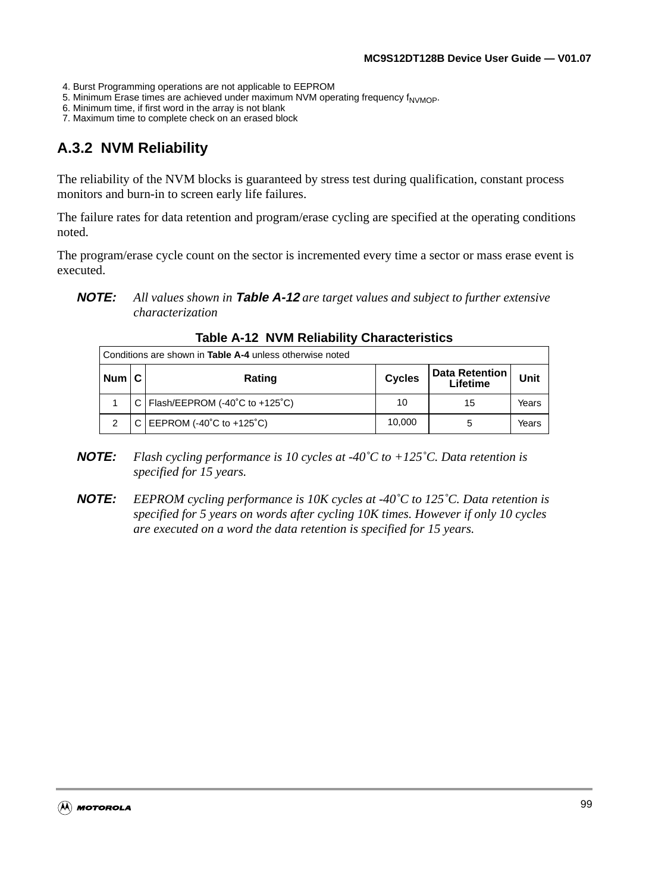<span id="page-98-0"></span>4. Burst Programming operations are not applicable to EEPROM

- <span id="page-98-1"></span>5. Minimum Erase times are achieved under maximum NVM operating frequency fNVMOP.
- <span id="page-98-2"></span>6. Minimum time, if first word in the array is not blank
- <span id="page-98-3"></span>7. Maximum time to complete check on an erased block

## **A.3.2 NVM Reliability**

The reliability of the NVM blocks is guaranteed by stress test during qualification, constant process monitors and burn-in to screen early life failures.

The failure rates for data retention and program/erase cycling are specified at the operating conditions noted.

The program/erase cycle count on the sector is incremented every time a sector or mass erase event is executed.

<span id="page-98-4"></span>**NOTE:** *All values shown in* **[Table](#page-98-4) A-12** *are target values and subject to further extensive characterization*

| Conditions are shown in Table A-4 unless otherwise noted |  |                                                        |               |             |       |  |  |
|----------------------------------------------------------|--|--------------------------------------------------------|---------------|-------------|-------|--|--|
| <b>Num</b>                                               |  | Rating                                                 | <b>Cycles</b> | <b>Unit</b> |       |  |  |
|                                                          |  | C   Flash/EEPROM $(-40^{\circ}$ C to $+125^{\circ}$ C) | 10            | 15          | Years |  |  |
| 2                                                        |  | C   EEPROM $(-40^{\circ}$ C to $+125^{\circ}$ C)       | 10.000        |             | Years |  |  |

**Table A-12 NVM Reliability Characteristics**

- **NOTE:** *Flash cycling performance is 10 cycles at -40˚C to +125˚C. Data retention is specified for 15 years.*
- **NOTE:** *EEPROM cycling performance is 10K cycles at -40˚C to 125˚C. Data retention is specified for 5 years on words after cycling 10K times. However if only 10 cycles are executed on a word the data retention is specified for 15 years.*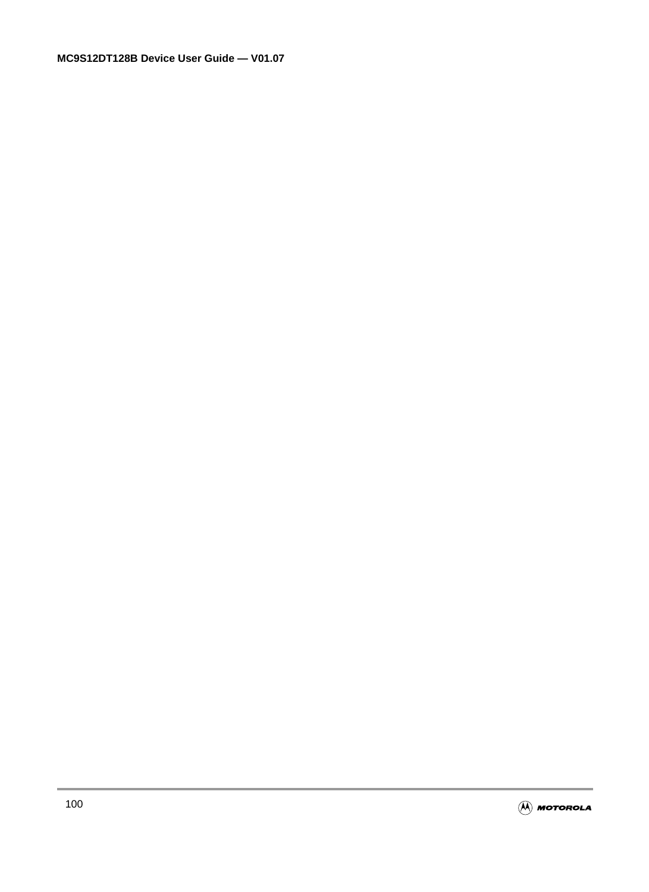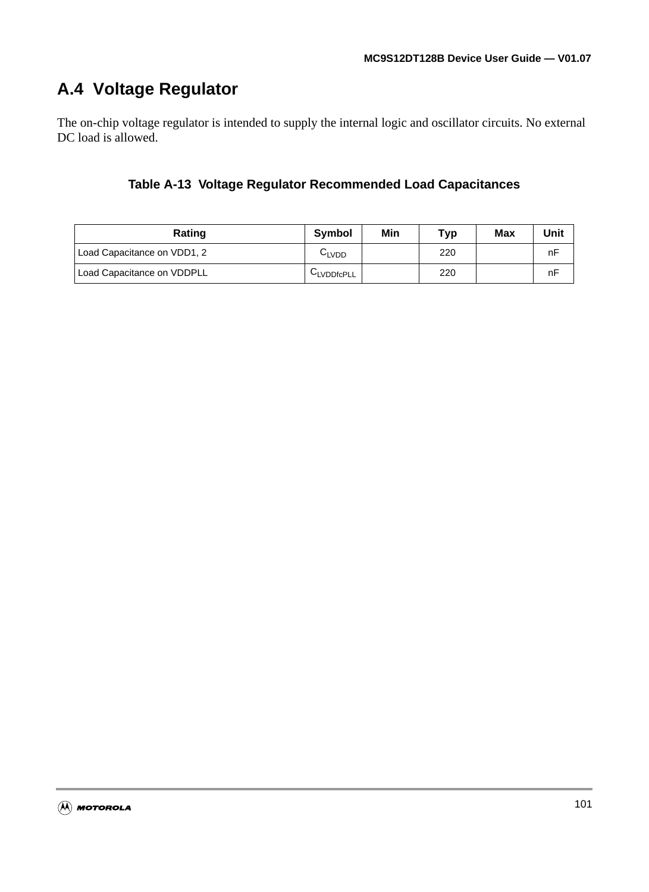## **A.4 Voltage Regulator**

The on-chip voltage regulator is intended to supply the internal logic and oscillator circuits. No external DC load is allowed.

#### **Table A-13 Voltage Regulator Recommended Load Capacitances**

| Rating                      | Symbol            | Min | ⊤ур | Max | Unit |
|-----------------------------|-------------------|-----|-----|-----|------|
| Load Capacitance on VDD1, 2 | $C_{LVDD}$        |     | 220 |     | nF   |
| Load Capacitance on VDDPLL  | <b>ULVDDfcPLL</b> |     | 220 |     | nF   |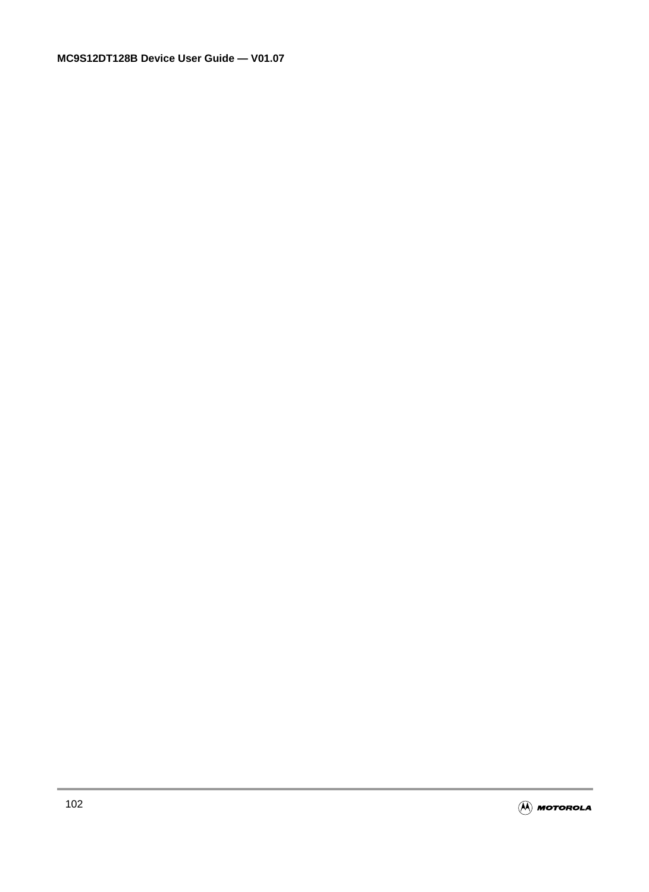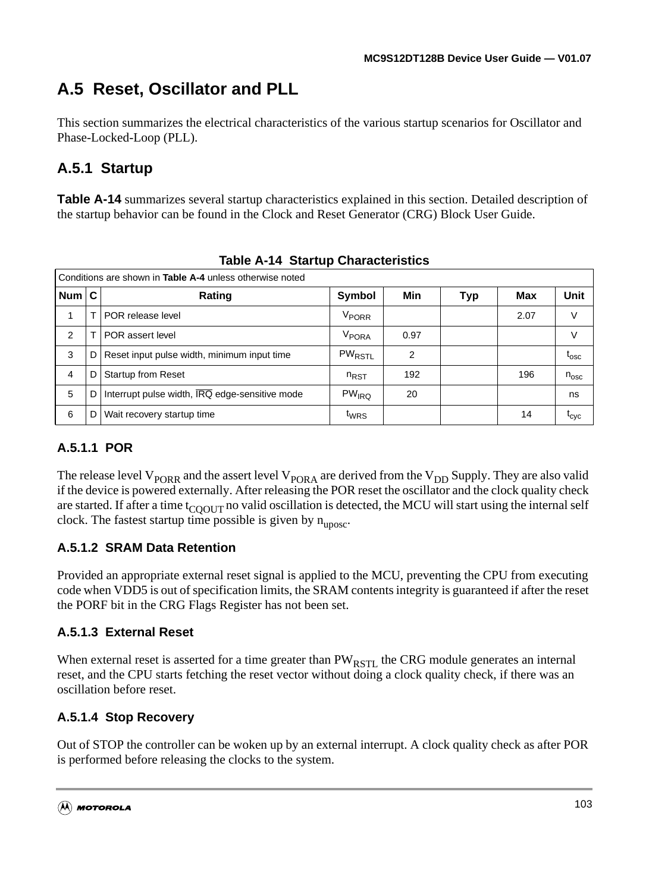## **A.5 Reset, Oscillator and PLL**

This section summarizes the electrical characteristics of the various startup scenarios for Oscillator and Phase-Locked-Loop (PLL).

### **A.5.1 Startup**

**[Table A-14](#page-102-0)** summarizes several startup characteristics explained in this section. Detailed description of the startup behavior can be found in the Clock and Reset Generator (CRG) Block User Guide.

<span id="page-102-0"></span>

|                | Conditions are shown in Table A-4 unless otherwise noted |                                                |                    |      |     |      |                  |  |
|----------------|----------------------------------------------------------|------------------------------------------------|--------------------|------|-----|------|------------------|--|
| <b>Num</b>     | C                                                        | Rating                                         | Symbol             | Min  | Тур | Max  | Unit             |  |
|                |                                                          | POR release level                              | V <sub>PORR</sub>  |      |     | 2.07 |                  |  |
| $\overline{2}$ |                                                          | POR assert level                               | V <sub>PORA</sub>  | 0.97 |     |      |                  |  |
| 3              | D                                                        | Reset input pulse width, minimum input time    | PW <sub>RSTL</sub> | 2    |     |      | <sup>l</sup> osc |  |
| 4              | D                                                        | <b>Startup from Reset</b>                      | $n_{RST}$          | 192  |     | 196  | $n_{\text{osc}}$ |  |
| 5              | D                                                        | Interrupt pulse width, IRQ edge-sensitive mode | $PW_{\text{IRQ}}$  | 20   |     |      | ns               |  |
| 6              | D                                                        | Wait recovery startup time                     | t <sub>WRS</sub>   |      |     | 14   | 'cyc             |  |

**Table A-14 Startup Characteristics**

### **A.5.1.1 POR**

The release level  $V_{PORR}$  and the assert level  $V_{PORA}$  are derived from the  $V_{DD}$  Supply. They are also valid if the device is powered externally. After releasing the POR reset the oscillator and the clock quality check are started. If after a time  $t_{\text{COOUT}}$  no valid oscillation is detected, the MCU will start using the internal self clock. The fastest startup time possible is given by  $n_{\text{uposc}}$ .

### **A.5.1.2 SRAM Data Retention**

Provided an appropriate external reset signal is applied to the MCU, preventing the CPU from executing code when VDD5 is out of specification limits, the SRAM contents integrity is guaranteed if after the reset the PORF bit in the CRG Flags Register has not been set.

### **A.5.1.3 External Reset**

When external reset is asserted for a time greater than  $PW_{RSTL}$  the CRG module generates an internal reset, and the CPU starts fetching the reset vector without doing a clock quality check, if there was an oscillation before reset.

### **A.5.1.4 Stop Recovery**

Out of STOP the controller can be woken up by an external interrupt. A clock quality check as after POR is performed before releasing the clocks to the system.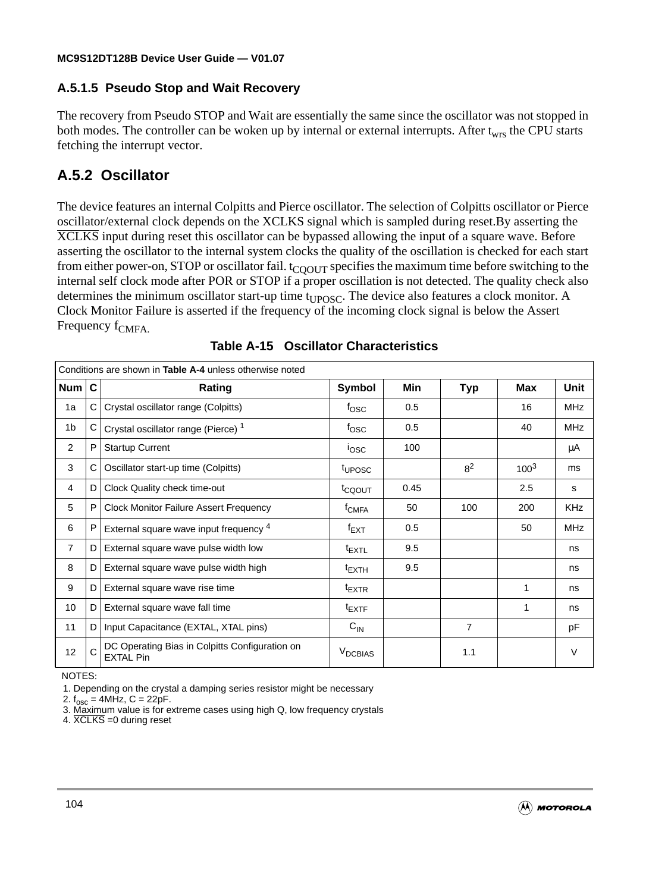### **A.5.1.5 Pseudo Stop and Wait Recovery**

The recovery from Pseudo STOP and Wait are essentially the same since the oscillator was not stopped in both modes. The controller can be woken up by internal or external interrupts. After  $t_{wrs}$  the CPU starts fetching the interrupt vector.

### **A.5.2 Oscillator**

The device features an internal Colpitts and Pierce oscillator. The selection of Colpitts oscillator or Pierce oscillator/external clock depends on the XCLKS signal which is sampled during reset.By asserting the XCLKS input during reset this oscillator can be bypassed allowing the input of a square wave. Before asserting the oscillator to the internal system clocks the quality of the oscillation is checked for each start from either power-on, STOP or oscillator fail.  $t_{\text{COOUT}}$  specifies the maximum time before switching to the internal self clock mode after POR or STOP if a proper oscillation is not detected. The quality check also determines the minimum oscillator start-up time  $t_{UPOSC}$ . The device also features a clock monitor. A Clock Monitor Failure is asserted if the frequency of the incoming clock signal is below the Assert Frequency  $f_{\text{CMFA}}$ 

|                | Conditions are shown in Table A-4 unless otherwise noted |                                                                    |                            |      |                |            |            |  |  |
|----------------|----------------------------------------------------------|--------------------------------------------------------------------|----------------------------|------|----------------|------------|------------|--|--|
| Num            | $\mathbf c$                                              | Rating                                                             | Symbol                     | Min  | <b>Typ</b>     | <b>Max</b> | Unit       |  |  |
| 1a             | C                                                        | Crystal oscillator range (Colpitts)                                | $f_{\rm{OSC}}$             | 0.5  |                | 16         | <b>MHz</b> |  |  |
| 1 <sub>b</sub> | С                                                        | Crystal oscillator range (Pierce) <sup>1</sup>                     | $t_{\text{OSC}}$           | 0.5  |                | 40         | <b>MHz</b> |  |  |
| $\overline{2}$ | P                                                        | <b>Startup Current</b>                                             | <b>losc</b>                | 100  |                |            | μA         |  |  |
| 3              | C                                                        | Oscillator start-up time (Colpitts)                                | t <sub>UPOSC</sub>         |      | 8 <sup>2</sup> | $100^{3}$  | ms         |  |  |
| 4              | D                                                        | Clock Quality check time-out                                       | t <sub>CQOUT</sub>         | 0.45 |                | 2.5        | s          |  |  |
| 5              | P                                                        | Clock Monitor Failure Assert Frequency                             | <sup>f</sup> CMFA          | 50   | 100            | 200        | <b>KHz</b> |  |  |
| 6              | P                                                        | External square wave input frequency 4                             | $f_{EXT}$                  | 0.5  |                | 50         | <b>MHz</b> |  |  |
| $\overline{7}$ | D                                                        | External square wave pulse width low                               | <sup>t</sup> EXTL          | 9.5  |                |            | ns         |  |  |
| 8              | D                                                        | External square wave pulse width high                              | $t_{\text{EXT}H}$          | 9.5  |                |            | ns         |  |  |
| 9              | D                                                        | External square wave rise time                                     | <sup>t</sup> EXTR          |      |                | 1          | ns         |  |  |
| 10             | D                                                        | External square wave fall time                                     | <sup>t</sup> EXTF          |      |                | 1          | ns         |  |  |
| 11             | D                                                        | Input Capacitance (EXTAL, XTAL pins)                               | $C_{IN}$                   |      | $\overline{7}$ |            | pF         |  |  |
| 12             |                                                          | DC Operating Bias in Colpitts Configuration on<br><b>EXTAL Pin</b> | <b>V</b> <sub>DCBIAS</sub> |      | 1.1            |            | $\vee$     |  |  |

**Table A-15 Oscillator Characteristics**

NOTES:

1. Depending on the crystal a damping series resistor might be necessary

2.  $f_{\text{osc}} = 4$ MHz, C = 22pF.

3. Maximum value is for extreme cases using high Q, low frequency crystals

4. XCLKS =0 during reset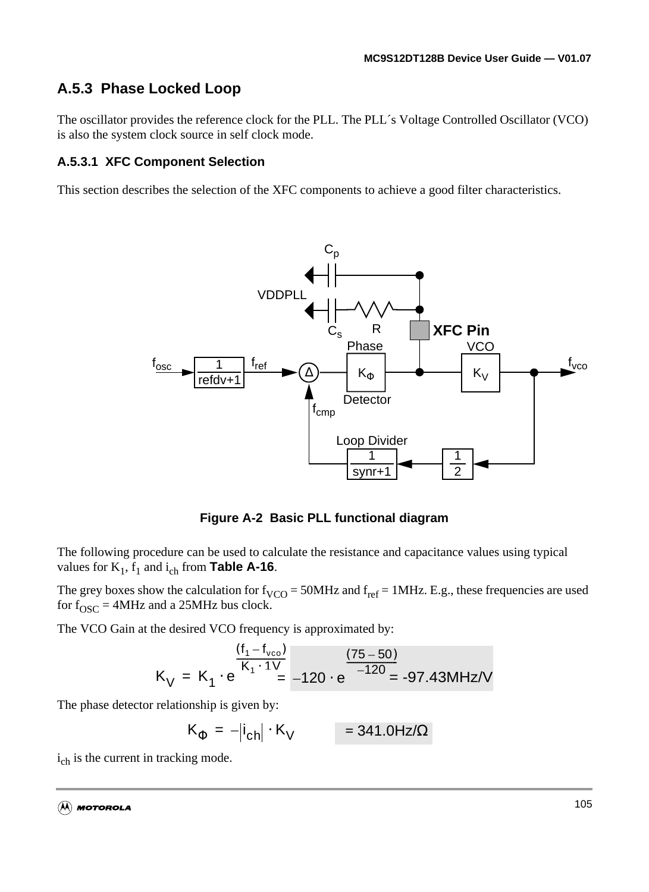### **A.5.3 Phase Locked Loop**

The oscillator provides the reference clock for the PLL. The PLL´s Voltage Controlled Oscillator (VCO) is also the system clock source in self clock mode.

### **A.5.3.1 XFC Component Selection**

This section describes the selection of the XFC components to achieve a good filter characteristics.



**Figure A-2 Basic PLL functional diagram**

<span id="page-104-0"></span>The following procedure can be used to calculate the resistance and capacitance values using typical values for  $K_1$ ,  $f_1$  and  $i_{ch}$  from **[Table A-16](#page-107-0)**.

The grey boxes show the calculation for  $f_{VCO} = 50 MHz$  and  $f_{ref} = 1 MHz$ . E.g., these frequencies are used for  $f_{\rm OSC} = 4$ MHz and a 25MHz bus clock.

The VCO Gain at the desired VCO frequency is approximated by:

$$
K_V = K_1 \cdot e^{\frac{(f_1 - f_{vco})}{K_1 \cdot 1V}} = -120 \cdot e^{\frac{(75 - 50)}{-120}} = -97.43 \text{MHz/V}
$$

The phase detector relationship is given by:

$$
K_{\Phi} = -|i_{\text{ch}}| \cdot K_{V} = 341.0 \text{Hz}/\Omega
$$

 $i_{ch}$  is the current in tracking mode.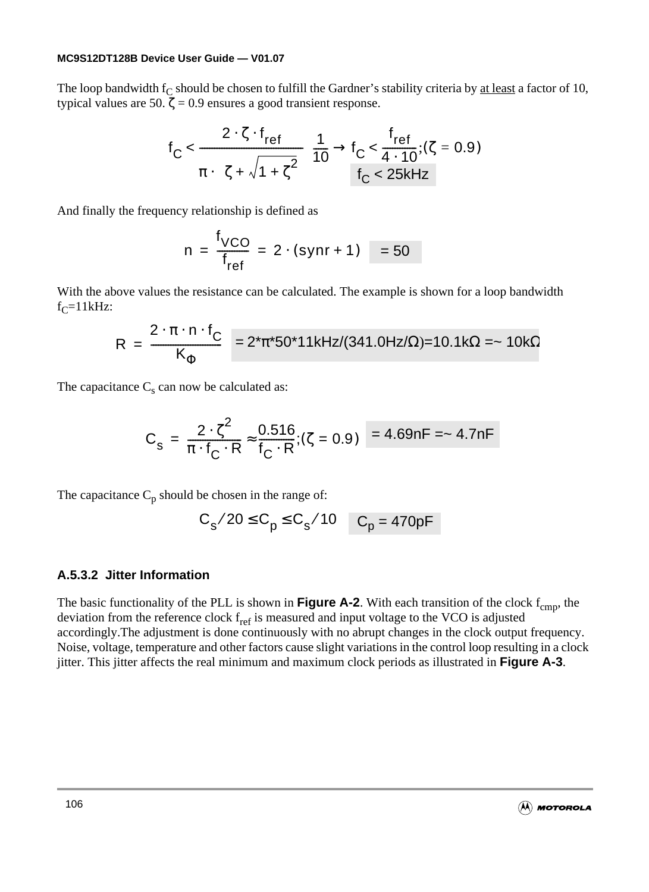The loop bandwidth  $f_C$  should be chosen to fulfill the Gardner's stability criteria by at least a factor of 10, typical values are 50.  $\zeta = 0.9$  ensures a good transient response.

$$
f_C < \frac{2 \cdot \zeta \cdot f_{ref}}{\pi \cdot \left(\zeta + \sqrt{1 + \zeta^2}\right)} \frac{1}{10} \rightarrow f_C < \frac{f_{ref}}{4 \cdot 10}; (\zeta = 0.9)
$$
  

$$
f_C < 25kHz
$$

And finally the frequency relationship is defined as

$$
n = \frac{f_{VCO}}{f_{ref}} = 2 \cdot (synr + 1) = 50
$$

With the above values the resistance can be calculated. The example is shown for a loop bandwidth  $f_C = 11kHz$ :

$$
R = \frac{2 \cdot \pi \cdot n \cdot f_C}{K_{\Phi}} = 2 \cdot \pi \cdot 50 \cdot 11 \, \text{kHz} / (341.0 \, \text{Hz} / \Omega) = 10.1 \, \text{k}\Omega = 10 \, \text{k}\Omega
$$

The capacitance  $C_s$  can now be calculated as:

$$
C_{s} = \frac{2 \cdot \zeta^{2}}{\pi \cdot f_{C} \cdot R} \approx \frac{0.516}{f_{C} \cdot R}; (\zeta = 0.9) = 4.69nF = ~4.7nF
$$

The capacitance  $C_p$  should be chosen in the range of:

$$
C_{s}/20 \leq C_{p} \leq C_{s}/10 \qquad C_{p} = 470pF
$$

#### **A.5.3.2 Jitter Information**

The basic functionality of the PLL is shown in **[Figure A-2](#page-104-0)**. With each transition of the clock  $f_{\text{cmp}}$ , the deviation from the reference clock f<sub>ref</sub> is measured and input voltage to the VCO is adjusted accordingly.The adjustment is done continuously with no abrupt changes in the clock output frequency. Noise, voltage, temperature and other factors cause slight variations in the control loop resulting in a clock jitter. This jitter affects the real minimum and maximum clock periods as illustrated in **[Figure A-3](#page-106-0)**.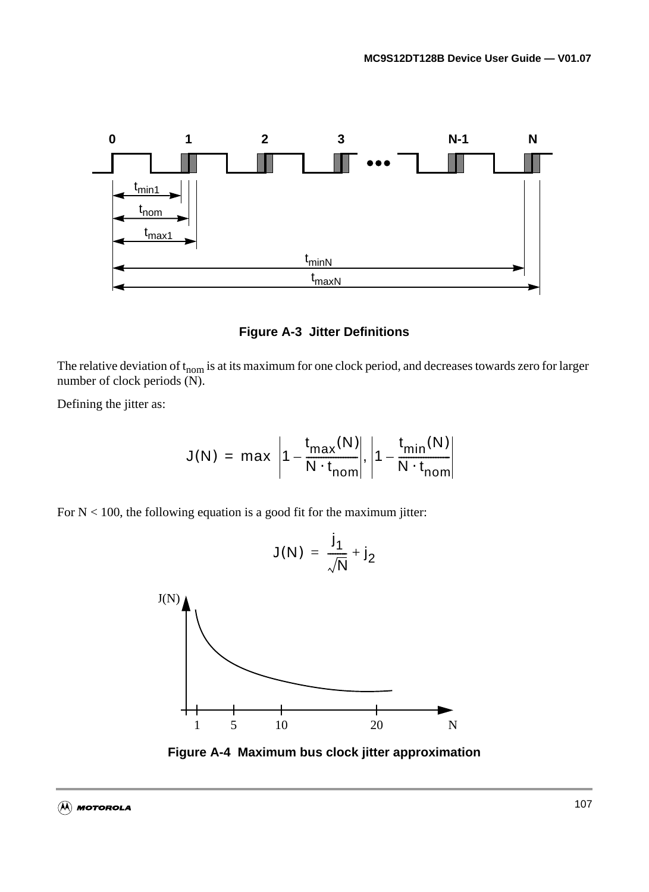

**Figure A-3 Jitter Definitions**

<span id="page-106-0"></span>The relative deviation of t<sub>nom</sub> is at its maximum for one clock period, and decreases towards zero for larger number of clock periods (N).

Defining the jitter as:

$$
J(N) = max \left( \left| 1 - \frac{t_{max}(N)}{N \cdot t_{nom}} \right|, \left| 1 - \frac{t_{min}(N)}{N \cdot t_{nom}} \right| \right)
$$

For  $N < 100$ , the following equation is a good fit for the maximum jitter:

 $J(N)$ 

$$
J(N) = \frac{j_1}{\sqrt{N}} + j_2
$$



**Figure A-4 Maximum bus clock jitter approximation**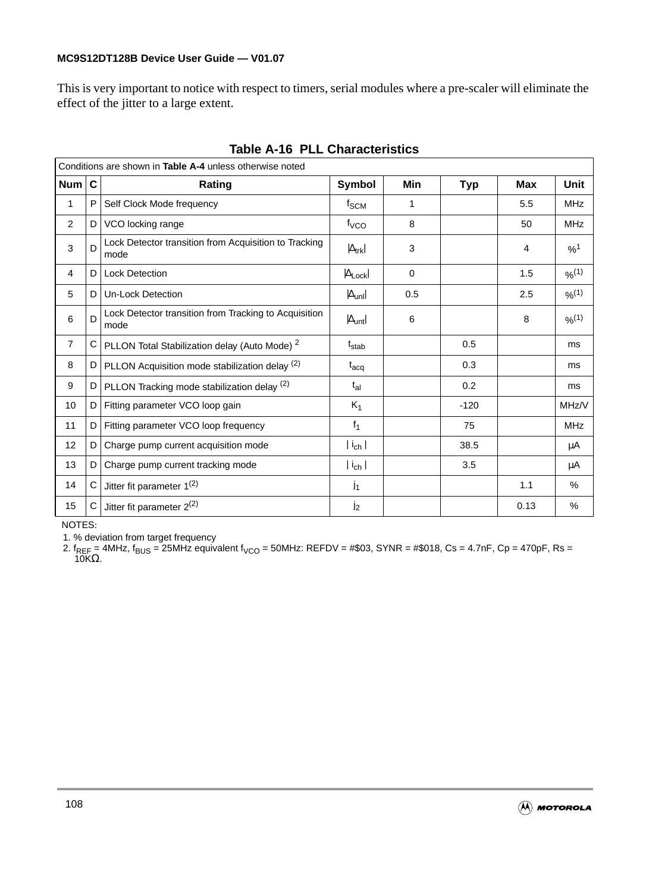This is very important to notice with respect to timers, serial modules where a pre-scaler will eliminate the effect of the jitter to a large extent.

<span id="page-107-0"></span>

|                  | Conditions are shown in Table A-4 unless otherwise noted |                                                               |                         |             |            |            |                            |  |  |
|------------------|----------------------------------------------------------|---------------------------------------------------------------|-------------------------|-------------|------------|------------|----------------------------|--|--|
| <b>Num</b>       | $\mathbf c$                                              | Rating                                                        | Symbol                  | Min         | <b>Typ</b> | <b>Max</b> | Unit                       |  |  |
| 1                | P                                                        | Self Clock Mode frequency                                     | $f_{\sf SCM}$           | 1           |            | 5.5        | <b>MHz</b>                 |  |  |
| 2                | D                                                        | VCO locking range                                             | f <sub>VCO</sub>        | 8           |            | 50         | <b>MHz</b>                 |  |  |
| 3                | D                                                        | Lock Detector transition from Acquisition to Tracking<br>mode | $ \Delta_{\text{trk}} $ | 3           |            | 4          | $\frac{9}{6}$ <sup>1</sup> |  |  |
| 4                | D                                                        | <b>Lock Detection</b>                                         | $ \Delta_{Lock} $       | $\mathbf 0$ |            | 1.5        | 9/6(1)                     |  |  |
| 5                | D                                                        | <b>Un-Lock Detection</b>                                      | $ \Delta_{unl} $        | 0.5         |            | 2.5        | 9/6(1)                     |  |  |
| 6                | D                                                        | Lock Detector transition from Tracking to Acquisition<br>mode | $ \Delta_{unt} $        | 6           |            | 8          | 9/6(1)                     |  |  |
| $\overline{7}$   | С                                                        | PLLON Total Stabilization delay (Auto Mode) <sup>2</sup>      | t <sub>stab</sub>       |             | 0.5        |            | ms                         |  |  |
| 8                | D                                                        | PLLON Acquisition mode stabilization delay (2)                | $t_{\rm acq}$           |             | 0.3        |            | ms                         |  |  |
| $\boldsymbol{9}$ | D                                                        | PLLON Tracking mode stabilization delay (2)                   | $t_{al}$                |             | 0.2        |            | ms                         |  |  |
| 10               | D                                                        | Fitting parameter VCO loop gain                               | $K_1$                   |             | $-120$     |            | MHz/V                      |  |  |
| 11               | D                                                        | Fitting parameter VCO loop frequency                          | $f_1$                   |             | 75         |            | <b>MHz</b>                 |  |  |
| 12               | D                                                        | Charge pump current acquisition mode                          | $ i_{ch} $              |             | 38.5       |            | μA                         |  |  |
| 13               | D                                                        | Charge pump current tracking mode                             | $ i_{ch} $              |             | 3.5        |            | μA                         |  |  |
| 14               | C                                                        | Jitter fit parameter $1^{(2)}$                                | j <sub>1</sub>          |             |            | 1.1        | $\frac{0}{0}$              |  |  |
| 15               | C                                                        | Jitter fit parameter $2^{(2)}$                                | $j_2$                   |             |            | 0.13       | $\%$                       |  |  |

**Table A-16 PLL Characteristics**

NOTES:

<span id="page-107-1"></span>1. % deviation from target frequency

<span id="page-107-2"></span>2. f<sub>REF</sub> = 4MHz, f<sub>BUS</sub> = 25MHz equivalent f<sub>VCO</sub> = 50MHz: REFDV = #\$03, SYNR = #\$018, Cs = 4.7nF, Cp = 470pF, Rs = 10KΩ.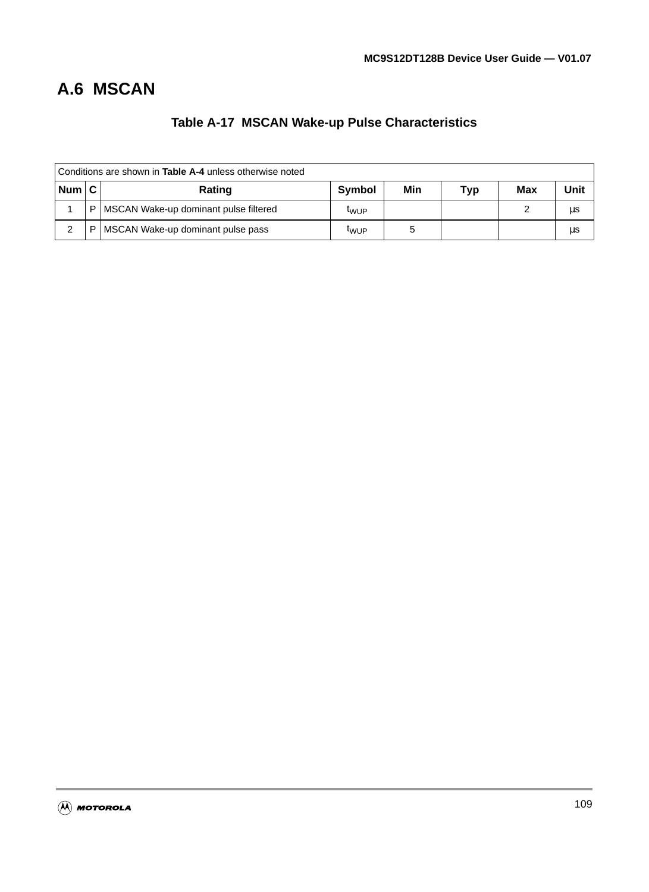## **A.6 MSCAN**

| Conditions are shown in Table A-4 unless otherwise noted |   |                                       |                  |     |     |     |      |
|----------------------------------------------------------|---|---------------------------------------|------------------|-----|-----|-----|------|
| <b>Num</b>                                               |   | Rating                                | <b>Symbol</b>    | Min | Typ | Max | Unit |
|                                                          | P | MSCAN Wake-up dominant pulse filtered | <sup>I</sup> WUP |     |     |     | μs   |
| っ                                                        | D | MSCAN Wake-up dominant pulse pass     | <b>WUP</b>       | 5   |     |     | иs   |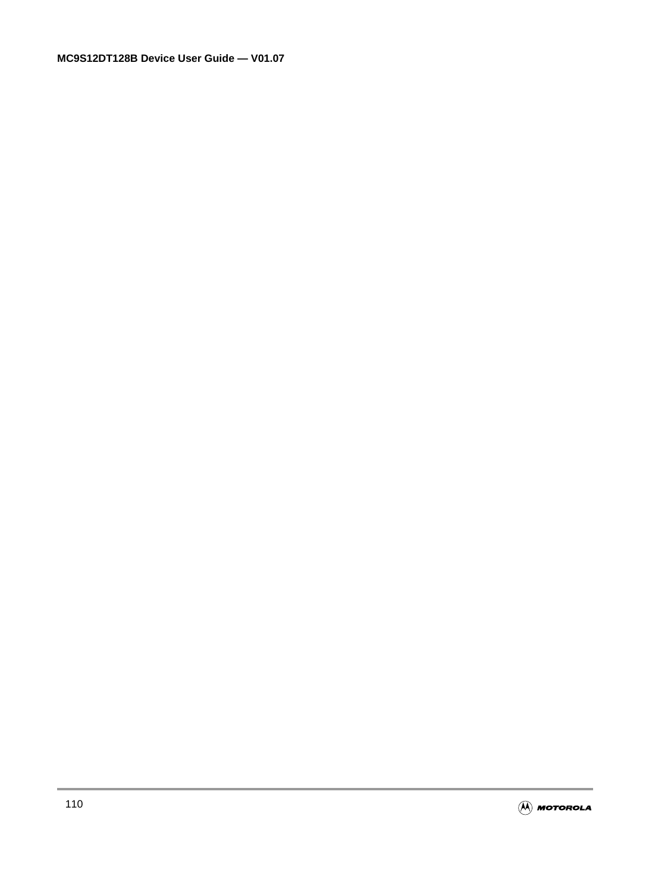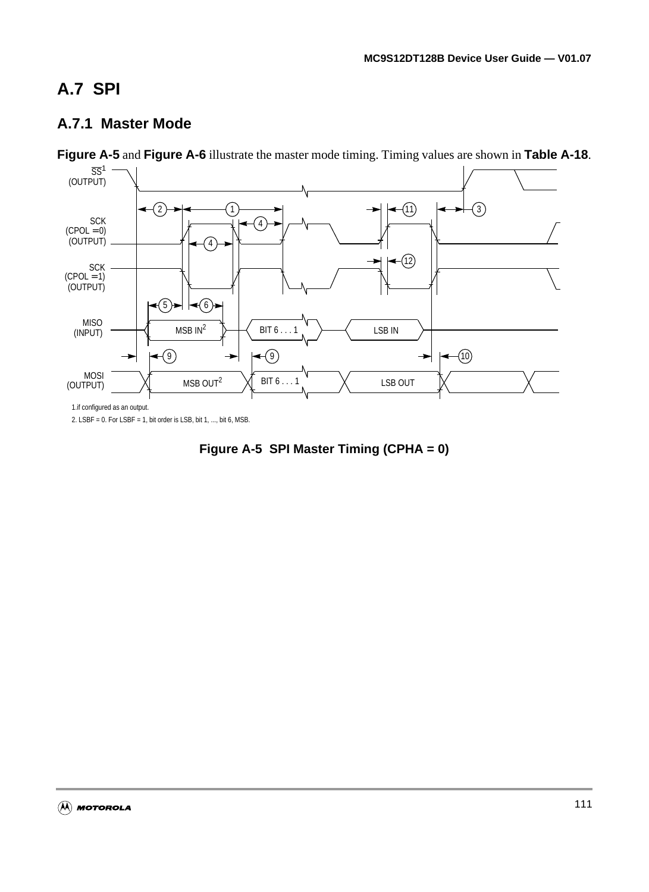### **A.7 SPI**

#### **A.7.1 Master Mode**



**[Figure A-5](#page-110-0)** and **[Figure A-6](#page-111-0)** illustrate the master mode timing. Timing values are shown in **[Table A-18](#page-111-1)**.

<span id="page-110-0"></span>2. LSBF =  $0.$  For LSBF =  $1$ , bit order is LSB, bit  $1, ...,$  bit  $6,$  MSB.

**Figure A-5 SPI Master Timing (CPHA = 0)**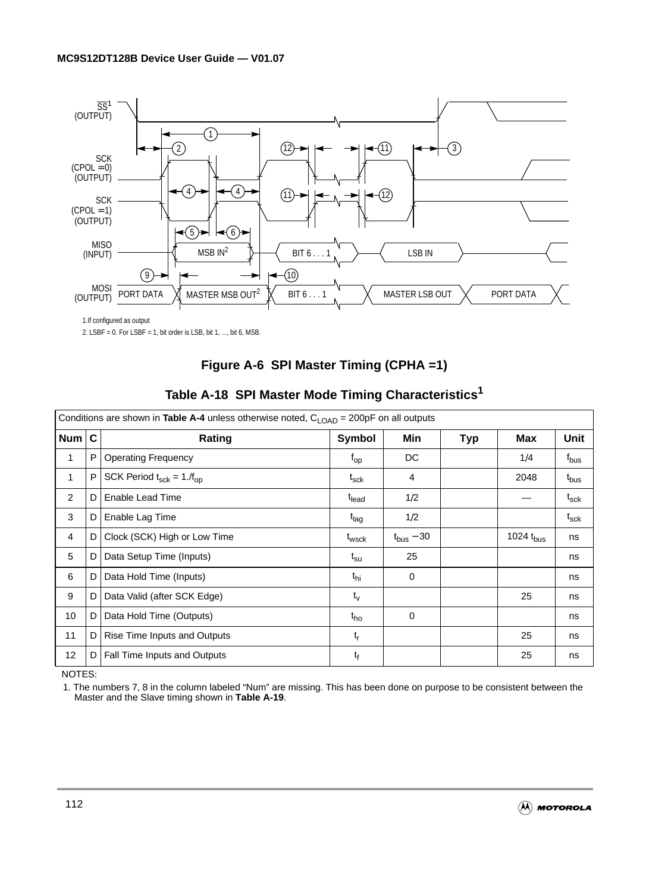

1.If configured as output

<span id="page-111-0"></span>2. LSBF =  $0.$  For LSBF =  $1$ , bit order is LSB, bit  $1, ...,$  bit  $6,$  MSB.

#### **Figure A-6 SPI Master Timing (CPHA =1)**

|  |  | Table A-18 SPI Master Mode Timing Characteristics <sup>1</sup> |  |
|--|--|----------------------------------------------------------------|--|
|  |  |                                                                |  |

<span id="page-111-1"></span>

| Conditions are shown in Table A-4 unless otherwise noted, $C_{\text{LOAD}} = 200pF$ on all outputs |              |                                    |                              |                |            |                       |                  |  |
|----------------------------------------------------------------------------------------------------|--------------|------------------------------------|------------------------------|----------------|------------|-----------------------|------------------|--|
| Num                                                                                                | $\mathbf{C}$ | Rating                             | <b>Symbol</b>                | Min            | <b>Typ</b> | <b>Max</b>            | Unit             |  |
| 1                                                                                                  | P            | <b>Operating Frequency</b>         | $f_{op}$                     | DC             |            | 1/4                   | $f_{bus}$        |  |
| $\mathbf{1}$                                                                                       | P            | SCK Period $t_{sck} = 1. / f_{op}$ | t <sub>sck</sub>             | 4              |            | 2048                  | t <sub>bus</sub> |  |
| 2                                                                                                  | D            | <b>Enable Lead Time</b>            | t <sub>lead</sub>            | 1/2            |            |                       | $t_{\sf sck}$    |  |
| 3                                                                                                  | D            | Enable Lag Time                    | t <sub>lag</sub>             | 1/2            |            |                       | $t_{\sf sck}$    |  |
| 4                                                                                                  | D            | Clock (SCK) High or Low Time       | t <sub>wsck</sub>            | $t_{bus} - 30$ |            | 1024 t <sub>bus</sub> | ns               |  |
| 5                                                                                                  | D            | Data Setup Time (Inputs)           | $\mathfrak{t}_{\textsf{su}}$ | 25             |            |                       | ns               |  |
| 6                                                                                                  | D            | Data Hold Time (Inputs)            | $t_{hi}$                     | 0              |            |                       | ns               |  |
| 9                                                                                                  | D            | Data Valid (after SCK Edge)        | $t_v$                        |                |            | 25                    | ns               |  |
| 10 <sup>1</sup>                                                                                    | D            | Data Hold Time (Outputs)           | $t_{ho}$                     | $\Omega$       |            |                       | ns               |  |
| 11                                                                                                 | D            | Rise Time Inputs and Outputs       | $t_{r}$                      |                |            | 25                    | ns               |  |
| 12 <sub>2</sub>                                                                                    | D            | Fall Time Inputs and Outputs       | $t_f$                        |                |            | 25                    | ns               |  |

NOTES:

1. The numbers 7, 8 in the column labeled "Num" are missing. This has been done on purpose to be consistent between the Master and the Slave timing shown in **[Table A-19](#page-113-0)**.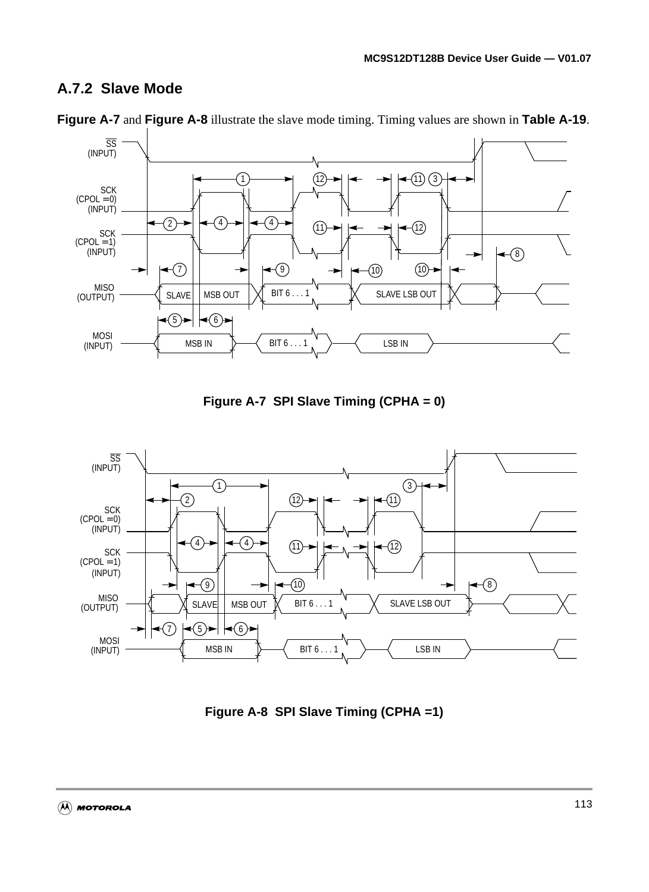#### **A.7.2 Slave Mode**



**[Figure A-7](#page-112-0)** and **[Figure A-8](#page-112-1)** illustrate the slave mode timing. Timing values are shown in **[Table A-19](#page-113-0)**.



<span id="page-112-0"></span>

<span id="page-112-1"></span>**Figure A-8 SPI Slave Timing (CPHA =1)**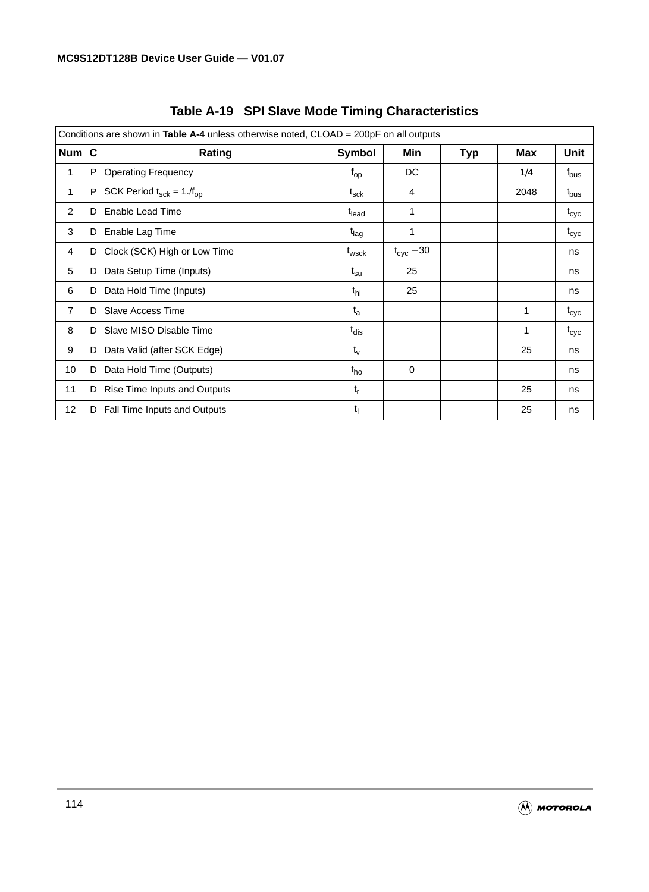<span id="page-113-0"></span>

|                | Conditions are shown in Table A-4 unless otherwise noted, CLOAD = 200pF on all outputs |                                      |                             |                       |            |            |                  |  |  |
|----------------|----------------------------------------------------------------------------------------|--------------------------------------|-----------------------------|-----------------------|------------|------------|------------------|--|--|
| <b>Num</b>     | $\mathbf c$                                                                            | Rating                               | Symbol                      | Min                   | <b>Typ</b> | <b>Max</b> | Unit             |  |  |
| 1              | P                                                                                      | <b>Operating Frequency</b>           | $f_{op}$                    | DC                    |            | 1/4        | $f_{bus}$        |  |  |
| 1              | P                                                                                      | SCK Period $t_{sck} = 1$ ./ $t_{op}$ | t <sub>sck</sub>            | 4                     |            | 2048       | t <sub>bus</sub> |  |  |
| 2              | D                                                                                      | Enable Lead Time                     | t <sub>lead</sub>           | 1                     |            |            | $t_{\rm cyc}$    |  |  |
| 3              | D                                                                                      | Enable Lag Time                      | t <sub>lag</sub>            | 1                     |            |            | $t_{\rm cyc}$    |  |  |
| 4              | D                                                                                      | Clock (SCK) High or Low Time         | $t_{\sf wsck}$              | $t_{\text{cyc}} - 30$ |            |            | ns               |  |  |
| 5              | D                                                                                      | Data Setup Time (Inputs)             | $t_{\sf su}$                | 25                    |            |            | ns               |  |  |
| 6              | D                                                                                      | Data Hold Time (Inputs)              | $t_{hi}$                    | 25                    |            |            | ns               |  |  |
| $\overline{7}$ | D                                                                                      | <b>Slave Access Time</b>             | $t_{a}$                     |                       |            | 1          | $t_{\rm cyc}$    |  |  |
| 8              | D                                                                                      | Slave MISO Disable Time              | $t_{dis}$                   |                       |            | 1          | $t_{\rm cyc}$    |  |  |
| 9              | D                                                                                      | Data Valid (after SCK Edge)          | $t_v$                       |                       |            | 25         | ns               |  |  |
| 10             | D                                                                                      | Data Hold Time (Outputs)             | $t_{ho}$                    | 0                     |            |            | ns               |  |  |
| 11             | D                                                                                      | Rise Time Inputs and Outputs         | $\mathfrak{t}_{\mathsf{r}}$ |                       |            | 25         | ns               |  |  |
| 12             | D                                                                                      | Fall Time Inputs and Outputs         | $t_{\rm f}$                 |                       |            | 25         | ns               |  |  |

**Table A-19 SPI Slave Mode Timing Characteristics**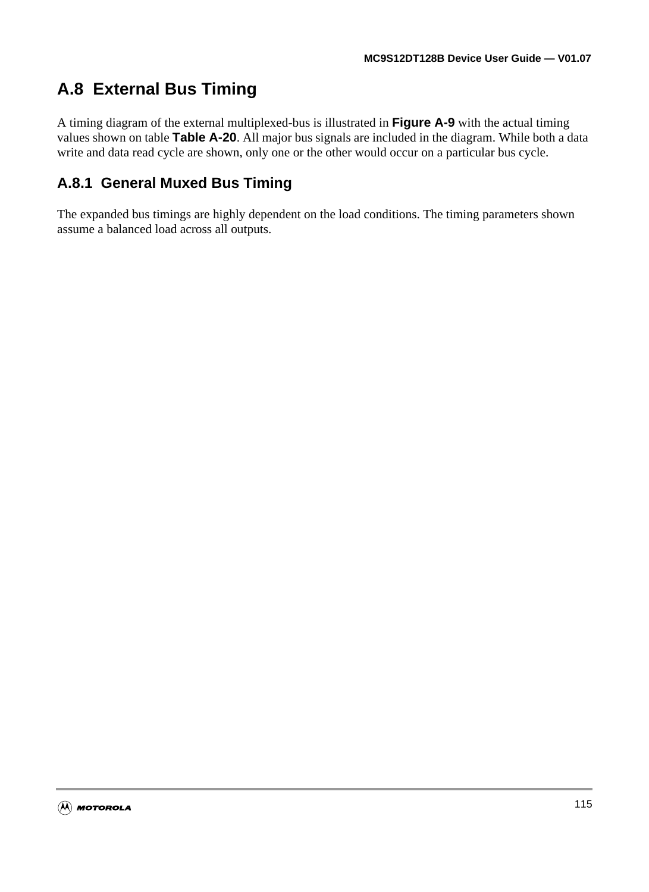## **A.8 External Bus Timing**

A timing diagram of the external multiplexed-bus is illustrated in **[Figure A-9](#page-115-0)** with the actual timing values shown on table **[Table A-20](#page-116-0)**. All major bus signals are included in the diagram. While both a data write and data read cycle are shown, only one or the other would occur on a particular bus cycle.

#### **A.8.1 General Muxed Bus Timing**

The expanded bus timings are highly dependent on the load conditions. The timing parameters shown assume a balanced load across all outputs.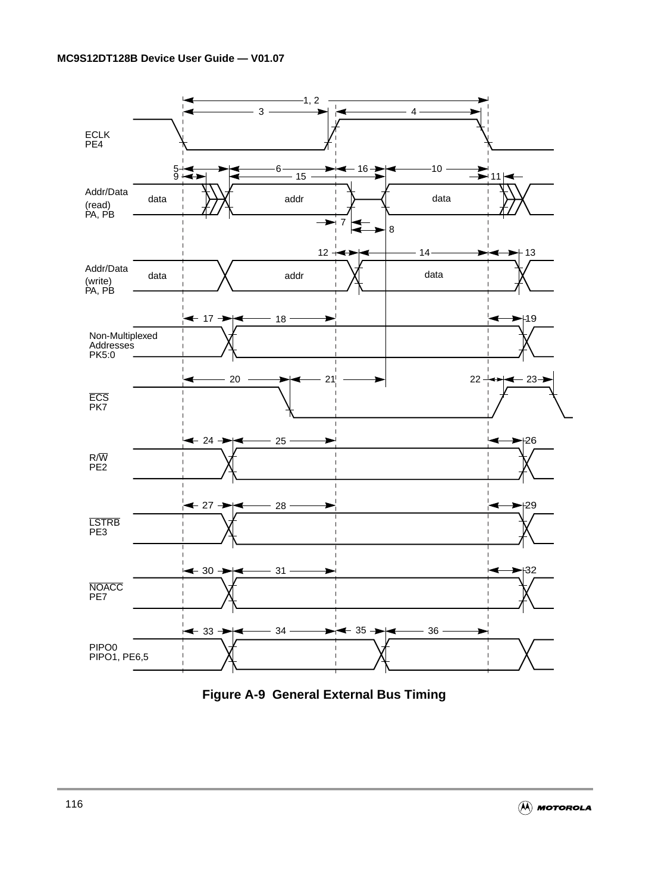

<span id="page-115-0"></span>**Figure A-9 General External Bus Timing**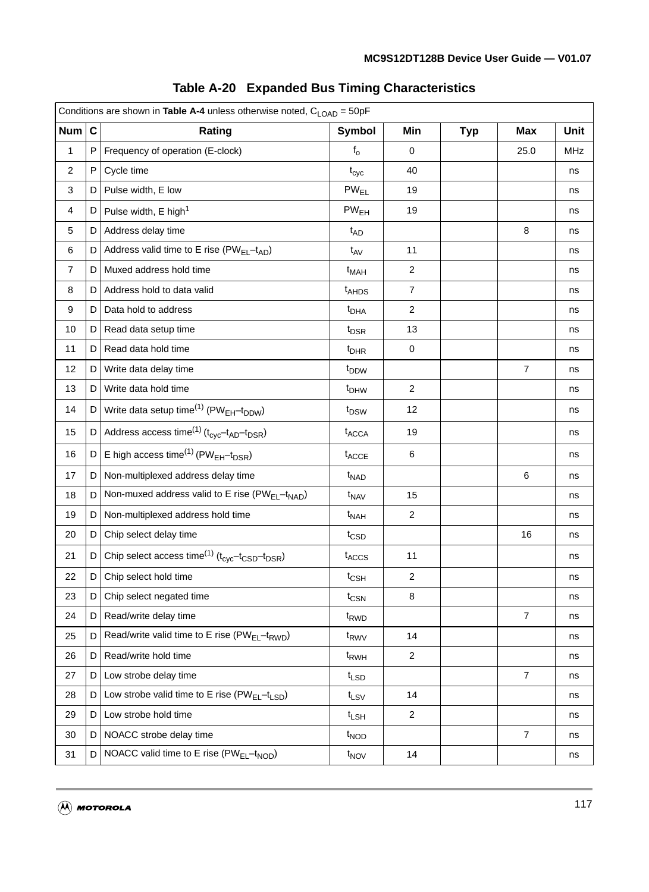<span id="page-116-0"></span>

|                | Conditions are shown in Table A-4 unless otherwise noted, C <sub>LOAD</sub> = 50pF |                                                                                         |                    |                |            |                |            |  |  |
|----------------|------------------------------------------------------------------------------------|-----------------------------------------------------------------------------------------|--------------------|----------------|------------|----------------|------------|--|--|
| <b>Num</b>     | $\mathbf c$                                                                        | Rating                                                                                  | <b>Symbol</b>      | Min            | <b>Typ</b> | <b>Max</b>     | Unit       |  |  |
| 1              | P                                                                                  | Frequency of operation (E-clock)                                                        | $f_{o}$            | $\mathbf 0$    |            | 25.0           | <b>MHz</b> |  |  |
| $\overline{2}$ | $\mathsf{P}$                                                                       | Cycle time                                                                              | $t_{\rm cyc}$      | 40             |            |                | ns         |  |  |
| 3              | D                                                                                  | Pulse width, E low                                                                      | $PW_{EL}$          | 19             |            |                | ns         |  |  |
| 4              | D                                                                                  | Pulse width, E high <sup>1</sup>                                                        | PW <sub>EH</sub>   | 19             |            |                | ns         |  |  |
| 5              | D                                                                                  | Address delay time                                                                      | $t_{AD}$           |                |            | 8              | ns         |  |  |
| 6              | D                                                                                  | Address valid time to E rise ( $PW_{EL}-t_{AD}$ )                                       | $t_{AV}$           | 11             |            |                | ns         |  |  |
| $\overline{7}$ | D                                                                                  | Muxed address hold time                                                                 | $t_{\mathsf{MAH}}$ | $\overline{c}$ |            |                | ns         |  |  |
| 8              | D                                                                                  | Address hold to data valid                                                              | t <sub>AHDS</sub>  | $\overline{7}$ |            |                | ns         |  |  |
| 9              | D                                                                                  | Data hold to address                                                                    | t <sub>DHA</sub>   | $\overline{c}$ |            |                | ns         |  |  |
| 10             | D                                                                                  | Read data setup time                                                                    | <sup>t</sup> DSR   | 13             |            |                | ns         |  |  |
| 11             | D                                                                                  | Read data hold time                                                                     | t <sub>DHR</sub>   | 0              |            |                | ns         |  |  |
| 12             | D                                                                                  | Write data delay time                                                                   | t <sub>DDW</sub>   |                |            | $\overline{7}$ | ns         |  |  |
| 13             | D                                                                                  | Write data hold time                                                                    | t <sub>DHW</sub>   | $\overline{c}$ |            |                | ns         |  |  |
| 14             | D                                                                                  | Write data setup time <sup>(1)</sup> (PW <sub>EH</sub> -t <sub>DDW</sub> )              | t <sub>DSW</sub>   | 12             |            |                | ns         |  |  |
| 15             | D                                                                                  | Address access time <sup>(1)</sup> $(t_{\text{cyc}} - t_{\text{AD}} - t_{\text{DSR}})$  | t <sub>ACCA</sub>  | 19             |            |                | ns         |  |  |
| 16             | D                                                                                  | E high access time <sup>(1)</sup> (PW <sub>EH</sub> -t <sub>DSR</sub> )                 | t <sub>ACCE</sub>  | 6              |            |                | ns         |  |  |
| 17             | D                                                                                  | Non-multiplexed address delay time                                                      | t <sub>NAD</sub>   |                |            | 6              | ns         |  |  |
| 18             | D                                                                                  | Non-muxed address valid to E rise (PW <sub>EL</sub> -t <sub>NAD</sub> )                 | t <sub>NAV</sub>   | 15             |            |                | ns         |  |  |
| 19             | D                                                                                  | Non-multiplexed address hold time                                                       | $t_{NAH}$          | $\overline{c}$ |            |                | ns         |  |  |
| 20             | D                                                                                  | Chip select delay time                                                                  | t <sub>CSD</sub>   |                |            | 16             | ns         |  |  |
| 21             | D                                                                                  | Chip select access time <sup>(1)</sup> $(t_{\text{cyc}}-t_{\text{CSD}}-t_{\text{DSR}})$ | t <sub>ACCS</sub>  | 11             |            |                | ns         |  |  |
| 22             | $\mathsf{D}$                                                                       | Chip select hold time                                                                   | $t_{\text{CSH}}$   | $\overline{c}$ |            |                | ns         |  |  |
| 23             | D                                                                                  | Chip select negated time                                                                | $t_{\text{CSN}}$   | 8              |            |                | ns         |  |  |
| 24             | D                                                                                  | Read/write delay time                                                                   | t <sub>RWD</sub>   |                |            | $\overline{7}$ | ns         |  |  |
| 25             | D                                                                                  | Read/write valid time to E rise (PW <sub>EL</sub> -t <sub>RWD</sub> )                   | t <sub>RWV</sub>   | 14             |            |                | ns         |  |  |
| 26             | D                                                                                  | Read/write hold time                                                                    | t <sub>RWH</sub>   | $\overline{2}$ |            |                | ns         |  |  |
| 27             | D                                                                                  | Low strobe delay time                                                                   | $t_{LSD}$          |                |            | $\overline{7}$ | ns         |  |  |
| 28             | D                                                                                  | Low strobe valid time to E rise (PW <sub>FI</sub> -t <sub>I SD</sub> )                  | $t_{LSV}$          | 14             |            |                | ns         |  |  |
| 29             | D                                                                                  | Low strobe hold time                                                                    | $t_{LSH}$          | $\overline{2}$ |            |                | ns         |  |  |
| 30             | D                                                                                  | NOACC strobe delay time                                                                 | t <sub>NOD</sub>   |                |            | $\overline{7}$ | ns         |  |  |
| 31             | D                                                                                  | NOACC valid time to E rise $(PW_{EL}-t_{NOD})$                                          | $t_{\text{NOV}}$   | 14             |            |                | ns         |  |  |

### **Table A-20 Expanded Bus Timing Characteristics**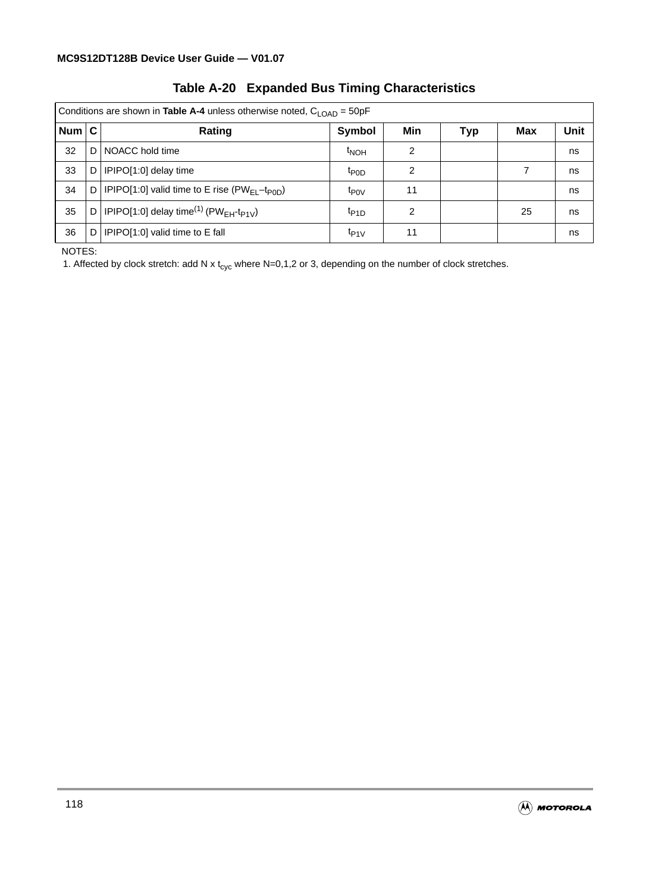| Conditions are shown in Table A-4 unless otherwise noted, $C_{1 \text{ OAD}} = 50pF$ |   |                                                                                      |                  |     |     |     |      |  |
|--------------------------------------------------------------------------------------|---|--------------------------------------------------------------------------------------|------------------|-----|-----|-----|------|--|
| <b>Num</b>                                                                           | C | Rating                                                                               | Symbol           | Min | Typ | Max | Unit |  |
| 32                                                                                   |   | NOACC hold time                                                                      | <sup>t</sup> NOH | 2   |     |     | ns   |  |
| 33                                                                                   |   | IPIPO[1:0] delay time                                                                | t <sub>P0D</sub> | 2   |     |     | ns   |  |
| 34                                                                                   | D | IPIPO[1:0] valid time to E rise (PW <sub>EL</sub> -t <sub>P0D</sub> )                | $t_{POV}$        | 11  |     |     | ns   |  |
| 35                                                                                   | D | $\vert$   IPIPO[1:0] delay time <sup>(1)</sup> (PW <sub>FH</sub> -t <sub>P1V</sub> ) | $t_{P1D}$        | 2   |     | 25  | ns   |  |
| 36                                                                                   |   | IPIPO[1:0] valid time to E fall                                                      | $t_{P1V}$        | 11  |     |     | ns   |  |

#### **Table A-20 Expanded Bus Timing Characteristics**

NOTES:

<span id="page-117-0"></span>1. Affected by clock stretch: add N x  $t_{\text{cyc}}$  where N=0,1,2 or 3, depending on the number of clock stretches.

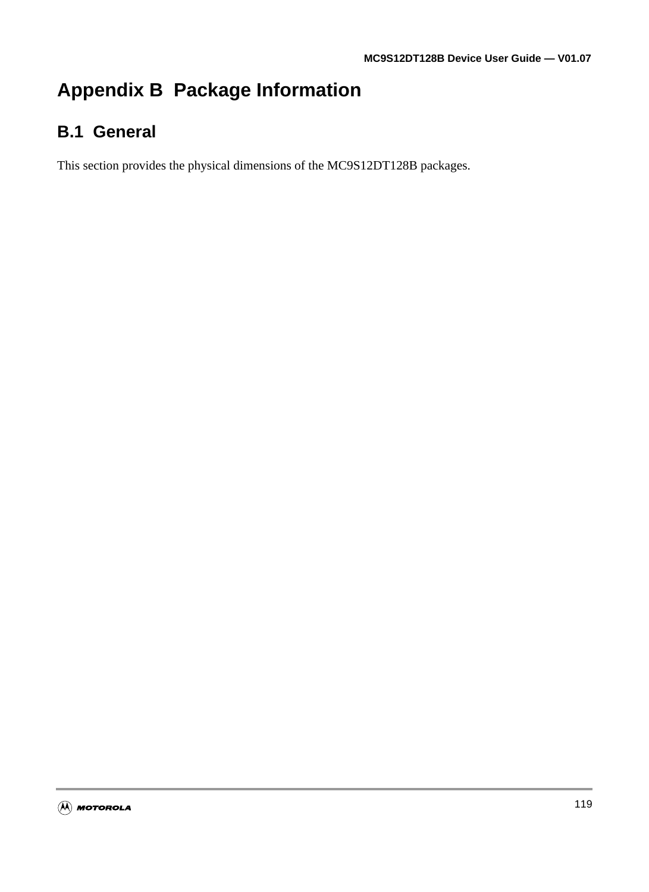# **Appendix B Package Information**

### **B.1 General**

This section provides the physical dimensions of the MC9S12DT128B packages.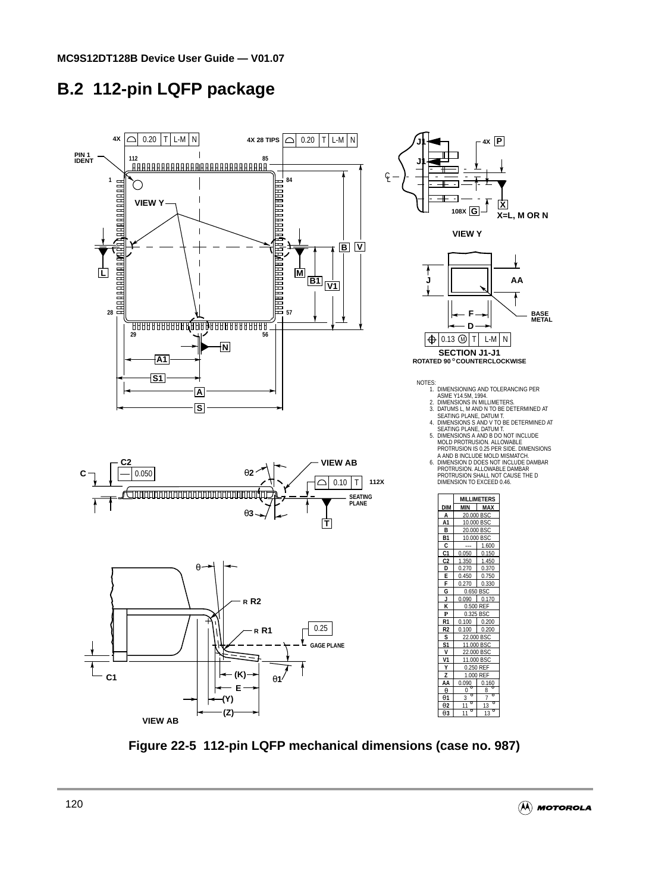### **B.2 112-pin LQFP package**



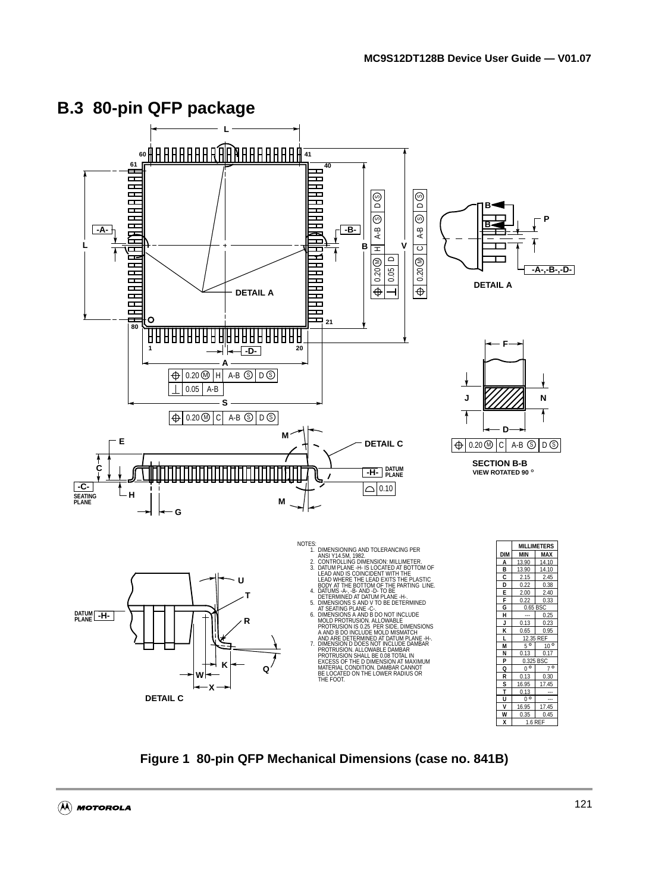



**Figure 1 80-pin QFP Mechanical Dimensions (case no. 841B)**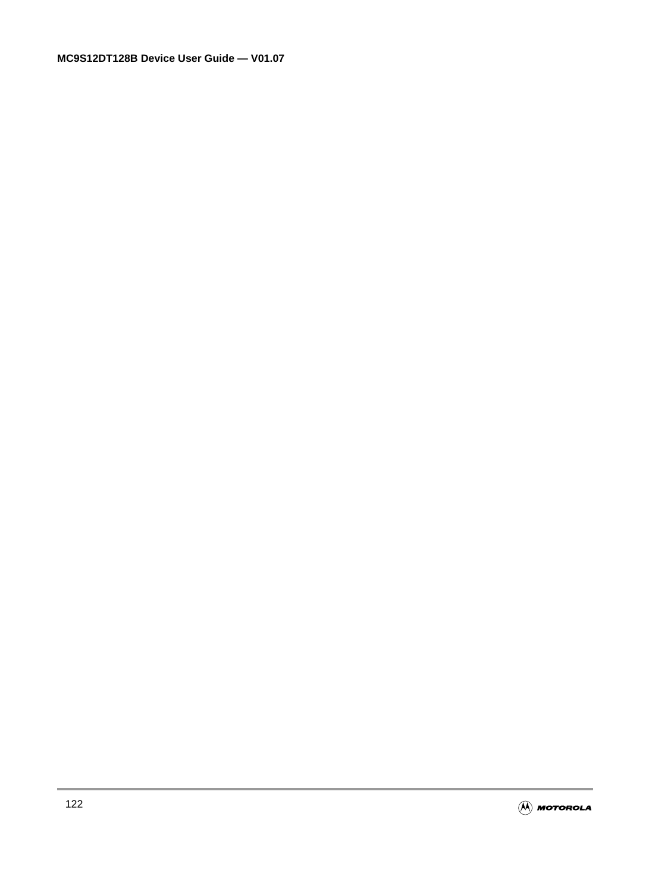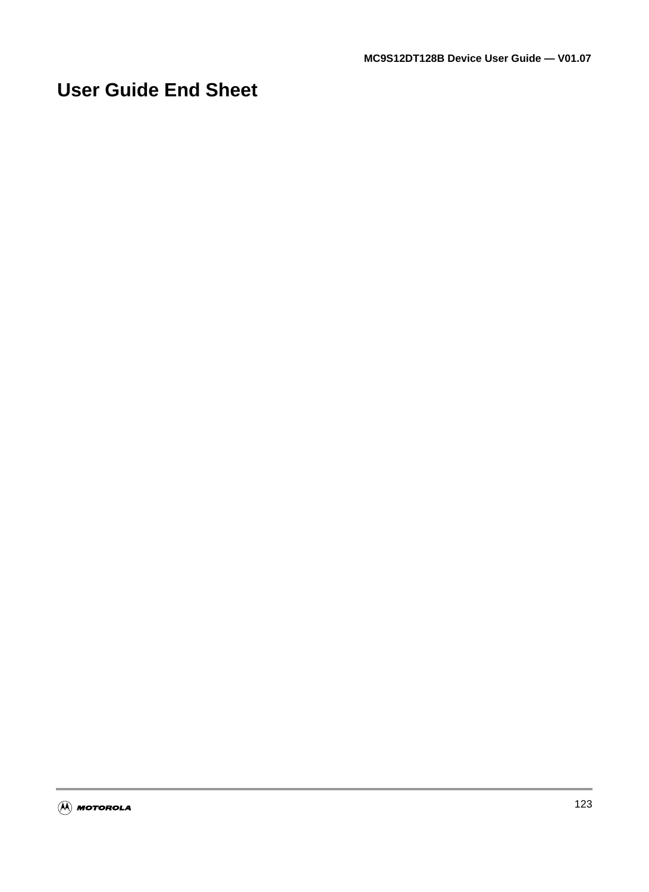# **User Guide End Sheet**